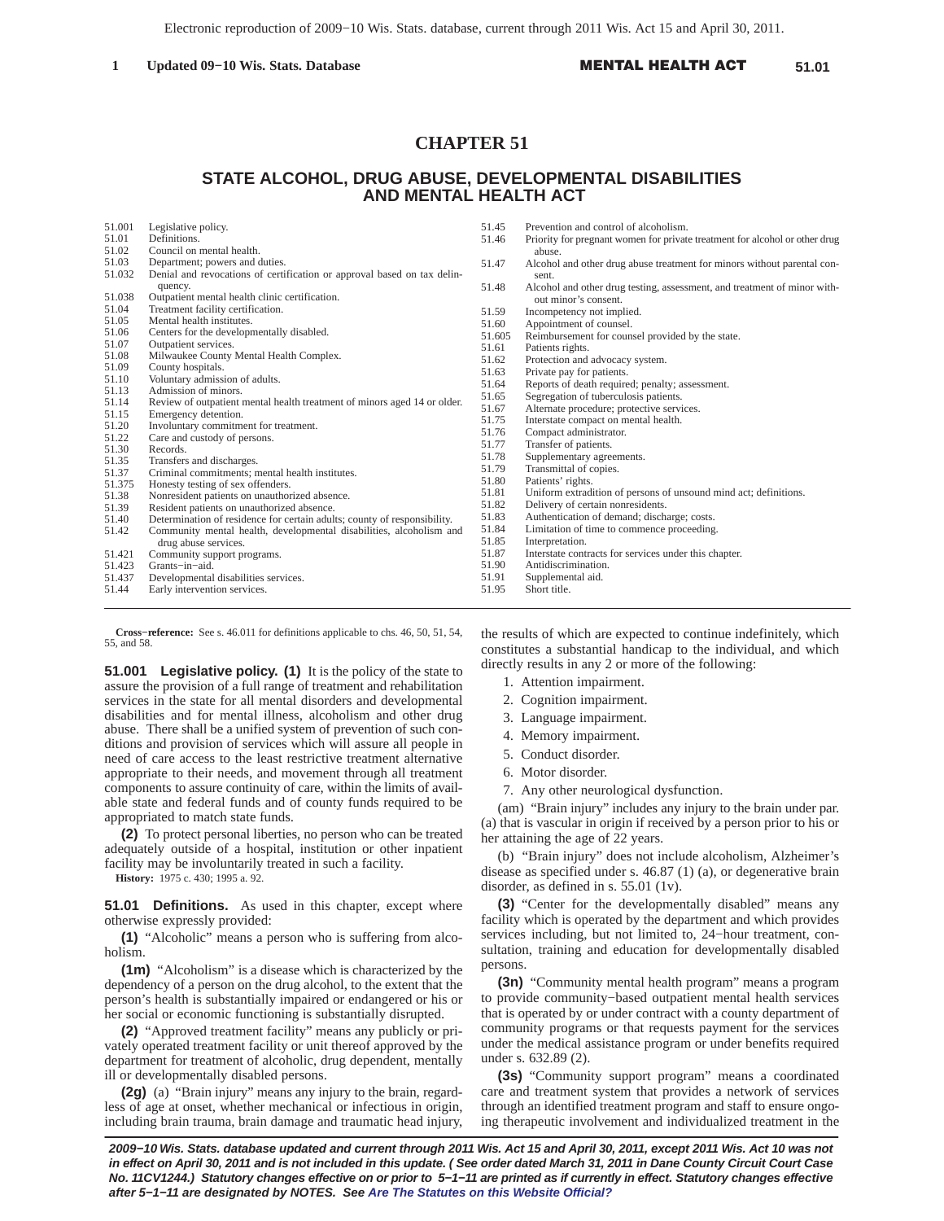# **CHAPTER 51**

# **STATE ALCOHOL, DRUG ABUSE, DEVELOPMENTAL DISABILITIES AND MENTAL HEALTH ACT**

| 51.001         | Legislative policy.                                                                         | 51.45          | Prevention and control of alcoholism.                                       |
|----------------|---------------------------------------------------------------------------------------------|----------------|-----------------------------------------------------------------------------|
| 51.01          | Definitions.                                                                                | 51.46          | Priority for pregnant women for private treatment for alcohol or other drug |
| 51.02          | Council on mental health.                                                                   |                | abuse.                                                                      |
| 51.03          | Department; powers and duties.                                                              | 51.47          | Alcohol and other drug abuse treatment for minors without parental con-     |
| 51.032         | Denial and revocations of certification or approval based on tax delin-                     |                | sent.                                                                       |
|                | quency.                                                                                     | 51.48          | Alcohol and other drug testing, assessment, and treatment of minor with-    |
| 51.038         | Outpatient mental health clinic certification.                                              |                | out minor's consent.                                                        |
| 51.04          | Treatment facility certification.                                                           | 51.59          | Incompetency not implied.                                                   |
| 51.05          | Mental health institutes.                                                                   | 51.60          | Appointment of counsel.                                                     |
| 51.06          | Centers for the developmentally disabled.                                                   | 51.605         | Reimbursement for counsel provided by the state.                            |
| 51.07          | Outpatient services.                                                                        | 51.61          | Patients rights.                                                            |
| 51.08          | Milwaukee County Mental Health Complex.                                                     | 51.62          | Protection and advocacy system.                                             |
| 51.09<br>51.10 | County hospitals.<br>Voluntary admission of adults.                                         | 51.63          | Private pay for patients.                                                   |
| 51.13          | Admission of minors.                                                                        | 51.64          | Reports of death required; penalty; assessment.                             |
| 51.14          | Review of outpatient mental health treatment of minors aged 14 or older.                    | 51.65          | Segregation of tuberculosis patients.                                       |
| 51.15          | Emergency detention.                                                                        | 51.67          | Alternate procedure; protective services.                                   |
| 51.20          | Involuntary commitment for treatment.                                                       | 51.75          | Interstate compact on mental health.                                        |
| 51.22          | Care and custody of persons.                                                                | 51.76          | Compact administrator.                                                      |
| 51.30          | Records.                                                                                    | 51.77          | Transfer of patients.                                                       |
| 51.35          | Transfers and discharges.                                                                   | 51.78          | Supplementary agreements.                                                   |
| 51.37          | Criminal commitments; mental health institutes.                                             | 51.79          | Transmittal of copies.                                                      |
| 51.375         | Honesty testing of sex offenders.                                                           | 51.80          | Patients' rights.                                                           |
| 51.38          | Nonresident patients on unauthorized absence.                                               | 51.81          | Uniform extradition of persons of unsound mind act; definitions.            |
| 51.39          | Resident patients on unauthorized absence.                                                  | 51.82          | Delivery of certain nonresidents.                                           |
| 51.40          | Determination of residence for certain adults; county of responsibility.                    | 51.83          | Authentication of demand; discharge; costs.                                 |
| 51.42          | Community mental health, developmental disabilities, alcoholism and<br>drug abuse services. | 51.84<br>51.85 | Limitation of time to commence proceeding.<br>Interpretation.               |
| 51.421         | Community support programs.                                                                 | 51.87          | Interstate contracts for services under this chapter.                       |
| 51.423         | Grants-in-aid.                                                                              | 51.90          | Antidiscrimination.                                                         |
| 51.437         | Developmental disabilities services.                                                        | 51.91          | Supplemental aid.                                                           |
| 51.44          | Early intervention services.                                                                | 51.95          | Short title.                                                                |
|                |                                                                                             |                |                                                                             |

**Cross−reference:** See s. 46.011 for definitions applicable to chs. 46, 50, 51, 54, 55, and 58.

**51.001 Legislative policy. (1)** It is the policy of the state to assure the provision of a full range of treatment and rehabilitation services in the state for all mental disorders and developmental disabilities and for mental illness, alcoholism and other drug abuse. There shall be a unified system of prevention of such conditions and provision of services which will assure all people in need of care access to the least restrictive treatment alternative appropriate to their needs, and movement through all treatment components to assure continuity of care, within the limits of available state and federal funds and of county funds required to be appropriated to match state funds.

**(2)** To protect personal liberties, no person who can be treated adequately outside of a hospital, institution or other inpatient facility may be involuntarily treated in such a facility.

**History:** 1975 c. 430; 1995 a. 92.

**51.01 Definitions.** As used in this chapter, except where otherwise expressly provided:

**(1)** "Alcoholic" means a person who is suffering from alcoholism.

**(1m)** "Alcoholism" is a disease which is characterized by the dependency of a person on the drug alcohol, to the extent that the person's health is substantially impaired or endangered or his or her social or economic functioning is substantially disrupted.

**(2)** "Approved treatment facility" means any publicly or privately operated treatment facility or unit thereof approved by the department for treatment of alcoholic, drug dependent, mentally ill or developmentally disabled persons.

**(2g)** (a) "Brain injury" means any injury to the brain, regardless of age at onset, whether mechanical or infectious in origin, including brain trauma, brain damage and traumatic head injury, the results of which are expected to continue indefinitely, which constitutes a substantial handicap to the individual, and which directly results in any 2 or more of the following:

- 1. Attention impairment.
- 2. Cognition impairment.
- 3. Language impairment.
- 4. Memory impairment.
- 5. Conduct disorder.
- 6. Motor disorder.
- 7. Any other neurological dysfunction.

(am) "Brain injury" includes any injury to the brain under par. (a) that is vascular in origin if received by a person prior to his or her attaining the age of 22 years.

(b) "Brain injury" does not include alcoholism, Alzheimer's disease as specified under s. 46.87 (1) (a), or degenerative brain disorder, as defined in s. 55.01 (1v).

**(3)** "Center for the developmentally disabled" means any facility which is operated by the department and which provides services including, but not limited to, 24−hour treatment, consultation, training and education for developmentally disabled persons.

**(3n)** "Community mental health program" means a program to provide community−based outpatient mental health services that is operated by or under contract with a county department of community programs or that requests payment for the services under the medical assistance program or under benefits required under s. 632.89 (2).

**(3s)** "Community support program" means a coordinated care and treatment system that provides a network of services through an identified treatment program and staff to ensure ongoing therapeutic involvement and individualized treatment in the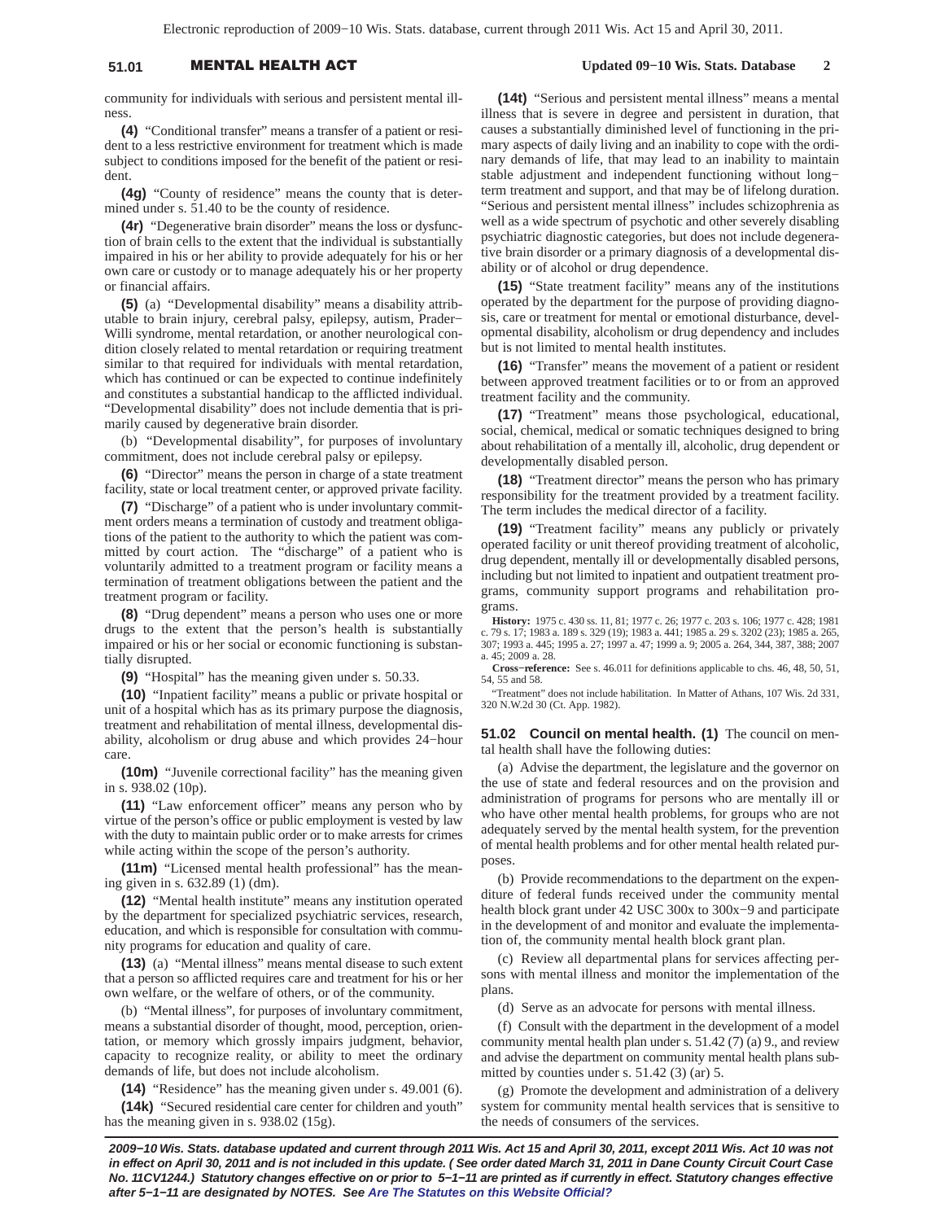# 51.01 **MENTAL HEALTH A**

## **Updated 09−10 Wis. Stats. Database 2**

community for individuals with serious and persistent mental illness.

**(4)** "Conditional transfer" means a transfer of a patient or resident to a less restrictive environment for treatment which is made subject to conditions imposed for the benefit of the patient or resident.

**(4g)** "County of residence" means the county that is determined under s. 51.40 to be the county of residence.

**(4r)** "Degenerative brain disorder" means the loss or dysfunction of brain cells to the extent that the individual is substantially impaired in his or her ability to provide adequately for his or her own care or custody or to manage adequately his or her property or financial affairs.

**(5)** (a) "Developmental disability" means a disability attributable to brain injury, cerebral palsy, epilepsy, autism, Prader− Willi syndrome, mental retardation, or another neurological condition closely related to mental retardation or requiring treatment similar to that required for individuals with mental retardation, which has continued or can be expected to continue indefinitely and constitutes a substantial handicap to the afflicted individual. "Developmental disability" does not include dementia that is primarily caused by degenerative brain disorder.

(b) "Developmental disability", for purposes of involuntary commitment, does not include cerebral palsy or epilepsy.

**(6)** "Director" means the person in charge of a state treatment facility, state or local treatment center, or approved private facility.

**(7)** "Discharge" of a patient who is under involuntary commitment orders means a termination of custody and treatment obligations of the patient to the authority to which the patient was committed by court action. The "discharge" of a patient who is voluntarily admitted to a treatment program or facility means a termination of treatment obligations between the patient and the treatment program or facility.

**(8)** "Drug dependent" means a person who uses one or more drugs to the extent that the person's health is substantially impaired or his or her social or economic functioning is substantially disrupted.

**(9)** "Hospital" has the meaning given under s. 50.33.

**(10)** "Inpatient facility" means a public or private hospital or unit of a hospital which has as its primary purpose the diagnosis, treatment and rehabilitation of mental illness, developmental disability, alcoholism or drug abuse and which provides 24−hour care.

**(10m)** "Juvenile correctional facility" has the meaning given in s. 938.02 (10p).

**(11)** "Law enforcement officer" means any person who by virtue of the person's office or public employment is vested by law with the duty to maintain public order or to make arrests for crimes while acting within the scope of the person's authority.

**(11m)** "Licensed mental health professional" has the meaning given in s. 632.89 (1) (dm).

**(12)** "Mental health institute" means any institution operated by the department for specialized psychiatric services, research, education, and which is responsible for consultation with community programs for education and quality of care.

**(13)** (a) "Mental illness" means mental disease to such extent that a person so afflicted requires care and treatment for his or her own welfare, or the welfare of others, or of the community.

(b) "Mental illness", for purposes of involuntary commitment, means a substantial disorder of thought, mood, perception, orientation, or memory which grossly impairs judgment, behavior, capacity to recognize reality, or ability to meet the ordinary demands of life, but does not include alcoholism.

**(14)** "Residence" has the meaning given under s. 49.001 (6). **(14k)** "Secured residential care center for children and youth" has the meaning given in s. 938.02 (15g).

**(14t)** "Serious and persistent mental illness" means a mental illness that is severe in degree and persistent in duration, that causes a substantially diminished level of functioning in the primary aspects of daily living and an inability to cope with the ordinary demands of life, that may lead to an inability to maintain stable adjustment and independent functioning without long− term treatment and support, and that may be of lifelong duration. "Serious and persistent mental illness" includes schizophrenia as well as a wide spectrum of psychotic and other severely disabling psychiatric diagnostic categories, but does not include degenerative brain disorder or a primary diagnosis of a developmental disability or of alcohol or drug dependence.

**(15)** "State treatment facility" means any of the institutions operated by the department for the purpose of providing diagnosis, care or treatment for mental or emotional disturbance, developmental disability, alcoholism or drug dependency and includes but is not limited to mental health institutes.

**(16)** "Transfer" means the movement of a patient or resident between approved treatment facilities or to or from an approved treatment facility and the community.

**(17)** "Treatment" means those psychological, educational, social, chemical, medical or somatic techniques designed to bring about rehabilitation of a mentally ill, alcoholic, drug dependent or developmentally disabled person.

**(18)** "Treatment director" means the person who has primary responsibility for the treatment provided by a treatment facility. The term includes the medical director of a facility.

**(19)** "Treatment facility" means any publicly or privately operated facility or unit thereof providing treatment of alcoholic, drug dependent, mentally ill or developmentally disabled persons, including but not limited to inpatient and outpatient treatment programs, community support programs and rehabilitation programs.

**History:** 1975 c. 430 ss. 11, 81; 1977 c. 26; 1977 c. 203 s. 106; 1977 c. 428; 1981 c. 79 s. 17; 1983 a. 189 s. 329 (19); 1983 a. 441; 1985 a. 29 s. 3202 (23); 1985 a. 265, 307; 1993 a. 445; 1995 a. 27; 1997 a. 47; 1999 a. 9; 2005 a. 264, 344, 387, 388; 2007 a. 45; 2009 a. 28.

**Cross−reference:** See s. 46.011 for definitions applicable to chs. 46, 48, 50, 51, 54, 55 and 58.

"Treatment" does not include habilitation. In Matter of Athans, 107 Wis. 2d 331, 320 N.W.2d 30 (Ct. App. 1982).

## **51.02 Council on mental health. (1)** The council on mental health shall have the following duties:

(a) Advise the department, the legislature and the governor on the use of state and federal resources and on the provision and administration of programs for persons who are mentally ill or who have other mental health problems, for groups who are not adequately served by the mental health system, for the prevention of mental health problems and for other mental health related purposes.

(b) Provide recommendations to the department on the expenditure of federal funds received under the community mental health block grant under 42 USC 300x to 300x−9 and participate in the development of and monitor and evaluate the implementation of, the community mental health block grant plan.

(c) Review all departmental plans for services affecting persons with mental illness and monitor the implementation of the plans.

(d) Serve as an advocate for persons with mental illness.

(f) Consult with the department in the development of a model community mental health plan under s. 51.42 (7) (a) 9., and review and advise the department on community mental health plans submitted by counties under s. 51.42 (3) (ar) 5.

(g) Promote the development and administration of a delivery system for community mental health services that is sensitive to the needs of consumers of the services.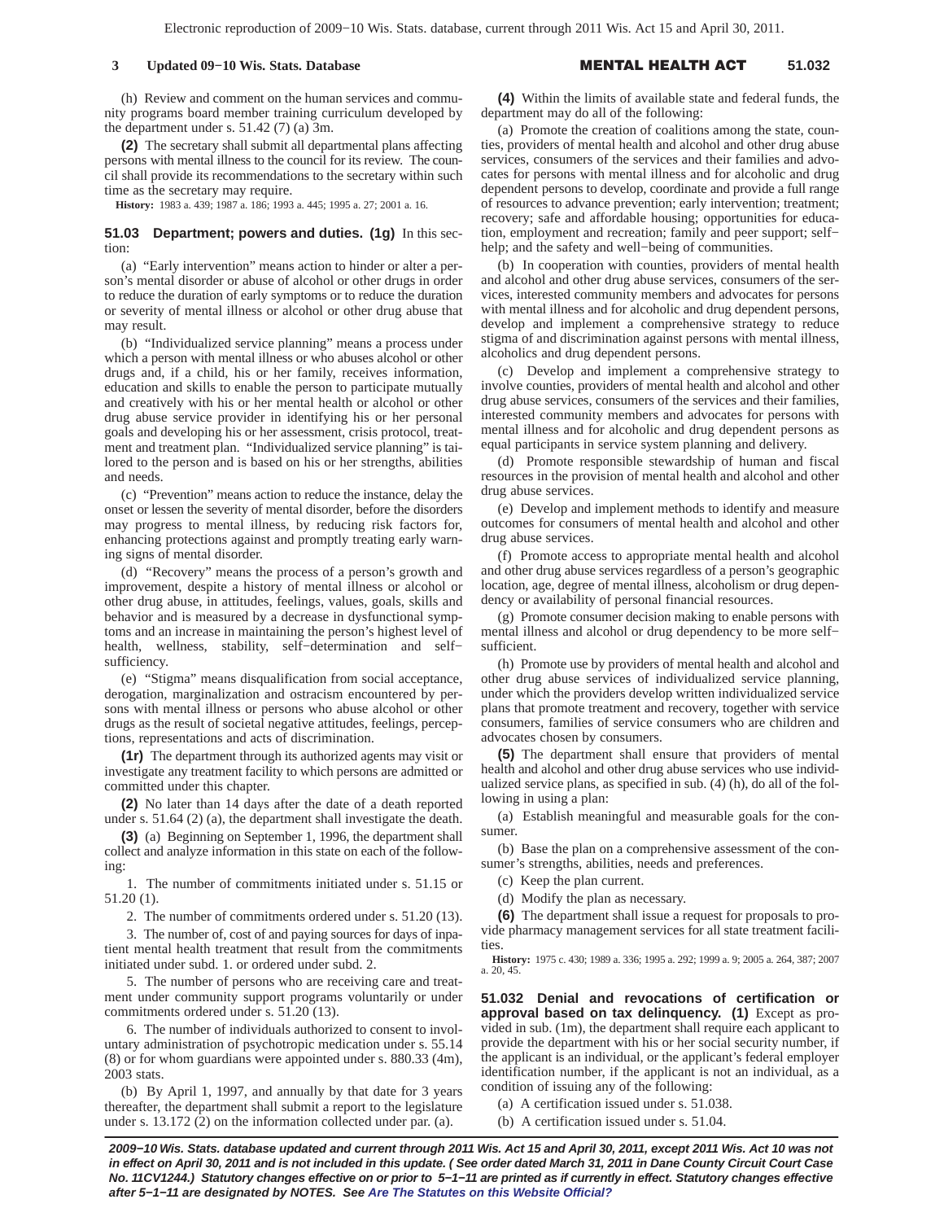## **3 Updated 09−10 Wis. Stats. Database** -

#### L HEALTH A **51.032**

(h) Review and comment on the human services and community programs board member training curriculum developed by the department under s. 51.42 (7) (a) 3m.

**(2)** The secretary shall submit all departmental plans affecting persons with mental illness to the council for its review. The council shall provide its recommendations to the secretary within such time as the secretary may require.

**History:** 1983 a. 439; 1987 a. 186; 1993 a. 445; 1995 a. 27; 2001 a. 16.

## **51.03 Department; powers and duties. (1g)** In this section:

(a) "Early intervention" means action to hinder or alter a person's mental disorder or abuse of alcohol or other drugs in order to reduce the duration of early symptoms or to reduce the duration or severity of mental illness or alcohol or other drug abuse that may result.

(b) "Individualized service planning" means a process under which a person with mental illness or who abuses alcohol or other drugs and, if a child, his or her family, receives information, education and skills to enable the person to participate mutually and creatively with his or her mental health or alcohol or other drug abuse service provider in identifying his or her personal goals and developing his or her assessment, crisis protocol, treatment and treatment plan. "Individualized service planning" is tailored to the person and is based on his or her strengths, abilities and needs.

(c) "Prevention" means action to reduce the instance, delay the onset or lessen the severity of mental disorder, before the disorders may progress to mental illness, by reducing risk factors for, enhancing protections against and promptly treating early warning signs of mental disorder.

(d) "Recovery" means the process of a person's growth and improvement, despite a history of mental illness or alcohol or other drug abuse, in attitudes, feelings, values, goals, skills and behavior and is measured by a decrease in dysfunctional symptoms and an increase in maintaining the person's highest level of health, wellness, stability, self−determination and self− sufficiency.

(e) "Stigma" means disqualification from social acceptance, derogation, marginalization and ostracism encountered by persons with mental illness or persons who abuse alcohol or other drugs as the result of societal negative attitudes, feelings, perceptions, representations and acts of discrimination.

**(1r)** The department through its authorized agents may visit or investigate any treatment facility to which persons are admitted or committed under this chapter.

**(2)** No later than 14 days after the date of a death reported under s. 51.64 (2) (a), the department shall investigate the death.

**(3)** (a) Beginning on September 1, 1996, the department shall collect and analyze information in this state on each of the following:

1. The number of commitments initiated under s. 51.15 or 51.20 (1).

2. The number of commitments ordered under s. 51.20 (13).

3. The number of, cost of and paying sources for days of inpatient mental health treatment that result from the commitments initiated under subd. 1. or ordered under subd. 2.

5. The number of persons who are receiving care and treatment under community support programs voluntarily or under commitments ordered under s. 51.20 (13).

6. The number of individuals authorized to consent to involuntary administration of psychotropic medication under s. 55.14 (8) or for whom guardians were appointed under s. 880.33 (4m), 2003 stats.

(b) By April 1, 1997, and annually by that date for 3 years thereafter, the department shall submit a report to the legislature under s. 13.172 (2) on the information collected under par. (a).

**(4)** Within the limits of available state and federal funds, the department may do all of the following:

(a) Promote the creation of coalitions among the state, counties, providers of mental health and alcohol and other drug abuse services, consumers of the services and their families and advocates for persons with mental illness and for alcoholic and drug dependent persons to develop, coordinate and provide a full range of resources to advance prevention; early intervention; treatment; recovery; safe and affordable housing; opportunities for education, employment and recreation; family and peer support; self− help; and the safety and well−being of communities.

(b) In cooperation with counties, providers of mental health and alcohol and other drug abuse services, consumers of the services, interested community members and advocates for persons with mental illness and for alcoholic and drug dependent persons, develop and implement a comprehensive strategy to reduce stigma of and discrimination against persons with mental illness, alcoholics and drug dependent persons.

(c) Develop and implement a comprehensive strategy to involve counties, providers of mental health and alcohol and other drug abuse services, consumers of the services and their families, interested community members and advocates for persons with mental illness and for alcoholic and drug dependent persons as equal participants in service system planning and delivery.

(d) Promote responsible stewardship of human and fiscal resources in the provision of mental health and alcohol and other drug abuse services.

(e) Develop and implement methods to identify and measure outcomes for consumers of mental health and alcohol and other drug abuse services.

(f) Promote access to appropriate mental health and alcohol and other drug abuse services regardless of a person's geographic location, age, degree of mental illness, alcoholism or drug dependency or availability of personal financial resources.

(g) Promote consumer decision making to enable persons with mental illness and alcohol or drug dependency to be more self− sufficient.

(h) Promote use by providers of mental health and alcohol and other drug abuse services of individualized service planning, under which the providers develop written individualized service plans that promote treatment and recovery, together with service consumers, families of service consumers who are children and advocates chosen by consumers.

**(5)** The department shall ensure that providers of mental health and alcohol and other drug abuse services who use individualized service plans, as specified in sub. (4) (h), do all of the following in using a plan:

(a) Establish meaningful and measurable goals for the consumer.

(b) Base the plan on a comprehensive assessment of the consumer's strengths, abilities, needs and preferences.

(c) Keep the plan current.

(d) Modify the plan as necessary.

**(6)** The department shall issue a request for proposals to provide pharmacy management services for all state treatment facilities.

**History:** 1975 c. 430; 1989 a. 336; 1995 a. 292; 1999 a. 9; 2005 a. 264, 387; 2007 a. 20, 45.

**51.032 Denial and revocations of certification or approval based on tax delinquency. (1)** Except as provided in sub. (1m), the department shall require each applicant to provide the department with his or her social security number, if the applicant is an individual, or the applicant's federal employer identification number, if the applicant is not an individual, as a condition of issuing any of the following:

(a) A certification issued under s. 51.038.

(b) A certification issued under s. 51.04.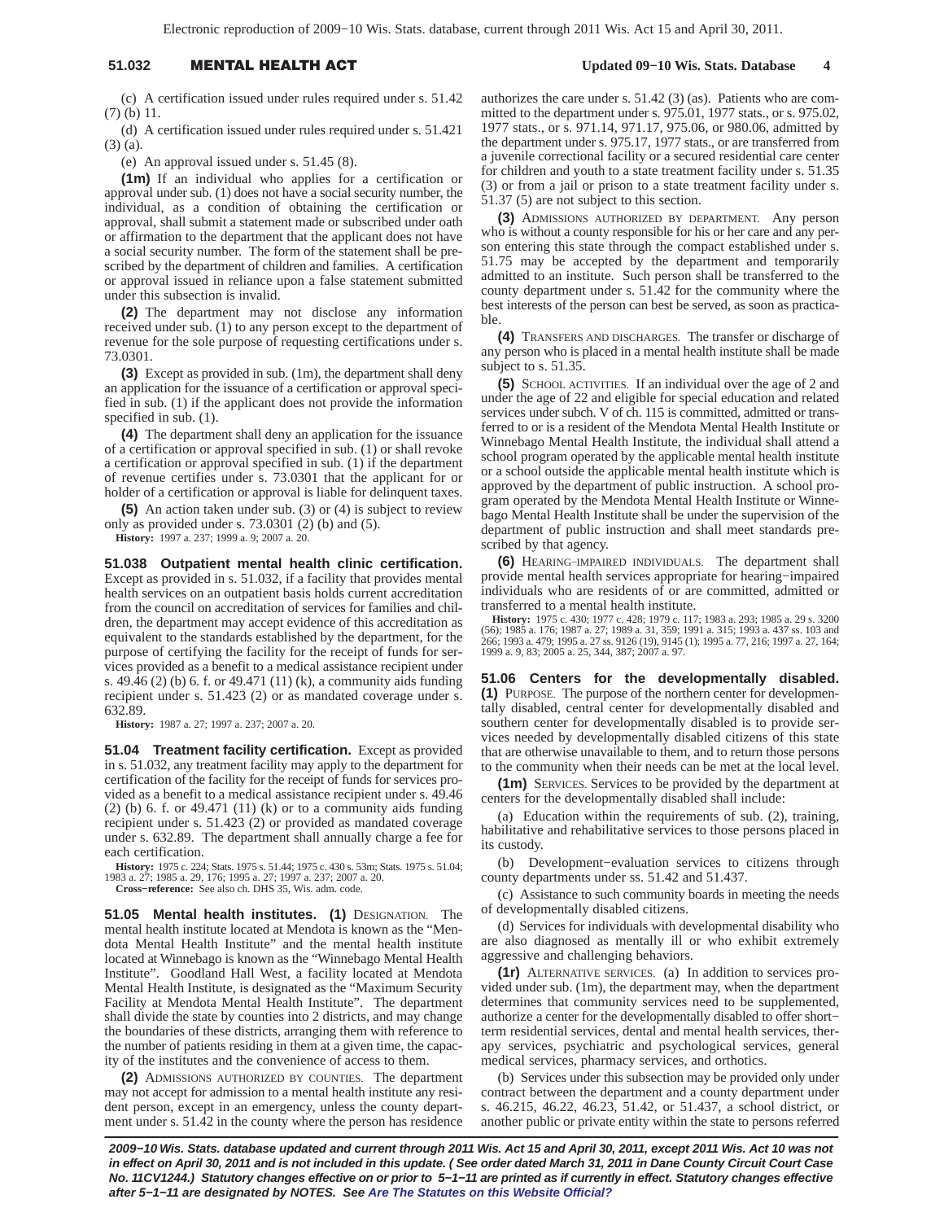# 51.032 **MENTAL HEALTH A**

 **Updated 09−10 Wis. Stats. Database 4**

(c) A certification issued under rules required under s. 51.42 (7) (b) 11.

(d) A certification issued under rules required under s. 51.421 (3) (a).

(e) An approval issued under s. 51.45 (8).

**(1m)** If an individual who applies for a certification or approval under sub. (1) does not have a social security number, the individual, as a condition of obtaining the certification or approval, shall submit a statement made or subscribed under oath or affirmation to the department that the applicant does not have a social security number. The form of the statement shall be prescribed by the department of children and families. A certification or approval issued in reliance upon a false statement submitted under this subsection is invalid.

**(2)** The department may not disclose any information received under sub. (1) to any person except to the department of revenue for the sole purpose of requesting certifications under s. 73.0301.

**(3)** Except as provided in sub. (1m), the department shall deny an application for the issuance of a certification or approval specified in sub. (1) if the applicant does not provide the information specified in sub. (1).

**(4)** The department shall deny an application for the issuance of a certification or approval specified in sub. (1) or shall revoke a certification or approval specified in sub. (1) if the department of revenue certifies under s. 73.0301 that the applicant for or holder of a certification or approval is liable for delinquent taxes.

**(5)** An action taken under sub. (3) or (4) is subject to review only as provided under s.  $73.0301$  (2) (b) and (5).

**History:** 1997 a. 237; 1999 a. 9; 2007 a. 20.

**51.038 Outpatient mental health clinic certification.** Except as provided in s. 51.032, if a facility that provides mental health services on an outpatient basis holds current accreditation from the council on accreditation of services for families and children, the department may accept evidence of this accreditation as equivalent to the standards established by the department, for the purpose of certifying the facility for the receipt of funds for services provided as a benefit to a medical assistance recipient under s. 49.46 (2) (b) 6. f. or 49.471 (11) (k), a community aids funding recipient under s. 51.423 (2) or as mandated coverage under s. 632.89.

**History:** 1987 a. 27; 1997 a. 237; 2007 a. 20.

**51.04 Treatment facility certification.** Except as provided in s. 51.032, any treatment facility may apply to the department for certification of the facility for the receipt of funds for services provided as a benefit to a medical assistance recipient under s. 49.46  $(2)$  (b) 6. f. or 49.471  $(11)$  (k) or to a community aids funding recipient under s. 51.423 (2) or provided as mandated coverage under s. 632.89. The department shall annually charge a fee for each certification.

**History:** 1975 c. 224; Stats. 1975 s. 51.44; 1975 c. 430 s. 53m; Stats. 1975 s. 51.04; 1983 a. 27; 1985 a. 29, 176; 1995 a. 27; 1997 a. 237; 2007 a. 20.

**Cross−reference:** See also ch. DHS 35, Wis. adm. code.

**51.05 Mental health institutes. (1)** DESIGNATION. The mental health institute located at Mendota is known as the "Mendota Mental Health Institute" and the mental health institute located at Winnebago is known as the "Winnebago Mental Health Institute". Goodland Hall West, a facility located at Mendota Mental Health Institute, is designated as the "Maximum Security Facility at Mendota Mental Health Institute". The department shall divide the state by counties into 2 districts, and may change the boundaries of these districts, arranging them with reference to the number of patients residing in them at a given time, the capacity of the institutes and the convenience of access to them.

**(2)** ADMISSIONS AUTHORIZED BY COUNTIES. The department may not accept for admission to a mental health institute any resident person, except in an emergency, unless the county department under s. 51.42 in the county where the person has residence authorizes the care under s. 51.42 (3) (as). Patients who are committed to the department under s. 975.01, 1977 stats., or s. 975.02, 1977 stats., or s. 971.14, 971.17, 975.06, or 980.06, admitted by the department under s. 975.17, 1977 stats., or are transferred from a juvenile correctional facility or a secured residential care center for children and youth to a state treatment facility under s. 51.35 (3) or from a jail or prison to a state treatment facility under s. 51.37 (5) are not subject to this section.

**(3)** ADMISSIONS AUTHORIZED BY DEPARTMENT. Any person who is without a county responsible for his or her care and any person entering this state through the compact established under s. 51.75 may be accepted by the department and temporarily admitted to an institute. Such person shall be transferred to the county department under s. 51.42 for the community where the best interests of the person can best be served, as soon as practicable.

**(4)** TRANSFERS AND DISCHARGES. The transfer or discharge of any person who is placed in a mental health institute shall be made subject to s. 51.35.

**(5)** SCHOOL ACTIVITIES. If an individual over the age of 2 and under the age of 22 and eligible for special education and related services under subch. V of ch. 115 is committed, admitted or transferred to or is a resident of the Mendota Mental Health Institute or Winnebago Mental Health Institute, the individual shall attend a school program operated by the applicable mental health institute or a school outside the applicable mental health institute which is approved by the department of public instruction. A school program operated by the Mendota Mental Health Institute or Winnebago Mental Health Institute shall be under the supervision of the department of public instruction and shall meet standards prescribed by that agency.

**(6)** HEARING−IMPAIRED INDIVIDUALS. The department shall provide mental health services appropriate for hearing−impaired individuals who are residents of or are committed, admitted or transferred to a mental health institute.

**History:** 1975 c. 430; 1977 c. 428; 1979 c. 117; 1983 a. 293; 1985 a. 29 s. 3200 (56); 1985 a. 176; 1987 a. 27; 1989 a. 31, 359; 1991 a. 315; 1993 a. 437 ss. 103 and 266; 1993 a. 479; 1995 a. 27 ss. 9126 (19), 9145 (1); 1995 a. 77, 216; 1997 a. 27, 164; 1999 a. 9, 83; 2005 a. 25, 344, 387; 2007 a. 97.

**51.06 Centers for the developmentally disabled. (1)** PURPOSE. The purpose of the northern center for developmentally disabled, central center for developmentally disabled and southern center for developmentally disabled is to provide services needed by developmentally disabled citizens of this state that are otherwise unavailable to them, and to return those persons to the community when their needs can be met at the local level.

**(1m)** SERVICES. Services to be provided by the department at centers for the developmentally disabled shall include:

(a) Education within the requirements of sub. (2), training, habilitative and rehabilitative services to those persons placed in its custody.

(b) Development−evaluation services to citizens through county departments under ss. 51.42 and 51.437.

(c) Assistance to such community boards in meeting the needs of developmentally disabled citizens.

(d) Services for individuals with developmental disability who are also diagnosed as mentally ill or who exhibit extremely aggressive and challenging behaviors.

**(1r)** ALTERNATIVE SERVICES. (a) In addition to services provided under sub. (1m), the department may, when the department determines that community services need to be supplemented, authorize a center for the developmentally disabled to offer short− term residential services, dental and mental health services, therapy services, psychiatric and psychological services, general medical services, pharmacy services, and orthotics.

(b) Services under this subsection may be provided only under contract between the department and a county department under s. 46.215, 46.22, 46.23, 51.42, or 51.437, a school district, or another public or private entity within the state to persons referred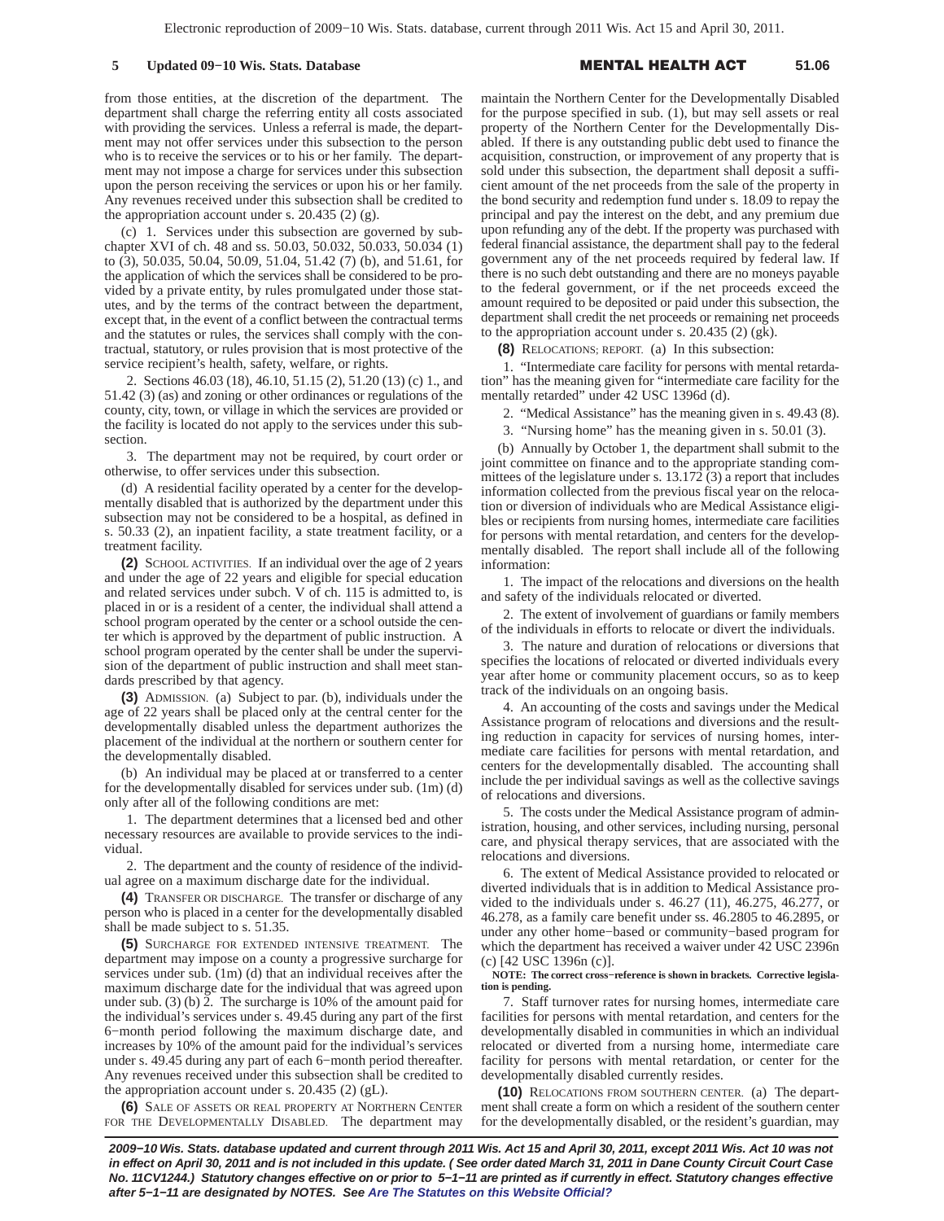## **5 Updated 09−10 Wis. Stats. Database** -

#### L HEALTH A **51.06**

from those entities, at the discretion of the department. The department shall charge the referring entity all costs associated with providing the services. Unless a referral is made, the department may not offer services under this subsection to the person who is to receive the services or to his or her family. The department may not impose a charge for services under this subsection upon the person receiving the services or upon his or her family. Any revenues received under this subsection shall be credited to the appropriation account under s.  $20.435(2)(g)$ .

(c) 1. Services under this subsection are governed by subchapter XVI of ch. 48 and ss. 50.03, 50.032, 50.033, 50.034 (1) to (3), 50.035, 50.04, 50.09, 51.04, 51.42 (7) (b), and 51.61, for the application of which the services shall be considered to be provided by a private entity, by rules promulgated under those statutes, and by the terms of the contract between the department, except that, in the event of a conflict between the contractual terms and the statutes or rules, the services shall comply with the contractual, statutory, or rules provision that is most protective of the service recipient's health, safety, welfare, or rights.

2. Sections 46.03 (18), 46.10, 51.15 (2), 51.20 (13) (c) 1., and 51.42 (3) (as) and zoning or other ordinances or regulations of the county, city, town, or village in which the services are provided or the facility is located do not apply to the services under this subsection.

3. The department may not be required, by court order or otherwise, to offer services under this subsection.

(d) A residential facility operated by a center for the developmentally disabled that is authorized by the department under this subsection may not be considered to be a hospital, as defined in s. 50.33 (2), an inpatient facility, a state treatment facility, or a treatment facility.

**(2)** SCHOOL ACTIVITIES. If an individual over the age of 2 years and under the age of 22 years and eligible for special education and related services under subch. V of ch. 115 is admitted to, is placed in or is a resident of a center, the individual shall attend a school program operated by the center or a school outside the center which is approved by the department of public instruction. A school program operated by the center shall be under the supervision of the department of public instruction and shall meet standards prescribed by that agency.

**(3)** ADMISSION. (a) Subject to par. (b), individuals under the age of 22 years shall be placed only at the central center for the developmentally disabled unless the department authorizes the placement of the individual at the northern or southern center for the developmentally disabled.

(b) An individual may be placed at or transferred to a center for the developmentally disabled for services under sub. (1m) (d) only after all of the following conditions are met:

1. The department determines that a licensed bed and other necessary resources are available to provide services to the individual.

2. The department and the county of residence of the individual agree on a maximum discharge date for the individual.

**(4)** TRANSFER OR DISCHARGE. The transfer or discharge of any person who is placed in a center for the developmentally disabled shall be made subject to s. 51.35.

**(5)** SURCHARGE FOR EXTENDED INTENSIVE TREATMENT. The department may impose on a county a progressive surcharge for services under sub. (1m) (d) that an individual receives after the maximum discharge date for the individual that was agreed upon under sub. (3) (b) 2. The surcharge is 10% of the amount paid for the individual's services under s. 49.45 during any part of the first 6−month period following the maximum discharge date, and increases by 10% of the amount paid for the individual's services under s. 49.45 during any part of each 6−month period thereafter. Any revenues received under this subsection shall be credited to the appropriation account under s. 20.435 (2) (gL).

**(6)** SALE OF ASSETS OR REAL PROPERTY AT NORTHERN CENTER FOR THE DEVELOPMENTALLY DISABLED. The department may

maintain the Northern Center for the Developmentally Disabled for the purpose specified in sub. (1), but may sell assets or real property of the Northern Center for the Developmentally Disabled. If there is any outstanding public debt used to finance the acquisition, construction, or improvement of any property that is sold under this subsection, the department shall deposit a sufficient amount of the net proceeds from the sale of the property in the bond security and redemption fund under s. 18.09 to repay the principal and pay the interest on the debt, and any premium due upon refunding any of the debt. If the property was purchased with federal financial assistance, the department shall pay to the federal government any of the net proceeds required by federal law. If there is no such debt outstanding and there are no moneys payable to the federal government, or if the net proceeds exceed the amount required to be deposited or paid under this subsection, the department shall credit the net proceeds or remaining net proceeds to the appropriation account under s. 20.435 (2) (gk).

**(8)** RELOCATIONS; REPORT. (a) In this subsection:

1. "Intermediate care facility for persons with mental retardation" has the meaning given for "intermediate care facility for the mentally retarded" under 42 USC 1396d (d).

2. "Medical Assistance" has the meaning given in s. 49.43 (8).

3. "Nursing home" has the meaning given in s. 50.01 (3).

(b) Annually by October 1, the department shall submit to the joint committee on finance and to the appropriate standing committees of the legislature under s. 13.172 (3) a report that includes information collected from the previous fiscal year on the relocation or diversion of individuals who are Medical Assistance eligibles or recipients from nursing homes, intermediate care facilities for persons with mental retardation, and centers for the developmentally disabled. The report shall include all of the following information:

1. The impact of the relocations and diversions on the health and safety of the individuals relocated or diverted.

2. The extent of involvement of guardians or family members of the individuals in efforts to relocate or divert the individuals.

3. The nature and duration of relocations or diversions that specifies the locations of relocated or diverted individuals every year after home or community placement occurs, so as to keep track of the individuals on an ongoing basis.

4. An accounting of the costs and savings under the Medical Assistance program of relocations and diversions and the resulting reduction in capacity for services of nursing homes, intermediate care facilities for persons with mental retardation, and centers for the developmentally disabled. The accounting shall include the per individual savings as well as the collective savings of relocations and diversions.

5. The costs under the Medical Assistance program of administration, housing, and other services, including nursing, personal care, and physical therapy services, that are associated with the relocations and diversions.

6. The extent of Medical Assistance provided to relocated or diverted individuals that is in addition to Medical Assistance provided to the individuals under s. 46.27 (11), 46.275, 46.277, or 46.278, as a family care benefit under ss. 46.2805 to 46.2895, or under any other home−based or community−based program for which the department has received a waiver under 42 USC 2396n (c) [42 USC 1396n (c)].

### **NOTE: The correct cross−reference is shown in brackets. Corrective legislation is pending.**

7. Staff turnover rates for nursing homes, intermediate care facilities for persons with mental retardation, and centers for the developmentally disabled in communities in which an individual relocated or diverted from a nursing home, intermediate care facility for persons with mental retardation, or center for the developmentally disabled currently resides.

**(10)** RELOCATIONS FROM SOUTHERN CENTER. (a) The department shall create a form on which a resident of the southern center for the developmentally disabled, or the resident's guardian, may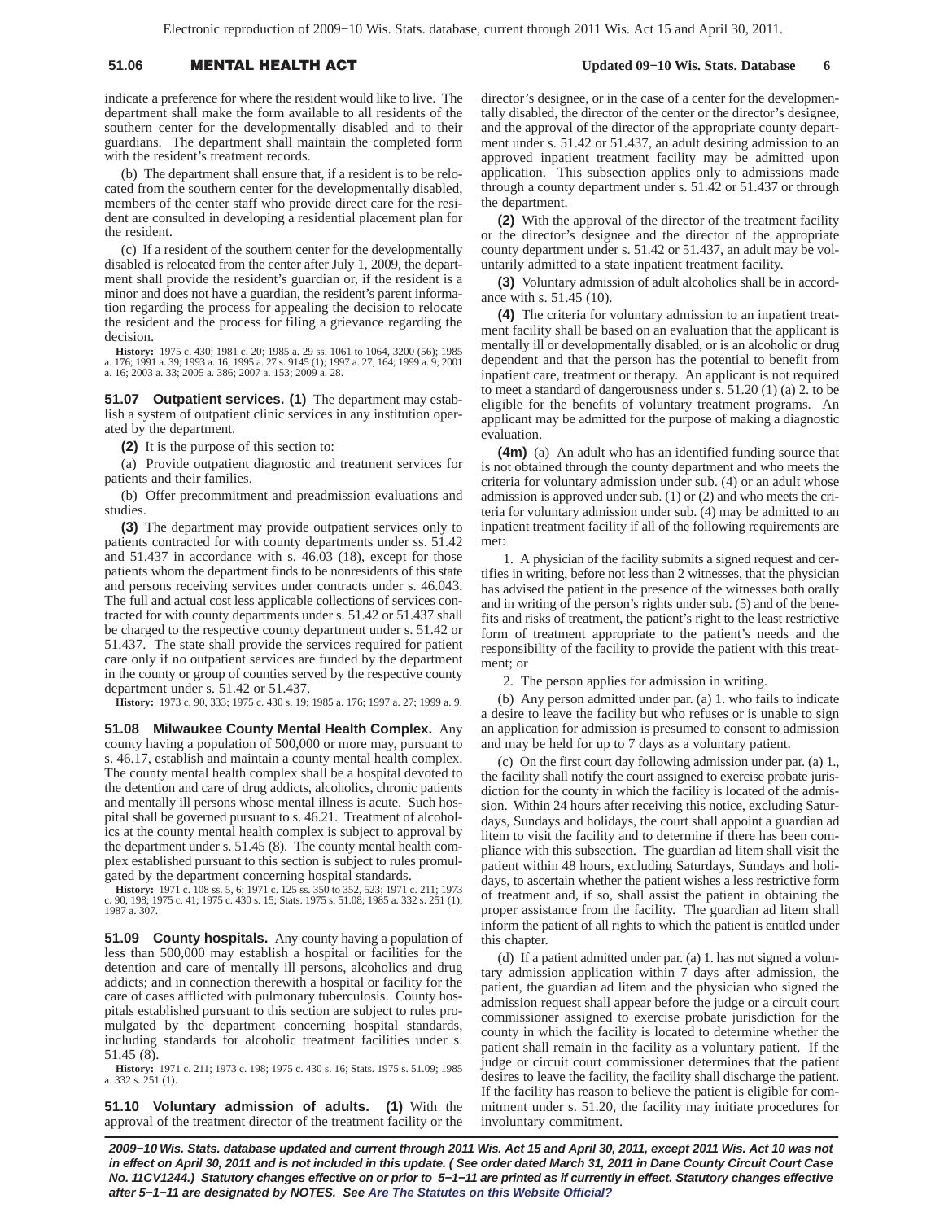# 51.06 **MENTAL HEALTH A**

 **Updated 09−10 Wis. Stats. Database 6**

indicate a preference for where the resident would like to live. The department shall make the form available to all residents of the southern center for the developmentally disabled and to their guardians. The department shall maintain the completed form with the resident's treatment records.

(b) The department shall ensure that, if a resident is to be relocated from the southern center for the developmentally disabled, members of the center staff who provide direct care for the resident are consulted in developing a residential placement plan for the resident.

(c) If a resident of the southern center for the developmentally disabled is relocated from the center after July 1, 2009, the department shall provide the resident's guardian or, if the resident is a minor and does not have a guardian, the resident's parent information regarding the process for appealing the decision to relocate the resident and the process for filing a grievance regarding the decision.

**History:** 1975 c. 430; 1981 c. 20; 1985 a. 29 ss. 1061 to 1064, 3200 (56); 1985 a. 176; 1991 a. 39; 1993 a. 16; 1995 a. 27 s. 9145 (1); 1997 a. 27, 164; 1999 a. 9; 2001 a. 16; 2003 a. 33; 2005 a. 386; 2007 a. 153; 2009 a. 28.

**51.07 Outpatient services. (1)** The department may establish a system of outpatient clinic services in any institution operated by the department.

**(2)** It is the purpose of this section to:

(a) Provide outpatient diagnostic and treatment services for patients and their families.

(b) Offer precommitment and preadmission evaluations and studies.

**(3)** The department may provide outpatient services only to patients contracted for with county departments under ss. 51.42 and 51.437 in accordance with s. 46.03 (18), except for those patients whom the department finds to be nonresidents of this state and persons receiving services under contracts under s. 46.043. The full and actual cost less applicable collections of services contracted for with county departments under s. 51.42 or 51.437 shall be charged to the respective county department under s. 51.42 or 51.437. The state shall provide the services required for patient care only if no outpatient services are funded by the department in the county or group of counties served by the respective county department under s. 51.42 or 51.437.

**History:** 1973 c. 90, 333; 1975 c. 430 s. 19; 1985 a. 176; 1997 a. 27; 1999 a. 9.

**51.08 Milwaukee County Mental Health Complex.** Any county having a population of 500,000 or more may, pursuant to s. 46.17, establish and maintain a county mental health complex. The county mental health complex shall be a hospital devoted to the detention and care of drug addicts, alcoholics, chronic patients and mentally ill persons whose mental illness is acute. Such hospital shall be governed pursuant to s. 46.21. Treatment of alcoholics at the county mental health complex is subject to approval by the department under s. 51.45 (8). The county mental health complex established pursuant to this section is subject to rules promulgated by the department concerning hospital standards.

**History:** 1971 c. 108 ss. 5, 6; 1971 c. 125 ss. 350 to 352, 523; 1971 c. 211; 1973 c. 90, 198; 1975 c. 41; 1975 c. 430 s. 15; Stats. 1975 s. 51.08; 1985 a. 332 s. 251 (1); 1987 a. 307.

**51.09 County hospitals.** Any county having a population of less than 500,000 may establish a hospital or facilities for the detention and care of mentally ill persons, alcoholics and drug addicts; and in connection therewith a hospital or facility for the care of cases afflicted with pulmonary tuberculosis. County hospitals established pursuant to this section are subject to rules promulgated by the department concerning hospital standards, including standards for alcoholic treatment facilities under s. 51.45 (8).

**History:** 1971 c. 211; 1973 c. 198; 1975 c. 430 s. 16; Stats. 1975 s. 51.09; 1985 a. 332 s. 251 (1).

**51.10 Voluntary admission of adults. (1)** With the approval of the treatment director of the treatment facility or the director's designee, or in the case of a center for the developmentally disabled, the director of the center or the director's designee, and the approval of the director of the appropriate county department under s. 51.42 or 51.437, an adult desiring admission to an approved inpatient treatment facility may be admitted upon application. This subsection applies only to admissions made through a county department under s. 51.42 or 51.437 or through the department.

**(2)** With the approval of the director of the treatment facility or the director's designee and the director of the appropriate county department under s. 51.42 or 51.437, an adult may be voluntarily admitted to a state inpatient treatment facility.

**(3)** Voluntary admission of adult alcoholics shall be in accordance with s. 51.45 (10).

**(4)** The criteria for voluntary admission to an inpatient treatment facility shall be based on an evaluation that the applicant is mentally ill or developmentally disabled, or is an alcoholic or drug dependent and that the person has the potential to benefit from inpatient care, treatment or therapy. An applicant is not required to meet a standard of dangerousness under s. 51.20 (1) (a) 2. to be eligible for the benefits of voluntary treatment programs. An applicant may be admitted for the purpose of making a diagnostic evaluation.

**(4m)** (a) An adult who has an identified funding source that is not obtained through the county department and who meets the criteria for voluntary admission under sub. (4) or an adult whose admission is approved under sub. (1) or (2) and who meets the criteria for voluntary admission under sub. (4) may be admitted to an inpatient treatment facility if all of the following requirements are met:

1. A physician of the facility submits a signed request and certifies in writing, before not less than 2 witnesses, that the physician has advised the patient in the presence of the witnesses both orally and in writing of the person's rights under sub. (5) and of the benefits and risks of treatment, the patient's right to the least restrictive form of treatment appropriate to the patient's needs and the responsibility of the facility to provide the patient with this treatment; or

2. The person applies for admission in writing.

(b) Any person admitted under par. (a) 1. who fails to indicate a desire to leave the facility but who refuses or is unable to sign an application for admission is presumed to consent to admission and may be held for up to 7 days as a voluntary patient.

(c) On the first court day following admission under par. (a) 1., the facility shall notify the court assigned to exercise probate jurisdiction for the county in which the facility is located of the admission. Within 24 hours after receiving this notice, excluding Saturdays, Sundays and holidays, the court shall appoint a guardian ad litem to visit the facility and to determine if there has been compliance with this subsection. The guardian ad litem shall visit the patient within 48 hours, excluding Saturdays, Sundays and holidays, to ascertain whether the patient wishes a less restrictive form of treatment and, if so, shall assist the patient in obtaining the proper assistance from the facility. The guardian ad litem shall inform the patient of all rights to which the patient is entitled under this chapter.

(d) If a patient admitted under par. (a) 1. has not signed a voluntary admission application within 7 days after admission, the patient, the guardian ad litem and the physician who signed the admission request shall appear before the judge or a circuit court commissioner assigned to exercise probate jurisdiction for the county in which the facility is located to determine whether the patient shall remain in the facility as a voluntary patient. If the judge or circuit court commissioner determines that the patient desires to leave the facility, the facility shall discharge the patient. If the facility has reason to believe the patient is eligible for commitment under s. 51.20, the facility may initiate procedures for involuntary commitment.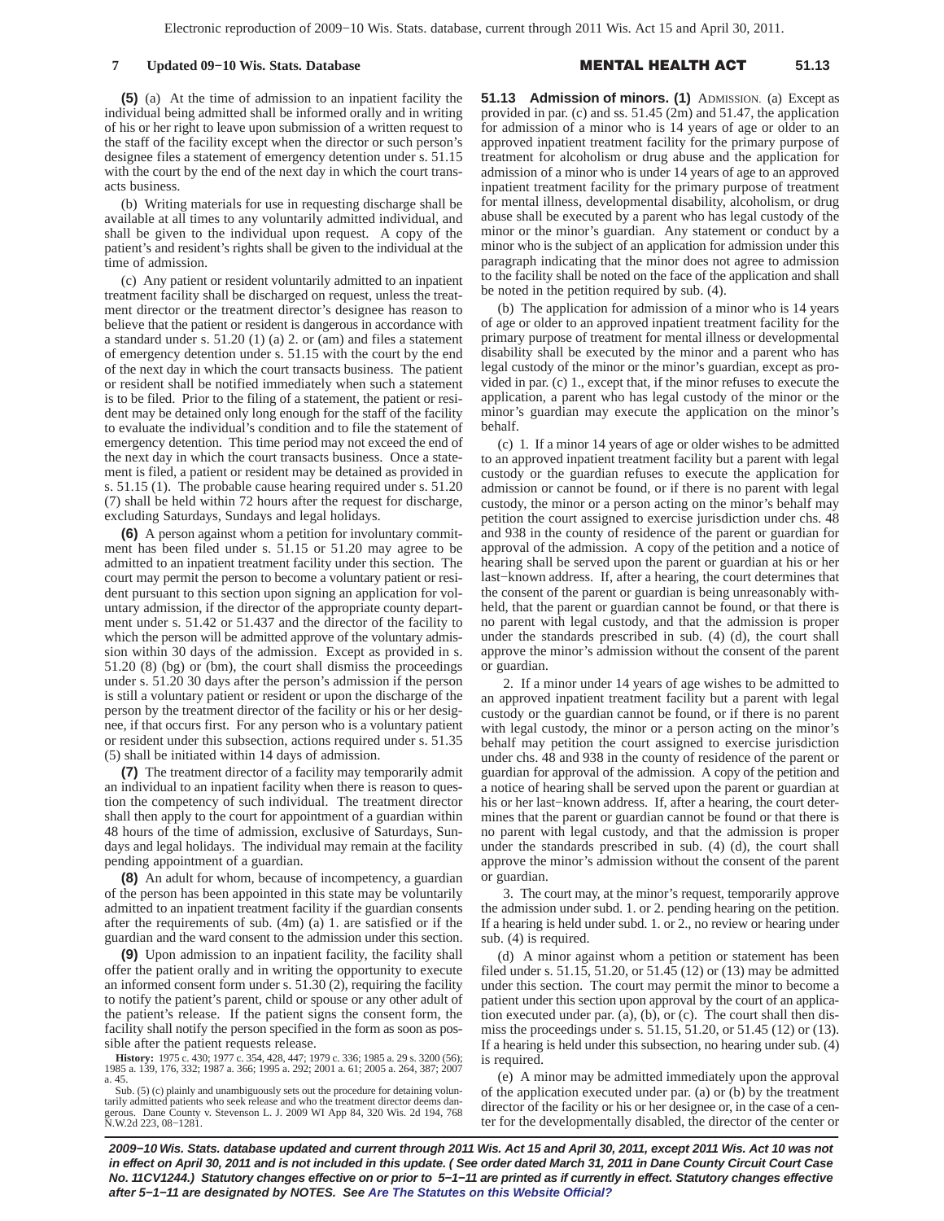**(5)** (a) At the time of admission to an inpatient facility the individual being admitted shall be informed orally and in writing of his or her right to leave upon submission of a written request to the staff of the facility except when the director or such person's designee files a statement of emergency detention under s. 51.15 with the court by the end of the next day in which the court transacts business.

(b) Writing materials for use in requesting discharge shall be available at all times to any voluntarily admitted individual, and shall be given to the individual upon request. A copy of the patient's and resident's rights shall be given to the individual at the time of admission.

(c) Any patient or resident voluntarily admitted to an inpatient treatment facility shall be discharged on request, unless the treatment director or the treatment director's designee has reason to believe that the patient or resident is dangerous in accordance with a standard under s. 51.20 (1) (a) 2. or (am) and files a statement of emergency detention under s. 51.15 with the court by the end of the next day in which the court transacts business. The patient or resident shall be notified immediately when such a statement is to be filed. Prior to the filing of a statement, the patient or resident may be detained only long enough for the staff of the facility to evaluate the individual's condition and to file the statement of emergency detention. This time period may not exceed the end of the next day in which the court transacts business. Once a statement is filed, a patient or resident may be detained as provided in s. 51.15 (1). The probable cause hearing required under s. 51.20 (7) shall be held within 72 hours after the request for discharge, excluding Saturdays, Sundays and legal holidays.

**(6)** A person against whom a petition for involuntary commitment has been filed under s. 51.15 or 51.20 may agree to be admitted to an inpatient treatment facility under this section. The court may permit the person to become a voluntary patient or resident pursuant to this section upon signing an application for voluntary admission, if the director of the appropriate county department under s. 51.42 or 51.437 and the director of the facility to which the person will be admitted approve of the voluntary admission within 30 days of the admission. Except as provided in s. 51.20 (8) (bg) or (bm), the court shall dismiss the proceedings under s. 51.20 30 days after the person's admission if the person is still a voluntary patient or resident or upon the discharge of the person by the treatment director of the facility or his or her designee, if that occurs first. For any person who is a voluntary patient or resident under this subsection, actions required under s. 51.35 (5) shall be initiated within 14 days of admission.

**(7)** The treatment director of a facility may temporarily admit an individual to an inpatient facility when there is reason to question the competency of such individual. The treatment director shall then apply to the court for appointment of a guardian within 48 hours of the time of admission, exclusive of Saturdays, Sundays and legal holidays. The individual may remain at the facility pending appointment of a guardian.

**(8)** An adult for whom, because of incompetency, a guardian of the person has been appointed in this state may be voluntarily admitted to an inpatient treatment facility if the guardian consents after the requirements of sub. (4m) (a) 1. are satisfied or if the guardian and the ward consent to the admission under this section.

**(9)** Upon admission to an inpatient facility, the facility shall offer the patient orally and in writing the opportunity to execute an informed consent form under s. 51.30 (2), requiring the facility to notify the patient's parent, child or spouse or any other adult of the patient's release. If the patient signs the consent form, the facility shall notify the person specified in the form as soon as possible after the patient requests release.

**History:** 1975 c. 430; 1977 c. 354, 428, 447; 1979 c. 336; 1985 a. 29 s. 3200 (56); 1985 a. 139, 176, 332; 1987 a. 366; 1995 a. 292; 2001 a. 61; 2005 a. 264, 387; 2007 a. 45. Sub. (5) (c) plainly and unambiguously sets out the procedure for detaining volun**51.13 Admission of minors. (1)** ADMISSION. (a) Except as provided in par. (c) and ss. 51.45 (2m) and 51.47, the application for admission of a minor who is 14 years of age or older to an approved inpatient treatment facility for the primary purpose of treatment for alcoholism or drug abuse and the application for admission of a minor who is under 14 years of age to an approved inpatient treatment facility for the primary purpose of treatment for mental illness, developmental disability, alcoholism, or drug abuse shall be executed by a parent who has legal custody of the minor or the minor's guardian. Any statement or conduct by a minor who is the subject of an application for admission under this paragraph indicating that the minor does not agree to admission to the facility shall be noted on the face of the application and shall be noted in the petition required by sub. (4).

(b) The application for admission of a minor who is 14 years of age or older to an approved inpatient treatment facility for the primary purpose of treatment for mental illness or developmental disability shall be executed by the minor and a parent who has legal custody of the minor or the minor's guardian, except as provided in par. (c) 1., except that, if the minor refuses to execute the application, a parent who has legal custody of the minor or the minor's guardian may execute the application on the minor's behalf.

(c) 1. If a minor 14 years of age or older wishes to be admitted to an approved inpatient treatment facility but a parent with legal custody or the guardian refuses to execute the application for admission or cannot be found, or if there is no parent with legal custody, the minor or a person acting on the minor's behalf may petition the court assigned to exercise jurisdiction under chs. 48 and 938 in the county of residence of the parent or guardian for approval of the admission. A copy of the petition and a notice of hearing shall be served upon the parent or guardian at his or her last−known address. If, after a hearing, the court determines that the consent of the parent or guardian is being unreasonably withheld, that the parent or guardian cannot be found, or that there is no parent with legal custody, and that the admission is proper under the standards prescribed in sub. (4) (d), the court shall approve the minor's admission without the consent of the parent or guardian.

2. If a minor under 14 years of age wishes to be admitted to an approved inpatient treatment facility but a parent with legal custody or the guardian cannot be found, or if there is no parent with legal custody, the minor or a person acting on the minor's behalf may petition the court assigned to exercise jurisdiction under chs. 48 and 938 in the county of residence of the parent or guardian for approval of the admission. A copy of the petition and a notice of hearing shall be served upon the parent or guardian at his or her last−known address. If, after a hearing, the court determines that the parent or guardian cannot be found or that there is no parent with legal custody, and that the admission is proper under the standards prescribed in sub. (4) (d), the court shall approve the minor's admission without the consent of the parent or guardian.

3. The court may, at the minor's request, temporarily approve the admission under subd. 1. or 2. pending hearing on the petition. If a hearing is held under subd. 1. or 2., no review or hearing under sub. (4) is required.

(d) A minor against whom a petition or statement has been filed under s. 51.15, 51.20, or 51.45 (12) or (13) may be admitted under this section. The court may permit the minor to become a patient under this section upon approval by the court of an application executed under par. (a), (b), or (c). The court shall then dismiss the proceedings under s. 51.15, 51.20, or 51.45 (12) or (13). If a hearing is held under this subsection, no hearing under sub. (4) is required.

(e) A minor may be admitted immediately upon the approval of the application executed under par. (a) or (b) by the treatment director of the facility or his or her designee or, in the case of a center for the developmentally disabled, the director of the center or

tarily admitted patients who seek release and who the treatment director deems dan-gerous. Dane County v. Stevenson L. J. 2009 WI App 84, 320 Wis. 2d 194, 768 N.W.2d 223, 08−1281.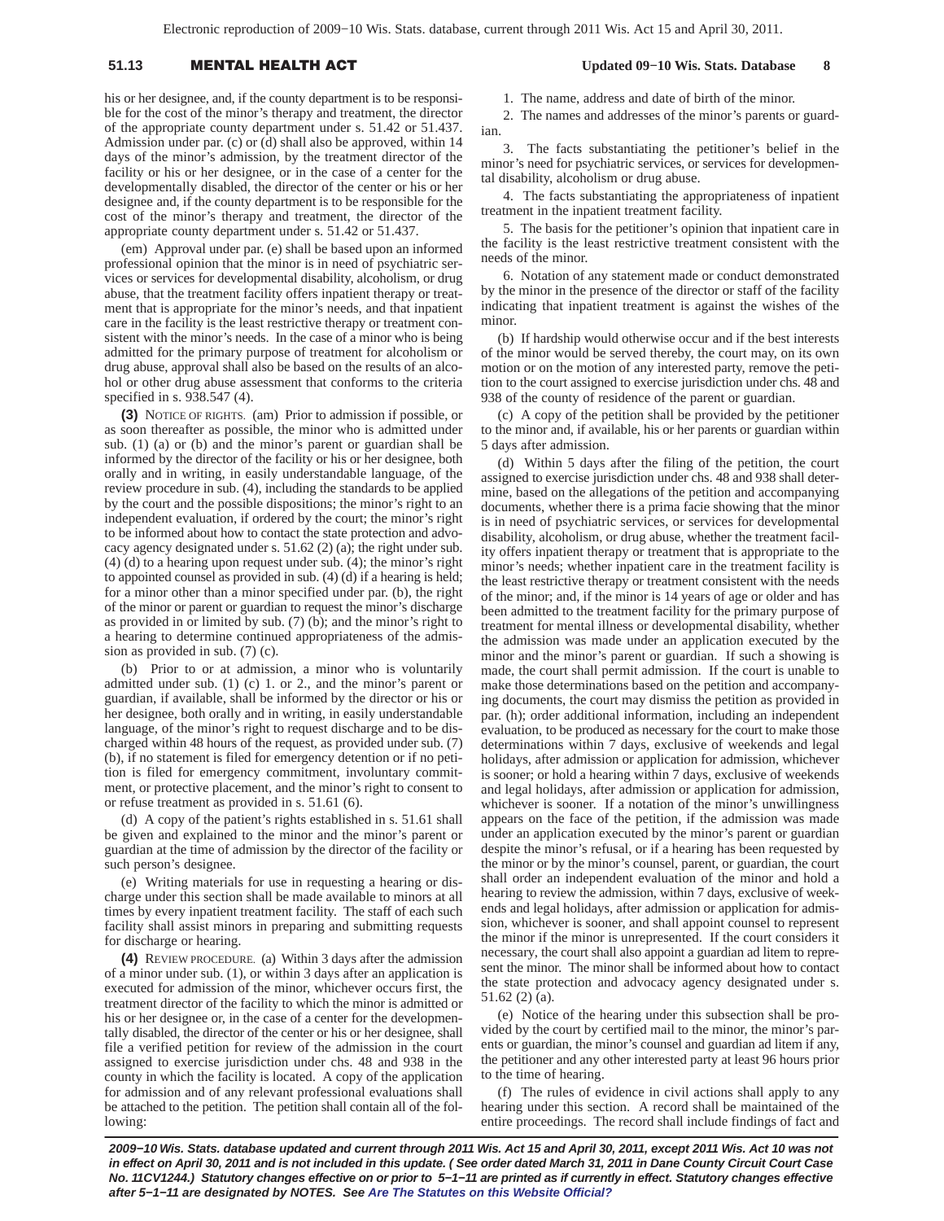# 51.13 **MENTAL HEALTH A**

his or her designee, and, if the county department is to be responsible for the cost of the minor's therapy and treatment, the director of the appropriate county department under s. 51.42 or 51.437. Admission under par. (c) or (d) shall also be approved, within 14 days of the minor's admission, by the treatment director of the facility or his or her designee, or in the case of a center for the developmentally disabled, the director of the center or his or her designee and, if the county department is to be responsible for the cost of the minor's therapy and treatment, the director of the appropriate county department under s. 51.42 or 51.437.

(em) Approval under par. (e) shall be based upon an informed professional opinion that the minor is in need of psychiatric services or services for developmental disability, alcoholism, or drug abuse, that the treatment facility offers inpatient therapy or treatment that is appropriate for the minor's needs, and that inpatient care in the facility is the least restrictive therapy or treatment consistent with the minor's needs. In the case of a minor who is being admitted for the primary purpose of treatment for alcoholism or drug abuse, approval shall also be based on the results of an alcohol or other drug abuse assessment that conforms to the criteria specified in s. 938.547 (4).

**(3)** NOTICE OF RIGHTS. (am) Prior to admission if possible, or as soon thereafter as possible, the minor who is admitted under sub. (1) (a) or (b) and the minor's parent or guardian shall be informed by the director of the facility or his or her designee, both orally and in writing, in easily understandable language, of the review procedure in sub. (4), including the standards to be applied by the court and the possible dispositions; the minor's right to an independent evaluation, if ordered by the court; the minor's right to be informed about how to contact the state protection and advocacy agency designated under s. 51.62 (2) (a); the right under sub. (4) (d) to a hearing upon request under sub. (4); the minor's right to appointed counsel as provided in sub. (4) (d) if a hearing is held; for a minor other than a minor specified under par. (b), the right of the minor or parent or guardian to request the minor's discharge as provided in or limited by sub. (7) (b); and the minor's right to a hearing to determine continued appropriateness of the admission as provided in sub. (7) (c).

(b) Prior to or at admission, a minor who is voluntarily admitted under sub. (1) (c) 1. or 2., and the minor's parent or guardian, if available, shall be informed by the director or his or her designee, both orally and in writing, in easily understandable language, of the minor's right to request discharge and to be discharged within 48 hours of the request, as provided under sub. (7) (b), if no statement is filed for emergency detention or if no petition is filed for emergency commitment, involuntary commitment, or protective placement, and the minor's right to consent to or refuse treatment as provided in s. 51.61 (6).

(d) A copy of the patient's rights established in s. 51.61 shall be given and explained to the minor and the minor's parent or guardian at the time of admission by the director of the facility or such person's designee.

(e) Writing materials for use in requesting a hearing or discharge under this section shall be made available to minors at all times by every inpatient treatment facility. The staff of each such facility shall assist minors in preparing and submitting requests for discharge or hearing.

**(4)** REVIEW PROCEDURE. (a) Within 3 days after the admission of a minor under sub. (1), or within 3 days after an application is executed for admission of the minor, whichever occurs first, the treatment director of the facility to which the minor is admitted or his or her designee or, in the case of a center for the developmentally disabled, the director of the center or his or her designee, shall file a verified petition for review of the admission in the court assigned to exercise jurisdiction under chs. 48 and 938 in the county in which the facility is located. A copy of the application for admission and of any relevant professional evaluations shall be attached to the petition. The petition shall contain all of the following:

## **Updated 09−10 Wis. Stats. Database 8**

1. The name, address and date of birth of the minor.

2. The names and addresses of the minor's parents or guardian.

3. The facts substantiating the petitioner's belief in the minor's need for psychiatric services, or services for developmental disability, alcoholism or drug abuse.

4. The facts substantiating the appropriateness of inpatient treatment in the inpatient treatment facility.

5. The basis for the petitioner's opinion that inpatient care in the facility is the least restrictive treatment consistent with the needs of the minor.

6. Notation of any statement made or conduct demonstrated by the minor in the presence of the director or staff of the facility indicating that inpatient treatment is against the wishes of the minor.

(b) If hardship would otherwise occur and if the best interests of the minor would be served thereby, the court may, on its own motion or on the motion of any interested party, remove the petition to the court assigned to exercise jurisdiction under chs. 48 and 938 of the county of residence of the parent or guardian.

(c) A copy of the petition shall be provided by the petitioner to the minor and, if available, his or her parents or guardian within 5 days after admission.

(d) Within 5 days after the filing of the petition, the court assigned to exercise jurisdiction under chs. 48 and 938 shall determine, based on the allegations of the petition and accompanying documents, whether there is a prima facie showing that the minor is in need of psychiatric services, or services for developmental disability, alcoholism, or drug abuse, whether the treatment facility offers inpatient therapy or treatment that is appropriate to the minor's needs; whether inpatient care in the treatment facility is the least restrictive therapy or treatment consistent with the needs of the minor; and, if the minor is 14 years of age or older and has been admitted to the treatment facility for the primary purpose of treatment for mental illness or developmental disability, whether the admission was made under an application executed by the minor and the minor's parent or guardian. If such a showing is made, the court shall permit admission. If the court is unable to make those determinations based on the petition and accompanying documents, the court may dismiss the petition as provided in par. (h); order additional information, including an independent evaluation, to be produced as necessary for the court to make those determinations within 7 days, exclusive of weekends and legal holidays, after admission or application for admission, whichever is sooner; or hold a hearing within 7 days, exclusive of weekends and legal holidays, after admission or application for admission, whichever is sooner. If a notation of the minor's unwillingness appears on the face of the petition, if the admission was made under an application executed by the minor's parent or guardian despite the minor's refusal, or if a hearing has been requested by the minor or by the minor's counsel, parent, or guardian, the court shall order an independent evaluation of the minor and hold a hearing to review the admission, within 7 days, exclusive of weekends and legal holidays, after admission or application for admission, whichever is sooner, and shall appoint counsel to represent the minor if the minor is unrepresented. If the court considers it necessary, the court shall also appoint a guardian ad litem to represent the minor. The minor shall be informed about how to contact the state protection and advocacy agency designated under s. 51.62 (2) (a).

(e) Notice of the hearing under this subsection shall be provided by the court by certified mail to the minor, the minor's parents or guardian, the minor's counsel and guardian ad litem if any, the petitioner and any other interested party at least 96 hours prior to the time of hearing.

(f) The rules of evidence in civil actions shall apply to any hearing under this section. A record shall be maintained of the entire proceedings. The record shall include findings of fact and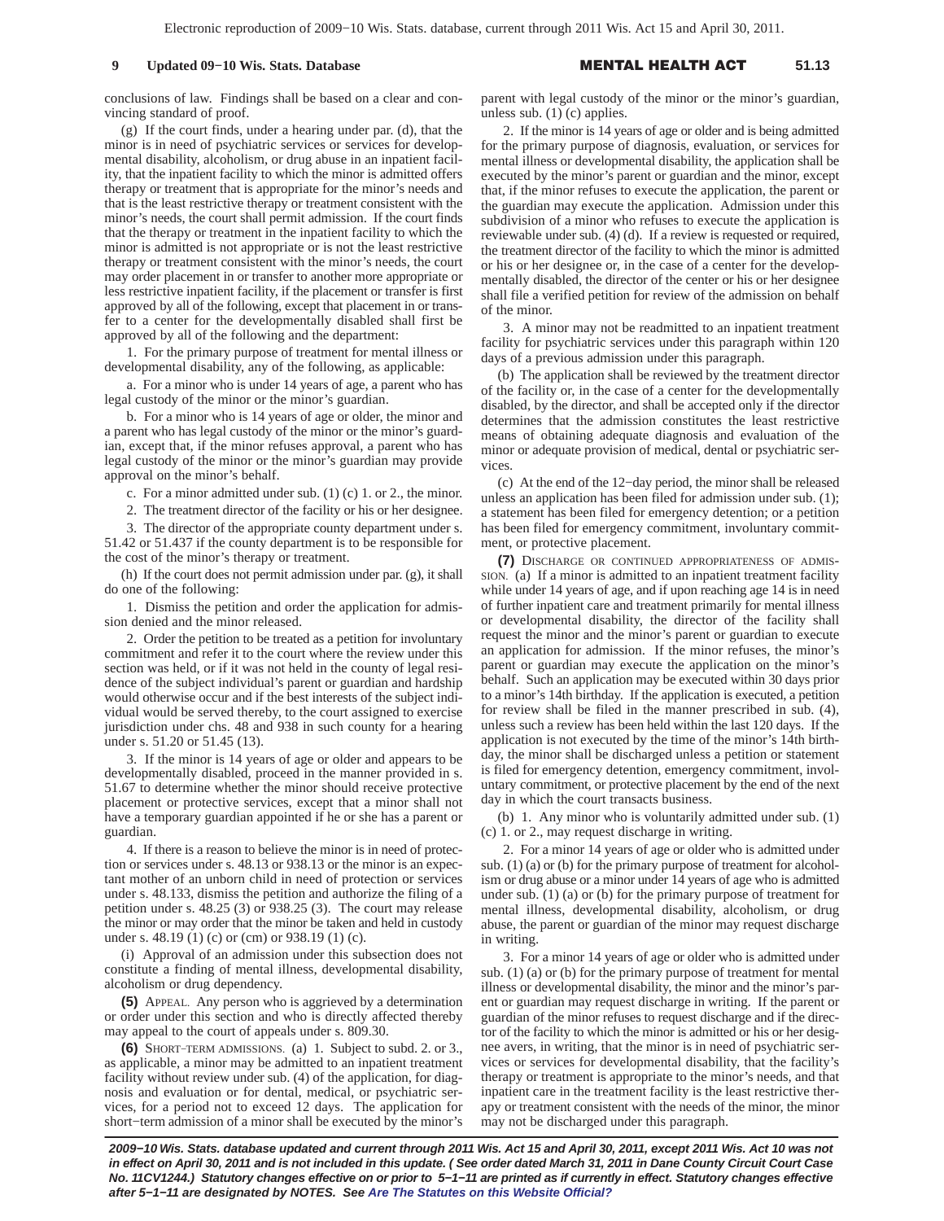conclusions of law. Findings shall be based on a clear and convincing standard of proof.

(g) If the court finds, under a hearing under par. (d), that the minor is in need of psychiatric services or services for developmental disability, alcoholism, or drug abuse in an inpatient facility, that the inpatient facility to which the minor is admitted offers therapy or treatment that is appropriate for the minor's needs and that is the least restrictive therapy or treatment consistent with the minor's needs, the court shall permit admission. If the court finds that the therapy or treatment in the inpatient facility to which the minor is admitted is not appropriate or is not the least restrictive therapy or treatment consistent with the minor's needs, the court may order placement in or transfer to another more appropriate or less restrictive inpatient facility, if the placement or transfer is first approved by all of the following, except that placement in or transfer to a center for the developmentally disabled shall first be approved by all of the following and the department:

1. For the primary purpose of treatment for mental illness or developmental disability, any of the following, as applicable:

a. For a minor who is under 14 years of age, a parent who has legal custody of the minor or the minor's guardian.

b. For a minor who is 14 years of age or older, the minor and a parent who has legal custody of the minor or the minor's guardian, except that, if the minor refuses approval, a parent who has legal custody of the minor or the minor's guardian may provide approval on the minor's behalf.

- c. For a minor admitted under sub. (1) (c) 1. or 2., the minor.
- 2. The treatment director of the facility or his or her designee.

3. The director of the appropriate county department under s. 51.42 or 51.437 if the county department is to be responsible for the cost of the minor's therapy or treatment.

(h) If the court does not permit admission under par. (g), it shall do one of the following:

1. Dismiss the petition and order the application for admission denied and the minor released.

2. Order the petition to be treated as a petition for involuntary commitment and refer it to the court where the review under this section was held, or if it was not held in the county of legal residence of the subject individual's parent or guardian and hardship would otherwise occur and if the best interests of the subject individual would be served thereby, to the court assigned to exercise jurisdiction under chs. 48 and 938 in such county for a hearing under s. 51.20 or 51.45 (13).

3. If the minor is 14 years of age or older and appears to be developmentally disabled, proceed in the manner provided in s. 51.67 to determine whether the minor should receive protective placement or protective services, except that a minor shall not have a temporary guardian appointed if he or she has a parent or guardian.

4. If there is a reason to believe the minor is in need of protection or services under s. 48.13 or 938.13 or the minor is an expectant mother of an unborn child in need of protection or services under s. 48.133, dismiss the petition and authorize the filing of a petition under s. 48.25 (3) or 938.25 (3). The court may release the minor or may order that the minor be taken and held in custody under s. 48.19 (1) (c) or (cm) or 938.19 (1) (c).

(i) Approval of an admission under this subsection does not constitute a finding of mental illness, developmental disability, alcoholism or drug dependency.

**(5)** APPEAL. Any person who is aggrieved by a determination or order under this section and who is directly affected thereby may appeal to the court of appeals under s. 809.30.

**(6)** SHORT−TERM ADMISSIONS. (a) 1. Subject to subd. 2. or 3., as applicable, a minor may be admitted to an inpatient treatment facility without review under sub. (4) of the application, for diagnosis and evaluation or for dental, medical, or psychiatric services, for a period not to exceed 12 days. The application for short−term admission of a minor shall be executed by the minor's parent with legal custody of the minor or the minor's guardian, unless sub.  $(1)$  (c) applies.

2. If the minor is 14 years of age or older and is being admitted for the primary purpose of diagnosis, evaluation, or services for mental illness or developmental disability, the application shall be executed by the minor's parent or guardian and the minor, except that, if the minor refuses to execute the application, the parent or the guardian may execute the application. Admission under this subdivision of a minor who refuses to execute the application is reviewable under sub. (4) (d). If a review is requested or required, the treatment director of the facility to which the minor is admitted or his or her designee or, in the case of a center for the developmentally disabled, the director of the center or his or her designee shall file a verified petition for review of the admission on behalf of the minor.

3. A minor may not be readmitted to an inpatient treatment facility for psychiatric services under this paragraph within 120 days of a previous admission under this paragraph.

(b) The application shall be reviewed by the treatment director of the facility or, in the case of a center for the developmentally disabled, by the director, and shall be accepted only if the director determines that the admission constitutes the least restrictive means of obtaining adequate diagnosis and evaluation of the minor or adequate provision of medical, dental or psychiatric services.

(c) At the end of the 12−day period, the minor shall be released unless an application has been filed for admission under sub. (1); a statement has been filed for emergency detention; or a petition has been filed for emergency commitment, involuntary commitment, or protective placement.

**(7)** DISCHARGE OR CONTINUED APPROPRIATENESS OF ADMIS-SION. (a) If a minor is admitted to an inpatient treatment facility while under 14 years of age, and if upon reaching age 14 is in need of further inpatient care and treatment primarily for mental illness or developmental disability, the director of the facility shall request the minor and the minor's parent or guardian to execute an application for admission. If the minor refuses, the minor's parent or guardian may execute the application on the minor's behalf. Such an application may be executed within 30 days prior to a minor's 14th birthday. If the application is executed, a petition for review shall be filed in the manner prescribed in sub. (4), unless such a review has been held within the last 120 days. If the application is not executed by the time of the minor's 14th birthday, the minor shall be discharged unless a petition or statement is filed for emergency detention, emergency commitment, involuntary commitment, or protective placement by the end of the next day in which the court transacts business.

(b) 1. Any minor who is voluntarily admitted under sub. (1) (c) 1. or 2., may request discharge in writing.

2. For a minor 14 years of age or older who is admitted under sub. (1) (a) or (b) for the primary purpose of treatment for alcoholism or drug abuse or a minor under 14 years of age who is admitted under sub. (1) (a) or (b) for the primary purpose of treatment for mental illness, developmental disability, alcoholism, or drug abuse, the parent or guardian of the minor may request discharge in writing.

3. For a minor 14 years of age or older who is admitted under sub. (1) (a) or (b) for the primary purpose of treatment for mental illness or developmental disability, the minor and the minor's parent or guardian may request discharge in writing. If the parent or guardian of the minor refuses to request discharge and if the director of the facility to which the minor is admitted or his or her designee avers, in writing, that the minor is in need of psychiatric services or services for developmental disability, that the facility's therapy or treatment is appropriate to the minor's needs, and that inpatient care in the treatment facility is the least restrictive therapy or treatment consistent with the needs of the minor, the minor may not be discharged under this paragraph.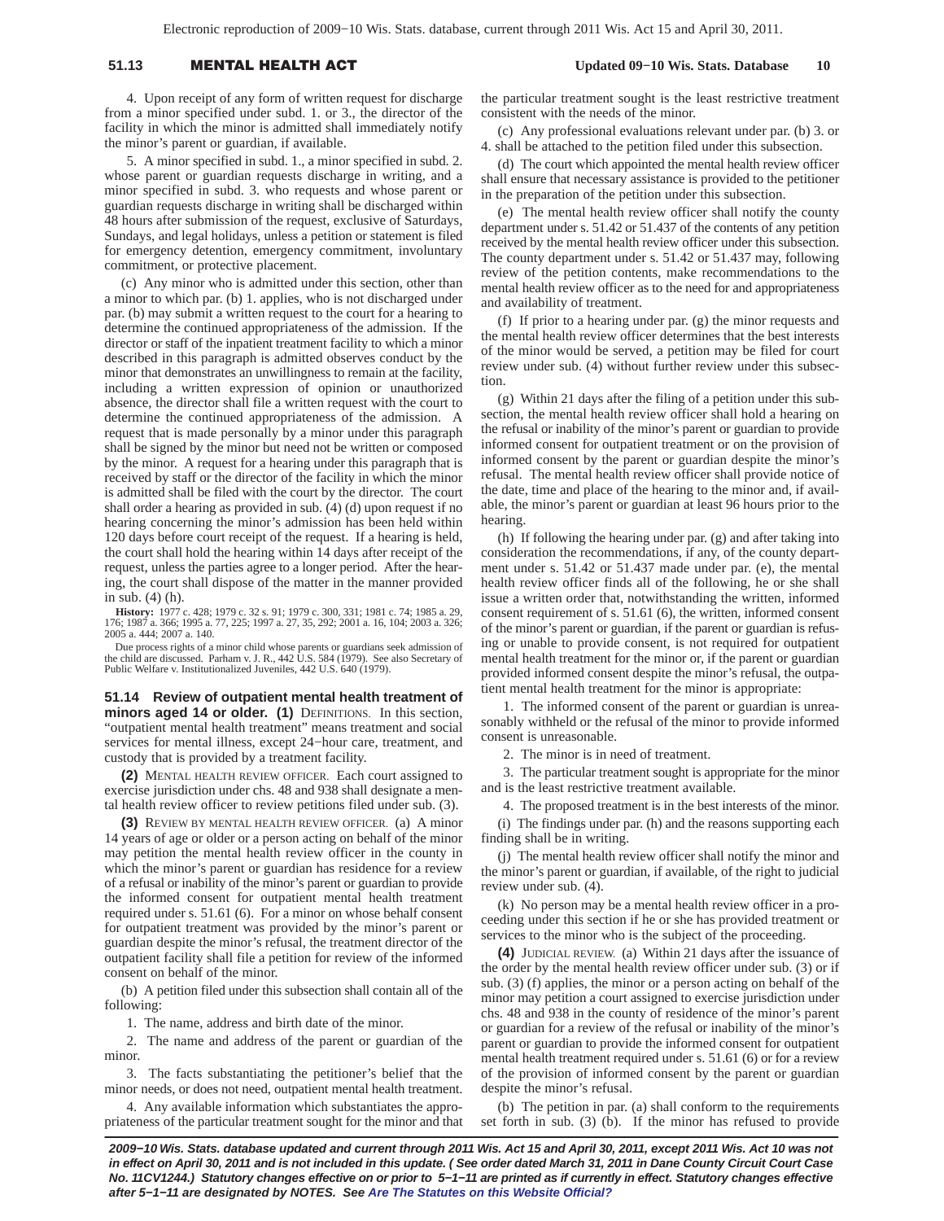## 51.13 **MENTAL HEALTH A**

 **Updated 09−10 Wis. Stats. Database 10**

4. Upon receipt of any form of written request for discharge from a minor specified under subd. 1. or 3., the director of the facility in which the minor is admitted shall immediately notify the minor's parent or guardian, if available.

5. A minor specified in subd. 1., a minor specified in subd. 2. whose parent or guardian requests discharge in writing, and a minor specified in subd. 3. who requests and whose parent or guardian requests discharge in writing shall be discharged within 48 hours after submission of the request, exclusive of Saturdays, Sundays, and legal holidays, unless a petition or statement is filed for emergency detention, emergency commitment, involuntary commitment, or protective placement.

(c) Any minor who is admitted under this section, other than a minor to which par. (b) 1. applies, who is not discharged under par. (b) may submit a written request to the court for a hearing to determine the continued appropriateness of the admission. If the director or staff of the inpatient treatment facility to which a minor described in this paragraph is admitted observes conduct by the minor that demonstrates an unwillingness to remain at the facility, including a written expression of opinion or unauthorized absence, the director shall file a written request with the court to determine the continued appropriateness of the admission. A request that is made personally by a minor under this paragraph shall be signed by the minor but need not be written or composed by the minor. A request for a hearing under this paragraph that is received by staff or the director of the facility in which the minor is admitted shall be filed with the court by the director. The court shall order a hearing as provided in sub. (4) (d) upon request if no hearing concerning the minor's admission has been held within 120 days before court receipt of the request. If a hearing is held, the court shall hold the hearing within 14 days after receipt of the request, unless the parties agree to a longer period. After the hearing, the court shall dispose of the matter in the manner provided in sub. (4) (h).

**History:** 1977 c. 428; 1979 c. 32 s. 91; 1979 c. 300, 331; 1981 c. 74; 1985 a. 29, 176; 1987 a. 366; 1995 a. 77, 225; 1997 a. 27, 35, 292; 2001 a. 16, 104; 2003 a. 326; 2005 a. 444; 2007 a. 140.

Due process rights of a minor child whose parents or guardians seek admission of the child are discussed. Parham v. J. R., 442 U.S. 584 (1979). See also Secretary of Public Welfare v. Institutionalized Juveniles, 442 U.S. 640 (1979).

**51.14 Review of outpatient mental health treatment of minors aged 14 or older. (1)** DEFINITIONS. In this section, "outpatient mental health treatment" means treatment and social services for mental illness, except 24−hour care, treatment, and custody that is provided by a treatment facility.

**(2)** MENTAL HEALTH REVIEW OFFICER. Each court assigned to exercise jurisdiction under chs. 48 and 938 shall designate a mental health review officer to review petitions filed under sub. (3).

**(3)** REVIEW BY MENTAL HEALTH REVIEW OFFICER. (a) A minor 14 years of age or older or a person acting on behalf of the minor may petition the mental health review officer in the county in which the minor's parent or guardian has residence for a review of a refusal or inability of the minor's parent or guardian to provide the informed consent for outpatient mental health treatment required under s. 51.61 (6). For a minor on whose behalf consent for outpatient treatment was provided by the minor's parent or guardian despite the minor's refusal, the treatment director of the outpatient facility shall file a petition for review of the informed consent on behalf of the minor.

(b) A petition filed under this subsection shall contain all of the following:

1. The name, address and birth date of the minor.

2. The name and address of the parent or guardian of the minor.

3. The facts substantiating the petitioner's belief that the minor needs, or does not need, outpatient mental health treatment.

4. Any available information which substantiates the appropriateness of the particular treatment sought for the minor and that the particular treatment sought is the least restrictive treatment consistent with the needs of the minor.

(c) Any professional evaluations relevant under par. (b) 3. or 4. shall be attached to the petition filed under this subsection.

(d) The court which appointed the mental health review officer shall ensure that necessary assistance is provided to the petitioner in the preparation of the petition under this subsection.

(e) The mental health review officer shall notify the county department under s. 51.42 or 51.437 of the contents of any petition received by the mental health review officer under this subsection. The county department under s. 51.42 or 51.437 may, following review of the petition contents, make recommendations to the mental health review officer as to the need for and appropriateness and availability of treatment.

(f) If prior to a hearing under par. (g) the minor requests and the mental health review officer determines that the best interests of the minor would be served, a petition may be filed for court review under sub. (4) without further review under this subsection.

(g) Within 21 days after the filing of a petition under this subsection, the mental health review officer shall hold a hearing on the refusal or inability of the minor's parent or guardian to provide informed consent for outpatient treatment or on the provision of informed consent by the parent or guardian despite the minor's refusal. The mental health review officer shall provide notice of the date, time and place of the hearing to the minor and, if available, the minor's parent or guardian at least 96 hours prior to the hearing.

(h) If following the hearing under par. (g) and after taking into consideration the recommendations, if any, of the county department under s. 51.42 or 51.437 made under par. (e), the mental health review officer finds all of the following, he or she shall issue a written order that, notwithstanding the written, informed consent requirement of s. 51.61 (6), the written, informed consent of the minor's parent or guardian, if the parent or guardian is refusing or unable to provide consent, is not required for outpatient mental health treatment for the minor or, if the parent or guardian provided informed consent despite the minor's refusal, the outpatient mental health treatment for the minor is appropriate:

1. The informed consent of the parent or guardian is unreasonably withheld or the refusal of the minor to provide informed consent is unreasonable.

2. The minor is in need of treatment.

3. The particular treatment sought is appropriate for the minor and is the least restrictive treatment available.

4. The proposed treatment is in the best interests of the minor. (i) The findings under par. (h) and the reasons supporting each finding shall be in writing.

(j) The mental health review officer shall notify the minor and the minor's parent or guardian, if available, of the right to judicial review under sub. (4).

(k) No person may be a mental health review officer in a proceeding under this section if he or she has provided treatment or services to the minor who is the subject of the proceeding.

**(4)** JUDICIAL REVIEW. (a) Within 21 days after the issuance of the order by the mental health review officer under sub. (3) or if sub. (3) (f) applies, the minor or a person acting on behalf of the minor may petition a court assigned to exercise jurisdiction under chs. 48 and 938 in the county of residence of the minor's parent or guardian for a review of the refusal or inability of the minor's parent or guardian to provide the informed consent for outpatient mental health treatment required under s. 51.61 (6) or for a review of the provision of informed consent by the parent or guardian despite the minor's refusal.

(b) The petition in par. (a) shall conform to the requirements set forth in sub. (3) (b). If the minor has refused to provide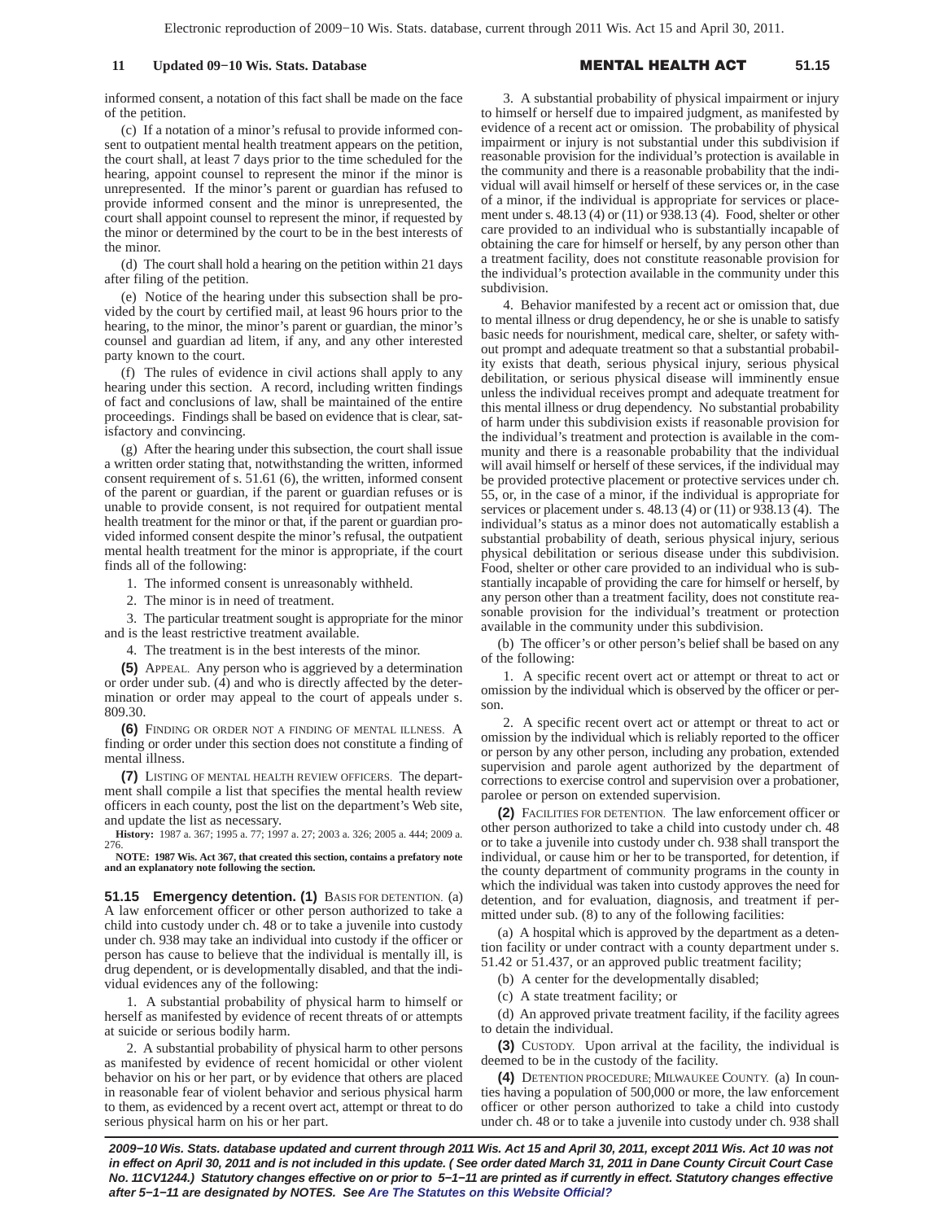## **11 Updated 09–10 Wis. Stats. Database**

#### L HEALTH A **51.15**

informed consent, a notation of this fact shall be made on the face of the petition.

(c) If a notation of a minor's refusal to provide informed consent to outpatient mental health treatment appears on the petition, the court shall, at least 7 days prior to the time scheduled for the hearing, appoint counsel to represent the minor if the minor is unrepresented. If the minor's parent or guardian has refused to provide informed consent and the minor is unrepresented, the court shall appoint counsel to represent the minor, if requested by the minor or determined by the court to be in the best interests of the minor.

(d) The court shall hold a hearing on the petition within 21 days after filing of the petition.

(e) Notice of the hearing under this subsection shall be provided by the court by certified mail, at least 96 hours prior to the hearing, to the minor, the minor's parent or guardian, the minor's counsel and guardian ad litem, if any, and any other interested party known to the court.

(f) The rules of evidence in civil actions shall apply to any hearing under this section. A record, including written findings of fact and conclusions of law, shall be maintained of the entire proceedings. Findings shall be based on evidence that is clear, satisfactory and convincing.

(g) After the hearing under this subsection, the court shall issue a written order stating that, notwithstanding the written, informed consent requirement of s. 51.61 (6), the written, informed consent of the parent or guardian, if the parent or guardian refuses or is unable to provide consent, is not required for outpatient mental health treatment for the minor or that, if the parent or guardian provided informed consent despite the minor's refusal, the outpatient mental health treatment for the minor is appropriate, if the court finds all of the following:

1. The informed consent is unreasonably withheld.

2. The minor is in need of treatment.

3. The particular treatment sought is appropriate for the minor and is the least restrictive treatment available.

4. The treatment is in the best interests of the minor.

**(5)** APPEAL. Any person who is aggrieved by a determination or order under sub. (4) and who is directly affected by the determination or order may appeal to the court of appeals under s. 809.30.

**(6)** FINDING OR ORDER NOT A FINDING OF MENTAL ILLNESS. A finding or order under this section does not constitute a finding of mental illness.

**(7)** LISTING OF MENTAL HEALTH REVIEW OFFICERS. The department shall compile a list that specifies the mental health review officers in each county, post the list on the department's Web site, and update the list as necessary.

**History:** 1987 a. 367; 1995 a. 77; 1997 a. 27; 2003 a. 326; 2005 a. 444; 2009 a. 276.

**NOTE: 1987 Wis. Act 367, that created this section, contains a prefatory note and an explanatory note following the section.**

**51.15 Emergency detention. (1)** BASIS FOR DETENTION. (a) A law enforcement officer or other person authorized to take a child into custody under ch. 48 or to take a juvenile into custody under ch. 938 may take an individual into custody if the officer or person has cause to believe that the individual is mentally ill, is drug dependent, or is developmentally disabled, and that the individual evidences any of the following:

1. A substantial probability of physical harm to himself or herself as manifested by evidence of recent threats of or attempts at suicide or serious bodily harm.

2. A substantial probability of physical harm to other persons as manifested by evidence of recent homicidal or other violent behavior on his or her part, or by evidence that others are placed in reasonable fear of violent behavior and serious physical harm to them, as evidenced by a recent overt act, attempt or threat to do serious physical harm on his or her part.

3. A substantial probability of physical impairment or injury to himself or herself due to impaired judgment, as manifested by evidence of a recent act or omission. The probability of physical impairment or injury is not substantial under this subdivision if reasonable provision for the individual's protection is available in the community and there is a reasonable probability that the individual will avail himself or herself of these services or, in the case of a minor, if the individual is appropriate for services or placement under s. 48.13 (4) or (11) or 938.13 (4). Food, shelter or other care provided to an individual who is substantially incapable of obtaining the care for himself or herself, by any person other than a treatment facility, does not constitute reasonable provision for the individual's protection available in the community under this subdivision.

4. Behavior manifested by a recent act or omission that, due to mental illness or drug dependency, he or she is unable to satisfy basic needs for nourishment, medical care, shelter, or safety without prompt and adequate treatment so that a substantial probability exists that death, serious physical injury, serious physical debilitation, or serious physical disease will imminently ensue unless the individual receives prompt and adequate treatment for this mental illness or drug dependency. No substantial probability of harm under this subdivision exists if reasonable provision for the individual's treatment and protection is available in the community and there is a reasonable probability that the individual will avail himself or herself of these services, if the individual may be provided protective placement or protective services under ch. 55, or, in the case of a minor, if the individual is appropriate for services or placement under s. 48.13 (4) or (11) or 938.13 (4). The individual's status as a minor does not automatically establish a substantial probability of death, serious physical injury, serious physical debilitation or serious disease under this subdivision. Food, shelter or other care provided to an individual who is substantially incapable of providing the care for himself or herself, by any person other than a treatment facility, does not constitute reasonable provision for the individual's treatment or protection available in the community under this subdivision.

(b) The officer's or other person's belief shall be based on any of the following:

1. A specific recent overt act or attempt or threat to act or omission by the individual which is observed by the officer or person.

2. A specific recent overt act or attempt or threat to act or omission by the individual which is reliably reported to the officer or person by any other person, including any probation, extended supervision and parole agent authorized by the department of corrections to exercise control and supervision over a probationer, parolee or person on extended supervision.

**(2)** FACILITIES FOR DETENTION. The law enforcement officer or other person authorized to take a child into custody under ch. 48 or to take a juvenile into custody under ch. 938 shall transport the individual, or cause him or her to be transported, for detention, if the county department of community programs in the county in which the individual was taken into custody approves the need for detention, and for evaluation, diagnosis, and treatment if permitted under sub. (8) to any of the following facilities:

(a) A hospital which is approved by the department as a detention facility or under contract with a county department under s. 51.42 or 51.437, or an approved public treatment facility;

(b) A center for the developmentally disabled;

(c) A state treatment facility; or

(d) An approved private treatment facility, if the facility agrees to detain the individual.

**(3)** CUSTODY. Upon arrival at the facility, the individual is deemed to be in the custody of the facility.

**(4)** DETENTION PROCEDURE; MILWAUKEE COUNTY. (a) In counties having a population of 500,000 or more, the law enforcement officer or other person authorized to take a child into custody under ch. 48 or to take a juvenile into custody under ch. 938 shall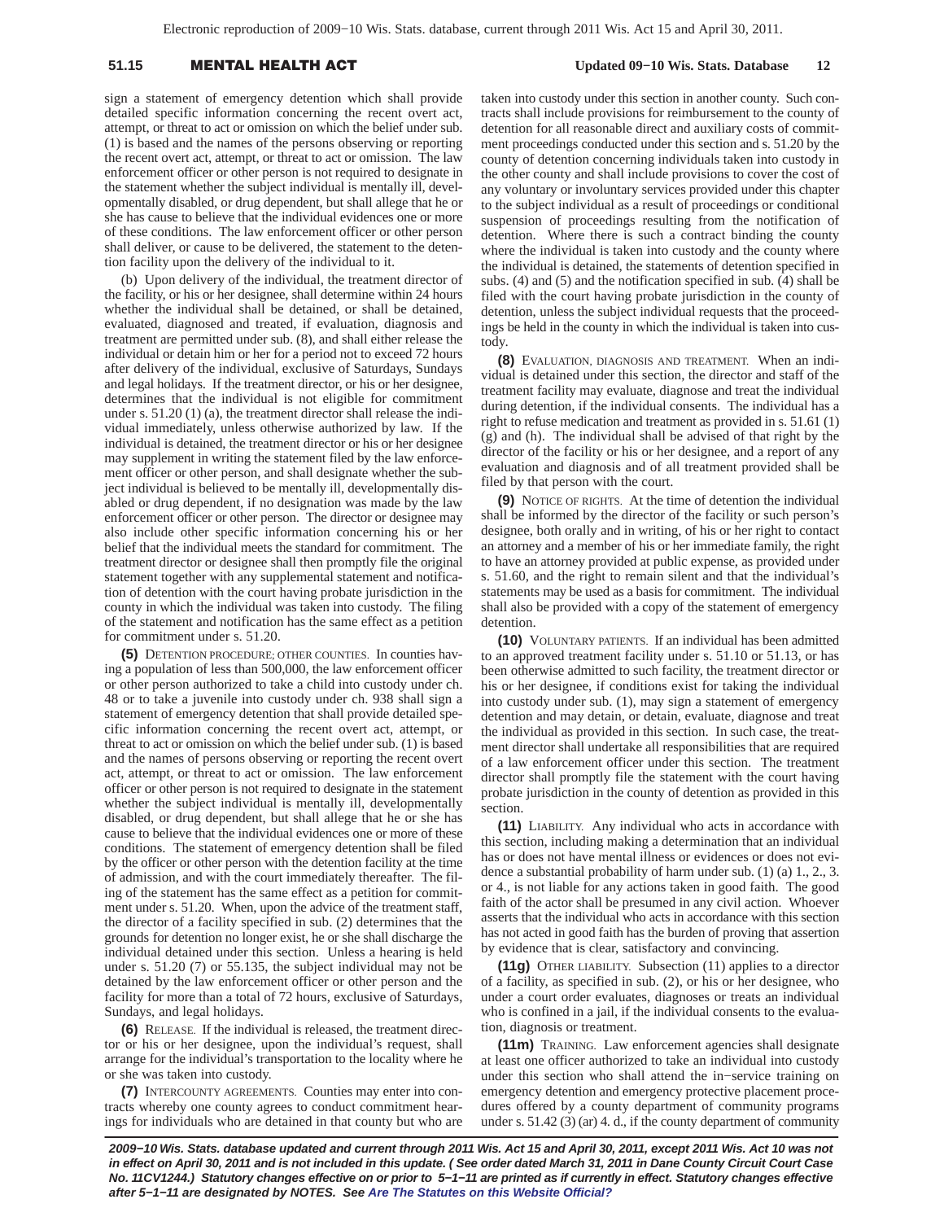## 51.15 **MENTAL HEALTH A**

## **Updated 09−10 Wis. Stats. Database 12**

sign a statement of emergency detention which shall provide detailed specific information concerning the recent overt act, attempt, or threat to act or omission on which the belief under sub. (1) is based and the names of the persons observing or reporting the recent overt act, attempt, or threat to act or omission. The law enforcement officer or other person is not required to designate in the statement whether the subject individual is mentally ill, developmentally disabled, or drug dependent, but shall allege that he or she has cause to believe that the individual evidences one or more of these conditions. The law enforcement officer or other person shall deliver, or cause to be delivered, the statement to the detention facility upon the delivery of the individual to it.

(b) Upon delivery of the individual, the treatment director of the facility, or his or her designee, shall determine within 24 hours whether the individual shall be detained, or shall be detained, evaluated, diagnosed and treated, if evaluation, diagnosis and treatment are permitted under sub. (8), and shall either release the individual or detain him or her for a period not to exceed 72 hours after delivery of the individual, exclusive of Saturdays, Sundays and legal holidays. If the treatment director, or his or her designee, determines that the individual is not eligible for commitment under s. 51.20 (1) (a), the treatment director shall release the individual immediately, unless otherwise authorized by law. If the individual is detained, the treatment director or his or her designee may supplement in writing the statement filed by the law enforcement officer or other person, and shall designate whether the subject individual is believed to be mentally ill, developmentally disabled or drug dependent, if no designation was made by the law enforcement officer or other person. The director or designee may also include other specific information concerning his or her belief that the individual meets the standard for commitment. The treatment director or designee shall then promptly file the original statement together with any supplemental statement and notification of detention with the court having probate jurisdiction in the county in which the individual was taken into custody. The filing of the statement and notification has the same effect as a petition for commitment under s. 51.20.

**(5)** DETENTION PROCEDURE; OTHER COUNTIES. In counties having a population of less than 500,000, the law enforcement officer or other person authorized to take a child into custody under ch. 48 or to take a juvenile into custody under ch. 938 shall sign a statement of emergency detention that shall provide detailed specific information concerning the recent overt act, attempt, or threat to act or omission on which the belief under sub. (1) is based and the names of persons observing or reporting the recent overt act, attempt, or threat to act or omission. The law enforcement officer or other person is not required to designate in the statement whether the subject individual is mentally ill, developmentally disabled, or drug dependent, but shall allege that he or she has cause to believe that the individual evidences one or more of these conditions. The statement of emergency detention shall be filed by the officer or other person with the detention facility at the time of admission, and with the court immediately thereafter. The filing of the statement has the same effect as a petition for commitment under s. 51.20. When, upon the advice of the treatment staff, the director of a facility specified in sub. (2) determines that the grounds for detention no longer exist, he or she shall discharge the individual detained under this section. Unless a hearing is held under s. 51.20 (7) or 55.135, the subject individual may not be detained by the law enforcement officer or other person and the facility for more than a total of 72 hours, exclusive of Saturdays, Sundays, and legal holidays.

**(6)** RELEASE. If the individual is released, the treatment director or his or her designee, upon the individual's request, shall arrange for the individual's transportation to the locality where he or she was taken into custody.

**(7)** INTERCOUNTY AGREEMENTS. Counties may enter into contracts whereby one county agrees to conduct commitment hearings for individuals who are detained in that county but who are taken into custody under this section in another county. Such contracts shall include provisions for reimbursement to the county of detention for all reasonable direct and auxiliary costs of commitment proceedings conducted under this section and s. 51.20 by the county of detention concerning individuals taken into custody in the other county and shall include provisions to cover the cost of any voluntary or involuntary services provided under this chapter to the subject individual as a result of proceedings or conditional suspension of proceedings resulting from the notification of detention. Where there is such a contract binding the county where the individual is taken into custody and the county where the individual is detained, the statements of detention specified in subs. (4) and (5) and the notification specified in sub. (4) shall be filed with the court having probate jurisdiction in the county of detention, unless the subject individual requests that the proceedings be held in the county in which the individual is taken into custody.

**(8)** EVALUATION, DIAGNOSIS AND TREATMENT. When an individual is detained under this section, the director and staff of the treatment facility may evaluate, diagnose and treat the individual during detention, if the individual consents. The individual has a right to refuse medication and treatment as provided in s. 51.61 (1) (g) and (h). The individual shall be advised of that right by the director of the facility or his or her designee, and a report of any evaluation and diagnosis and of all treatment provided shall be filed by that person with the court.

**(9)** NOTICE OF RIGHTS. At the time of detention the individual shall be informed by the director of the facility or such person's designee, both orally and in writing, of his or her right to contact an attorney and a member of his or her immediate family, the right to have an attorney provided at public expense, as provided under s. 51.60, and the right to remain silent and that the individual's statements may be used as a basis for commitment. The individual shall also be provided with a copy of the statement of emergency detention.

**(10)** VOLUNTARY PATIENTS. If an individual has been admitted to an approved treatment facility under s. 51.10 or 51.13, or has been otherwise admitted to such facility, the treatment director or his or her designee, if conditions exist for taking the individual into custody under sub. (1), may sign a statement of emergency detention and may detain, or detain, evaluate, diagnose and treat the individual as provided in this section. In such case, the treatment director shall undertake all responsibilities that are required of a law enforcement officer under this section. The treatment director shall promptly file the statement with the court having probate jurisdiction in the county of detention as provided in this section.

**(11)** LIABILITY. Any individual who acts in accordance with this section, including making a determination that an individual has or does not have mental illness or evidences or does not evidence a substantial probability of harm under sub. (1) (a) 1., 2., 3. or 4., is not liable for any actions taken in good faith. The good faith of the actor shall be presumed in any civil action. Whoever asserts that the individual who acts in accordance with this section has not acted in good faith has the burden of proving that assertion by evidence that is clear, satisfactory and convincing.

**(11g)** OTHER LIABILITY. Subsection (11) applies to a director of a facility, as specified in sub. (2), or his or her designee, who under a court order evaluates, diagnoses or treats an individual who is confined in a jail, if the individual consents to the evaluation, diagnosis or treatment.

**(11m)** TRAINING. Law enforcement agencies shall designate at least one officer authorized to take an individual into custody under this section who shall attend the in−service training on emergency detention and emergency protective placement procedures offered by a county department of community programs under s. 51.42 (3) (ar) 4. d., if the county department of community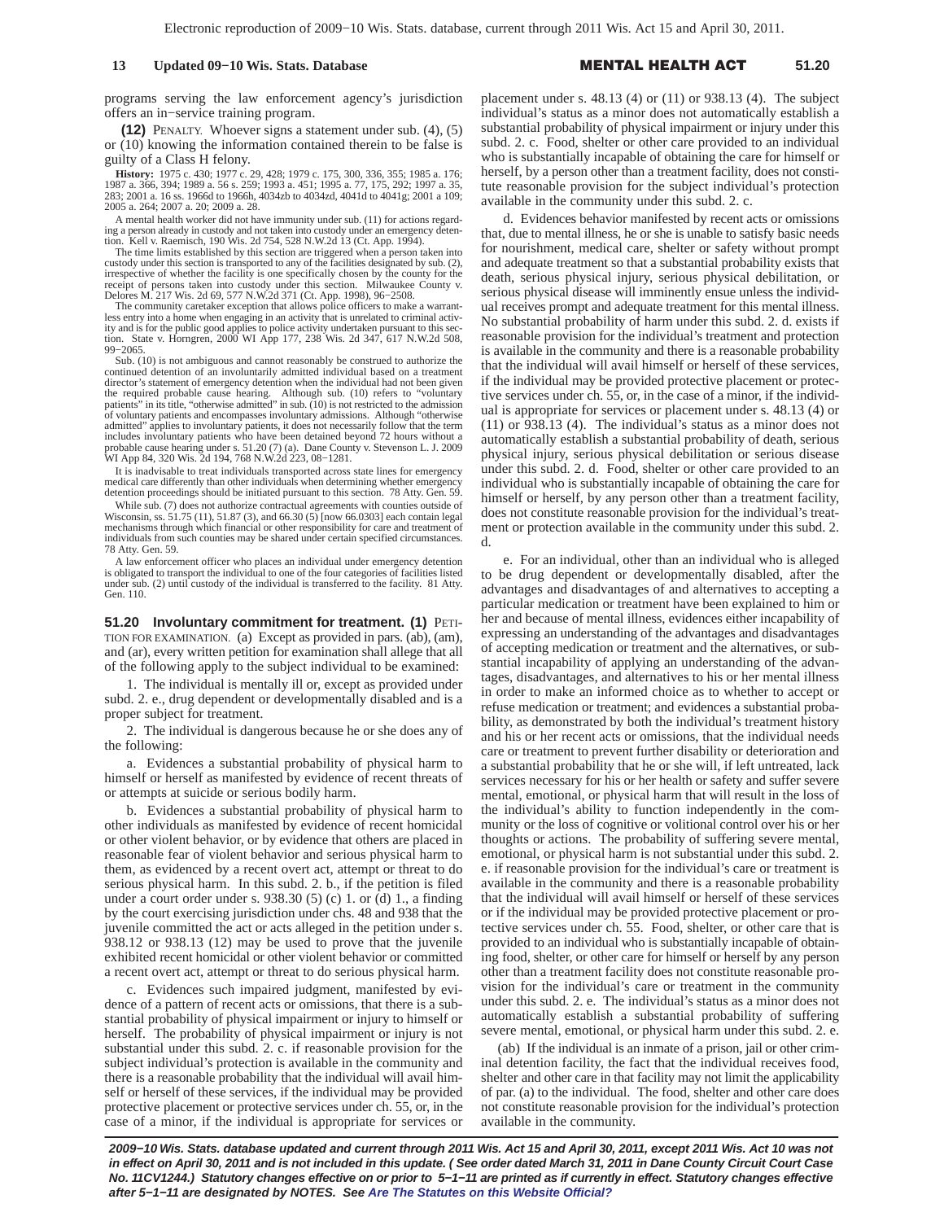programs serving the law enforcement agency's jurisdiction offers an in−service training program.

**(12)** PENALTY. Whoever signs a statement under sub. (4), (5) or (10) knowing the information contained therein to be false is guilty of a Class H felony.

**History:** 1975 c. 430; 1977 c. 29, 428; 1979 c. 175, 300, 336, 355; 1985 a. 176; 1987 a. 366, 394; 1989 a. 56 s. 259; 1993 a. 451; 1995 a. 77, 175, 292; 1997 a. 35, 283; 2001 a. 16 ss. 1966d to 1966h, 4034zb to 4034zd, 40 2005 a. 264; 2007 a. 20; 2009 a. 28.

A mental health worker did not have immunity under sub. (11) for actions regarding a person already in custody and not taken into custody under an emergency deten-tion. Kell v. Raemisch, 190 Wis. 2d 754, 528 N.W.2d 13 (Ct. App. 1994).

The time limits established by this section are triggered when a person taken into custody under this section is transported to any of the facilities designated by sub. (2), irrespective of whether the facility is one specifically chosen by the county for the receipt of persons taken into custody under this section. Milwaukee County v. Delores M. 217 Wis. 2d 69, 577 N.W.2d 371 (Ct. App. 1998), 96−2508. The community caretaker exception that allows police officers to make a warrant-

less entry into a home when engaging in an activity that is unrelated to criminal activity and is for the public good applies to police activity undertaken pursuant to this sec-tion. State v. Horngren, 2000 WI App 177, 238 Wis. 2d 347, 617 N.W.2d 508, 99−2065.

Sub. (10) is not ambiguous and cannot reasonably be construed to authorize the continued detention of an involuntarily admitted individual based on a treatment director's statement of emergency detention when the individual had not been given the required probable cause hearing. Although sub. (10) refers to "voluntary<br>patients" in its title, "otherwise admitted" in sub. (10) is not restricted to the admission<br>of voluntary patients and encompasses involuntary ad admitted" applies to involuntary patients, it does not necessarily follow that the term includes involuntary patients who have been detained beyond 72 hours without a probable cause hearing under s. 51.20 (7) (a). Dane County v. Stevenson L. J. 2009 WI App 84, 320 Wis. 2d 194, 768 N.W.2d 223, 08−1281.

It is inadvisable to treat individuals transported across state lines for emergency medical care differently than other individuals when determining whether emergency detention proceedings should be initiated pursuant to this section. 78 Atty. Gen. 59.

While sub. (7) does not authorize contractual agreements with counties outside of Wisconsin, ss. 51.75 (11), 51.87 (3), and 66.30 (5) [now 66.0303] each contain legal mechanisms through which financial or other responsibility for care and treatment of individuals from such counties may be shared under certain specified circumstances. 78 Atty. Gen. 59.

A law enforcement officer who places an individual under emergency detention is obligated to transport the individual to one of the four categories of facilities listed under sub. (2) until custody of the individual is transferred to the facility. 81 Atty. Gen. 110.

**51.20 Involuntary commitment for treatment. (1) PETI-**TION FOR EXAMINATION. (a) Except as provided in pars. (ab), (am), and (ar), every written petition for examination shall allege that all of the following apply to the subject individual to be examined:

1. The individual is mentally ill or, except as provided under subd. 2. e., drug dependent or developmentally disabled and is a proper subject for treatment.

2. The individual is dangerous because he or she does any of the following:

a. Evidences a substantial probability of physical harm to himself or herself as manifested by evidence of recent threats of or attempts at suicide or serious bodily harm.

b. Evidences a substantial probability of physical harm to other individuals as manifested by evidence of recent homicidal or other violent behavior, or by evidence that others are placed in reasonable fear of violent behavior and serious physical harm to them, as evidenced by a recent overt act, attempt or threat to do serious physical harm. In this subd. 2. b., if the petition is filed under a court order under s.  $938.30$  (5) (c) 1. or (d) 1., a finding by the court exercising jurisdiction under chs. 48 and 938 that the juvenile committed the act or acts alleged in the petition under s. 938.12 or 938.13 (12) may be used to prove that the juvenile exhibited recent homicidal or other violent behavior or committed a recent overt act, attempt or threat to do serious physical harm.

c. Evidences such impaired judgment, manifested by evidence of a pattern of recent acts or omissions, that there is a substantial probability of physical impairment or injury to himself or herself. The probability of physical impairment or injury is not substantial under this subd. 2. c. if reasonable provision for the subject individual's protection is available in the community and there is a reasonable probability that the individual will avail himself or herself of these services, if the individual may be provided protective placement or protective services under ch. 55, or, in the case of a minor, if the individual is appropriate for services or

placement under s. 48.13 (4) or (11) or 938.13 (4). The subject individual's status as a minor does not automatically establish a substantial probability of physical impairment or injury under this subd. 2. c. Food, shelter or other care provided to an individual who is substantially incapable of obtaining the care for himself or herself, by a person other than a treatment facility, does not constitute reasonable provision for the subject individual's protection available in the community under this subd. 2. c.

d. Evidences behavior manifested by recent acts or omissions that, due to mental illness, he or she is unable to satisfy basic needs for nourishment, medical care, shelter or safety without prompt and adequate treatment so that a substantial probability exists that death, serious physical injury, serious physical debilitation, or serious physical disease will imminently ensue unless the individual receives prompt and adequate treatment for this mental illness. No substantial probability of harm under this subd. 2. d. exists if reasonable provision for the individual's treatment and protection is available in the community and there is a reasonable probability that the individual will avail himself or herself of these services, if the individual may be provided protective placement or protective services under ch. 55, or, in the case of a minor, if the individual is appropriate for services or placement under s. 48.13 (4) or (11) or 938.13 (4). The individual's status as a minor does not automatically establish a substantial probability of death, serious physical injury, serious physical debilitation or serious disease under this subd. 2. d. Food, shelter or other care provided to an individual who is substantially incapable of obtaining the care for himself or herself, by any person other than a treatment facility, does not constitute reasonable provision for the individual's treatment or protection available in the community under this subd. 2. d.

e. For an individual, other than an individual who is alleged to be drug dependent or developmentally disabled, after the advantages and disadvantages of and alternatives to accepting a particular medication or treatment have been explained to him or her and because of mental illness, evidences either incapability of expressing an understanding of the advantages and disadvantages of accepting medication or treatment and the alternatives, or substantial incapability of applying an understanding of the advantages, disadvantages, and alternatives to his or her mental illness in order to make an informed choice as to whether to accept or refuse medication or treatment; and evidences a substantial probability, as demonstrated by both the individual's treatment history and his or her recent acts or omissions, that the individual needs care or treatment to prevent further disability or deterioration and a substantial probability that he or she will, if left untreated, lack services necessary for his or her health or safety and suffer severe mental, emotional, or physical harm that will result in the loss of the individual's ability to function independently in the community or the loss of cognitive or volitional control over his or her thoughts or actions. The probability of suffering severe mental, emotional, or physical harm is not substantial under this subd. 2. e. if reasonable provision for the individual's care or treatment is available in the community and there is a reasonable probability that the individual will avail himself or herself of these services or if the individual may be provided protective placement or protective services under ch. 55. Food, shelter, or other care that is provided to an individual who is substantially incapable of obtaining food, shelter, or other care for himself or herself by any person other than a treatment facility does not constitute reasonable provision for the individual's care or treatment in the community under this subd. 2. e. The individual's status as a minor does not automatically establish a substantial probability of suffering severe mental, emotional, or physical harm under this subd. 2. e.

(ab) If the individual is an inmate of a prison, jail or other criminal detention facility, the fact that the individual receives food, shelter and other care in that facility may not limit the applicability of par. (a) to the individual. The food, shelter and other care does not constitute reasonable provision for the individual's protection available in the community.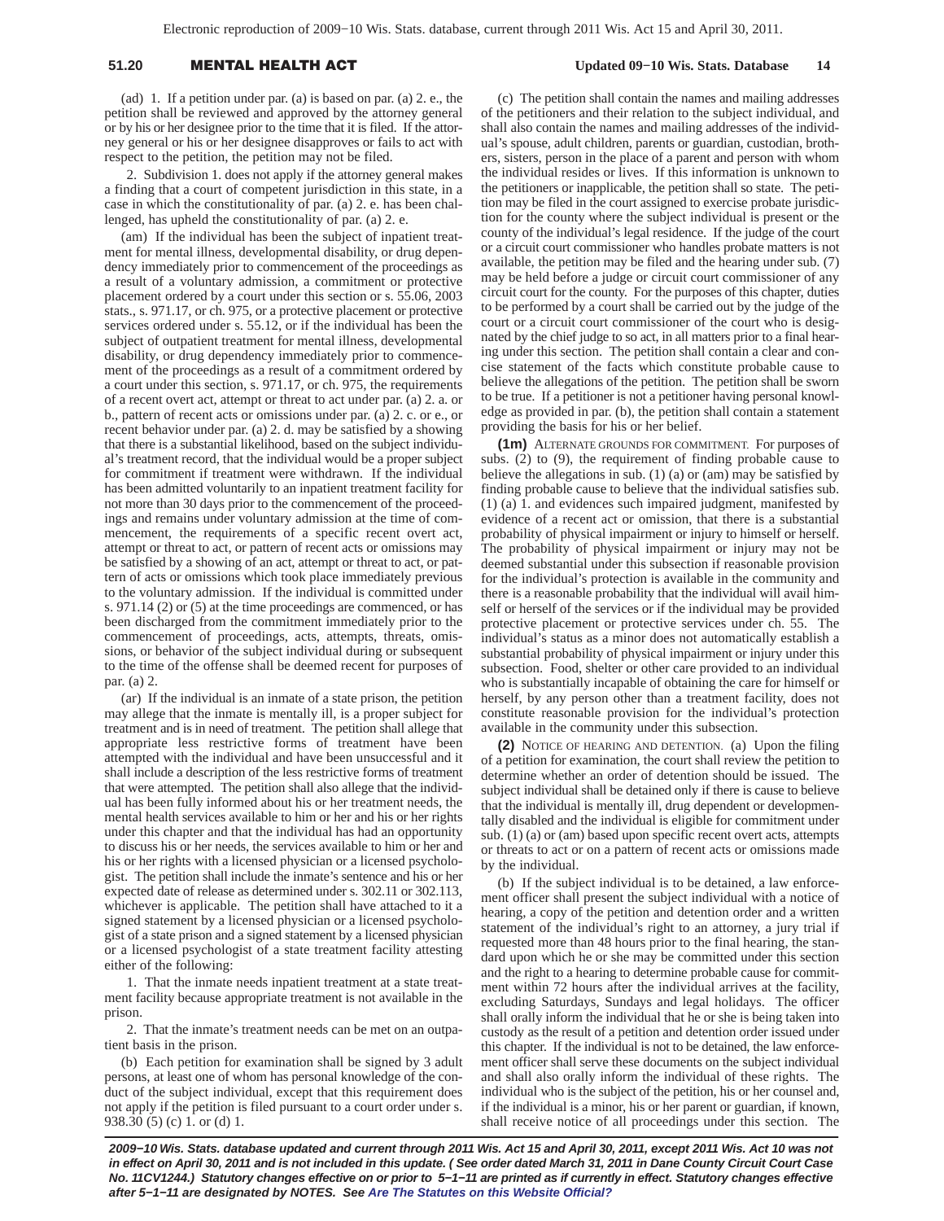## 51.20 **MENTAL HEALTH A**

 **Updated 09−10 Wis. Stats. Database 14**

(ad) 1. If a petition under par. (a) is based on par. (a) 2. e., the petition shall be reviewed and approved by the attorney general or by his or her designee prior to the time that it is filed. If the attorney general or his or her designee disapproves or fails to act with respect to the petition, the petition may not be filed.

2. Subdivision 1. does not apply if the attorney general makes a finding that a court of competent jurisdiction in this state, in a case in which the constitutionality of par. (a) 2. e. has been challenged, has upheld the constitutionality of par. (a) 2. e.

(am) If the individual has been the subject of inpatient treatment for mental illness, developmental disability, or drug dependency immediately prior to commencement of the proceedings as a result of a voluntary admission, a commitment or protective placement ordered by a court under this section or s. 55.06, 2003 stats., s. 971.17, or ch. 975, or a protective placement or protective services ordered under s. 55.12, or if the individual has been the subject of outpatient treatment for mental illness, developmental disability, or drug dependency immediately prior to commencement of the proceedings as a result of a commitment ordered by a court under this section, s. 971.17, or ch. 975, the requirements of a recent overt act, attempt or threat to act under par. (a) 2. a. or b., pattern of recent acts or omissions under par. (a) 2. c. or e., or recent behavior under par. (a) 2. d. may be satisfied by a showing that there is a substantial likelihood, based on the subject individual's treatment record, that the individual would be a proper subject for commitment if treatment were withdrawn. If the individual has been admitted voluntarily to an inpatient treatment facility for not more than 30 days prior to the commencement of the proceedings and remains under voluntary admission at the time of commencement, the requirements of a specific recent overt act, attempt or threat to act, or pattern of recent acts or omissions may be satisfied by a showing of an act, attempt or threat to act, or pattern of acts or omissions which took place immediately previous to the voluntary admission. If the individual is committed under s. 971.14 (2) or (5) at the time proceedings are commenced, or has been discharged from the commitment immediately prior to the commencement of proceedings, acts, attempts, threats, omissions, or behavior of the subject individual during or subsequent to the time of the offense shall be deemed recent for purposes of par. (a) 2.

(ar) If the individual is an inmate of a state prison, the petition may allege that the inmate is mentally ill, is a proper subject for treatment and is in need of treatment. The petition shall allege that appropriate less restrictive forms of treatment have been attempted with the individual and have been unsuccessful and it shall include a description of the less restrictive forms of treatment that were attempted. The petition shall also allege that the individual has been fully informed about his or her treatment needs, the mental health services available to him or her and his or her rights under this chapter and that the individual has had an opportunity to discuss his or her needs, the services available to him or her and his or her rights with a licensed physician or a licensed psychologist. The petition shall include the inmate's sentence and his or her expected date of release as determined under s. 302.11 or 302.113, whichever is applicable. The petition shall have attached to it a signed statement by a licensed physician or a licensed psychologist of a state prison and a signed statement by a licensed physician or a licensed psychologist of a state treatment facility attesting either of the following:

1. That the inmate needs inpatient treatment at a state treatment facility because appropriate treatment is not available in the prison.

2. That the inmate's treatment needs can be met on an outpatient basis in the prison.

(b) Each petition for examination shall be signed by 3 adult persons, at least one of whom has personal knowledge of the conduct of the subject individual, except that this requirement does not apply if the petition is filed pursuant to a court order under s. 938.30 (5) (c) 1. or (d) 1.

(c) The petition shall contain the names and mailing addresses of the petitioners and their relation to the subject individual, and shall also contain the names and mailing addresses of the individual's spouse, adult children, parents or guardian, custodian, brothers, sisters, person in the place of a parent and person with whom the individual resides or lives. If this information is unknown to the petitioners or inapplicable, the petition shall so state. The petition may be filed in the court assigned to exercise probate jurisdiction for the county where the subject individual is present or the county of the individual's legal residence. If the judge of the court or a circuit court commissioner who handles probate matters is not available, the petition may be filed and the hearing under sub. (7) may be held before a judge or circuit court commissioner of any circuit court for the county. For the purposes of this chapter, duties to be performed by a court shall be carried out by the judge of the court or a circuit court commissioner of the court who is designated by the chief judge to so act, in all matters prior to a final hearing under this section. The petition shall contain a clear and concise statement of the facts which constitute probable cause to believe the allegations of the petition. The petition shall be sworn to be true. If a petitioner is not a petitioner having personal knowledge as provided in par. (b), the petition shall contain a statement providing the basis for his or her belief.

**(1m)** ALTERNATE GROUNDS FOR COMMITMENT. For purposes of subs. (2) to (9), the requirement of finding probable cause to believe the allegations in sub. (1) (a) or (am) may be satisfied by finding probable cause to believe that the individual satisfies sub. (1) (a) 1. and evidences such impaired judgment, manifested by evidence of a recent act or omission, that there is a substantial probability of physical impairment or injury to himself or herself. The probability of physical impairment or injury may not be deemed substantial under this subsection if reasonable provision for the individual's protection is available in the community and there is a reasonable probability that the individual will avail himself or herself of the services or if the individual may be provided protective placement or protective services under ch. 55. The individual's status as a minor does not automatically establish a substantial probability of physical impairment or injury under this subsection. Food, shelter or other care provided to an individual who is substantially incapable of obtaining the care for himself or herself, by any person other than a treatment facility, does not constitute reasonable provision for the individual's protection available in the community under this subsection.

**(2)** NOTICE OF HEARING AND DETENTION. (a) Upon the filing of a petition for examination, the court shall review the petition to determine whether an order of detention should be issued. The subject individual shall be detained only if there is cause to believe that the individual is mentally ill, drug dependent or developmentally disabled and the individual is eligible for commitment under sub. (1) (a) or (am) based upon specific recent overt acts, attempts or threats to act or on a pattern of recent acts or omissions made by the individual.

(b) If the subject individual is to be detained, a law enforcement officer shall present the subject individual with a notice of hearing, a copy of the petition and detention order and a written statement of the individual's right to an attorney, a jury trial if requested more than 48 hours prior to the final hearing, the standard upon which he or she may be committed under this section and the right to a hearing to determine probable cause for commitment within 72 hours after the individual arrives at the facility, excluding Saturdays, Sundays and legal holidays. The officer shall orally inform the individual that he or she is being taken into custody as the result of a petition and detention order issued under this chapter. If the individual is not to be detained, the law enforcement officer shall serve these documents on the subject individual and shall also orally inform the individual of these rights. The individual who is the subject of the petition, his or her counsel and, if the individual is a minor, his or her parent or guardian, if known, shall receive notice of all proceedings under this section. The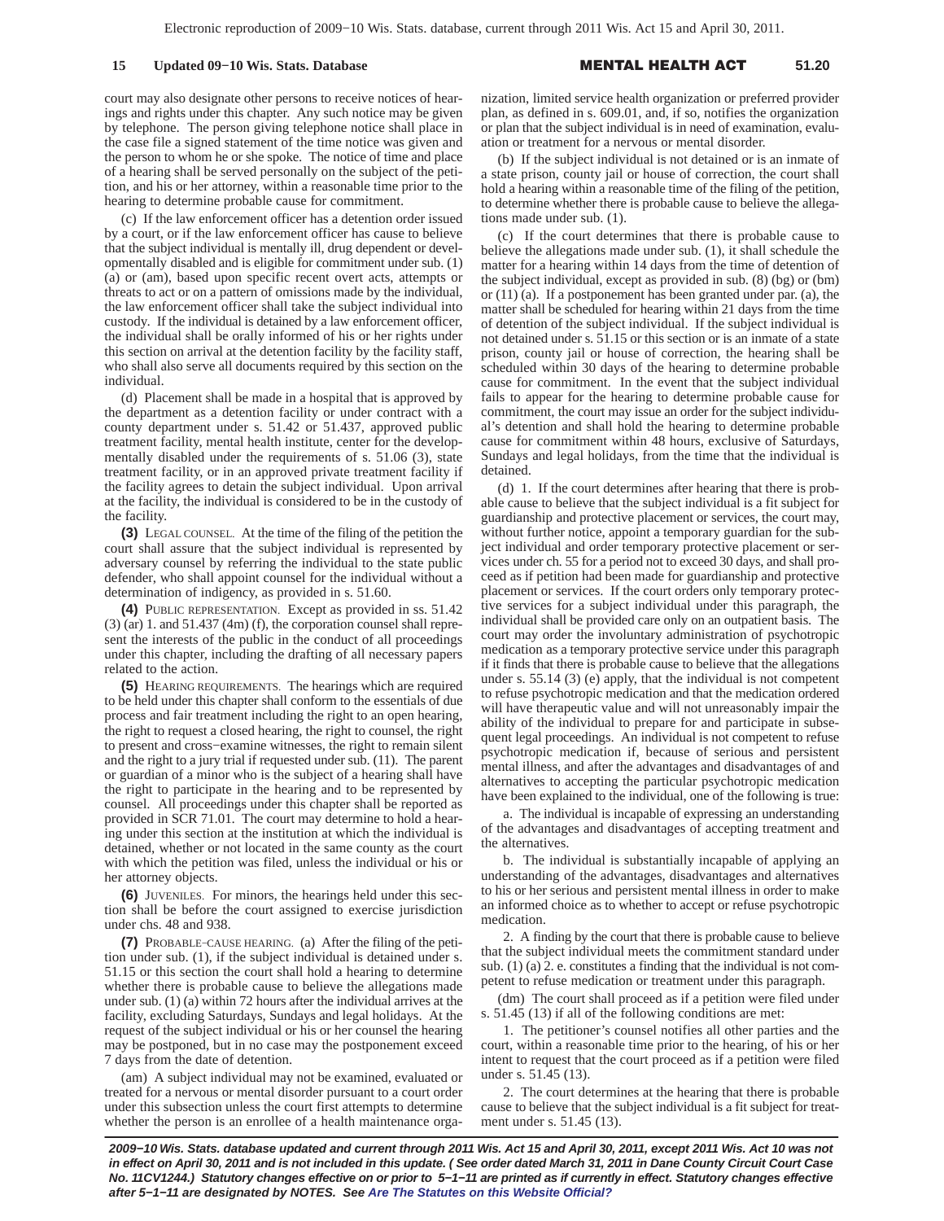court may also designate other persons to receive notices of hearings and rights under this chapter. Any such notice may be given by telephone. The person giving telephone notice shall place in the case file a signed statement of the time notice was given and the person to whom he or she spoke. The notice of time and place of a hearing shall be served personally on the subject of the petition, and his or her attorney, within a reasonable time prior to the hearing to determine probable cause for commitment.

(c) If the law enforcement officer has a detention order issued by a court, or if the law enforcement officer has cause to believe that the subject individual is mentally ill, drug dependent or developmentally disabled and is eligible for commitment under sub. (1) (a) or (am), based upon specific recent overt acts, attempts or threats to act or on a pattern of omissions made by the individual, the law enforcement officer shall take the subject individual into custody. If the individual is detained by a law enforcement officer, the individual shall be orally informed of his or her rights under this section on arrival at the detention facility by the facility staff, who shall also serve all documents required by this section on the individual.

(d) Placement shall be made in a hospital that is approved by the department as a detention facility or under contract with a county department under s. 51.42 or 51.437, approved public treatment facility, mental health institute, center for the developmentally disabled under the requirements of s. 51.06 (3), state treatment facility, or in an approved private treatment facility if the facility agrees to detain the subject individual. Upon arrival at the facility, the individual is considered to be in the custody of the facility.

**(3)** LEGAL COUNSEL. At the time of the filing of the petition the court shall assure that the subject individual is represented by adversary counsel by referring the individual to the state public defender, who shall appoint counsel for the individual without a determination of indigency, as provided in s. 51.60.

**(4)** PUBLIC REPRESENTATION. Except as provided in ss. 51.42 (3) (ar) 1. and 51.437 (4m) (f), the corporation counsel shall represent the interests of the public in the conduct of all proceedings under this chapter, including the drafting of all necessary papers related to the action.

**(5)** HEARING REQUIREMENTS. The hearings which are required to be held under this chapter shall conform to the essentials of due process and fair treatment including the right to an open hearing, the right to request a closed hearing, the right to counsel, the right to present and cross−examine witnesses, the right to remain silent and the right to a jury trial if requested under sub. (11). The parent or guardian of a minor who is the subject of a hearing shall have the right to participate in the hearing and to be represented by counsel. All proceedings under this chapter shall be reported as provided in SCR 71.01. The court may determine to hold a hearing under this section at the institution at which the individual is detained, whether or not located in the same county as the court with which the petition was filed, unless the individual or his or her attorney objects.

**(6)** JUVENILES. For minors, the hearings held under this section shall be before the court assigned to exercise jurisdiction under chs. 48 and 938.

**(7)** PROBABLE−CAUSE HEARING. (a) After the filing of the petition under sub. (1), if the subject individual is detained under s. 51.15 or this section the court shall hold a hearing to determine whether there is probable cause to believe the allegations made under sub. (1) (a) within 72 hours after the individual arrives at the facility, excluding Saturdays, Sundays and legal holidays. At the request of the subject individual or his or her counsel the hearing may be postponed, but in no case may the postponement exceed 7 days from the date of detention.

(am) A subject individual may not be examined, evaluated or treated for a nervous or mental disorder pursuant to a court order under this subsection unless the court first attempts to determine whether the person is an enrollee of a health maintenance organization, limited service health organization or preferred provider plan, as defined in s. 609.01, and, if so, notifies the organization or plan that the subject individual is in need of examination, evaluation or treatment for a nervous or mental disorder.

(b) If the subject individual is not detained or is an inmate of a state prison, county jail or house of correction, the court shall hold a hearing within a reasonable time of the filing of the petition, to determine whether there is probable cause to believe the allegations made under sub. (1).

(c) If the court determines that there is probable cause to believe the allegations made under sub. (1), it shall schedule the matter for a hearing within 14 days from the time of detention of the subject individual, except as provided in sub. (8) (bg) or (bm) or (11) (a). If a postponement has been granted under par. (a), the matter shall be scheduled for hearing within 21 days from the time of detention of the subject individual. If the subject individual is not detained under s. 51.15 or this section or is an inmate of a state prison, county jail or house of correction, the hearing shall be scheduled within 30 days of the hearing to determine probable cause for commitment. In the event that the subject individual fails to appear for the hearing to determine probable cause for commitment, the court may issue an order for the subject individual's detention and shall hold the hearing to determine probable cause for commitment within 48 hours, exclusive of Saturdays, Sundays and legal holidays, from the time that the individual is detained.

(d) 1. If the court determines after hearing that there is probable cause to believe that the subject individual is a fit subject for guardianship and protective placement or services, the court may, without further notice, appoint a temporary guardian for the subject individual and order temporary protective placement or services under ch. 55 for a period not to exceed 30 days, and shall proceed as if petition had been made for guardianship and protective placement or services. If the court orders only temporary protective services for a subject individual under this paragraph, the individual shall be provided care only on an outpatient basis. The court may order the involuntary administration of psychotropic medication as a temporary protective service under this paragraph if it finds that there is probable cause to believe that the allegations under s. 55.14 (3) (e) apply, that the individual is not competent to refuse psychotropic medication and that the medication ordered will have therapeutic value and will not unreasonably impair the ability of the individual to prepare for and participate in subsequent legal proceedings. An individual is not competent to refuse psychotropic medication if, because of serious and persistent mental illness, and after the advantages and disadvantages of and alternatives to accepting the particular psychotropic medication have been explained to the individual, one of the following is true:

a. The individual is incapable of expressing an understanding of the advantages and disadvantages of accepting treatment and the alternatives.

b. The individual is substantially incapable of applying an understanding of the advantages, disadvantages and alternatives to his or her serious and persistent mental illness in order to make an informed choice as to whether to accept or refuse psychotropic medication.

2. A finding by the court that there is probable cause to believe that the subject individual meets the commitment standard under sub. (1) (a) 2. e. constitutes a finding that the individual is not competent to refuse medication or treatment under this paragraph.

(dm) The court shall proceed as if a petition were filed under s. 51.45 (13) if all of the following conditions are met:

1. The petitioner's counsel notifies all other parties and the court, within a reasonable time prior to the hearing, of his or her intent to request that the court proceed as if a petition were filed under s. 51.45 (13).

2. The court determines at the hearing that there is probable cause to believe that the subject individual is a fit subject for treatment under s. 51.45 (13).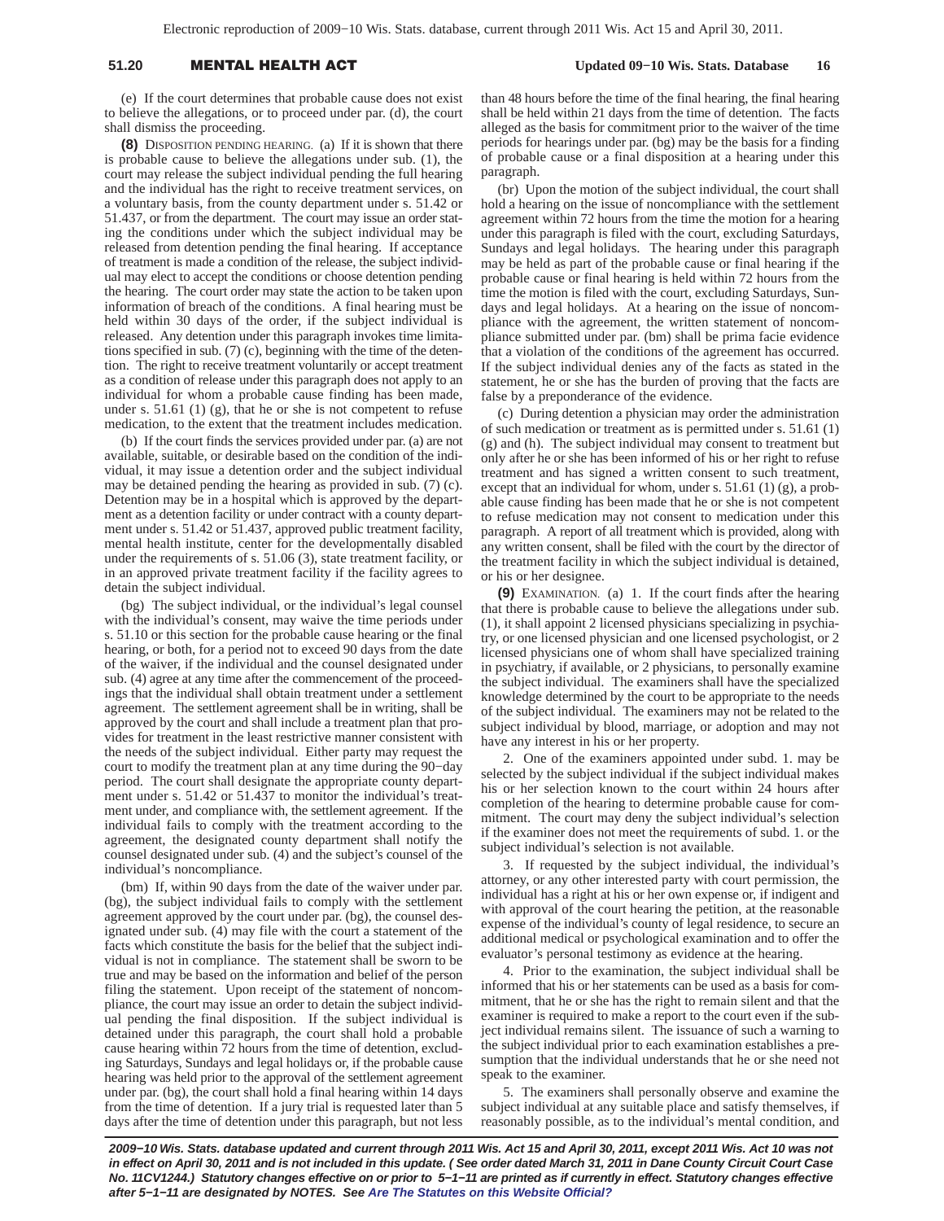## 51.20 **MENTAL HEALTH A**

(e) If the court determines that probable cause does not exist to believe the allegations, or to proceed under par. (d), the court shall dismiss the proceeding.

**(8)** DISPOSITION PENDING HEARING. (a) If it is shown that there is probable cause to believe the allegations under sub. (1), the court may release the subject individual pending the full hearing and the individual has the right to receive treatment services, on a voluntary basis, from the county department under s. 51.42 or 51.437, or from the department. The court may issue an order stating the conditions under which the subject individual may be released from detention pending the final hearing. If acceptance of treatment is made a condition of the release, the subject individual may elect to accept the conditions or choose detention pending the hearing. The court order may state the action to be taken upon information of breach of the conditions. A final hearing must be held within 30 days of the order, if the subject individual is released. Any detention under this paragraph invokes time limitations specified in sub. (7) (c), beginning with the time of the detention. The right to receive treatment voluntarily or accept treatment as a condition of release under this paragraph does not apply to an individual for whom a probable cause finding has been made, under s. 51.61 (1) (g), that he or she is not competent to refuse medication, to the extent that the treatment includes medication.

(b) If the court finds the services provided under par. (a) are not available, suitable, or desirable based on the condition of the individual, it may issue a detention order and the subject individual may be detained pending the hearing as provided in sub. (7) (c). Detention may be in a hospital which is approved by the department as a detention facility or under contract with a county department under s. 51.42 or 51.437, approved public treatment facility, mental health institute, center for the developmentally disabled under the requirements of s. 51.06 (3), state treatment facility, or in an approved private treatment facility if the facility agrees to detain the subject individual.

(bg) The subject individual, or the individual's legal counsel with the individual's consent, may waive the time periods under s. 51.10 or this section for the probable cause hearing or the final hearing, or both, for a period not to exceed 90 days from the date of the waiver, if the individual and the counsel designated under sub. (4) agree at any time after the commencement of the proceedings that the individual shall obtain treatment under a settlement agreement. The settlement agreement shall be in writing, shall be approved by the court and shall include a treatment plan that provides for treatment in the least restrictive manner consistent with the needs of the subject individual. Either party may request the court to modify the treatment plan at any time during the 90−day period. The court shall designate the appropriate county department under s. 51.42 or 51.437 to monitor the individual's treatment under, and compliance with, the settlement agreement. If the individual fails to comply with the treatment according to the agreement, the designated county department shall notify the counsel designated under sub. (4) and the subject's counsel of the individual's noncompliance.

(bm) If, within 90 days from the date of the waiver under par. (bg), the subject individual fails to comply with the settlement agreement approved by the court under par. (bg), the counsel designated under sub. (4) may file with the court a statement of the facts which constitute the basis for the belief that the subject individual is not in compliance. The statement shall be sworn to be true and may be based on the information and belief of the person filing the statement. Upon receipt of the statement of noncompliance, the court may issue an order to detain the subject individual pending the final disposition. If the subject individual is detained under this paragraph, the court shall hold a probable cause hearing within 72 hours from the time of detention, excluding Saturdays, Sundays and legal holidays or, if the probable cause hearing was held prior to the approval of the settlement agreement under par. (bg), the court shall hold a final hearing within 14 days from the time of detention. If a jury trial is requested later than 5 days after the time of detention under this paragraph, but not less than 48 hours before the time of the final hearing, the final hearing shall be held within 21 days from the time of detention. The facts alleged as the basis for commitment prior to the waiver of the time periods for hearings under par. (bg) may be the basis for a finding of probable cause or a final disposition at a hearing under this paragraph.

(br) Upon the motion of the subject individual, the court shall hold a hearing on the issue of noncompliance with the settlement agreement within 72 hours from the time the motion for a hearing under this paragraph is filed with the court, excluding Saturdays, Sundays and legal holidays. The hearing under this paragraph may be held as part of the probable cause or final hearing if the probable cause or final hearing is held within 72 hours from the time the motion is filed with the court, excluding Saturdays, Sundays and legal holidays. At a hearing on the issue of noncompliance with the agreement, the written statement of noncompliance submitted under par. (bm) shall be prima facie evidence that a violation of the conditions of the agreement has occurred. If the subject individual denies any of the facts as stated in the statement, he or she has the burden of proving that the facts are false by a preponderance of the evidence.

(c) During detention a physician may order the administration of such medication or treatment as is permitted under s. 51.61 (1) (g) and (h). The subject individual may consent to treatment but only after he or she has been informed of his or her right to refuse treatment and has signed a written consent to such treatment, except that an individual for whom, under s. 51.61 (1) (g), a probable cause finding has been made that he or she is not competent to refuse medication may not consent to medication under this paragraph. A report of all treatment which is provided, along with any written consent, shall be filed with the court by the director of the treatment facility in which the subject individual is detained, or his or her designee.

**(9)** EXAMINATION. (a) 1. If the court finds after the hearing that there is probable cause to believe the allegations under sub. (1), it shall appoint 2 licensed physicians specializing in psychiatry, or one licensed physician and one licensed psychologist, or 2 licensed physicians one of whom shall have specialized training in psychiatry, if available, or 2 physicians, to personally examine the subject individual. The examiners shall have the specialized knowledge determined by the court to be appropriate to the needs of the subject individual. The examiners may not be related to the subject individual by blood, marriage, or adoption and may not have any interest in his or her property.

2. One of the examiners appointed under subd. 1. may be selected by the subject individual if the subject individual makes his or her selection known to the court within 24 hours after completion of the hearing to determine probable cause for commitment. The court may deny the subject individual's selection if the examiner does not meet the requirements of subd. 1. or the subject individual's selection is not available.

3. If requested by the subject individual, the individual's attorney, or any other interested party with court permission, the individual has a right at his or her own expense or, if indigent and with approval of the court hearing the petition, at the reasonable expense of the individual's county of legal residence, to secure an additional medical or psychological examination and to offer the evaluator's personal testimony as evidence at the hearing.

4. Prior to the examination, the subject individual shall be informed that his or her statements can be used as a basis for commitment, that he or she has the right to remain silent and that the examiner is required to make a report to the court even if the subject individual remains silent. The issuance of such a warning to the subject individual prior to each examination establishes a presumption that the individual understands that he or she need not speak to the examiner.

5. The examiners shall personally observe and examine the subject individual at any suitable place and satisfy themselves, if reasonably possible, as to the individual's mental condition, and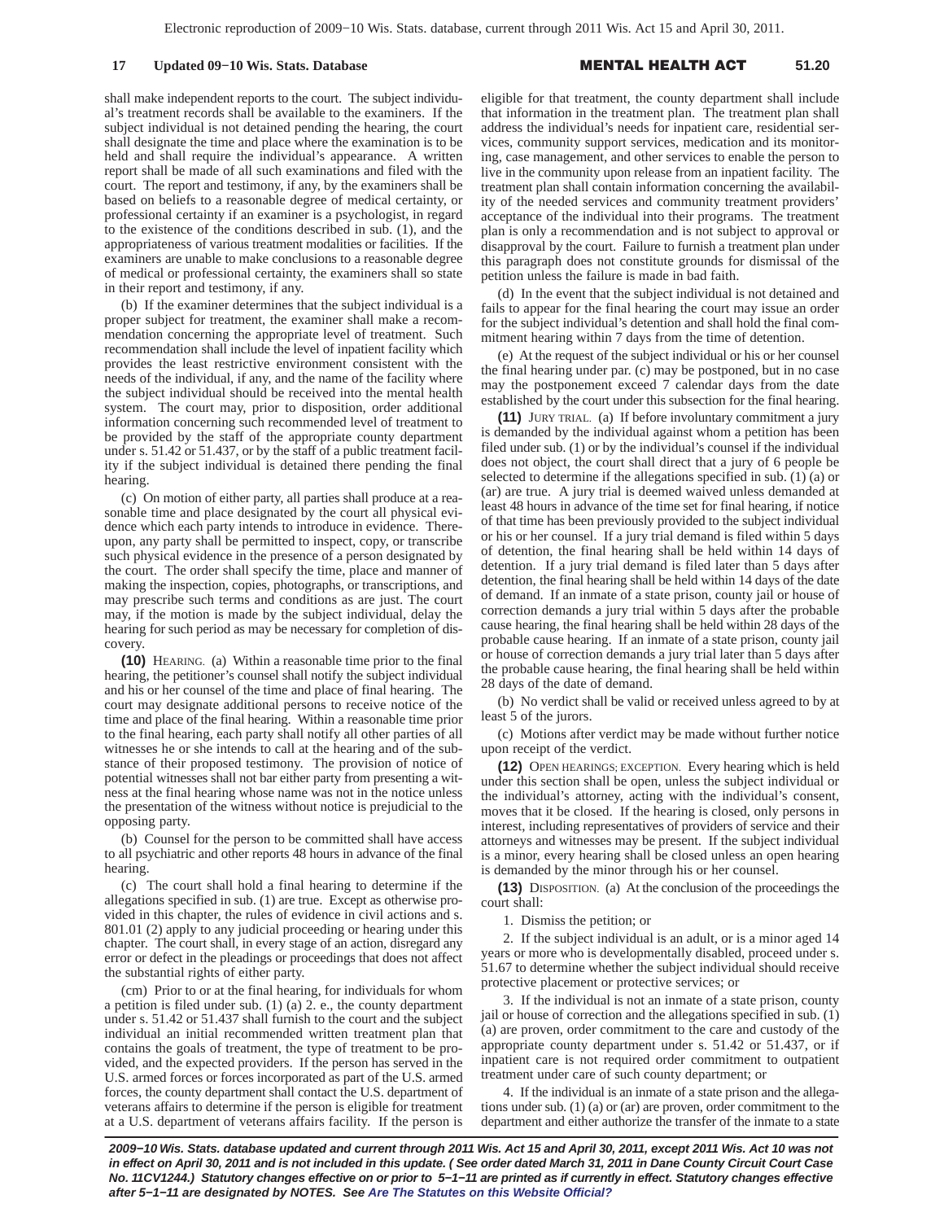### **17 Updated 09–10 Wis. Stats. Database**

#### L HEALTH A **51.20**

shall make independent reports to the court. The subject individual's treatment records shall be available to the examiners. If the subject individual is not detained pending the hearing, the court shall designate the time and place where the examination is to be held and shall require the individual's appearance. A written report shall be made of all such examinations and filed with the court. The report and testimony, if any, by the examiners shall be based on beliefs to a reasonable degree of medical certainty, or professional certainty if an examiner is a psychologist, in regard to the existence of the conditions described in sub. (1), and the appropriateness of various treatment modalities or facilities. If the examiners are unable to make conclusions to a reasonable degree of medical or professional certainty, the examiners shall so state in their report and testimony, if any.

(b) If the examiner determines that the subject individual is a proper subject for treatment, the examiner shall make a recommendation concerning the appropriate level of treatment. Such recommendation shall include the level of inpatient facility which provides the least restrictive environment consistent with the needs of the individual, if any, and the name of the facility where the subject individual should be received into the mental health system. The court may, prior to disposition, order additional information concerning such recommended level of treatment to be provided by the staff of the appropriate county department under s. 51.42 or 51.437, or by the staff of a public treatment facility if the subject individual is detained there pending the final hearing.

(c) On motion of either party, all parties shall produce at a reasonable time and place designated by the court all physical evidence which each party intends to introduce in evidence. Thereupon, any party shall be permitted to inspect, copy, or transcribe such physical evidence in the presence of a person designated by the court. The order shall specify the time, place and manner of making the inspection, copies, photographs, or transcriptions, and may prescribe such terms and conditions as are just. The court may, if the motion is made by the subject individual, delay the hearing for such period as may be necessary for completion of discovery.

**(10)** HEARING. (a) Within a reasonable time prior to the final hearing, the petitioner's counsel shall notify the subject individual and his or her counsel of the time and place of final hearing. The court may designate additional persons to receive notice of the time and place of the final hearing. Within a reasonable time prior to the final hearing, each party shall notify all other parties of all witnesses he or she intends to call at the hearing and of the substance of their proposed testimony. The provision of notice of potential witnesses shall not bar either party from presenting a witness at the final hearing whose name was not in the notice unless the presentation of the witness without notice is prejudicial to the opposing party.

(b) Counsel for the person to be committed shall have access to all psychiatric and other reports 48 hours in advance of the final hearing.

(c) The court shall hold a final hearing to determine if the allegations specified in sub. (1) are true. Except as otherwise provided in this chapter, the rules of evidence in civil actions and s. 801.01 (2) apply to any judicial proceeding or hearing under this chapter. The court shall, in every stage of an action, disregard any error or defect in the pleadings or proceedings that does not affect the substantial rights of either party.

(cm) Prior to or at the final hearing, for individuals for whom a petition is filed under sub. (1) (a) 2. e., the county department under s. 51.42 or 51.437 shall furnish to the court and the subject individual an initial recommended written treatment plan that contains the goals of treatment, the type of treatment to be provided, and the expected providers. If the person has served in the U.S. armed forces or forces incorporated as part of the U.S. armed forces, the county department shall contact the U.S. department of veterans affairs to determine if the person is eligible for treatment at a U.S. department of veterans affairs facility. If the person is eligible for that treatment, the county department shall include that information in the treatment plan. The treatment plan shall address the individual's needs for inpatient care, residential services, community support services, medication and its monitoring, case management, and other services to enable the person to live in the community upon release from an inpatient facility. The treatment plan shall contain information concerning the availability of the needed services and community treatment providers' acceptance of the individual into their programs. The treatment plan is only a recommendation and is not subject to approval or disapproval by the court. Failure to furnish a treatment plan under this paragraph does not constitute grounds for dismissal of the petition unless the failure is made in bad faith.

(d) In the event that the subject individual is not detained and fails to appear for the final hearing the court may issue an order for the subject individual's detention and shall hold the final commitment hearing within 7 days from the time of detention.

(e) At the request of the subject individual or his or her counsel the final hearing under par. (c) may be postponed, but in no case may the postponement exceed 7 calendar days from the date established by the court under this subsection for the final hearing.

**(11)** JURY TRIAL. (a) If before involuntary commitment a jury is demanded by the individual against whom a petition has been filed under sub. (1) or by the individual's counsel if the individual does not object, the court shall direct that a jury of 6 people be selected to determine if the allegations specified in sub. (1) (a) or (ar) are true. A jury trial is deemed waived unless demanded at least 48 hours in advance of the time set for final hearing, if notice of that time has been previously provided to the subject individual or his or her counsel. If a jury trial demand is filed within 5 days of detention, the final hearing shall be held within 14 days of detention. If a jury trial demand is filed later than 5 days after detention, the final hearing shall be held within 14 days of the date of demand. If an inmate of a state prison, county jail or house of correction demands a jury trial within 5 days after the probable cause hearing, the final hearing shall be held within 28 days of the probable cause hearing. If an inmate of a state prison, county jail or house of correction demands a jury trial later than 5 days after the probable cause hearing, the final hearing shall be held within 28 days of the date of demand.

(b) No verdict shall be valid or received unless agreed to by at least 5 of the jurors.

(c) Motions after verdict may be made without further notice upon receipt of the verdict.

**(12)** OPEN HEARINGS; EXCEPTION. Every hearing which is held under this section shall be open, unless the subject individual or the individual's attorney, acting with the individual's consent, moves that it be closed. If the hearing is closed, only persons in interest, including representatives of providers of service and their attorneys and witnesses may be present. If the subject individual is a minor, every hearing shall be closed unless an open hearing is demanded by the minor through his or her counsel.

**(13)** DISPOSITION. (a) At the conclusion of the proceedings the court shall:

1. Dismiss the petition; or

2. If the subject individual is an adult, or is a minor aged 14 years or more who is developmentally disabled, proceed under s. 51.67 to determine whether the subject individual should receive protective placement or protective services; or

3. If the individual is not an inmate of a state prison, county jail or house of correction and the allegations specified in sub. (1) (a) are proven, order commitment to the care and custody of the appropriate county department under s. 51.42 or 51.437, or if inpatient care is not required order commitment to outpatient treatment under care of such county department; or

4. If the individual is an inmate of a state prison and the allegations under sub. (1) (a) or (ar) are proven, order commitment to the department and either authorize the transfer of the inmate to a state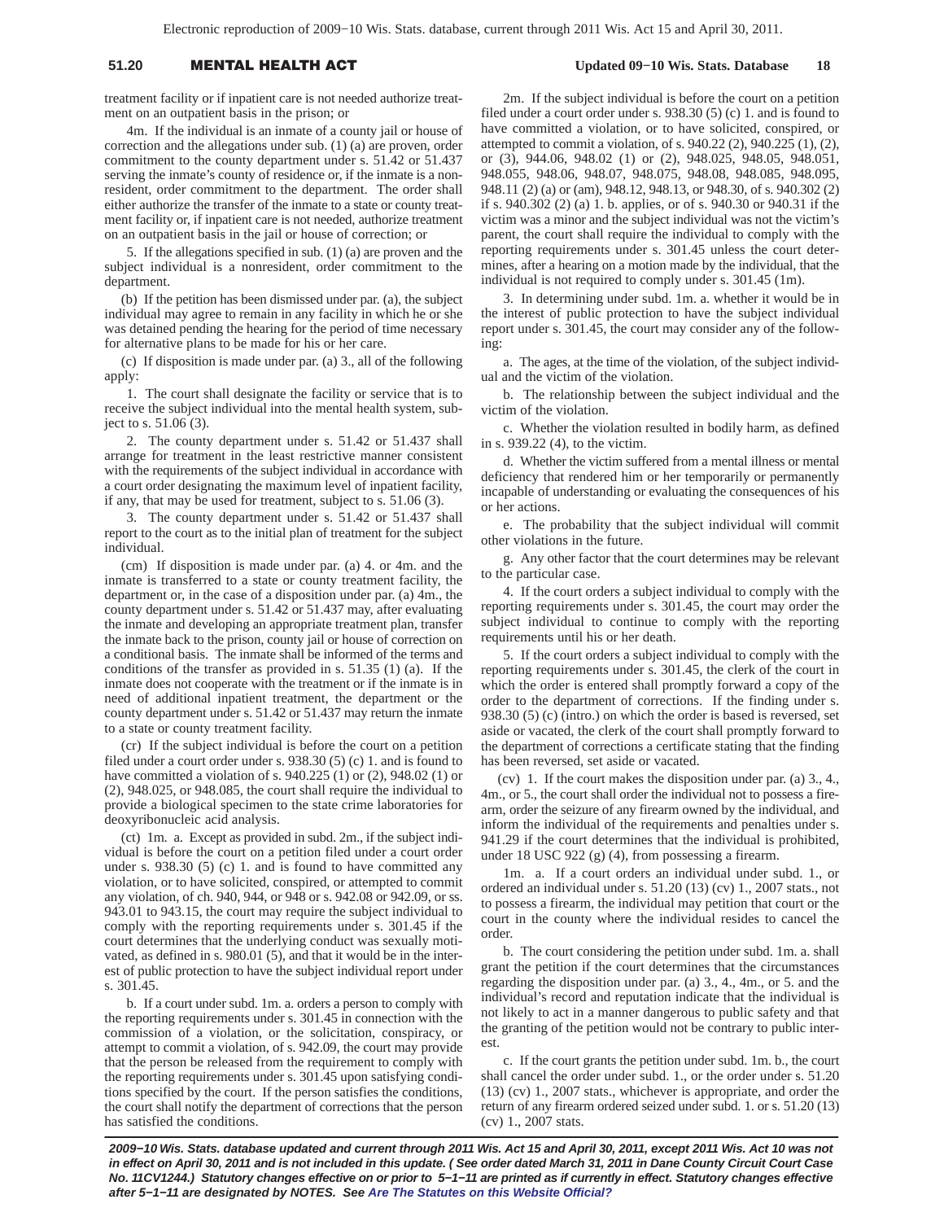# 51.20 **MENTAL HEALTH A**

## **Updated 09−10 Wis. Stats. Database 18**

treatment facility or if inpatient care is not needed authorize treatment on an outpatient basis in the prison; or

4m. If the individual is an inmate of a county jail or house of correction and the allegations under sub. (1) (a) are proven, order commitment to the county department under s. 51.42 or 51.437 serving the inmate's county of residence or, if the inmate is a nonresident, order commitment to the department. The order shall either authorize the transfer of the inmate to a state or county treatment facility or, if inpatient care is not needed, authorize treatment on an outpatient basis in the jail or house of correction; or

5. If the allegations specified in sub. (1) (a) are proven and the subject individual is a nonresident, order commitment to the department.

(b) If the petition has been dismissed under par. (a), the subject individual may agree to remain in any facility in which he or she was detained pending the hearing for the period of time necessary for alternative plans to be made for his or her care.

(c) If disposition is made under par. (a) 3., all of the following apply:

1. The court shall designate the facility or service that is to receive the subject individual into the mental health system, subject to s. 51.06 (3).

2. The county department under s. 51.42 or 51.437 shall arrange for treatment in the least restrictive manner consistent with the requirements of the subject individual in accordance with a court order designating the maximum level of inpatient facility, if any, that may be used for treatment, subject to s. 51.06 (3).

3. The county department under s. 51.42 or 51.437 shall report to the court as to the initial plan of treatment for the subject individual.

(cm) If disposition is made under par. (a) 4. or 4m. and the inmate is transferred to a state or county treatment facility, the department or, in the case of a disposition under par. (a) 4m., the county department under s. 51.42 or 51.437 may, after evaluating the inmate and developing an appropriate treatment plan, transfer the inmate back to the prison, county jail or house of correction on a conditional basis. The inmate shall be informed of the terms and conditions of the transfer as provided in s. 51.35 (1) (a). If the inmate does not cooperate with the treatment or if the inmate is in need of additional inpatient treatment, the department or the county department under s. 51.42 or 51.437 may return the inmate to a state or county treatment facility.

(cr) If the subject individual is before the court on a petition filed under a court order under s. 938.30 (5) (c) 1. and is found to have committed a violation of s. 940.225 (1) or (2), 948.02 (1) or (2), 948.025, or 948.085, the court shall require the individual to provide a biological specimen to the state crime laboratories for deoxyribonucleic acid analysis.

(ct) 1m. a. Except as provided in subd. 2m., if the subject individual is before the court on a petition filed under a court order under s. 938.30 (5) (c) 1. and is found to have committed any violation, or to have solicited, conspired, or attempted to commit any violation, of ch. 940, 944, or 948 or s. 942.08 or 942.09, or ss. 943.01 to 943.15, the court may require the subject individual to comply with the reporting requirements under s. 301.45 if the court determines that the underlying conduct was sexually motivated, as defined in s. 980.01 (5), and that it would be in the interest of public protection to have the subject individual report under s. 301.45.

b. If a court under subd. 1m. a. orders a person to comply with the reporting requirements under s. 301.45 in connection with the commission of a violation, or the solicitation, conspiracy, or attempt to commit a violation, of s. 942.09, the court may provide that the person be released from the requirement to comply with the reporting requirements under s. 301.45 upon satisfying conditions specified by the court. If the person satisfies the conditions, the court shall notify the department of corrections that the person has satisfied the conditions.

2m. If the subject individual is before the court on a petition filed under a court order under s. 938.30 (5) (c) 1. and is found to have committed a violation, or to have solicited, conspired, or attempted to commit a violation, of s. 940.22 (2), 940.225 (1), (2), or (3), 944.06, 948.02 (1) or (2), 948.025, 948.05, 948.051, 948.055, 948.06, 948.07, 948.075, 948.08, 948.085, 948.095, 948.11 (2) (a) or (am), 948.12, 948.13, or 948.30, of s. 940.302 (2) if s. 940.302 (2) (a) 1. b. applies, or of s. 940.30 or 940.31 if the victim was a minor and the subject individual was not the victim's parent, the court shall require the individual to comply with the reporting requirements under s. 301.45 unless the court determines, after a hearing on a motion made by the individual, that the individual is not required to comply under s. 301.45 (1m).

3. In determining under subd. 1m. a. whether it would be in the interest of public protection to have the subject individual report under s. 301.45, the court may consider any of the following:

a. The ages, at the time of the violation, of the subject individual and the victim of the violation.

b. The relationship between the subject individual and the victim of the violation.

c. Whether the violation resulted in bodily harm, as defined in s. 939.22 (4), to the victim.

d. Whether the victim suffered from a mental illness or mental deficiency that rendered him or her temporarily or permanently incapable of understanding or evaluating the consequences of his or her actions.

e. The probability that the subject individual will commit other violations in the future.

g. Any other factor that the court determines may be relevant to the particular case.

4. If the court orders a subject individual to comply with the reporting requirements under s. 301.45, the court may order the subject individual to continue to comply with the reporting requirements until his or her death.

5. If the court orders a subject individual to comply with the reporting requirements under s. 301.45, the clerk of the court in which the order is entered shall promptly forward a copy of the order to the department of corrections. If the finding under s. 938.30 (5) (c) (intro.) on which the order is based is reversed, set aside or vacated, the clerk of the court shall promptly forward to the department of corrections a certificate stating that the finding has been reversed, set aside or vacated.

(cv) 1. If the court makes the disposition under par. (a) 3., 4., 4m., or 5., the court shall order the individual not to possess a firearm, order the seizure of any firearm owned by the individual, and inform the individual of the requirements and penalties under s. 941.29 if the court determines that the individual is prohibited, under 18 USC 922 (g) (4), from possessing a firearm.

1m. a. If a court orders an individual under subd. 1., or ordered an individual under s. 51.20 (13) (cv) 1., 2007 stats., not to possess a firearm, the individual may petition that court or the court in the county where the individual resides to cancel the order.

b. The court considering the petition under subd. 1m. a. shall grant the petition if the court determines that the circumstances regarding the disposition under par. (a) 3., 4., 4m., or 5. and the individual's record and reputation indicate that the individual is not likely to act in a manner dangerous to public safety and that the granting of the petition would not be contrary to public interest.

c. If the court grants the petition under subd. 1m. b., the court shall cancel the order under subd. 1., or the order under s. 51.20 (13) (cv) 1., 2007 stats., whichever is appropriate, and order the return of any firearm ordered seized under subd. 1. or s. 51.20 (13) (cv) 1., 2007 stats.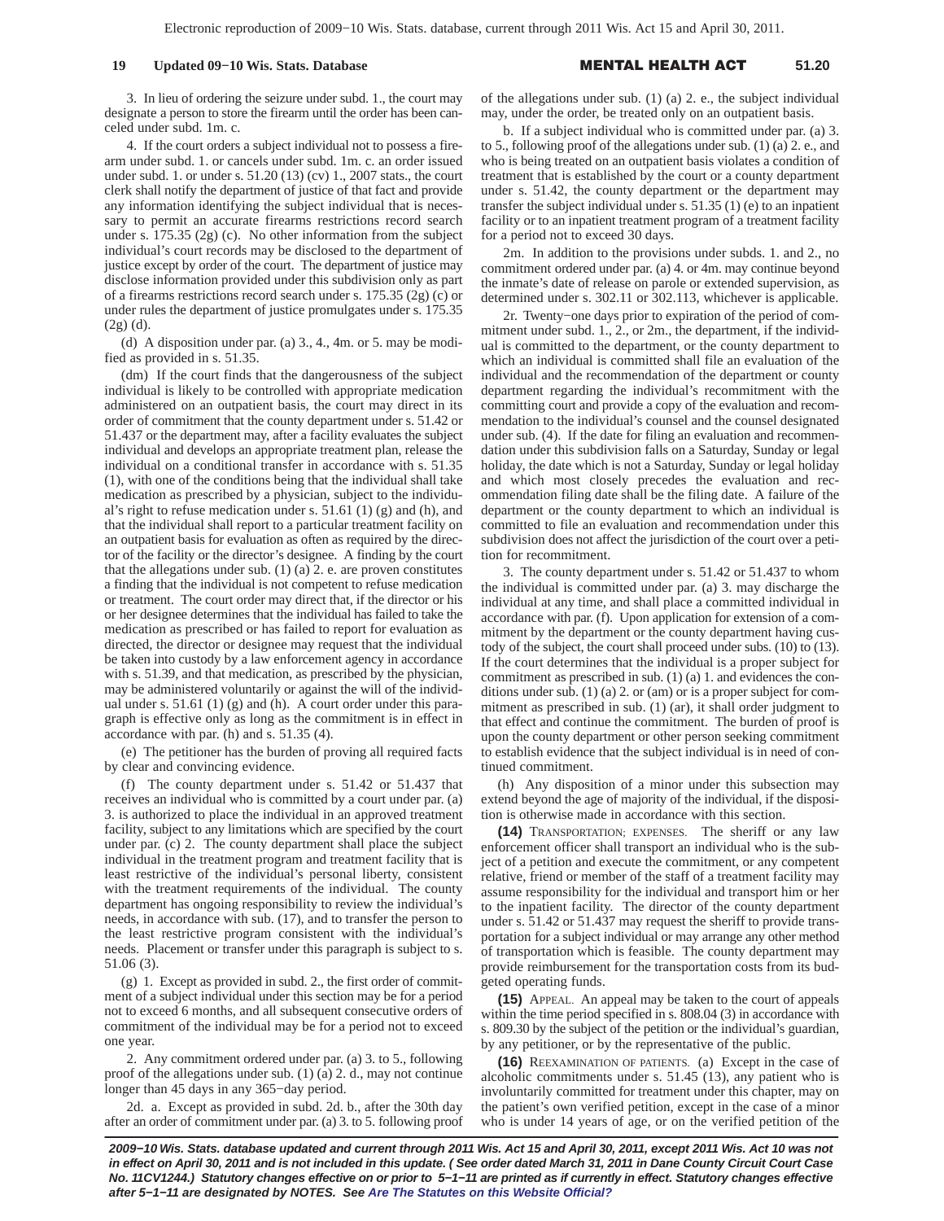## **19 Updated 09–10 Wis. Stats. Database**

#### L HEALTH A **51.20**

3. In lieu of ordering the seizure under subd. 1., the court may designate a person to store the firearm until the order has been canceled under subd. 1m. c.

4. If the court orders a subject individual not to possess a firearm under subd. 1. or cancels under subd. 1m. c. an order issued under subd. 1. or under s. 51.20 (13) (cv) 1., 2007 stats., the court clerk shall notify the department of justice of that fact and provide any information identifying the subject individual that is necessary to permit an accurate firearms restrictions record search under s. 175.35 (2g) (c). No other information from the subject individual's court records may be disclosed to the department of justice except by order of the court. The department of justice may disclose information provided under this subdivision only as part of a firearms restrictions record search under s. 175.35 (2g) (c) or under rules the department of justice promulgates under s. 175.35  $(2g)(d)$ .

(d) A disposition under par. (a) 3., 4., 4m. or 5. may be modified as provided in s. 51.35.

(dm) If the court finds that the dangerousness of the subject individual is likely to be controlled with appropriate medication administered on an outpatient basis, the court may direct in its order of commitment that the county department under s. 51.42 or 51.437 or the department may, after a facility evaluates the subject individual and develops an appropriate treatment plan, release the individual on a conditional transfer in accordance with s. 51.35 (1), with one of the conditions being that the individual shall take medication as prescribed by a physician, subject to the individual's right to refuse medication under s. 51.61 (1) (g) and (h), and that the individual shall report to a particular treatment facility on an outpatient basis for evaluation as often as required by the director of the facility or the director's designee. A finding by the court that the allegations under sub.  $(1)$   $(a)$  2. e. are proven constitutes a finding that the individual is not competent to refuse medication or treatment. The court order may direct that, if the director or his or her designee determines that the individual has failed to take the medication as prescribed or has failed to report for evaluation as directed, the director or designee may request that the individual be taken into custody by a law enforcement agency in accordance with s. 51.39, and that medication, as prescribed by the physician, may be administered voluntarily or against the will of the individual under s. 51.61 (1) (g) and (h). A court order under this paragraph is effective only as long as the commitment is in effect in accordance with par. (h) and s. 51.35 (4).

(e) The petitioner has the burden of proving all required facts by clear and convincing evidence.

(f) The county department under s. 51.42 or 51.437 that receives an individual who is committed by a court under par. (a) 3. is authorized to place the individual in an approved treatment facility, subject to any limitations which are specified by the court under par. (c) 2. The county department shall place the subject individual in the treatment program and treatment facility that is least restrictive of the individual's personal liberty, consistent with the treatment requirements of the individual. The county department has ongoing responsibility to review the individual's needs, in accordance with sub. (17), and to transfer the person to the least restrictive program consistent with the individual's needs. Placement or transfer under this paragraph is subject to s. 51.06 (3).

(g) 1. Except as provided in subd. 2., the first order of commitment of a subject individual under this section may be for a period not to exceed 6 months, and all subsequent consecutive orders of commitment of the individual may be for a period not to exceed one year.

2. Any commitment ordered under par. (a) 3. to 5., following proof of the allegations under sub. (1) (a) 2. d., may not continue longer than 45 days in any 365−day period.

2d. a. Except as provided in subd. 2d. b., after the 30th day after an order of commitment under par. (a) 3. to 5. following proof of the allegations under sub. (1) (a) 2. e., the subject individual may, under the order, be treated only on an outpatient basis.

b. If a subject individual who is committed under par. (a) 3. to 5., following proof of the allegations under sub. (1) (a) 2. e., and who is being treated on an outpatient basis violates a condition of treatment that is established by the court or a county department under s. 51.42, the county department or the department may transfer the subject individual under s. 51.35 (1) (e) to an inpatient facility or to an inpatient treatment program of a treatment facility for a period not to exceed 30 days.

2m. In addition to the provisions under subds. 1. and 2., no commitment ordered under par. (a) 4. or 4m. may continue beyond the inmate's date of release on parole or extended supervision, as determined under s. 302.11 or 302.113, whichever is applicable.

2r. Twenty−one days prior to expiration of the period of commitment under subd. 1., 2., or 2m., the department, if the individual is committed to the department, or the county department to which an individual is committed shall file an evaluation of the individual and the recommendation of the department or county department regarding the individual's recommitment with the committing court and provide a copy of the evaluation and recommendation to the individual's counsel and the counsel designated under sub. (4). If the date for filing an evaluation and recommendation under this subdivision falls on a Saturday, Sunday or legal holiday, the date which is not a Saturday, Sunday or legal holiday and which most closely precedes the evaluation and recommendation filing date shall be the filing date. A failure of the department or the county department to which an individual is committed to file an evaluation and recommendation under this subdivision does not affect the jurisdiction of the court over a petition for recommitment.

3. The county department under s. 51.42 or 51.437 to whom the individual is committed under par. (a) 3. may discharge the individual at any time, and shall place a committed individual in accordance with par. (f). Upon application for extension of a commitment by the department or the county department having custody of the subject, the court shall proceed under subs. (10) to (13). If the court determines that the individual is a proper subject for commitment as prescribed in sub. (1) (a) 1. and evidences the conditions under sub. (1) (a) 2. or (am) or is a proper subject for commitment as prescribed in sub. (1) (ar), it shall order judgment to that effect and continue the commitment. The burden of proof is upon the county department or other person seeking commitment to establish evidence that the subject individual is in need of continued commitment.

(h) Any disposition of a minor under this subsection may extend beyond the age of majority of the individual, if the disposition is otherwise made in accordance with this section.

**(14)** TRANSPORTATION; EXPENSES. The sheriff or any law enforcement officer shall transport an individual who is the subject of a petition and execute the commitment, or any competent relative, friend or member of the staff of a treatment facility may assume responsibility for the individual and transport him or her to the inpatient facility. The director of the county department under s. 51.42 or 51.437 may request the sheriff to provide transportation for a subject individual or may arrange any other method of transportation which is feasible. The county department may provide reimbursement for the transportation costs from its budgeted operating funds.

**(15)** APPEAL. An appeal may be taken to the court of appeals within the time period specified in s. 808.04 (3) in accordance with s. 809.30 by the subject of the petition or the individual's guardian, by any petitioner, or by the representative of the public.

**(16)** REEXAMINATION OF PATIENTS. (a) Except in the case of alcoholic commitments under s. 51.45 (13), any patient who is involuntarily committed for treatment under this chapter, may on the patient's own verified petition, except in the case of a minor who is under 14 years of age, or on the verified petition of the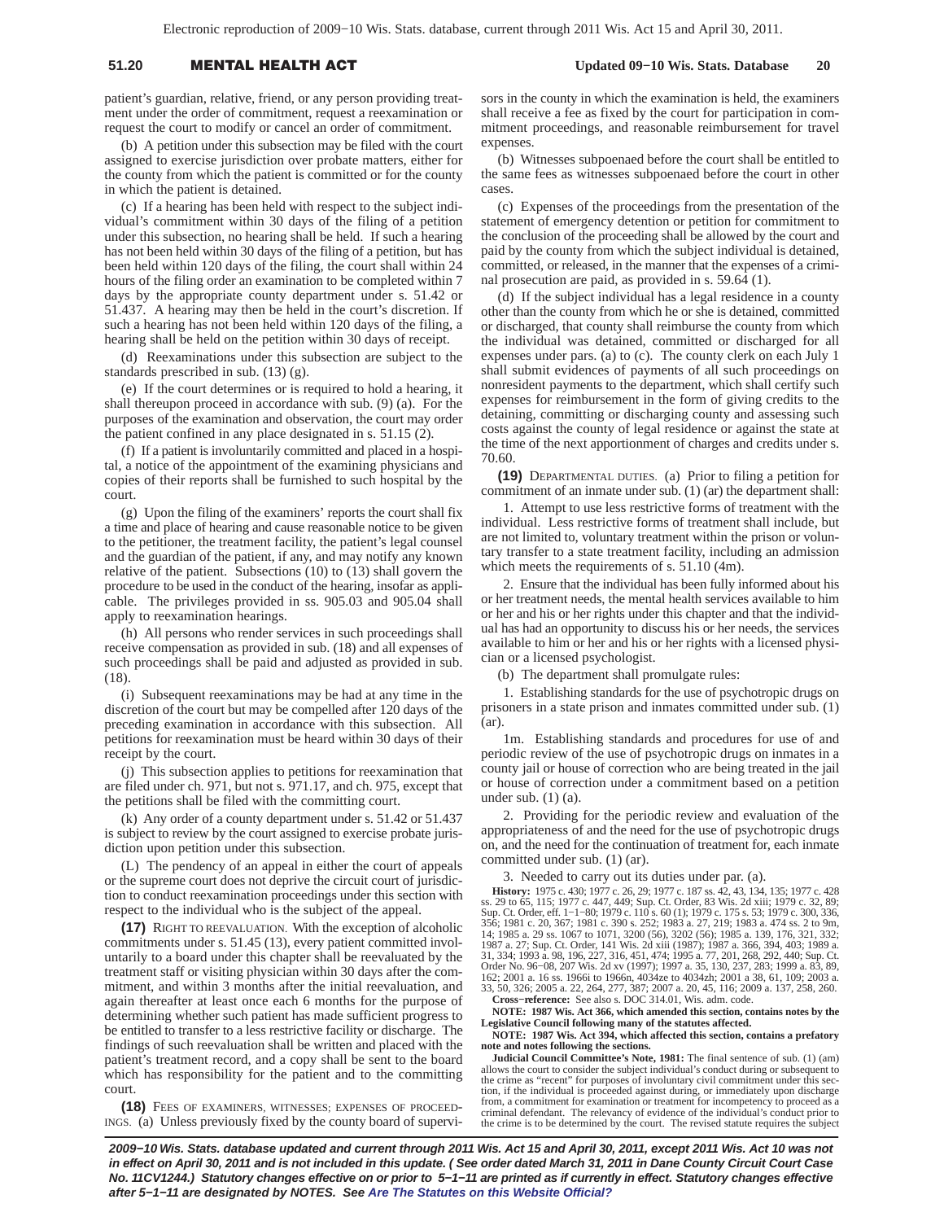# 51.20 **MENTAL HEALTH A**

patient's guardian, relative, friend, or any person providing treatment under the order of commitment, request a reexamination or request the court to modify or cancel an order of commitment.

(b) A petition under this subsection may be filed with the court assigned to exercise jurisdiction over probate matters, either for the county from which the patient is committed or for the county in which the patient is detained.

(c) If a hearing has been held with respect to the subject individual's commitment within 30 days of the filing of a petition under this subsection, no hearing shall be held. If such a hearing has not been held within 30 days of the filing of a petition, but has been held within 120 days of the filing, the court shall within 24 hours of the filing order an examination to be completed within 7 days by the appropriate county department under s. 51.42 or 51.437. A hearing may then be held in the court's discretion. If such a hearing has not been held within 120 days of the filing, a hearing shall be held on the petition within 30 days of receipt.

(d) Reexaminations under this subsection are subject to the standards prescribed in sub. (13) (g).

(e) If the court determines or is required to hold a hearing, it shall thereupon proceed in accordance with sub. (9) (a). For the purposes of the examination and observation, the court may order the patient confined in any place designated in s. 51.15 (2).

(f) If a patient is involuntarily committed and placed in a hospital, a notice of the appointment of the examining physicians and copies of their reports shall be furnished to such hospital by the court.

(g) Upon the filing of the examiners' reports the court shall fix a time and place of hearing and cause reasonable notice to be given to the petitioner, the treatment facility, the patient's legal counsel and the guardian of the patient, if any, and may notify any known relative of the patient. Subsections (10) to (13) shall govern the procedure to be used in the conduct of the hearing, insofar as applicable. The privileges provided in ss. 905.03 and 905.04 shall apply to reexamination hearings.

(h) All persons who render services in such proceedings shall receive compensation as provided in sub. (18) and all expenses of such proceedings shall be paid and adjusted as provided in sub. (18).

(i) Subsequent reexaminations may be had at any time in the discretion of the court but may be compelled after 120 days of the preceding examination in accordance with this subsection. All petitions for reexamination must be heard within 30 days of their receipt by the court.

(j) This subsection applies to petitions for reexamination that are filed under ch. 971, but not s. 971.17, and ch. 975, except that the petitions shall be filed with the committing court.

(k) Any order of a county department under s. 51.42 or 51.437 is subject to review by the court assigned to exercise probate jurisdiction upon petition under this subsection.

(L) The pendency of an appeal in either the court of appeals or the supreme court does not deprive the circuit court of jurisdiction to conduct reexamination proceedings under this section with respect to the individual who is the subject of the appeal.

**(17)** RIGHT TO REEVALUATION. With the exception of alcoholic commitments under s. 51.45 (13), every patient committed involuntarily to a board under this chapter shall be reevaluated by the treatment staff or visiting physician within 30 days after the commitment, and within 3 months after the initial reevaluation, and again thereafter at least once each 6 months for the purpose of determining whether such patient has made sufficient progress to be entitled to transfer to a less restrictive facility or discharge. The findings of such reevaluation shall be written and placed with the patient's treatment record, and a copy shall be sent to the board which has responsibility for the patient and to the committing court.

**(18)** FEES OF EXAMINERS, WITNESSES; EXPENSES OF PROCEED-INGS. (a) Unless previously fixed by the county board of supervisors in the county in which the examination is held, the examiners shall receive a fee as fixed by the court for participation in commitment proceedings, and reasonable reimbursement for travel expenses.

(b) Witnesses subpoenaed before the court shall be entitled to the same fees as witnesses subpoenaed before the court in other cases.

(c) Expenses of the proceedings from the presentation of the statement of emergency detention or petition for commitment to the conclusion of the proceeding shall be allowed by the court and paid by the county from which the subject individual is detained, committed, or released, in the manner that the expenses of a criminal prosecution are paid, as provided in s. 59.64 (1).

(d) If the subject individual has a legal residence in a county other than the county from which he or she is detained, committed or discharged, that county shall reimburse the county from which the individual was detained, committed or discharged for all expenses under pars. (a) to (c). The county clerk on each July 1 shall submit evidences of payments of all such proceedings on nonresident payments to the department, which shall certify such expenses for reimbursement in the form of giving credits to the detaining, committing or discharging county and assessing such costs against the county of legal residence or against the state at the time of the next apportionment of charges and credits under s. 70.60.

**(19)** DEPARTMENTAL DUTIES. (a) Prior to filing a petition for commitment of an inmate under sub. (1) (ar) the department shall:

1. Attempt to use less restrictive forms of treatment with the individual. Less restrictive forms of treatment shall include, but are not limited to, voluntary treatment within the prison or voluntary transfer to a state treatment facility, including an admission which meets the requirements of s. 51.10 (4m).

2. Ensure that the individual has been fully informed about his or her treatment needs, the mental health services available to him or her and his or her rights under this chapter and that the individual has had an opportunity to discuss his or her needs, the services available to him or her and his or her rights with a licensed physician or a licensed psychologist.

(b) The department shall promulgate rules:

1. Establishing standards for the use of psychotropic drugs on prisoners in a state prison and inmates committed under sub. (1) (ar).

1m. Establishing standards and procedures for use of and periodic review of the use of psychotropic drugs on inmates in a county jail or house of correction who are being treated in the jail or house of correction under a commitment based on a petition under sub. (1) (a).

2. Providing for the periodic review and evaluation of the appropriateness of and the need for the use of psychotropic drugs on, and the need for the continuation of treatment for, each inmate committed under sub. (1) (ar).

3. Needed to carry out its duties under par. (a).

**History:** 1975 c. 430; 1977 c. 26, 29; 1977 c. 187 ss. 42, 43, 134, 135; 1977 c. 428<br>ss. 29 to 65, 115; 1977 c. 447, 449; Sup. Ct. Order, 83 Wis. 2d xiii; 1979 c. 32, 89;<br>Sup. Ct. Order, eff. 1–1–80; 1979 c. 110 s. 60 (1) 356; 1981 c. 20, 367; 1981 c. 390 s. 252; 1983 a. 27, 219; 1983 a. 474 ss. 2 to 9m,<br>14; 1985 a. 29 ss. 1067 to 1071, 3200 (56), 3202 (56); 1985 a. 139, 176, 321, 332;<br>1987 a. 27; Sup. Ct. Order, 141 Wis. 2d xiii (1987); 19 31, 334; 1993 a. 98, 196, 227, 316, 451, 474; 1995 a. 77, 201, 268, 292, 440; Sup. Ct.<br>Order No. 96–08, 207 Wis. 2d xv (1997); 1997 a. 35, 130, 237, 283; 1999 a. 83, 89,<br>162; 2001 a. 16 ss. 1966i to 1966n, 4034ze to 4034zh 33, 50, 326; 2005 a. 22, 264, 277, 387; 2007 a. 20, 45, 116; 2009 a. 137, 258, 260. **Cross−reference:** See also s. DOC 314.01, Wis. adm. code.

**NOTE: 1987 Wis. Act 366, which amended this section, contains notes by the Legislative Council following many of the statutes affected.**

**NOTE: 1987 Wis. Act 394, which affected this section, contains a prefatory note and notes following the sections.**

**Judicial Council Committee's Note, 1981:** The final sentence of sub. (1) (am) allows the court to consider the subject individual's conduct during or subsequent to<br>the crime as "recent" for purposes of involuntary civil commitment under this sec-<br>tion, if the individual is proceeded against during, the crime is to be determined by the court. The revised statute requires the subject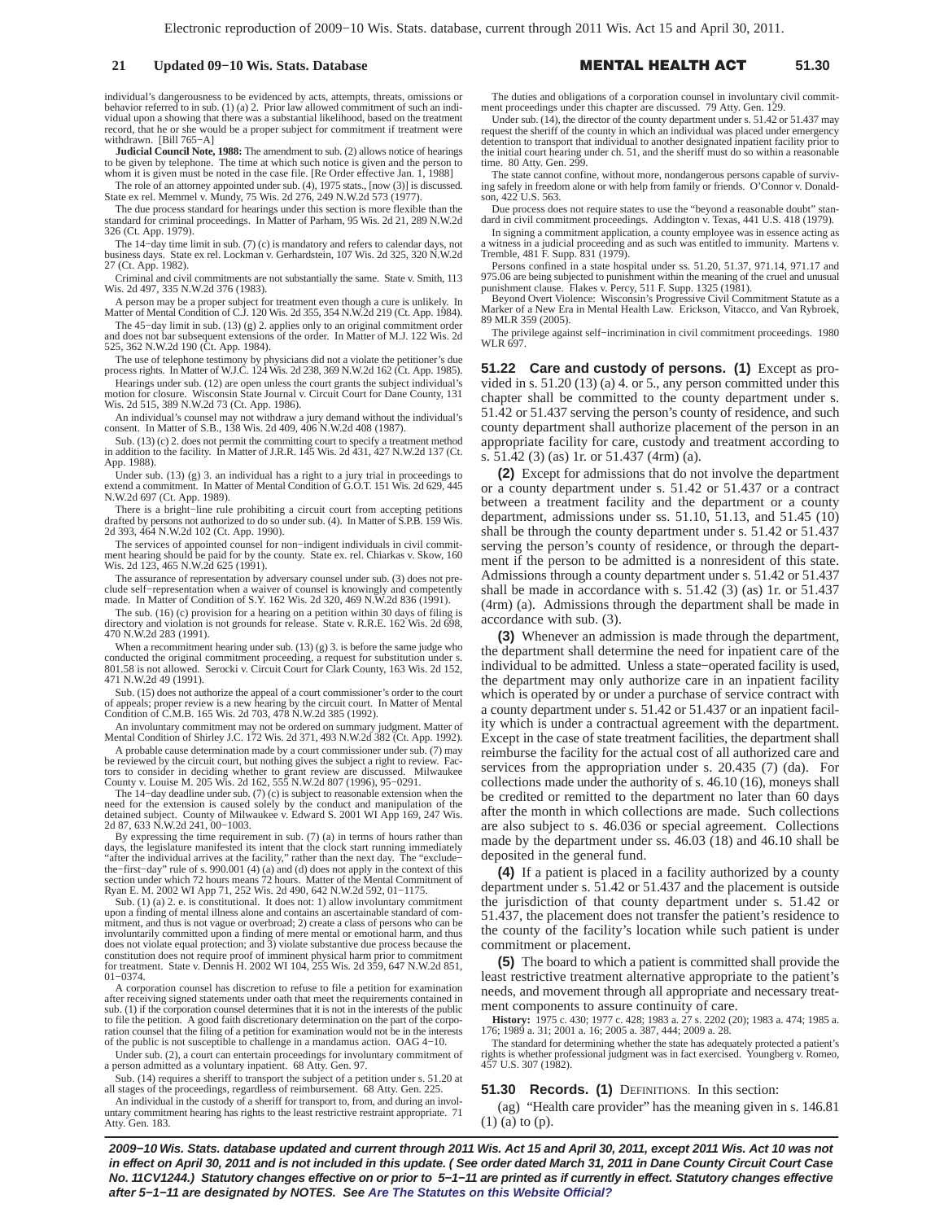### **21 Updated 09–10 Wis. Stats. Database**

individual's dangerousness to be evidenced by acts, attempts, threats, omissions or behavior referred to in sub. (1) (a) 2. Prior law allowed commitment of such an individual upon a showing that there was a substantial likelihood, based on the treatment record, that he or she would be a proper subject for commitment if treatment were

withdrawn. [Bill 765−A] **Judicial Council Note, 1988:** The amendment to sub. (2) allows notice of hearings to be given by telephone. The time at which such notice is given and the person to whom it is given must be noted in the case file. [Re Order effective Jan. 1, 1988]

The role of an attorney appointed under sub. (4), 1975 stats., [now (3)] is discussed. State ex rel. Memmel v. Mundy, 75 Wis. 2d 276, 249 N.W.2d 573 (1977).

The due process standard for hearings under this section is more flexible than the standard for criminal proceedings. In Matter of Parham, 95 Wis. 2d 21, 289 N.W.2d 326 (Ct. App. 1979).

The 14−day time limit in sub. (7) (c) is mandatory and refers to calendar days, not business days. State ex rel. Lockman v. Gerhardstein, 107 Wis. 2d 325, 320 N.W.2d 27 (Ct. App. 1982).

Criminal and civil commitments are not substantially the same. State v. Smith, 113 Wis. 2d 497, 335 N.W.2d 376 (1983).

A person may be a proper subject for treatment even though a cure is unlikely. In Matter of Mental Condition of C.J. 120 Wis. 2d 355, 354 N.W.2d 219 (Ct. App. 1984).

The 45−day limit in sub. (13) (g) 2. applies only to an original commitment order and does not bar subsequent extensions of the order. In Matter of M.J. 122 Wis. 2d 525, 362 N.W.2d 190 (Ct. App. 1984).

The use of telephone testimony by physicians did not a violate the petitioner's due process rights. In Matter of W.J.C. 124 Wis. 2d 238, 369 N.W.2d 162 (Ct. App. 1985).

Hearings under sub. (12) are open unless the court grants the subject individual's motion for closure. Wisconsin State Journal v. Circuit Court for Dane County, 131 Wis. 2d 515, 389 N.W.2d 73 (Ct. App. 1986).

An individual's counsel may not withdraw a jury demand without the individual's consent. In Matter of S.B., 138 Wis. 2d 409, 406 N.W.2d 408 (1987).

Sub. (13) (c) 2. does not permit the committing court to specify a treatment method in addition to the facility. In Matter of J.R.R. 145 Wis. 2d 431, 427 N.W.2d 137 (Ct. App. 1988).

Under sub. (13) (g) 3. an individual has a right to a jury trial in proceedings to extend a commitment. In Matter of Mental Condition of G.O.T. 151 Wis. 2d 629, 445 N.W.2d 697 (Ct. App. 1989).

There is a bright−line rule prohibiting a circuit court from accepting petitions drafted by persons not authorized to do so under sub. (4). In Matter of S.P.B. 159 Wis. 2d 393, 464 N.W.2d 102 (Ct. App. 1990).

The services of appointed counsel for non−indigent individuals in civil commitment hearing should be paid for by the county. State ex. rel. Chiarkas v. Skow, 160 Wis. 2d 123, 465 N.W.2d 625 (1991).

The assurance of representation by adversary counsel under sub. (3) does not preclude self−representation when a waiver of counsel is knowingly and competently made. In Matter of Condition of S.Y. 162 Wis. 2d 320, 469 N.W.2d 836 (1991).

The sub. (16) (c) provision for a hearing on a petition within 30 days of filing is directory and violation is not grounds for release. State v. R.R.E. 162 Wis. 2d 698, 470 N.W.2d 283 (1991).

When a recommitment hearing under sub.  $(13)$  (g) 3. is before the same judge who conducted the original commitment proceeding, a request for substitution under 801.58 is not allowed. Serocki v. Circuit Court for Clark County, 163 Wis. 2d 152, 471 N.W.2d 49 (1991).

Sub. (15) does not authorize the appeal of a court commissioner's order to the court of appeals; proper review is a new hearing by the circuit court. In Matter of Mental Condition of C.M.B. 165 Wis. 2d 703, 478 N.W.2d 385 (1992).

An involuntary commitment may not be ordered on summary judgment. Matter of Mental Condition of Shirley J.C. 172 Wis. 2d 371, 493 N.W.2d 382 (Ct. App. 1992).

A probable cause determination made by a court commissioner under sub. (7) may be reviewed by the circuit court, but nothing gives the subject a right to review. Factors to consider in deciding whether to grant review are discussed. Milwaukee County v. Louise M. 205 Wis. 2d 162, 555 N.W.2d 807 (1996), 95−0291.

The 14−day deadline under sub. (7) (c) is subject to reasonable extension when the need for the extension is caused solely by the conduct and manipulation of the detained subject. County of Milwaukee v. Edward S. 2001 WI App 169, 247 Wis. 2d 87, 633 N.W.2d 241, 00−1003.

By expressing the time requirement in sub.  $(7)$  (a) in terms of hours rather than days, the legislature manifested its intent that the clock start running immediately "after the individual arrives at the facility," rathe the−first−day" rule of s. 990.001 (4) (a) and (d) does not apply in the context of this section under which 72 hours means 72 hours. Matter of the Mental Commitment of Ryan E. M. 2002 WI App 71, 252 Wis. 2d 490, 642 N.W.2d 592, 01−1175.

Sub. (1) (a) 2. e. is constitutional. It does not: 1) allow involuntary commitment upon a finding of mental illness alone and contains an ascertainable standard of commitment, and thus is not vague or overbroad; 2) create a class of persons who can be involuntarily committed upon a finding of mere mental or emotional harm, and thus does not violate equal protection; and 3) violate substantive due process because the constitution does not require proof of imminent physical harm prior to commitment for treatment. State v. Dennis H. 2002 WI 104, 255 Wis. 2d 359, 647 N.W.2d 851, 01−0374.

A corporation counsel has discretion to refuse to file a petition for examination after receiving signed statements under oath that meet the requirements contained in sub. (1) if the corporation counsel determines that it is not in the interests of the public to file the petition. A good faith discretionary determination on the part of the corporation counsel that the filing of a petition for examination would not be in the interests of the public is not susceptible to challenge in a mandamus action. OAG 4−10.

Under sub. (2), a court can entertain proceedings for involuntary commitment of a person admitted as a voluntary inpatient. 68 Atty. Gen. 97.

Sub. (14) requires a sheriff to transport the subject of a petition under s. 51.20 at all stages of the proceedings, regardless of reimbursement. 68 Atty. Gen. 225.

An individual in the custody of a sheriff for transport to, from, and during an involuntary commitment hearing has rights to the least restrictive restraint appropriate. 71 Atty. Gen. 183.

The duties and obligations of a corporation counsel in involuntary civil commitment proceedings under this chapter are discussed. 79 Atty. Gen. 129.

L HEALTH A

 **51.30**

Under sub. (14), the director of the county department under s. 51.42 or 51.437 may request the sheriff of the county in which an individual was placed under emergency detention to transport that individual to another designated inpatient facility prior to the initial court hearing under ch. 51, and the sheriff must do so within a reasonable time. 80 Atty. Gen. 299.

The state cannot confine, without more, nondangerous persons capable of surviving safely in freedom alone or with help from family or friends. O'Connor v. Donald-son, 422 U.S. 563.

Due process does not require states to use the "beyond a reasonable doubt" stan-dard in civil commitment proceedings. Addington v. Texas, 441 U.S. 418 (1979).

In signing a commitment application, a county employee was in essence acting as a witness in a judicial proceeding and as such was entitled to immunity. Martens v. Tremble, 481 F. Supp. 831 (1979).

Persons confined in a state hospital under ss. 51.20, 51.37, 971.14, 971.17 and<br>975.06 are being subjected to punishment within the meaning of the cruel and unusual<br>punishment clause. Flakes v. Percy, 511 F. Supp. 1325 (19

Beyond Overt Violence: Wisconsin's Progressive Civil Commitment Statute as a Marker of a New Era in Mental Health Law. Erickson, Vitacco, and Van Rybroek, 89 MLR 359 (2005).

The privilege against self−incrimination in civil commitment proceedings. 1980 WLR 697.

**51.22 Care and custody of persons. (1)** Except as provided in s. 51.20 (13) (a) 4. or 5., any person committed under this chapter shall be committed to the county department under s. 51.42 or 51.437 serving the person's county of residence, and such county department shall authorize placement of the person in an appropriate facility for care, custody and treatment according to s. 51.42 (3) (as) 1r. or 51.437 (4rm) (a).

**(2)** Except for admissions that do not involve the department or a county department under s. 51.42 or 51.437 or a contract between a treatment facility and the department or a county department, admissions under ss. 51.10, 51.13, and 51.45 (10) shall be through the county department under s. 51.42 or 51.437 serving the person's county of residence, or through the department if the person to be admitted is a nonresident of this state. Admissions through a county department under s. 51.42 or 51.437 shall be made in accordance with s. 51.42 (3) (as) 1r. or 51.437 (4rm) (a). Admissions through the department shall be made in accordance with sub. (3).

**(3)** Whenever an admission is made through the department, the department shall determine the need for inpatient care of the individual to be admitted. Unless a state−operated facility is used, the department may only authorize care in an inpatient facility which is operated by or under a purchase of service contract with a county department under s. 51.42 or 51.437 or an inpatient facility which is under a contractual agreement with the department. Except in the case of state treatment facilities, the department shall reimburse the facility for the actual cost of all authorized care and services from the appropriation under s. 20.435 (7) (da). For collections made under the authority of s. 46.10 (16), moneys shall be credited or remitted to the department no later than 60 days after the month in which collections are made. Such collections are also subject to s. 46.036 or special agreement. Collections made by the department under ss. 46.03 (18) and 46.10 shall be deposited in the general fund.

**(4)** If a patient is placed in a facility authorized by a county department under s. 51.42 or 51.437 and the placement is outside the jurisdiction of that county department under s. 51.42 or 51.437, the placement does not transfer the patient's residence to the county of the facility's location while such patient is under commitment or placement.

**(5)** The board to which a patient is committed shall provide the least restrictive treatment alternative appropriate to the patient's needs, and movement through all appropriate and necessary treatment components to assure continuity of care.

**History:** 1975 c. 430; 1977 c. 428; 1983 a. 27 s. 2202 (20); 1983 a. 474; 1985 a. 176; 1989 a. 31; 2001 a. 16; 2005 a. 387, 444; 2009 a. 28.

The standard for determining whether the state has adequately protected a patient's rights is whether professional judgment was in fact exercised. Youngberg v. Romeo, 457 U.S. 307 (1982).

**51.30 Records. (1)** DEFINITIONS. In this section:

(ag) "Health care provider" has the meaning given in s. 146.81 (1) (a) to (p).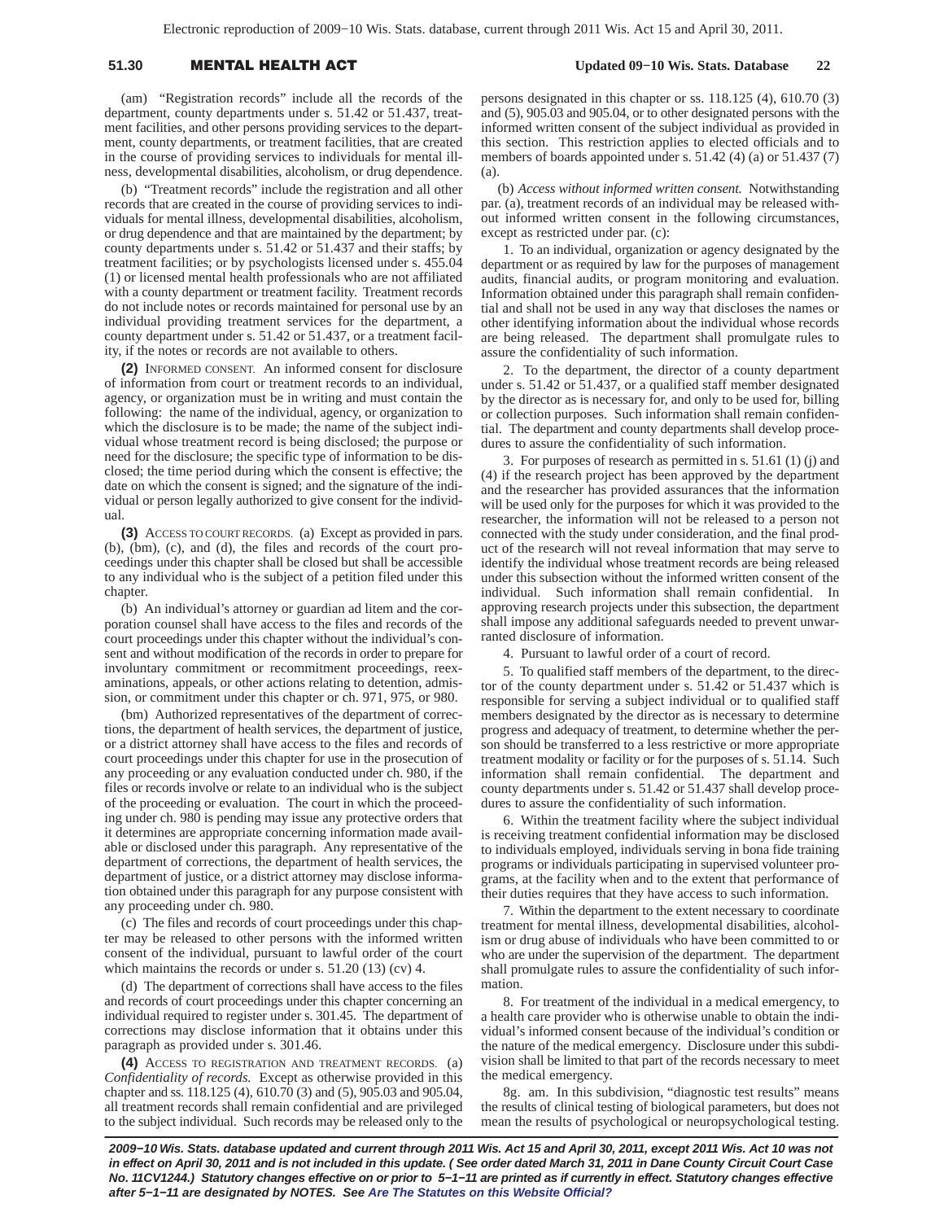# 51.30 **MENTAL HEALTH A**

 **Updated 09−10 Wis. Stats. Database 22**

(am) "Registration records" include all the records of the department, county departments under s. 51.42 or 51.437, treatment facilities, and other persons providing services to the department, county departments, or treatment facilities, that are created in the course of providing services to individuals for mental illness, developmental disabilities, alcoholism, or drug dependence.

(b) "Treatment records" include the registration and all other records that are created in the course of providing services to individuals for mental illness, developmental disabilities, alcoholism, or drug dependence and that are maintained by the department; by county departments under s. 51.42 or 51.437 and their staffs; by treatment facilities; or by psychologists licensed under s. 455.04 (1) or licensed mental health professionals who are not affiliated with a county department or treatment facility. Treatment records do not include notes or records maintained for personal use by an individual providing treatment services for the department, a county department under s. 51.42 or 51.437, or a treatment facility, if the notes or records are not available to others.

**(2)** INFORMED CONSENT. An informed consent for disclosure of information from court or treatment records to an individual, agency, or organization must be in writing and must contain the following: the name of the individual, agency, or organization to which the disclosure is to be made; the name of the subject individual whose treatment record is being disclosed; the purpose or need for the disclosure; the specific type of information to be disclosed; the time period during which the consent is effective; the date on which the consent is signed; and the signature of the individual or person legally authorized to give consent for the individual.

**(3)** ACCESS TO COURT RECORDS. (a) Except as provided in pars. (b), (bm), (c), and (d), the files and records of the court proceedings under this chapter shall be closed but shall be accessible to any individual who is the subject of a petition filed under this chapter.

(b) An individual's attorney or guardian ad litem and the corporation counsel shall have access to the files and records of the court proceedings under this chapter without the individual's consent and without modification of the records in order to prepare for involuntary commitment or recommitment proceedings, reexaminations, appeals, or other actions relating to detention, admission, or commitment under this chapter or ch. 971, 975, or 980.

(bm) Authorized representatives of the department of corrections, the department of health services, the department of justice, or a district attorney shall have access to the files and records of court proceedings under this chapter for use in the prosecution of any proceeding or any evaluation conducted under ch. 980, if the files or records involve or relate to an individual who is the subject of the proceeding or evaluation. The court in which the proceeding under ch. 980 is pending may issue any protective orders that it determines are appropriate concerning information made available or disclosed under this paragraph. Any representative of the department of corrections, the department of health services, the department of justice, or a district attorney may disclose information obtained under this paragraph for any purpose consistent with any proceeding under ch. 980.

(c) The files and records of court proceedings under this chapter may be released to other persons with the informed written consent of the individual, pursuant to lawful order of the court which maintains the records or under s. 51.20 (13) (cv) 4.

(d) The department of corrections shall have access to the files and records of court proceedings under this chapter concerning an individual required to register under s. 301.45. The department of corrections may disclose information that it obtains under this paragraph as provided under s. 301.46.

**(4)** ACCESS TO REGISTRATION AND TREATMENT RECORDS. (a) *Confidentiality of records.* Except as otherwise provided in this chapter and ss. 118.125 (4), 610.70 (3) and (5), 905.03 and 905.04, all treatment records shall remain confidential and are privileged to the subject individual. Such records may be released only to the persons designated in this chapter or ss. 118.125 (4), 610.70 (3) and (5), 905.03 and 905.04, or to other designated persons with the informed written consent of the subject individual as provided in this section. This restriction applies to elected officials and to members of boards appointed under s. 51.42 (4) (a) or 51.437 (7)  $(a)$ 

(b) *Access without informed written consent.* Notwithstanding par. (a), treatment records of an individual may be released without informed written consent in the following circumstances, except as restricted under par. (c):

1. To an individual, organization or agency designated by the department or as required by law for the purposes of management audits, financial audits, or program monitoring and evaluation. Information obtained under this paragraph shall remain confidential and shall not be used in any way that discloses the names or other identifying information about the individual whose records are being released. The department shall promulgate rules to assure the confidentiality of such information.

2. To the department, the director of a county department under s. 51.42 or 51.437, or a qualified staff member designated by the director as is necessary for, and only to be used for, billing or collection purposes. Such information shall remain confidential. The department and county departments shall develop procedures to assure the confidentiality of such information.

3. For purposes of research as permitted in s. 51.61 (1) (j) and (4) if the research project has been approved by the department and the researcher has provided assurances that the information will be used only for the purposes for which it was provided to the researcher, the information will not be released to a person not connected with the study under consideration, and the final product of the research will not reveal information that may serve to identify the individual whose treatment records are being released under this subsection without the informed written consent of the individual. Such information shall remain confidential. In approving research projects under this subsection, the department shall impose any additional safeguards needed to prevent unwarranted disclosure of information.

4. Pursuant to lawful order of a court of record.

5. To qualified staff members of the department, to the director of the county department under s. 51.42 or 51.437 which is responsible for serving a subject individual or to qualified staff members designated by the director as is necessary to determine progress and adequacy of treatment, to determine whether the person should be transferred to a less restrictive or more appropriate treatment modality or facility or for the purposes of s. 51.14. Such information shall remain confidential. The department and county departments under s. 51.42 or 51.437 shall develop procedures to assure the confidentiality of such information.

6. Within the treatment facility where the subject individual is receiving treatment confidential information may be disclosed to individuals employed, individuals serving in bona fide training programs or individuals participating in supervised volunteer programs, at the facility when and to the extent that performance of their duties requires that they have access to such information.

7. Within the department to the extent necessary to coordinate treatment for mental illness, developmental disabilities, alcoholism or drug abuse of individuals who have been committed to or who are under the supervision of the department. The department shall promulgate rules to assure the confidentiality of such information.

8. For treatment of the individual in a medical emergency, to a health care provider who is otherwise unable to obtain the individual's informed consent because of the individual's condition or the nature of the medical emergency. Disclosure under this subdivision shall be limited to that part of the records necessary to meet the medical emergency.

8g. am. In this subdivision, "diagnostic test results" means the results of clinical testing of biological parameters, but does not mean the results of psychological or neuropsychological testing.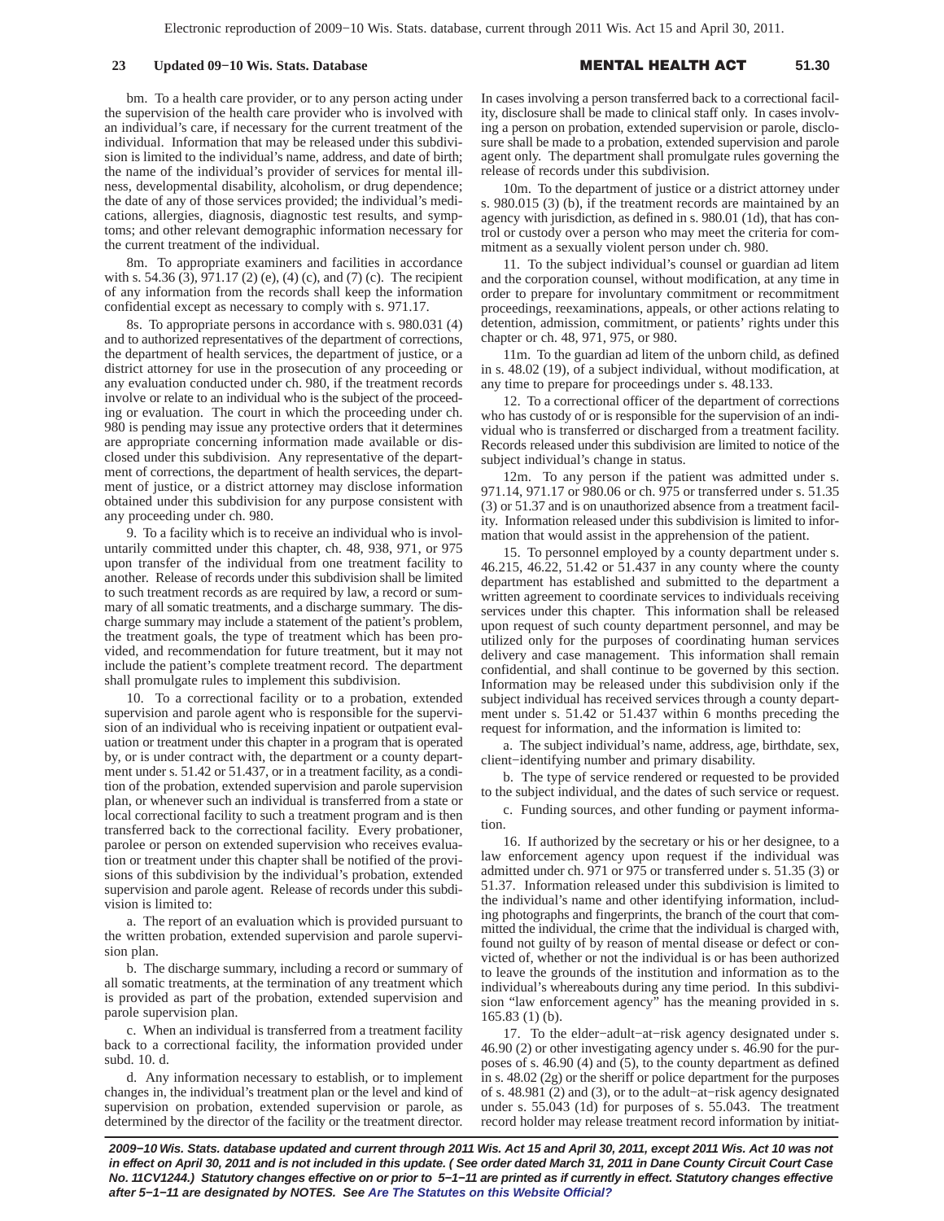### **23 Updated 09–10 Wis. Stats. Database**

L HEALTH A **51.30**

bm. To a health care provider, or to any person acting under the supervision of the health care provider who is involved with an individual's care, if necessary for the current treatment of the individual. Information that may be released under this subdivision is limited to the individual's name, address, and date of birth; the name of the individual's provider of services for mental illness, developmental disability, alcoholism, or drug dependence; the date of any of those services provided; the individual's medications, allergies, diagnosis, diagnostic test results, and symptoms; and other relevant demographic information necessary for the current treatment of the individual.

8m. To appropriate examiners and facilities in accordance with s. 54.36  $(3)$ , 971.17 (2) (e), (4) (c), and (7) (c). The recipient of any information from the records shall keep the information confidential except as necessary to comply with s. 971.17.

8s. To appropriate persons in accordance with s. 980.031 (4) and to authorized representatives of the department of corrections, the department of health services, the department of justice, or a district attorney for use in the prosecution of any proceeding or any evaluation conducted under ch. 980, if the treatment records involve or relate to an individual who is the subject of the proceeding or evaluation. The court in which the proceeding under ch. 980 is pending may issue any protective orders that it determines are appropriate concerning information made available or disclosed under this subdivision. Any representative of the department of corrections, the department of health services, the department of justice, or a district attorney may disclose information obtained under this subdivision for any purpose consistent with any proceeding under ch. 980.

9. To a facility which is to receive an individual who is involuntarily committed under this chapter, ch. 48, 938, 971, or 975 upon transfer of the individual from one treatment facility to another. Release of records under this subdivision shall be limited to such treatment records as are required by law, a record or summary of all somatic treatments, and a discharge summary. The discharge summary may include a statement of the patient's problem, the treatment goals, the type of treatment which has been provided, and recommendation for future treatment, but it may not include the patient's complete treatment record. The department shall promulgate rules to implement this subdivision.

10. To a correctional facility or to a probation, extended supervision and parole agent who is responsible for the supervision of an individual who is receiving inpatient or outpatient evaluation or treatment under this chapter in a program that is operated by, or is under contract with, the department or a county department under s. 51.42 or 51.437, or in a treatment facility, as a condition of the probation, extended supervision and parole supervision plan, or whenever such an individual is transferred from a state or local correctional facility to such a treatment program and is then transferred back to the correctional facility. Every probationer, parolee or person on extended supervision who receives evaluation or treatment under this chapter shall be notified of the provisions of this subdivision by the individual's probation, extended supervision and parole agent. Release of records under this subdivision is limited to:

a. The report of an evaluation which is provided pursuant to the written probation, extended supervision and parole supervision plan.

b. The discharge summary, including a record or summary of all somatic treatments, at the termination of any treatment which is provided as part of the probation, extended supervision and parole supervision plan.

c. When an individual is transferred from a treatment facility back to a correctional facility, the information provided under subd. 10. d.

d. Any information necessary to establish, or to implement changes in, the individual's treatment plan or the level and kind of supervision on probation, extended supervision or parole, as determined by the director of the facility or the treatment director.

In cases involving a person transferred back to a correctional facility, disclosure shall be made to clinical staff only. In cases involving a person on probation, extended supervision or parole, disclosure shall be made to a probation, extended supervision and parole agent only. The department shall promulgate rules governing the release of records under this subdivision.

10m. To the department of justice or a district attorney under s. 980.015 (3) (b), if the treatment records are maintained by an agency with jurisdiction, as defined in s. 980.01 (1d), that has control or custody over a person who may meet the criteria for commitment as a sexually violent person under ch. 980.

11. To the subject individual's counsel or guardian ad litem and the corporation counsel, without modification, at any time in order to prepare for involuntary commitment or recommitment proceedings, reexaminations, appeals, or other actions relating to detention, admission, commitment, or patients' rights under this chapter or ch. 48, 971, 975, or 980.

11m. To the guardian ad litem of the unborn child, as defined in s. 48.02 (19), of a subject individual, without modification, at any time to prepare for proceedings under s. 48.133.

12. To a correctional officer of the department of corrections who has custody of or is responsible for the supervision of an individual who is transferred or discharged from a treatment facility. Records released under this subdivision are limited to notice of the subject individual's change in status.

12m. To any person if the patient was admitted under s. 971.14, 971.17 or 980.06 or ch. 975 or transferred under s. 51.35 (3) or 51.37 and is on unauthorized absence from a treatment facility. Information released under this subdivision is limited to information that would assist in the apprehension of the patient.

15. To personnel employed by a county department under s. 46.215, 46.22, 51.42 or 51.437 in any county where the county department has established and submitted to the department a written agreement to coordinate services to individuals receiving services under this chapter. This information shall be released upon request of such county department personnel, and may be utilized only for the purposes of coordinating human services delivery and case management. This information shall remain confidential, and shall continue to be governed by this section. Information may be released under this subdivision only if the subject individual has received services through a county department under s. 51.42 or 51.437 within 6 months preceding the request for information, and the information is limited to:

a. The subject individual's name, address, age, birthdate, sex, client−identifying number and primary disability.

b. The type of service rendered or requested to be provided to the subject individual, and the dates of such service or request.

c. Funding sources, and other funding or payment information.

16. If authorized by the secretary or his or her designee, to a law enforcement agency upon request if the individual was admitted under ch. 971 or 975 or transferred under s. 51.35 (3) or 51.37. Information released under this subdivision is limited to the individual's name and other identifying information, including photographs and fingerprints, the branch of the court that committed the individual, the crime that the individual is charged with, found not guilty of by reason of mental disease or defect or convicted of, whether or not the individual is or has been authorized to leave the grounds of the institution and information as to the individual's whereabouts during any time period. In this subdivision "law enforcement agency" has the meaning provided in s. 165.83 (1) (b).

17. To the elder−adult−at−risk agency designated under s. 46.90 (2) or other investigating agency under s. 46.90 for the purposes of s. 46.90 (4) and (5), to the county department as defined in s. 48.02 (2g) or the sheriff or police department for the purposes of s. 48.981 (2) and (3), or to the adult−at−risk agency designated under s. 55.043 (1d) for purposes of s. 55.043. The treatment record holder may release treatment record information by initiat-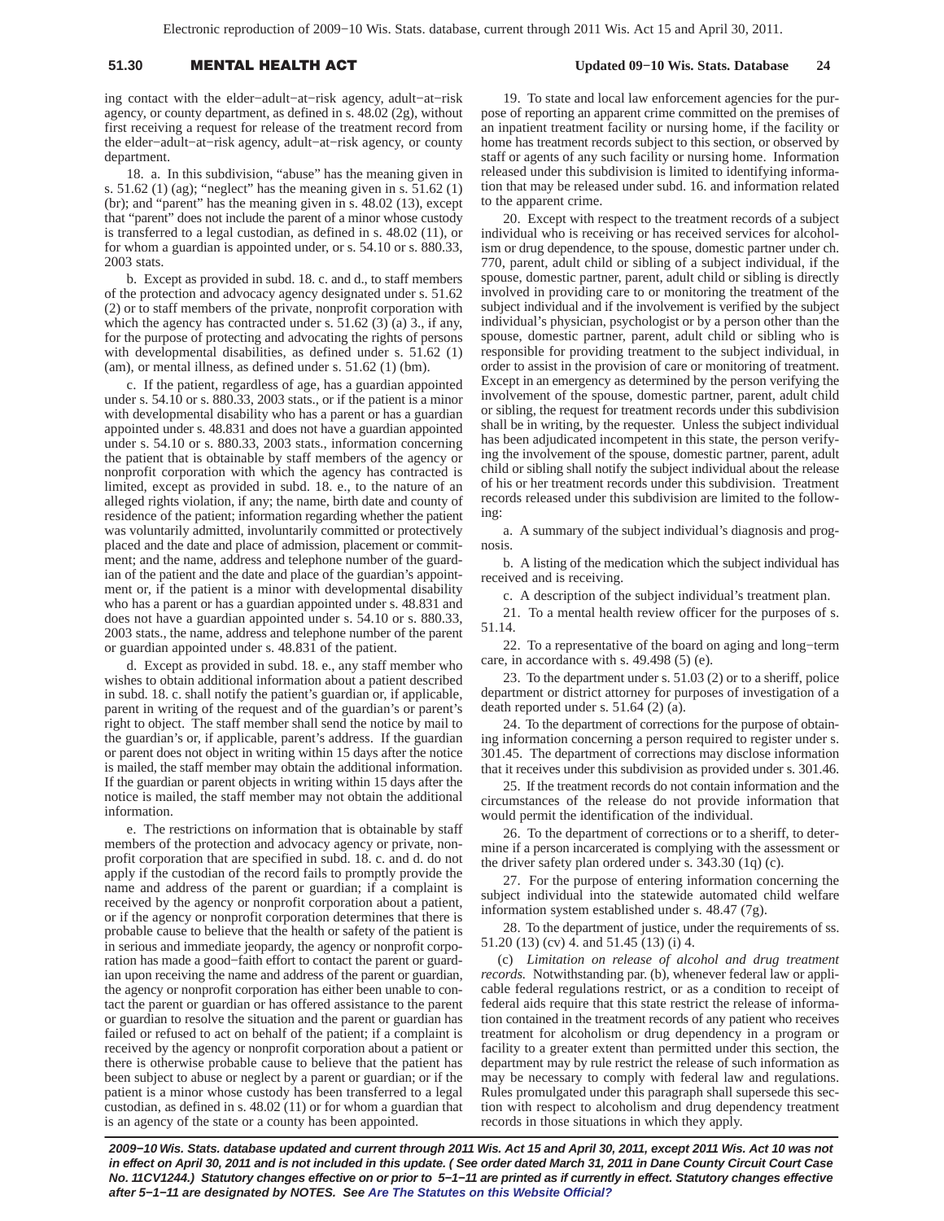# 51.30 **MENTAL HEALTH A**

 **Updated 09−10 Wis. Stats. Database 24**

ing contact with the elder−adult−at−risk agency, adult−at−risk agency, or county department, as defined in s. 48.02 (2g), without first receiving a request for release of the treatment record from the elder−adult−at−risk agency, adult−at−risk agency, or county department.

18. a. In this subdivision, "abuse" has the meaning given in s.  $51.62$  (1) (ag); "neglect" has the meaning given in s.  $51.62$  (1) (br); and "parent" has the meaning given in s. 48.02 (13), except that "parent" does not include the parent of a minor whose custody is transferred to a legal custodian, as defined in s. 48.02 (11), or for whom a guardian is appointed under, or s. 54.10 or s. 880.33, 2003 stats.

b. Except as provided in subd. 18. c. and d., to staff members of the protection and advocacy agency designated under s. 51.62 (2) or to staff members of the private, nonprofit corporation with which the agency has contracted under s. 51.62 (3) (a) 3., if any, for the purpose of protecting and advocating the rights of persons with developmental disabilities, as defined under s. 51.62 (1) (am), or mental illness, as defined under s. 51.62 (1) (bm).

c. If the patient, regardless of age, has a guardian appointed under s. 54.10 or s. 880.33, 2003 stats., or if the patient is a minor with developmental disability who has a parent or has a guardian appointed under s. 48.831 and does not have a guardian appointed under s. 54.10 or s. 880.33, 2003 stats., information concerning the patient that is obtainable by staff members of the agency or nonprofit corporation with which the agency has contracted is limited, except as provided in subd. 18. e., to the nature of an alleged rights violation, if any; the name, birth date and county of residence of the patient; information regarding whether the patient was voluntarily admitted, involuntarily committed or protectively placed and the date and place of admission, placement or commitment; and the name, address and telephone number of the guardian of the patient and the date and place of the guardian's appointment or, if the patient is a minor with developmental disability who has a parent or has a guardian appointed under s. 48.831 and does not have a guardian appointed under s. 54.10 or s. 880.33, 2003 stats., the name, address and telephone number of the parent or guardian appointed under s. 48.831 of the patient.

d. Except as provided in subd. 18. e., any staff member who wishes to obtain additional information about a patient described in subd. 18. c. shall notify the patient's guardian or, if applicable, parent in writing of the request and of the guardian's or parent's right to object. The staff member shall send the notice by mail to the guardian's or, if applicable, parent's address. If the guardian or parent does not object in writing within 15 days after the notice is mailed, the staff member may obtain the additional information. If the guardian or parent objects in writing within 15 days after the notice is mailed, the staff member may not obtain the additional information.

e. The restrictions on information that is obtainable by staff members of the protection and advocacy agency or private, nonprofit corporation that are specified in subd. 18. c. and d. do not apply if the custodian of the record fails to promptly provide the name and address of the parent or guardian; if a complaint is received by the agency or nonprofit corporation about a patient, or if the agency or nonprofit corporation determines that there is probable cause to believe that the health or safety of the patient is in serious and immediate jeopardy, the agency or nonprofit corporation has made a good−faith effort to contact the parent or guardian upon receiving the name and address of the parent or guardian, the agency or nonprofit corporation has either been unable to contact the parent or guardian or has offered assistance to the parent or guardian to resolve the situation and the parent or guardian has failed or refused to act on behalf of the patient; if a complaint is received by the agency or nonprofit corporation about a patient or there is otherwise probable cause to believe that the patient has been subject to abuse or neglect by a parent or guardian; or if the patient is a minor whose custody has been transferred to a legal custodian, as defined in s. 48.02 (11) or for whom a guardian that is an agency of the state or a county has been appointed.

19. To state and local law enforcement agencies for the purpose of reporting an apparent crime committed on the premises of an inpatient treatment facility or nursing home, if the facility or home has treatment records subject to this section, or observed by staff or agents of any such facility or nursing home. Information released under this subdivision is limited to identifying information that may be released under subd. 16. and information related to the apparent crime.

20. Except with respect to the treatment records of a subject individual who is receiving or has received services for alcoholism or drug dependence, to the spouse, domestic partner under ch. 770, parent, adult child or sibling of a subject individual, if the spouse, domestic partner, parent, adult child or sibling is directly involved in providing care to or monitoring the treatment of the subject individual and if the involvement is verified by the subject individual's physician, psychologist or by a person other than the spouse, domestic partner, parent, adult child or sibling who is responsible for providing treatment to the subject individual, in order to assist in the provision of care or monitoring of treatment. Except in an emergency as determined by the person verifying the involvement of the spouse, domestic partner, parent, adult child or sibling, the request for treatment records under this subdivision shall be in writing, by the requester. Unless the subject individual has been adjudicated incompetent in this state, the person verifying the involvement of the spouse, domestic partner, parent, adult child or sibling shall notify the subject individual about the release of his or her treatment records under this subdivision. Treatment records released under this subdivision are limited to the following:

a. A summary of the subject individual's diagnosis and prognosis.

b. A listing of the medication which the subject individual has received and is receiving.

c. A description of the subject individual's treatment plan.

21. To a mental health review officer for the purposes of s. 51.14.

22. To a representative of the board on aging and long−term care, in accordance with s. 49.498 (5) (e).

23. To the department under s. 51.03 (2) or to a sheriff, police department or district attorney for purposes of investigation of a death reported under s. 51.64 (2) (a).

24. To the department of corrections for the purpose of obtaining information concerning a person required to register under s. 301.45. The department of corrections may disclose information that it receives under this subdivision as provided under s. 301.46.

25. If the treatment records do not contain information and the circumstances of the release do not provide information that would permit the identification of the individual.

26. To the department of corrections or to a sheriff, to determine if a person incarcerated is complying with the assessment or the driver safety plan ordered under s. 343.30 (1q) (c).

27. For the purpose of entering information concerning the subject individual into the statewide automated child welfare information system established under s. 48.47 (7g).

28. To the department of justice, under the requirements of ss. 51.20 (13) (cv) 4. and 51.45 (13) (i) 4.

(c) *Limitation on release of alcohol and drug treatment records.* Notwithstanding par. (b), whenever federal law or applicable federal regulations restrict, or as a condition to receipt of federal aids require that this state restrict the release of information contained in the treatment records of any patient who receives treatment for alcoholism or drug dependency in a program or facility to a greater extent than permitted under this section, the department may by rule restrict the release of such information as may be necessary to comply with federal law and regulations. Rules promulgated under this paragraph shall supersede this section with respect to alcoholism and drug dependency treatment records in those situations in which they apply.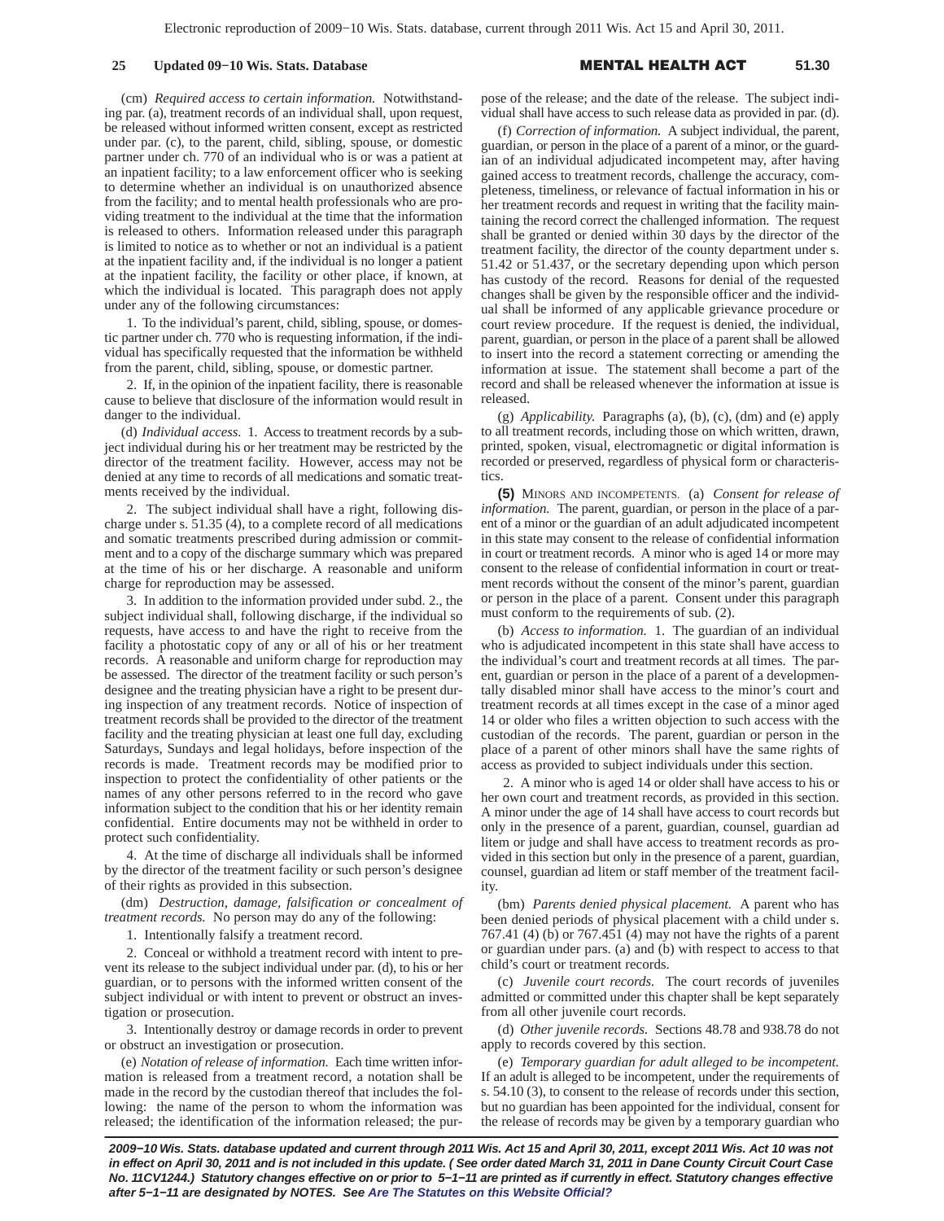## 25 **Updated 09–10 Wis. Stats. Database**

#### L HEALTH A **51.30**

(cm) *Required access to certain information.* Notwithstanding par. (a), treatment records of an individual shall, upon request, be released without informed written consent, except as restricted under par. (c), to the parent, child, sibling, spouse, or domestic partner under ch. 770 of an individual who is or was a patient at an inpatient facility; to a law enforcement officer who is seeking to determine whether an individual is on unauthorized absence from the facility; and to mental health professionals who are providing treatment to the individual at the time that the information is released to others. Information released under this paragraph is limited to notice as to whether or not an individual is a patient at the inpatient facility and, if the individual is no longer a patient at the inpatient facility, the facility or other place, if known, at which the individual is located. This paragraph does not apply under any of the following circumstances:

1. To the individual's parent, child, sibling, spouse, or domestic partner under ch. 770 who is requesting information, if the individual has specifically requested that the information be withheld from the parent, child, sibling, spouse, or domestic partner.

2. If, in the opinion of the inpatient facility, there is reasonable cause to believe that disclosure of the information would result in danger to the individual.

(d) *Individual access.* 1. Access to treatment records by a subject individual during his or her treatment may be restricted by the director of the treatment facility. However, access may not be denied at any time to records of all medications and somatic treatments received by the individual.

2. The subject individual shall have a right, following discharge under s. 51.35 (4), to a complete record of all medications and somatic treatments prescribed during admission or commitment and to a copy of the discharge summary which was prepared at the time of his or her discharge. A reasonable and uniform charge for reproduction may be assessed.

3. In addition to the information provided under subd. 2., the subject individual shall, following discharge, if the individual so requests, have access to and have the right to receive from the facility a photostatic copy of any or all of his or her treatment records. A reasonable and uniform charge for reproduction may be assessed. The director of the treatment facility or such person's designee and the treating physician have a right to be present during inspection of any treatment records. Notice of inspection of treatment records shall be provided to the director of the treatment facility and the treating physician at least one full day, excluding Saturdays, Sundays and legal holidays, before inspection of the records is made. Treatment records may be modified prior to inspection to protect the confidentiality of other patients or the names of any other persons referred to in the record who gave information subject to the condition that his or her identity remain confidential. Entire documents may not be withheld in order to protect such confidentiality.

4. At the time of discharge all individuals shall be informed by the director of the treatment facility or such person's designee of their rights as provided in this subsection.

(dm) *Destruction, damage, falsification or concealment of treatment records.* No person may do any of the following:

1. Intentionally falsify a treatment record.

2. Conceal or withhold a treatment record with intent to prevent its release to the subject individual under par. (d), to his or her guardian, or to persons with the informed written consent of the subject individual or with intent to prevent or obstruct an investigation or prosecution.

3. Intentionally destroy or damage records in order to prevent or obstruct an investigation or prosecution.

(e) *Notation of release of information.* Each time written information is released from a treatment record, a notation shall be made in the record by the custodian thereof that includes the following: the name of the person to whom the information was released; the identification of the information released; the purpose of the release; and the date of the release. The subject individual shall have access to such release data as provided in par. (d).

(f) *Correction of information.* A subject individual, the parent, guardian, or person in the place of a parent of a minor, or the guardian of an individual adjudicated incompetent may, after having gained access to treatment records, challenge the accuracy, completeness, timeliness, or relevance of factual information in his or her treatment records and request in writing that the facility maintaining the record correct the challenged information. The request shall be granted or denied within 30 days by the director of the treatment facility, the director of the county department under s. 51.42 or 51.437, or the secretary depending upon which person has custody of the record. Reasons for denial of the requested changes shall be given by the responsible officer and the individual shall be informed of any applicable grievance procedure or court review procedure. If the request is denied, the individual, parent, guardian, or person in the place of a parent shall be allowed to insert into the record a statement correcting or amending the information at issue. The statement shall become a part of the record and shall be released whenever the information at issue is released.

(g) *Applicability.* Paragraphs (a), (b), (c), (dm) and (e) apply to all treatment records, including those on which written, drawn, printed, spoken, visual, electromagnetic or digital information is recorded or preserved, regardless of physical form or characteristics.

**(5)** MINORS AND INCOMPETENTS. (a) *Consent for release of information.* The parent, guardian, or person in the place of a parent of a minor or the guardian of an adult adjudicated incompetent in this state may consent to the release of confidential information in court or treatment records. A minor who is aged 14 or more may consent to the release of confidential information in court or treatment records without the consent of the minor's parent, guardian or person in the place of a parent. Consent under this paragraph must conform to the requirements of sub. (2).

(b) *Access to information.* 1. The guardian of an individual who is adjudicated incompetent in this state shall have access to the individual's court and treatment records at all times. The parent, guardian or person in the place of a parent of a developmentally disabled minor shall have access to the minor's court and treatment records at all times except in the case of a minor aged 14 or older who files a written objection to such access with the custodian of the records. The parent, guardian or person in the place of a parent of other minors shall have the same rights of access as provided to subject individuals under this section.

2. A minor who is aged 14 or older shall have access to his or her own court and treatment records, as provided in this section. A minor under the age of 14 shall have access to court records but only in the presence of a parent, guardian, counsel, guardian ad litem or judge and shall have access to treatment records as provided in this section but only in the presence of a parent, guardian, counsel, guardian ad litem or staff member of the treatment facility.

(bm) *Parents denied physical placement.* A parent who has been denied periods of physical placement with a child under s. 767.41 (4) (b) or 767.451 (4) may not have the rights of a parent or guardian under pars. (a) and (b) with respect to access to that child's court or treatment records.

(c) *Juvenile court records.* The court records of juveniles admitted or committed under this chapter shall be kept separately from all other juvenile court records.

(d) *Other juvenile records.* Sections 48.78 and 938.78 do not apply to records covered by this section.

(e) *Temporary guardian for adult alleged to be incompetent.* If an adult is alleged to be incompetent, under the requirements of s. 54.10 (3), to consent to the release of records under this section, but no guardian has been appointed for the individual, consent for the release of records may be given by a temporary guardian who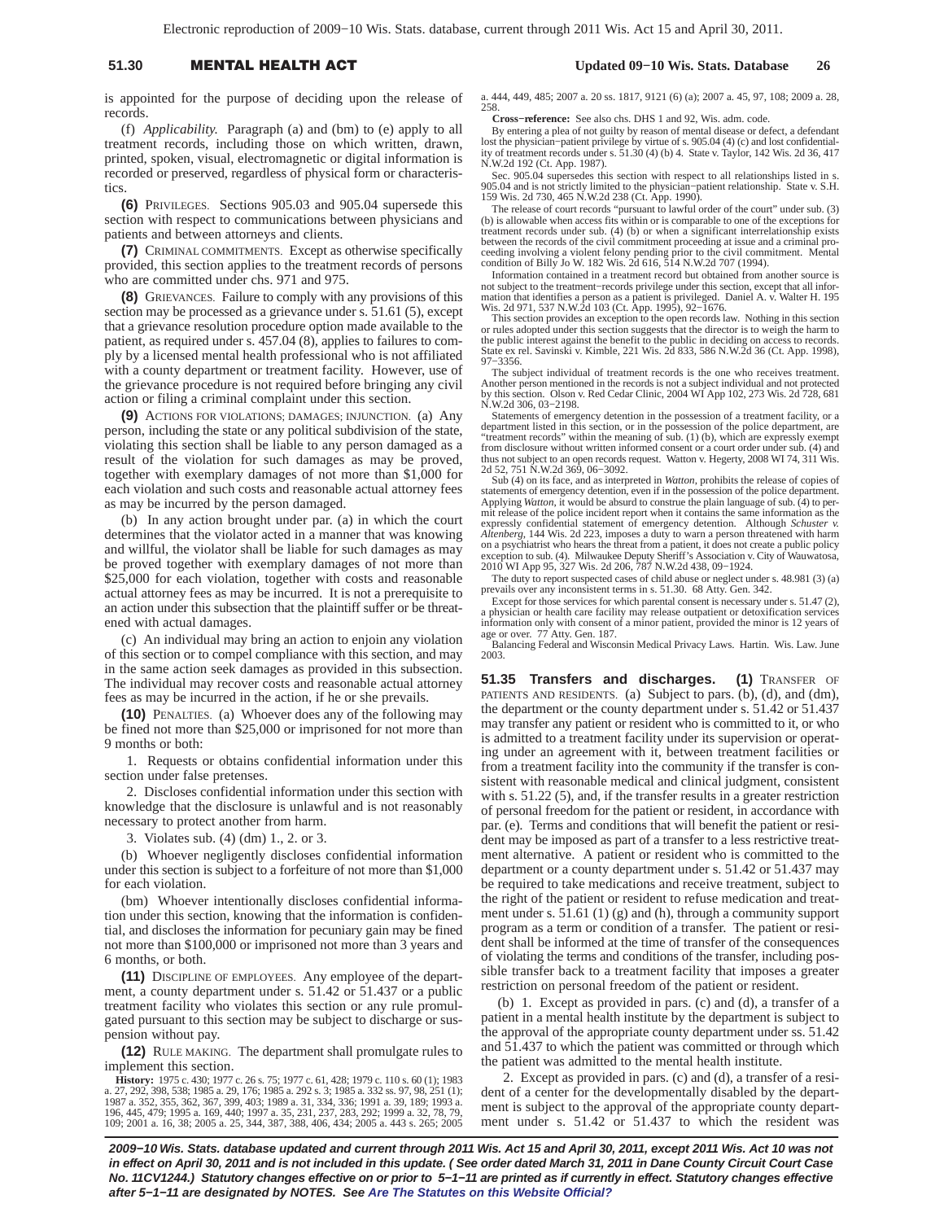## 51.30 **MENTAL HEALTH A**

### **Updated 09−10 Wis. Stats. Database 26**

is appointed for the purpose of deciding upon the release of records.

(f) *Applicability.* Paragraph (a) and (bm) to (e) apply to all treatment records, including those on which written, drawn, printed, spoken, visual, electromagnetic or digital information is recorded or preserved, regardless of physical form or characteristics.

**(6)** PRIVILEGES. Sections 905.03 and 905.04 supersede this section with respect to communications between physicians and patients and between attorneys and clients.

**(7)** CRIMINAL COMMITMENTS. Except as otherwise specifically provided, this section applies to the treatment records of persons who are committed under chs. 971 and 975.

**(8)** GRIEVANCES. Failure to comply with any provisions of this section may be processed as a grievance under s. 51.61 (5), except that a grievance resolution procedure option made available to the patient, as required under s. 457.04 (8), applies to failures to comply by a licensed mental health professional who is not affiliated with a county department or treatment facility. However, use of the grievance procedure is not required before bringing any civil action or filing a criminal complaint under this section.

**(9)** ACTIONS FOR VIOLATIONS; DAMAGES; INJUNCTION. (a) Any person, including the state or any political subdivision of the state, violating this section shall be liable to any person damaged as a result of the violation for such damages as may be proved, together with exemplary damages of not more than \$1,000 for each violation and such costs and reasonable actual attorney fees as may be incurred by the person damaged.

(b) In any action brought under par. (a) in which the court determines that the violator acted in a manner that was knowing and willful, the violator shall be liable for such damages as may be proved together with exemplary damages of not more than \$25,000 for each violation, together with costs and reasonable actual attorney fees as may be incurred. It is not a prerequisite to an action under this subsection that the plaintiff suffer or be threatened with actual damages.

(c) An individual may bring an action to enjoin any violation of this section or to compel compliance with this section, and may in the same action seek damages as provided in this subsection. The individual may recover costs and reasonable actual attorney fees as may be incurred in the action, if he or she prevails.

**(10)** PENALTIES. (a) Whoever does any of the following may be fined not more than \$25,000 or imprisoned for not more than 9 months or both:

1. Requests or obtains confidential information under this section under false pretenses.

2. Discloses confidential information under this section with knowledge that the disclosure is unlawful and is not reasonably necessary to protect another from harm.

3. Violates sub. (4) (dm) 1., 2. or 3.

(b) Whoever negligently discloses confidential information under this section is subject to a forfeiture of not more than \$1,000 for each violation.

(bm) Whoever intentionally discloses confidential information under this section, knowing that the information is confidential, and discloses the information for pecuniary gain may be fined not more than \$100,000 or imprisoned not more than 3 years and 6 months, or both.

**(11)** DISCIPLINE OF EMPLOYEES. Any employee of the department, a county department under s. 51.42 or 51.437 or a public treatment facility who violates this section or any rule promulgated pursuant to this section may be subject to discharge or suspension without pay.

**(12)** RULE MAKING. The department shall promulgate rules to implement this section.

**History:** 1975 c. 430; 1977 c. 26 s. 75; 1977 c. 61, 428; 1979 c. 110 s. 60 (1); 1983 a. 27, 292, 398, 538; 1985 a. 29, 176; 1985 a. 292 s. 3; 1985 a. 332 ss. 97, 98, 251 (1); 1987 a. 352, 355, 362, 367, 399, 403; 1989 a. 31, 334, 336; 1991 a. 39, 189; 1993 a. 196, 445, 479; 1995 a. 169, 440; 1997 a. 35, 231, 237, 283, 292; 1999 a. 32, 78, 79, 109; 2001 a. 16, 38; 2005 a. 25, 344, 387, 388, 406, 434; 2005 a. 443 s. 265; 2005

a. 444, 449, 485; 2007 a. 20 ss. 1817, 9121 (6) (a); 2007 a. 45, 97, 108; 2009 a. 28, 258.

**Cross−reference:** See also chs. DHS 1 and 92, Wis. adm. code.

By entering a plea of not guilty by reason of mental disease or defect, a defendant<br>lost the physician-patient privilege by virtue of s. 905.04 (4) (c) and lost confidential-<br>ity of treatment records under s. 51.30 (4) (b) N.W.2d 192 (Ct. App. 1987).

Sec. 905.04 supersedes this section with respect to all relationships listed in s. 905.04 and is not strictly limited to the physician−patient relationship. State v. S.H. 159 Wis. 2d 730, 465 N.W.2d 238 (Ct. App. 1990).

The release of court records "pursuant to lawful order of the court" under sub. (3) (b) is allowable when access fits within or is comparable to one of the exceptions for treatment records under sub. (4) (b) or when a significant interrelationship exists between the records of the civil commitment proceeding at issue and a criminal proceeding involving a violent felony pending prior to the civil commitment. Mental condition of Billy Jo W. 182 Wis. 2d 616, 514 N.W.2d 707 (1994).

Information contained in a treatment record but obtained from another source is not subject to the treatment–records privilege under this section, except that all infor-<br>mation that identifies a person as a patient is privileged. Daniel A. v. Walter H. 195<br>Wis. 2d 971, 537 N.W.2d 103 (Ct. App. 1995),

This section provides an exception to the open records law. Nothing in this section or rules adopted under this section suggests that the director is to weigh the harm to the public interest against the benefit to the public in deciding on access to records. State ex rel. Savinski v. Kimble, 221 Wis. 2d 833, 586 N.W.2d 36 (Ct. App. 1998), 97−3356.

The subject individual of treatment records is the one who receives treatment. Another person mentioned in the records is not a subject individual and not protected by this section. Olson v. Red Cedar Clinic, 2004 WI App 102, 273 Wis. 2d 728, 681 N.W.2d 306, 03−2198.

Statements of emergency detention in the possession of a treatment facility, or a department listed in this section, or in the possession of the police department, are "treatment records" within the meaning of sub. (1) (b), which are expressly exempt from disclosure without written informed consent or a court order under sub. (4) and thus not subject to an open records request. Watton v. Hegerty, 2008 WI 74, 311 Wis. 2d 52, 751 N.W.2d 369, 06−3092.

Sub (4) on its face, and as interpreted in *Watton*, prohibits the release of copies of statements of emergency detention, even if in the possession of the police department. Applying *Watton*, it would be absurd to construe the plain language of sub. (4) to permit release of the police incident report when it contains the same information as the expressly confidential statement of emergency detention. Although *Schuster v. Altenberg*, 144 Wis. 2d 223, imposes a duty to warn a person threatened with harm on a psychiatrist who hears the threat from a patient, it does not create a public policy exception to sub. (4). Milwaukee Deputy Sheriff's Association v. City of Wauwatosa, 2010 WI App 95, 327 Wis. 2d 206, 787 N.W.2d 438, 09−1924.

The duty to report suspected cases of child abuse or neglect under s. 48.981 (3) (a) prevails over any inconsistent terms in s. 51.30. 68 Atty. Gen. 342.

Except for those services for which parental consent is necessary under s. 51.47 (2), a physician or health care facility may release outpatient or detoxification services information only with consent of a minor patient, provided the minor is 12 years of age or over. 77 Atty. Gen. 187.

Balancing Federal and Wisconsin Medical Privacy Laws. Hartin. Wis. Law. June 2003.

**51.35 Transfers and discharges. (1)** TRANSFER OF PATIENTS AND RESIDENTS. (a) Subject to pars. (b), (d), and (dm), the department or the county department under s. 51.42 or 51.437 may transfer any patient or resident who is committed to it, or who is admitted to a treatment facility under its supervision or operating under an agreement with it, between treatment facilities or from a treatment facility into the community if the transfer is consistent with reasonable medical and clinical judgment, consistent with s. 51.22 (5), and, if the transfer results in a greater restriction of personal freedom for the patient or resident, in accordance with par. (e). Terms and conditions that will benefit the patient or resident may be imposed as part of a transfer to a less restrictive treatment alternative. A patient or resident who is committed to the department or a county department under s. 51.42 or 51.437 may be required to take medications and receive treatment, subject to the right of the patient or resident to refuse medication and treatment under s. 51.61 (1) (g) and (h), through a community support program as a term or condition of a transfer. The patient or resident shall be informed at the time of transfer of the consequences of violating the terms and conditions of the transfer, including possible transfer back to a treatment facility that imposes a greater restriction on personal freedom of the patient or resident.

(b) 1. Except as provided in pars. (c) and (d), a transfer of a patient in a mental health institute by the department is subject to the approval of the appropriate county department under ss. 51.42 and 51.437 to which the patient was committed or through which the patient was admitted to the mental health institute.

2. Except as provided in pars. (c) and (d), a transfer of a resident of a center for the developmentally disabled by the department is subject to the approval of the appropriate county department under s. 51.42 or 51.437 to which the resident was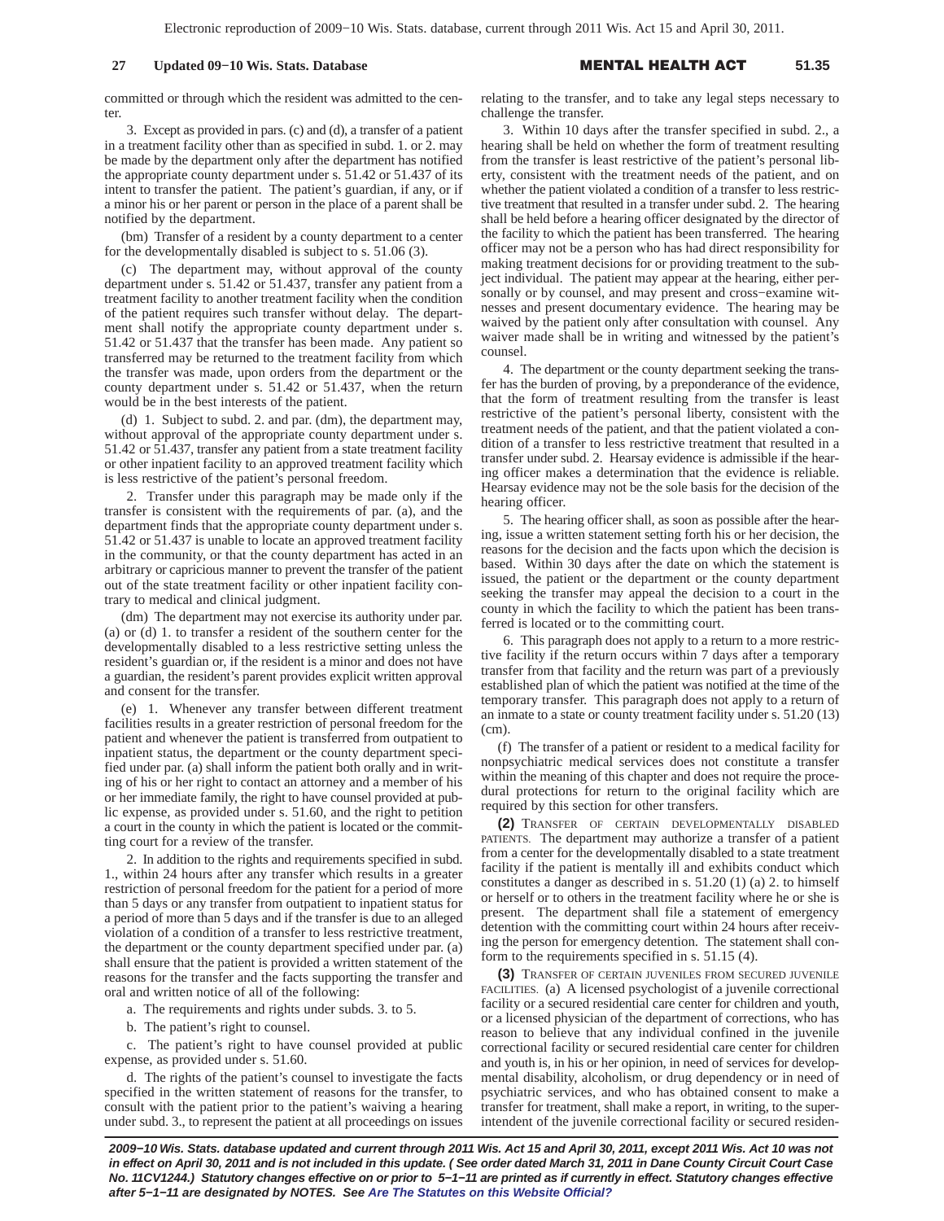committed or through which the resident was admitted to the center.

3. Except as provided in pars. (c) and (d), a transfer of a patient in a treatment facility other than as specified in subd. 1. or 2. may be made by the department only after the department has notified the appropriate county department under s. 51.42 or 51.437 of its intent to transfer the patient. The patient's guardian, if any, or if a minor his or her parent or person in the place of a parent shall be notified by the department.

(bm) Transfer of a resident by a county department to a center for the developmentally disabled is subject to s. 51.06 (3).

(c) The department may, without approval of the county department under s. 51.42 or 51.437, transfer any patient from a treatment facility to another treatment facility when the condition of the patient requires such transfer without delay. The department shall notify the appropriate county department under s. 51.42 or 51.437 that the transfer has been made. Any patient so transferred may be returned to the treatment facility from which the transfer was made, upon orders from the department or the county department under s. 51.42 or 51.437, when the return would be in the best interests of the patient.

(d) 1. Subject to subd. 2. and par. (dm), the department may, without approval of the appropriate county department under s. 51.42 or 51.437, transfer any patient from a state treatment facility or other inpatient facility to an approved treatment facility which is less restrictive of the patient's personal freedom.

2. Transfer under this paragraph may be made only if the transfer is consistent with the requirements of par. (a), and the department finds that the appropriate county department under s. 51.42 or 51.437 is unable to locate an approved treatment facility in the community, or that the county department has acted in an arbitrary or capricious manner to prevent the transfer of the patient out of the state treatment facility or other inpatient facility contrary to medical and clinical judgment.

(dm) The department may not exercise its authority under par. (a) or (d) 1. to transfer a resident of the southern center for the developmentally disabled to a less restrictive setting unless the resident's guardian or, if the resident is a minor and does not have a guardian, the resident's parent provides explicit written approval and consent for the transfer.

(e) 1. Whenever any transfer between different treatment facilities results in a greater restriction of personal freedom for the patient and whenever the patient is transferred from outpatient to inpatient status, the department or the county department specified under par. (a) shall inform the patient both orally and in writing of his or her right to contact an attorney and a member of his or her immediate family, the right to have counsel provided at public expense, as provided under s. 51.60, and the right to petition a court in the county in which the patient is located or the committing court for a review of the transfer.

2. In addition to the rights and requirements specified in subd. 1., within 24 hours after any transfer which results in a greater restriction of personal freedom for the patient for a period of more than 5 days or any transfer from outpatient to inpatient status for a period of more than 5 days and if the transfer is due to an alleged violation of a condition of a transfer to less restrictive treatment, the department or the county department specified under par. (a) shall ensure that the patient is provided a written statement of the reasons for the transfer and the facts supporting the transfer and oral and written notice of all of the following:

a. The requirements and rights under subds. 3. to 5.

b. The patient's right to counsel.

c. The patient's right to have counsel provided at public expense, as provided under s. 51.60.

d. The rights of the patient's counsel to investigate the facts specified in the written statement of reasons for the transfer, to consult with the patient prior to the patient's waiving a hearing under subd. 3., to represent the patient at all proceedings on issues relating to the transfer, and to take any legal steps necessary to challenge the transfer.

3. Within 10 days after the transfer specified in subd. 2., a hearing shall be held on whether the form of treatment resulting from the transfer is least restrictive of the patient's personal liberty, consistent with the treatment needs of the patient, and on whether the patient violated a condition of a transfer to less restrictive treatment that resulted in a transfer under subd. 2. The hearing shall be held before a hearing officer designated by the director of the facility to which the patient has been transferred. The hearing officer may not be a person who has had direct responsibility for making treatment decisions for or providing treatment to the subject individual. The patient may appear at the hearing, either personally or by counsel, and may present and cross−examine witnesses and present documentary evidence. The hearing may be waived by the patient only after consultation with counsel. Any waiver made shall be in writing and witnessed by the patient's counsel.

4. The department or the county department seeking the transfer has the burden of proving, by a preponderance of the evidence, that the form of treatment resulting from the transfer is least restrictive of the patient's personal liberty, consistent with the treatment needs of the patient, and that the patient violated a condition of a transfer to less restrictive treatment that resulted in a transfer under subd. 2. Hearsay evidence is admissible if the hearing officer makes a determination that the evidence is reliable. Hearsay evidence may not be the sole basis for the decision of the hearing officer.

5. The hearing officer shall, as soon as possible after the hearing, issue a written statement setting forth his or her decision, the reasons for the decision and the facts upon which the decision is based. Within 30 days after the date on which the statement is issued, the patient or the department or the county department seeking the transfer may appeal the decision to a court in the county in which the facility to which the patient has been transferred is located or to the committing court.

6. This paragraph does not apply to a return to a more restrictive facility if the return occurs within 7 days after a temporary transfer from that facility and the return was part of a previously established plan of which the patient was notified at the time of the temporary transfer. This paragraph does not apply to a return of an inmate to a state or county treatment facility under s. 51.20 (13) (cm).

(f) The transfer of a patient or resident to a medical facility for nonpsychiatric medical services does not constitute a transfer within the meaning of this chapter and does not require the procedural protections for return to the original facility which are required by this section for other transfers.

**(2)** TRANSFER OF CERTAIN DEVELOPMENTALLY DISABLED PATIENTS. The department may authorize a transfer of a patient from a center for the developmentally disabled to a state treatment facility if the patient is mentally ill and exhibits conduct which constitutes a danger as described in s. 51.20 (1) (a) 2. to himself or herself or to others in the treatment facility where he or she is present. The department shall file a statement of emergency detention with the committing court within 24 hours after receiving the person for emergency detention. The statement shall conform to the requirements specified in s. 51.15 (4).

**(3)** TRANSFER OF CERTAIN JUVENILES FROM SECURED JUVENILE FACILITIES. (a) A licensed psychologist of a juvenile correctional facility or a secured residential care center for children and youth, or a licensed physician of the department of corrections, who has reason to believe that any individual confined in the juvenile correctional facility or secured residential care center for children and youth is, in his or her opinion, in need of services for developmental disability, alcoholism, or drug dependency or in need of psychiatric services, and who has obtained consent to make a transfer for treatment, shall make a report, in writing, to the superintendent of the juvenile correctional facility or secured residen-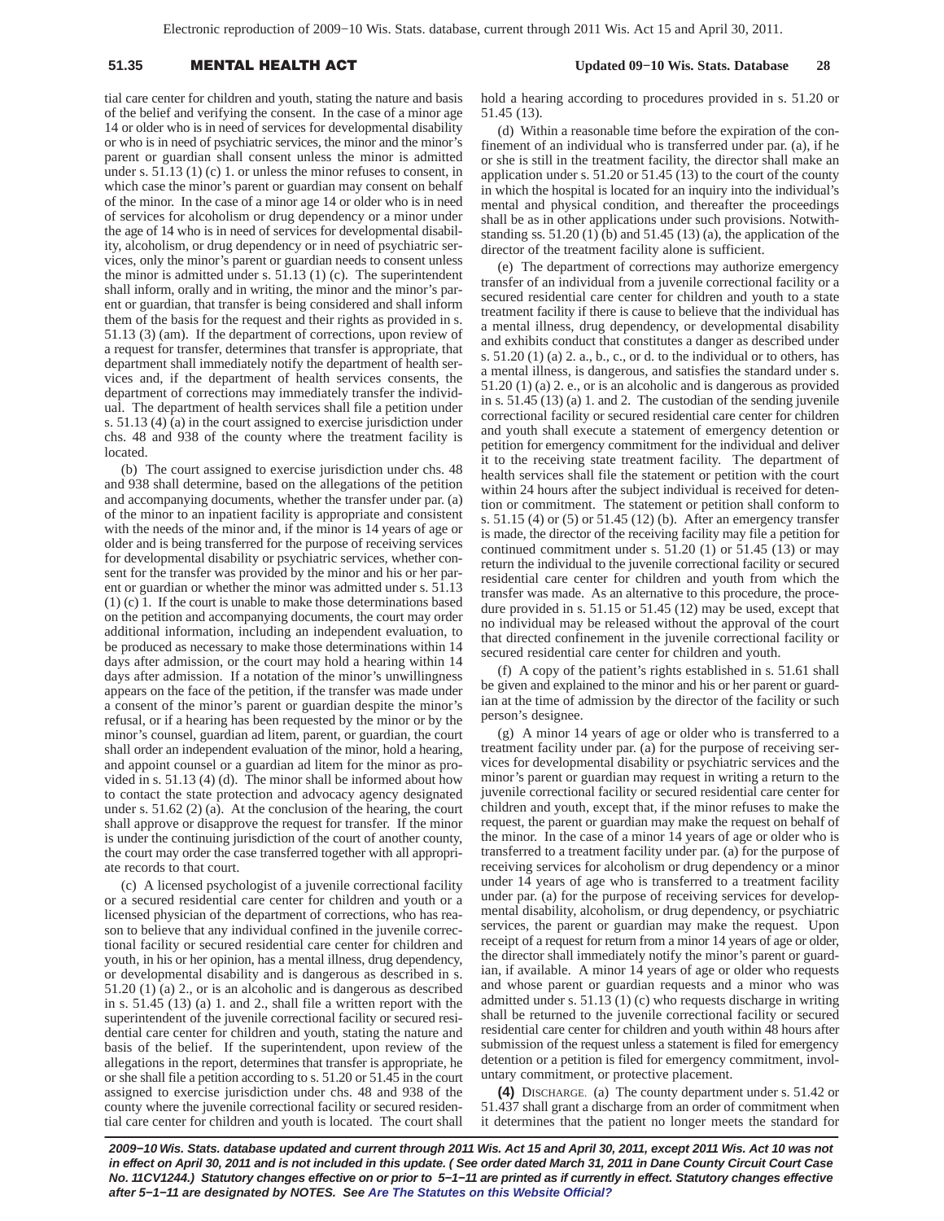# 51.35 **MENTAL HEALTH A**

 **Updated 09−10 Wis. Stats. Database 28**

tial care center for children and youth, stating the nature and basis of the belief and verifying the consent. In the case of a minor age 14 or older who is in need of services for developmental disability or who is in need of psychiatric services, the minor and the minor's parent or guardian shall consent unless the minor is admitted under s. 51.13 (1) (c) 1. or unless the minor refuses to consent, in which case the minor's parent or guardian may consent on behalf of the minor. In the case of a minor age 14 or older who is in need of services for alcoholism or drug dependency or a minor under the age of 14 who is in need of services for developmental disability, alcoholism, or drug dependency or in need of psychiatric services, only the minor's parent or guardian needs to consent unless the minor is admitted under s. 51.13 (1) (c). The superintendent shall inform, orally and in writing, the minor and the minor's parent or guardian, that transfer is being considered and shall inform them of the basis for the request and their rights as provided in s. 51.13 (3) (am). If the department of corrections, upon review of a request for transfer, determines that transfer is appropriate, that department shall immediately notify the department of health services and, if the department of health services consents, the department of corrections may immediately transfer the individual. The department of health services shall file a petition under s. 51.13 (4) (a) in the court assigned to exercise jurisdiction under chs. 48 and 938 of the county where the treatment facility is located.

(b) The court assigned to exercise jurisdiction under chs. 48 and 938 shall determine, based on the allegations of the petition and accompanying documents, whether the transfer under par. (a) of the minor to an inpatient facility is appropriate and consistent with the needs of the minor and, if the minor is 14 years of age or older and is being transferred for the purpose of receiving services for developmental disability or psychiatric services, whether consent for the transfer was provided by the minor and his or her parent or guardian or whether the minor was admitted under s. 51.13 (1) (c) 1. If the court is unable to make those determinations based on the petition and accompanying documents, the court may order additional information, including an independent evaluation, to be produced as necessary to make those determinations within 14 days after admission, or the court may hold a hearing within 14 days after admission. If a notation of the minor's unwillingness appears on the face of the petition, if the transfer was made under a consent of the minor's parent or guardian despite the minor's refusal, or if a hearing has been requested by the minor or by the minor's counsel, guardian ad litem, parent, or guardian, the court shall order an independent evaluation of the minor, hold a hearing, and appoint counsel or a guardian ad litem for the minor as provided in s. 51.13 (4) (d). The minor shall be informed about how to contact the state protection and advocacy agency designated under s. 51.62 (2) (a). At the conclusion of the hearing, the court shall approve or disapprove the request for transfer. If the minor is under the continuing jurisdiction of the court of another county, the court may order the case transferred together with all appropriate records to that court.

(c) A licensed psychologist of a juvenile correctional facility or a secured residential care center for children and youth or a licensed physician of the department of corrections, who has reason to believe that any individual confined in the juvenile correctional facility or secured residential care center for children and youth, in his or her opinion, has a mental illness, drug dependency, or developmental disability and is dangerous as described in s. 51.20 (1) (a) 2., or is an alcoholic and is dangerous as described in s. 51.45 (13) (a) 1. and 2., shall file a written report with the superintendent of the juvenile correctional facility or secured residential care center for children and youth, stating the nature and basis of the belief. If the superintendent, upon review of the allegations in the report, determines that transfer is appropriate, he or she shall file a petition according to s. 51.20 or 51.45 in the court assigned to exercise jurisdiction under chs. 48 and 938 of the county where the juvenile correctional facility or secured residential care center for children and youth is located. The court shall hold a hearing according to procedures provided in s. 51.20 or 51.45 (13).

(d) Within a reasonable time before the expiration of the confinement of an individual who is transferred under par. (a), if he or she is still in the treatment facility, the director shall make an application under s. 51.20 or 51.45 (13) to the court of the county in which the hospital is located for an inquiry into the individual's mental and physical condition, and thereafter the proceedings shall be as in other applications under such provisions. Notwithstanding ss. 51.20 (1) (b) and 51.45 (13) (a), the application of the director of the treatment facility alone is sufficient.

(e) The department of corrections may authorize emergency transfer of an individual from a juvenile correctional facility or a secured residential care center for children and youth to a state treatment facility if there is cause to believe that the individual has a mental illness, drug dependency, or developmental disability and exhibits conduct that constitutes a danger as described under s.  $51.20$  (1) (a) 2. a., b., c., or d. to the individual or to others, has a mental illness, is dangerous, and satisfies the standard under s. 51.20 (1) (a) 2. e., or is an alcoholic and is dangerous as provided in s. 51.45 (13) (a) 1. and 2. The custodian of the sending juvenile correctional facility or secured residential care center for children and youth shall execute a statement of emergency detention or petition for emergency commitment for the individual and deliver it to the receiving state treatment facility. The department of health services shall file the statement or petition with the court within 24 hours after the subject individual is received for detention or commitment. The statement or petition shall conform to s. 51.15 (4) or (5) or 51.45 (12) (b). After an emergency transfer is made, the director of the receiving facility may file a petition for continued commitment under s.  $51.20$  (1) or  $51.45$  (13) or may return the individual to the juvenile correctional facility or secured residential care center for children and youth from which the transfer was made. As an alternative to this procedure, the procedure provided in s. 51.15 or 51.45 (12) may be used, except that no individual may be released without the approval of the court that directed confinement in the juvenile correctional facility or secured residential care center for children and youth.

(f) A copy of the patient's rights established in s. 51.61 shall be given and explained to the minor and his or her parent or guardian at the time of admission by the director of the facility or such person's designee.

(g) A minor 14 years of age or older who is transferred to a treatment facility under par. (a) for the purpose of receiving services for developmental disability or psychiatric services and the minor's parent or guardian may request in writing a return to the juvenile correctional facility or secured residential care center for children and youth, except that, if the minor refuses to make the request, the parent or guardian may make the request on behalf of the minor. In the case of a minor 14 years of age or older who is transferred to a treatment facility under par. (a) for the purpose of receiving services for alcoholism or drug dependency or a minor under 14 years of age who is transferred to a treatment facility under par. (a) for the purpose of receiving services for developmental disability, alcoholism, or drug dependency, or psychiatric services, the parent or guardian may make the request. Upon receipt of a request for return from a minor 14 years of age or older, the director shall immediately notify the minor's parent or guardian, if available. A minor 14 years of age or older who requests and whose parent or guardian requests and a minor who was admitted under s. 51.13 (1) (c) who requests discharge in writing shall be returned to the juvenile correctional facility or secured residential care center for children and youth within 48 hours after submission of the request unless a statement is filed for emergency detention or a petition is filed for emergency commitment, involuntary commitment, or protective placement.

**(4)** DISCHARGE. (a) The county department under s. 51.42 or 51.437 shall grant a discharge from an order of commitment when it determines that the patient no longer meets the standard for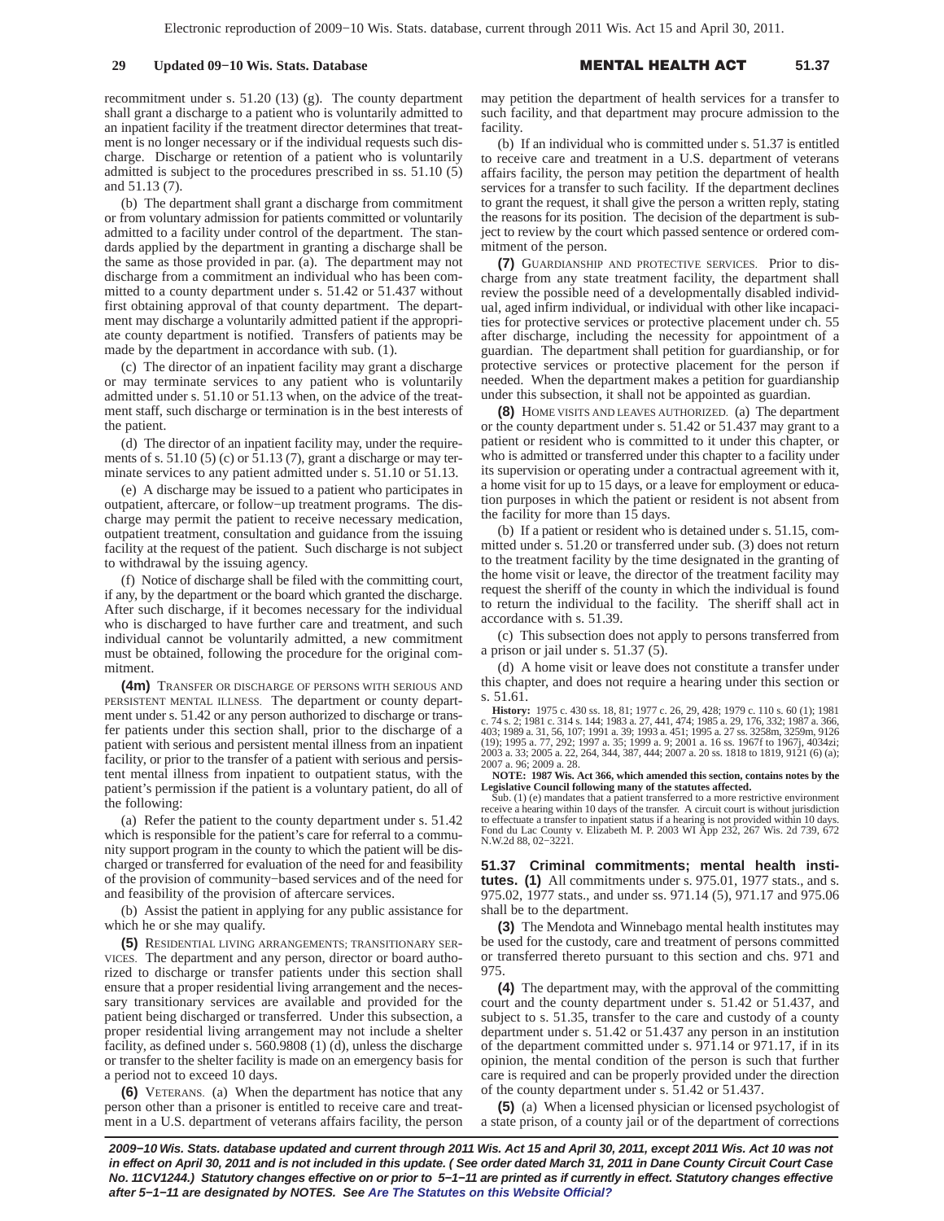recommitment under s. 51.20 (13) (g). The county department shall grant a discharge to a patient who is voluntarily admitted to an inpatient facility if the treatment director determines that treatment is no longer necessary or if the individual requests such discharge. Discharge or retention of a patient who is voluntarily admitted is subject to the procedures prescribed in ss. 51.10 (5) and 51.13 (7).

(b) The department shall grant a discharge from commitment or from voluntary admission for patients committed or voluntarily admitted to a facility under control of the department. The standards applied by the department in granting a discharge shall be the same as those provided in par. (a). The department may not discharge from a commitment an individual who has been committed to a county department under s. 51.42 or 51.437 without first obtaining approval of that county department. The department may discharge a voluntarily admitted patient if the appropriate county department is notified. Transfers of patients may be made by the department in accordance with sub. (1).

(c) The director of an inpatient facility may grant a discharge or may terminate services to any patient who is voluntarily admitted under s. 51.10 or 51.13 when, on the advice of the treatment staff, such discharge or termination is in the best interests of the patient.

(d) The director of an inpatient facility may, under the requirements of s.  $51.10(5)(c)$  or  $51.13(7)$ , grant a discharge or may terminate services to any patient admitted under s. 51.10 or 51.13.

(e) A discharge may be issued to a patient who participates in outpatient, aftercare, or follow−up treatment programs. The discharge may permit the patient to receive necessary medication, outpatient treatment, consultation and guidance from the issuing facility at the request of the patient. Such discharge is not subject to withdrawal by the issuing agency.

(f) Notice of discharge shall be filed with the committing court, if any, by the department or the board which granted the discharge. After such discharge, if it becomes necessary for the individual who is discharged to have further care and treatment, and such individual cannot be voluntarily admitted, a new commitment must be obtained, following the procedure for the original commitment.

**(4m)** TRANSFER OR DISCHARGE OF PERSONS WITH SERIOUS AND PERSISTENT MENTAL ILLNESS. The department or county department under s. 51.42 or any person authorized to discharge or transfer patients under this section shall, prior to the discharge of a patient with serious and persistent mental illness from an inpatient facility, or prior to the transfer of a patient with serious and persistent mental illness from inpatient to outpatient status, with the patient's permission if the patient is a voluntary patient, do all of the following:

(a) Refer the patient to the county department under s. 51.42 which is responsible for the patient's care for referral to a community support program in the county to which the patient will be discharged or transferred for evaluation of the need for and feasibility of the provision of community−based services and of the need for and feasibility of the provision of aftercare services.

(b) Assist the patient in applying for any public assistance for which he or she may qualify.

**(5)** RESIDENTIAL LIVING ARRANGEMENTS; TRANSITIONARY SER-VICES. The department and any person, director or board authorized to discharge or transfer patients under this section shall ensure that a proper residential living arrangement and the necessary transitionary services are available and provided for the patient being discharged or transferred. Under this subsection, a proper residential living arrangement may not include a shelter facility, as defined under s. 560.9808 (1) (d), unless the discharge or transfer to the shelter facility is made on an emergency basis for a period not to exceed 10 days.

**(6)** VETERANS. (a) When the department has notice that any person other than a prisoner is entitled to receive care and treatment in a U.S. department of veterans affairs facility, the person may petition the department of health services for a transfer to such facility, and that department may procure admission to the facility.

(b) If an individual who is committed under s. 51.37 is entitled to receive care and treatment in a U.S. department of veterans affairs facility, the person may petition the department of health services for a transfer to such facility. If the department declines to grant the request, it shall give the person a written reply, stating the reasons for its position. The decision of the department is subject to review by the court which passed sentence or ordered commitment of the person.

**(7)** GUARDIANSHIP AND PROTECTIVE SERVICES. Prior to discharge from any state treatment facility, the department shall review the possible need of a developmentally disabled individual, aged infirm individual, or individual with other like incapacities for protective services or protective placement under ch. 55 after discharge, including the necessity for appointment of a guardian. The department shall petition for guardianship, or for protective services or protective placement for the person if needed. When the department makes a petition for guardianship under this subsection, it shall not be appointed as guardian.

**(8)** HOME VISITS AND LEAVES AUTHORIZED. (a) The department or the county department under s. 51.42 or 51.437 may grant to a patient or resident who is committed to it under this chapter, or who is admitted or transferred under this chapter to a facility under its supervision or operating under a contractual agreement with it, a home visit for up to 15 days, or a leave for employment or education purposes in which the patient or resident is not absent from the facility for more than 15 days.

(b) If a patient or resident who is detained under s. 51.15, committed under s. 51.20 or transferred under sub. (3) does not return to the treatment facility by the time designated in the granting of the home visit or leave, the director of the treatment facility may request the sheriff of the county in which the individual is found to return the individual to the facility. The sheriff shall act in accordance with s. 51.39.

(c) This subsection does not apply to persons transferred from a prison or jail under s. 51.37 (5).

(d) A home visit or leave does not constitute a transfer under this chapter, and does not require a hearing under this section or s. 51.61.

**History:** 1975 c. 430 ss. 18, 81; 1977 c. 26, 29, 428; 1979 c. 110 s. 60 (1); 1981<br>c. 74 s. 2; 1981 c. 314 s. 144; 1983 a. 27, 441, 474; 1985 a. 29, 176, 332; 1987 a. 366, 107; 1991 a. 39; 1993 a. 451; 1995 a. 27 ss. 3258

**NOTE: 1987 Wis. Act 366, which amended this section, contains notes by the Legislative Council following many of the statutes affected.**

Sub.  $(1)$  (e) mandates that a patient transferred to a more restrictive environment receive a hearing within 10 days of the transfer. A circuit court is without jurisdiction to effectuate a transfer to inpatient status if a hearing is not provided within 10 days. Fond du Lac County v. Elizabeth M. P. 2003 WI App 232, 267 Wis. 2d 739, 672 N.W.2d 88, 02−3221.

**51.37 Criminal commitments; mental health institutes. (1)** All commitments under s. 975.01, 1977 stats., and s. 975.02, 1977 stats., and under ss. 971.14 (5), 971.17 and 975.06 shall be to the department.

**(3)** The Mendota and Winnebago mental health institutes may be used for the custody, care and treatment of persons committed or transferred thereto pursuant to this section and chs. 971 and 975.

**(4)** The department may, with the approval of the committing court and the county department under s. 51.42 or 51.437, and subject to s. 51.35, transfer to the care and custody of a county department under s. 51.42 or 51.437 any person in an institution of the department committed under s. 971.14 or 971.17, if in its opinion, the mental condition of the person is such that further care is required and can be properly provided under the direction of the county department under s. 51.42 or 51.437.

**(5)** (a) When a licensed physician or licensed psychologist of a state prison, of a county jail or of the department of corrections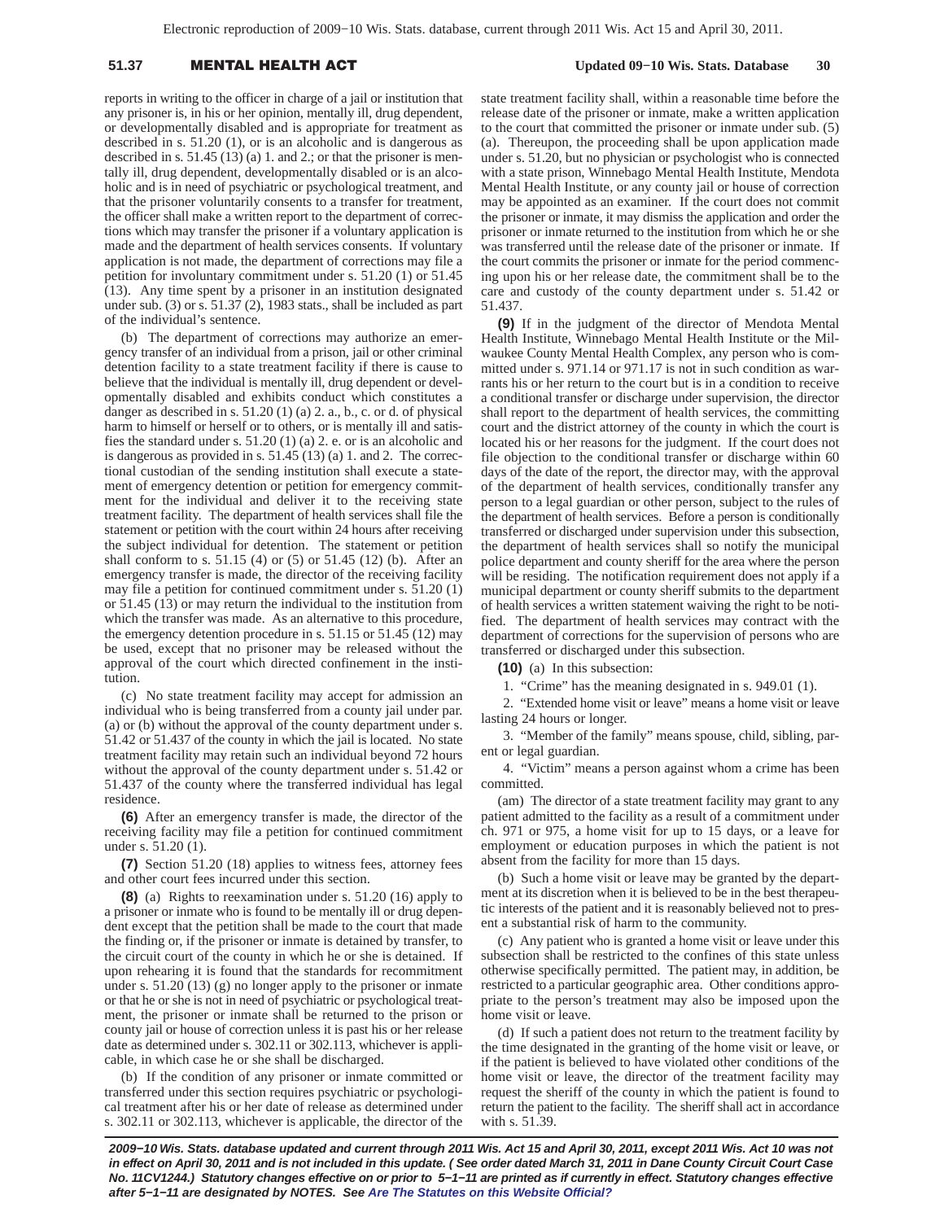## 51.37 **MENTAL HEALTH A**

 **Updated 09−10 Wis. Stats. Database 30**

reports in writing to the officer in charge of a jail or institution that any prisoner is, in his or her opinion, mentally ill, drug dependent, or developmentally disabled and is appropriate for treatment as described in s. 51.20 (1), or is an alcoholic and is dangerous as described in s. 51.45 (13) (a) 1. and 2.; or that the prisoner is mentally ill, drug dependent, developmentally disabled or is an alcoholic and is in need of psychiatric or psychological treatment, and that the prisoner voluntarily consents to a transfer for treatment, the officer shall make a written report to the department of corrections which may transfer the prisoner if a voluntary application is made and the department of health services consents. If voluntary application is not made, the department of corrections may file a petition for involuntary commitment under s. 51.20 (1) or 51.45 (13). Any time spent by a prisoner in an institution designated under sub. (3) or s. 51.37 (2), 1983 stats., shall be included as part of the individual's sentence.

(b) The department of corrections may authorize an emergency transfer of an individual from a prison, jail or other criminal detention facility to a state treatment facility if there is cause to believe that the individual is mentally ill, drug dependent or developmentally disabled and exhibits conduct which constitutes a danger as described in s. 51.20 (1) (a) 2. a., b., c. or d. of physical harm to himself or herself or to others, or is mentally ill and satisfies the standard under s. 51.20 (1) (a) 2. e. or is an alcoholic and is dangerous as provided in s. 51.45 (13) (a) 1. and 2. The correctional custodian of the sending institution shall execute a statement of emergency detention or petition for emergency commitment for the individual and deliver it to the receiving state treatment facility. The department of health services shall file the statement or petition with the court within 24 hours after receiving the subject individual for detention. The statement or petition shall conform to s. 51.15 (4) or (5) or 51.45 (12) (b). After an emergency transfer is made, the director of the receiving facility may file a petition for continued commitment under s. 51.20 (1) or 51.45 (13) or may return the individual to the institution from which the transfer was made. As an alternative to this procedure, the emergency detention procedure in s. 51.15 or 51.45 (12) may be used, except that no prisoner may be released without the approval of the court which directed confinement in the institution.

(c) No state treatment facility may accept for admission an individual who is being transferred from a county jail under par. (a) or (b) without the approval of the county department under s. 51.42 or 51.437 of the county in which the jail is located. No state treatment facility may retain such an individual beyond 72 hours without the approval of the county department under s. 51.42 or 51.437 of the county where the transferred individual has legal residence.

**(6)** After an emergency transfer is made, the director of the receiving facility may file a petition for continued commitment under s. 51.20 (1).

**(7)** Section 51.20 (18) applies to witness fees, attorney fees and other court fees incurred under this section.

**(8)** (a) Rights to reexamination under s. 51.20 (16) apply to a prisoner or inmate who is found to be mentally ill or drug dependent except that the petition shall be made to the court that made the finding or, if the prisoner or inmate is detained by transfer, to the circuit court of the county in which he or she is detained. If upon rehearing it is found that the standards for recommitment under s. 51.20 (13) (g) no longer apply to the prisoner or inmate or that he or she is not in need of psychiatric or psychological treatment, the prisoner or inmate shall be returned to the prison or county jail or house of correction unless it is past his or her release date as determined under s. 302.11 or 302.113, whichever is applicable, in which case he or she shall be discharged.

(b) If the condition of any prisoner or inmate committed or transferred under this section requires psychiatric or psychological treatment after his or her date of release as determined under s. 302.11 or 302.113, whichever is applicable, the director of the state treatment facility shall, within a reasonable time before the release date of the prisoner or inmate, make a written application to the court that committed the prisoner or inmate under sub. (5) (a). Thereupon, the proceeding shall be upon application made under s. 51.20, but no physician or psychologist who is connected with a state prison, Winnebago Mental Health Institute, Mendota Mental Health Institute, or any county jail or house of correction may be appointed as an examiner. If the court does not commit the prisoner or inmate, it may dismiss the application and order the prisoner or inmate returned to the institution from which he or she was transferred until the release date of the prisoner or inmate. If the court commits the prisoner or inmate for the period commencing upon his or her release date, the commitment shall be to the care and custody of the county department under s. 51.42 or 51.437.

**(9)** If in the judgment of the director of Mendota Mental Health Institute, Winnebago Mental Health Institute or the Milwaukee County Mental Health Complex, any person who is committed under s. 971.14 or 971.17 is not in such condition as warrants his or her return to the court but is in a condition to receive a conditional transfer or discharge under supervision, the director shall report to the department of health services, the committing court and the district attorney of the county in which the court is located his or her reasons for the judgment. If the court does not file objection to the conditional transfer or discharge within 60 days of the date of the report, the director may, with the approval of the department of health services, conditionally transfer any person to a legal guardian or other person, subject to the rules of the department of health services. Before a person is conditionally transferred or discharged under supervision under this subsection, the department of health services shall so notify the municipal police department and county sheriff for the area where the person will be residing. The notification requirement does not apply if a municipal department or county sheriff submits to the department of health services a written statement waiving the right to be notified. The department of health services may contract with the department of corrections for the supervision of persons who are transferred or discharged under this subsection.

**(10)** (a) In this subsection:

1. "Crime" has the meaning designated in s. 949.01 (1).

2. "Extended home visit or leave" means a home visit or leave lasting 24 hours or longer.

3. "Member of the family" means spouse, child, sibling, parent or legal guardian.

4. "Victim" means a person against whom a crime has been committed.

(am) The director of a state treatment facility may grant to any patient admitted to the facility as a result of a commitment under ch. 971 or 975, a home visit for up to 15 days, or a leave for employment or education purposes in which the patient is not absent from the facility for more than 15 days.

(b) Such a home visit or leave may be granted by the department at its discretion when it is believed to be in the best therapeutic interests of the patient and it is reasonably believed not to present a substantial risk of harm to the community.

(c) Any patient who is granted a home visit or leave under this subsection shall be restricted to the confines of this state unless otherwise specifically permitted. The patient may, in addition, be restricted to a particular geographic area. Other conditions appropriate to the person's treatment may also be imposed upon the home visit or leave.

(d) If such a patient does not return to the treatment facility by the time designated in the granting of the home visit or leave, or if the patient is believed to have violated other conditions of the home visit or leave, the director of the treatment facility may request the sheriff of the county in which the patient is found to return the patient to the facility. The sheriff shall act in accordance with s. 51.39.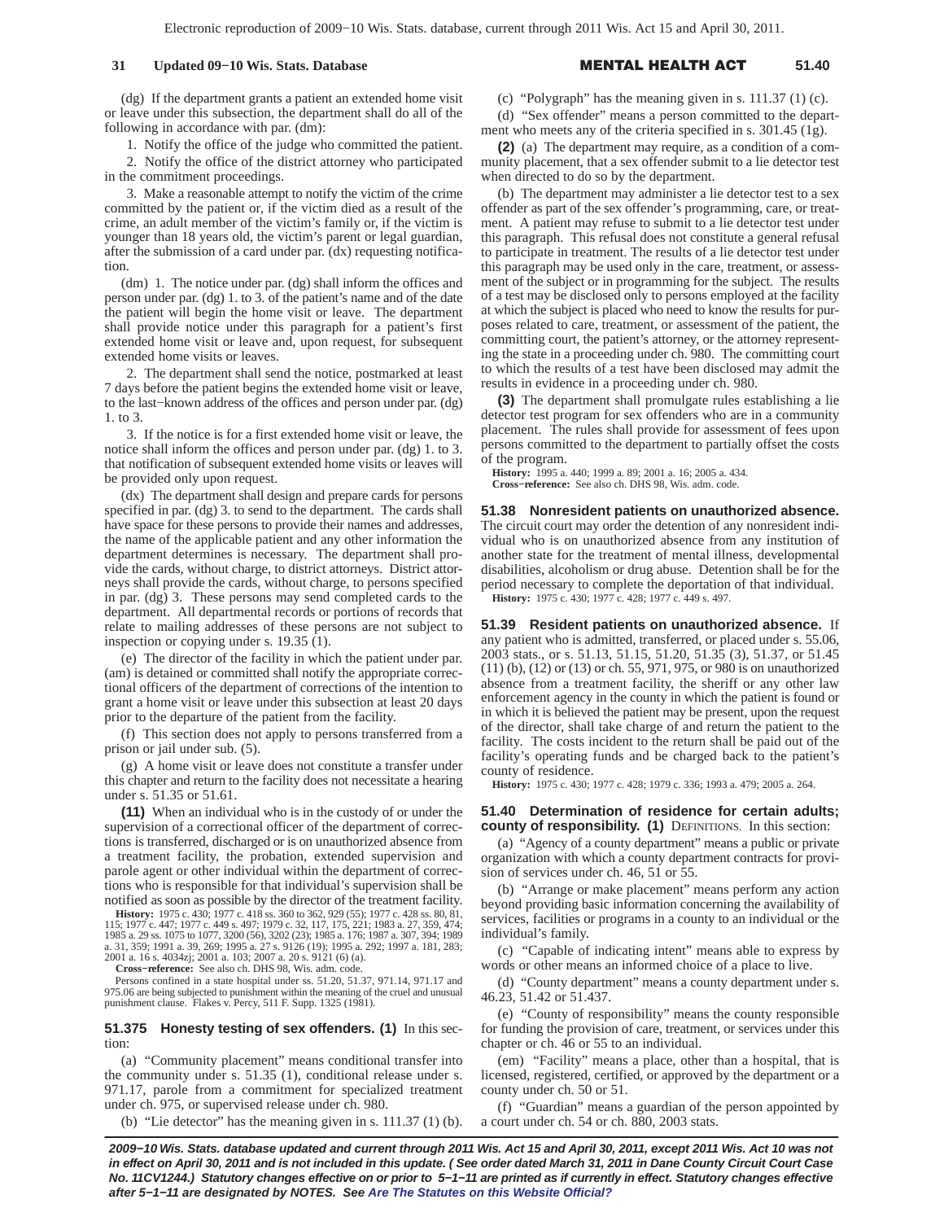## **31 Updated 09–10 Wis. Stats. Database**

#### L HEALTH A **51.40**

(dg) If the department grants a patient an extended home visit or leave under this subsection, the department shall do all of the following in accordance with par. (dm):

1. Notify the office of the judge who committed the patient.

2. Notify the office of the district attorney who participated in the commitment proceedings.

3. Make a reasonable attempt to notify the victim of the crime committed by the patient or, if the victim died as a result of the crime, an adult member of the victim's family or, if the victim is younger than 18 years old, the victim's parent or legal guardian, after the submission of a card under par. (dx) requesting notification.

(dm) 1. The notice under par. (dg) shall inform the offices and person under par. (dg) 1. to 3. of the patient's name and of the date the patient will begin the home visit or leave. The department shall provide notice under this paragraph for a patient's first extended home visit or leave and, upon request, for subsequent extended home visits or leaves.

2. The department shall send the notice, postmarked at least 7 days before the patient begins the extended home visit or leave, to the last−known address of the offices and person under par. (dg) 1. to 3.

3. If the notice is for a first extended home visit or leave, the notice shall inform the offices and person under par. (dg) 1. to 3. that notification of subsequent extended home visits or leaves will be provided only upon request.

(dx) The department shall design and prepare cards for persons specified in par. (dg) 3. to send to the department. The cards shall have space for these persons to provide their names and addresses, the name of the applicable patient and any other information the department determines is necessary. The department shall provide the cards, without charge, to district attorneys. District attorneys shall provide the cards, without charge, to persons specified in par. (dg) 3. These persons may send completed cards to the department. All departmental records or portions of records that relate to mailing addresses of these persons are not subject to inspection or copying under s. 19.35 (1).

(e) The director of the facility in which the patient under par. (am) is detained or committed shall notify the appropriate correctional officers of the department of corrections of the intention to grant a home visit or leave under this subsection at least 20 days prior to the departure of the patient from the facility.

(f) This section does not apply to persons transferred from a prison or jail under sub. (5).

(g) A home visit or leave does not constitute a transfer under this chapter and return to the facility does not necessitate a hearing under s. 51.35 or 51.61.

**(11)** When an individual who is in the custody of or under the supervision of a correctional officer of the department of corrections is transferred, discharged or is on unauthorized absence from a treatment facility, the probation, extended supervision and parole agent or other individual within the department of corrections who is responsible for that individual's supervision shall be notified as soon as possible by the director of the treatment facility.

**History:** 1975 c. 430; 1977 c. 418 ss. 360 to 362, 929 (55); 1977 c. 428 ss. 80, 81, 115; 1977 c. 447; 1977 c. 449 s. 497; 1979 c. 32, 117, 175, 221; 1983 a. 27, 359, 474; 1985 a. 29 ss. 1075 to 1077, 3200 (56), 3202 (23); 1985 a. 176; 1987 a. 307, 394; 1989 a. 31, 359; 1991 a. 39, 269; 1995 a. 27 s. 9126 (19); 1995 a. 292; 1997 a. 181, 283; 2001 a. 16 s. 4034zj; 2001 a. 103; 2007 a. 20 s. 9121 (6) (a).

**Cross−reference:** See also ch. DHS 98, Wis. adm. code.

Persons confined in a state hospital under ss. 51.20, 51.37, 971.14, 971.17 and 5.06 are being subjected to punishment within the meaning of the cruel and unusual 975.06 are being subjected to punishment within the meaning of the cruel and unusual punishment clause. Flakes v. Percy, 511 F. Supp. 1325 (1981).

**51.375 Honesty testing of sex offenders. (1)** In this section:

(a) "Community placement" means conditional transfer into the community under s. 51.35 (1), conditional release under s. 971.17, parole from a commitment for specialized treatment under ch. 975, or supervised release under ch. 980.

(b) "Lie detector" has the meaning given in s.  $111.37$  (1) (b).

(c) "Polygraph" has the meaning given in s. 111.37 (1) (c).

(d) "Sex offender" means a person committed to the department who meets any of the criteria specified in s. 301.45 (1g).

**(2)** (a) The department may require, as a condition of a community placement, that a sex offender submit to a lie detector test when directed to do so by the department.

(b) The department may administer a lie detector test to a sex offender as part of the sex offender's programming, care, or treatment. A patient may refuse to submit to a lie detector test under this paragraph. This refusal does not constitute a general refusal to participate in treatment. The results of a lie detector test under this paragraph may be used only in the care, treatment, or assessment of the subject or in programming for the subject. The results of a test may be disclosed only to persons employed at the facility at which the subject is placed who need to know the results for purposes related to care, treatment, or assessment of the patient, the committing court, the patient's attorney, or the attorney representing the state in a proceeding under ch. 980. The committing court to which the results of a test have been disclosed may admit the results in evidence in a proceeding under ch. 980.

**(3)** The department shall promulgate rules establishing a lie detector test program for sex offenders who are in a community placement. The rules shall provide for assessment of fees upon persons committed to the department to partially offset the costs of the program.

**History:** 1995 a. 440; 1999 a. 89; 2001 a. 16; 2005 a. 434.

**Cross−reference:** See also ch. DHS 98, Wis. adm. code.

**51.38 Nonresident patients on unauthorized absence.** The circuit court may order the detention of any nonresident individual who is on unauthorized absence from any institution of another state for the treatment of mental illness, developmental disabilities, alcoholism or drug abuse. Detention shall be for the period necessary to complete the deportation of that individual.

**History:** 1975 c. 430; 1977 c. 428; 1977 c. 449 s. 497.

**51.39 Resident patients on unauthorized absence.** If any patient who is admitted, transferred, or placed under s. 55.06, 2003 stats., or s. 51.13, 51.15, 51.20, 51.35 (3), 51.37, or 51.45 (11) (b), (12) or (13) or ch. 55, 971, 975, or 980 is on unauthorized absence from a treatment facility, the sheriff or any other law enforcement agency in the county in which the patient is found or in which it is believed the patient may be present, upon the request of the director, shall take charge of and return the patient to the facility. The costs incident to the return shall be paid out of the facility's operating funds and be charged back to the patient's county of residence.

**History:** 1975 c. 430; 1977 c. 428; 1979 c. 336; 1993 a. 479; 2005 a. 264.

## **51.40 Determination of residence for certain adults; county of responsibility. (1)** DEFINITIONS. In this section:

(a) "Agency of a county department" means a public or private organization with which a county department contracts for provision of services under ch. 46, 51 or 55.

(b) "Arrange or make placement" means perform any action beyond providing basic information concerning the availability of services, facilities or programs in a county to an individual or the individual's family.

(c) "Capable of indicating intent" means able to express by words or other means an informed choice of a place to live.

(d) "County department" means a county department under s. 46.23, 51.42 or 51.437.

(e) "County of responsibility" means the county responsible for funding the provision of care, treatment, or services under this chapter or ch. 46 or 55 to an individual.

(em) "Facility" means a place, other than a hospital, that is licensed, registered, certified, or approved by the department or a county under ch. 50 or 51.

(f) "Guardian" means a guardian of the person appointed by a court under ch. 54 or ch. 880, 2003 stats.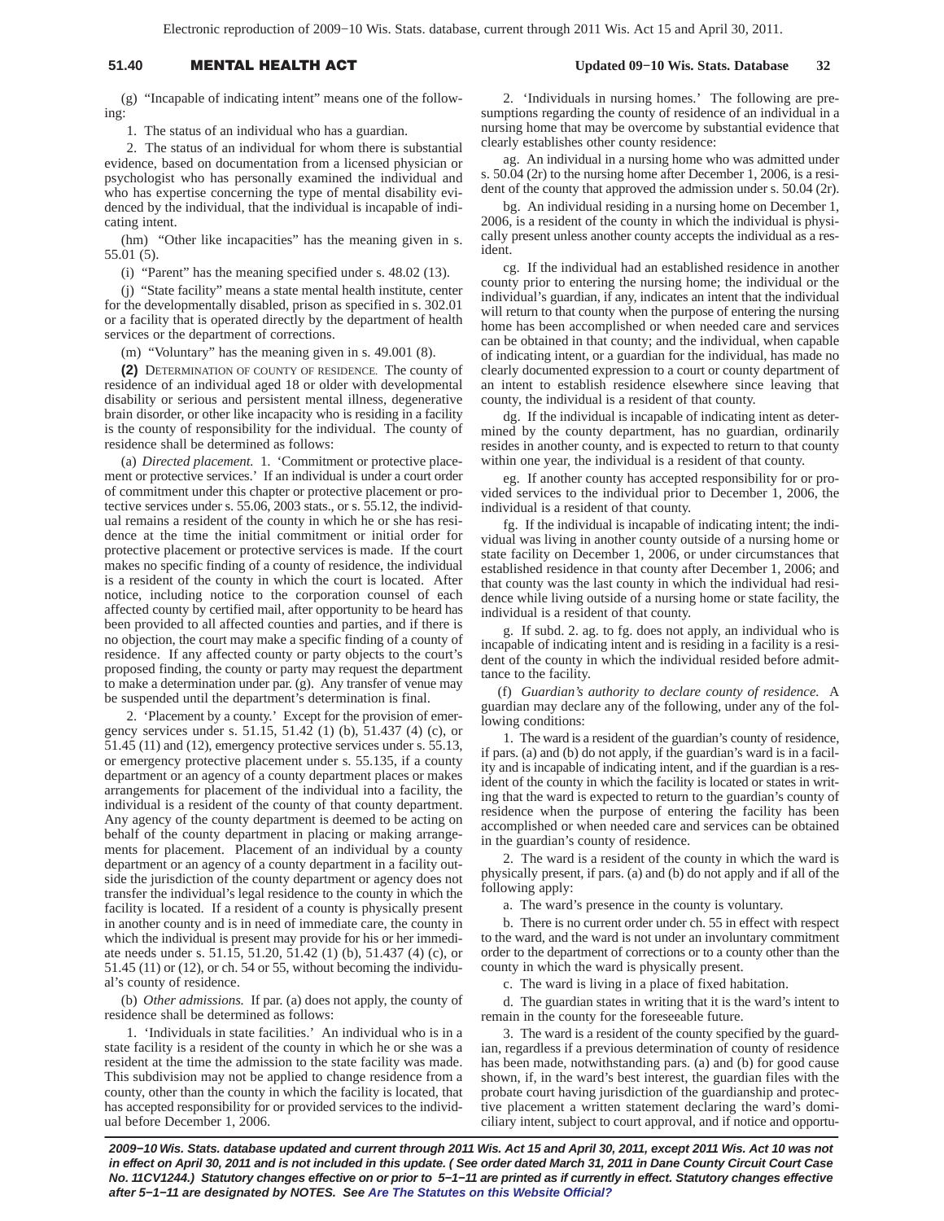# 51.40 **MENTAL HEALTH A**

 **Updated 09−10 Wis. Stats. Database 32**

(g) "Incapable of indicating intent" means one of the following:

1. The status of an individual who has a guardian.

2. The status of an individual for whom there is substantial evidence, based on documentation from a licensed physician or psychologist who has personally examined the individual and who has expertise concerning the type of mental disability evidenced by the individual, that the individual is incapable of indicating intent.

(hm) "Other like incapacities" has the meaning given in s. 55.01 (5).

(i) "Parent" has the meaning specified under s. 48.02 (13).

(j) "State facility" means a state mental health institute, center for the developmentally disabled, prison as specified in s. 302.01 or a facility that is operated directly by the department of health services or the department of corrections.

(m) "Voluntary" has the meaning given in s. 49.001 (8).

**(2)** DETERMINATION OF COUNTY OF RESIDENCE. The county of residence of an individual aged 18 or older with developmental disability or serious and persistent mental illness, degenerative brain disorder, or other like incapacity who is residing in a facility is the county of responsibility for the individual. The county of residence shall be determined as follows:

(a) *Directed placement.* 1. 'Commitment or protective placement or protective services.' If an individual is under a court order of commitment under this chapter or protective placement or protective services under s. 55.06, 2003 stats., or s. 55.12, the individual remains a resident of the county in which he or she has residence at the time the initial commitment or initial order for protective placement or protective services is made. If the court makes no specific finding of a county of residence, the individual is a resident of the county in which the court is located. After notice, including notice to the corporation counsel of each affected county by certified mail, after opportunity to be heard has been provided to all affected counties and parties, and if there is no objection, the court may make a specific finding of a county of residence. If any affected county or party objects to the court's proposed finding, the county or party may request the department to make a determination under par. (g). Any transfer of venue may be suspended until the department's determination is final.

2. 'Placement by a county.' Except for the provision of emergency services under s. 51.15, 51.42 (1) (b), 51.437 (4) (c), or 51.45 (11) and (12), emergency protective services under s. 55.13, or emergency protective placement under s. 55.135, if a county department or an agency of a county department places or makes arrangements for placement of the individual into a facility, the individual is a resident of the county of that county department. Any agency of the county department is deemed to be acting on behalf of the county department in placing or making arrangements for placement. Placement of an individual by a county department or an agency of a county department in a facility outside the jurisdiction of the county department or agency does not transfer the individual's legal residence to the county in which the facility is located. If a resident of a county is physically present in another county and is in need of immediate care, the county in which the individual is present may provide for his or her immediate needs under s. 51.15, 51.20, 51.42 (1) (b), 51.437 (4) (c), or 51.45 (11) or (12), or ch. 54 or 55, without becoming the individual's county of residence.

(b) *Other admissions.* If par. (a) does not apply, the county of residence shall be determined as follows:

1. 'Individuals in state facilities.' An individual who is in a state facility is a resident of the county in which he or she was a resident at the time the admission to the state facility was made. This subdivision may not be applied to change residence from a county, other than the county in which the facility is located, that has accepted responsibility for or provided services to the individual before December 1, 2006.

2. 'Individuals in nursing homes.' The following are presumptions regarding the county of residence of an individual in a nursing home that may be overcome by substantial evidence that clearly establishes other county residence:

ag. An individual in a nursing home who was admitted under s. 50.04 (2r) to the nursing home after December 1, 2006, is a resident of the county that approved the admission under s. 50.04 (2r).

bg. An individual residing in a nursing home on December 1, 2006, is a resident of the county in which the individual is physically present unless another county accepts the individual as a resident.

cg. If the individual had an established residence in another county prior to entering the nursing home; the individual or the individual's guardian, if any, indicates an intent that the individual will return to that county when the purpose of entering the nursing home has been accomplished or when needed care and services can be obtained in that county; and the individual, when capable of indicating intent, or a guardian for the individual, has made no clearly documented expression to a court or county department of an intent to establish residence elsewhere since leaving that county, the individual is a resident of that county.

dg. If the individual is incapable of indicating intent as determined by the county department, has no guardian, ordinarily resides in another county, and is expected to return to that county within one year, the individual is a resident of that county.

eg. If another county has accepted responsibility for or provided services to the individual prior to December 1, 2006, the individual is a resident of that county.

fg. If the individual is incapable of indicating intent; the individual was living in another county outside of a nursing home or state facility on December 1, 2006, or under circumstances that established residence in that county after December 1, 2006; and that county was the last county in which the individual had residence while living outside of a nursing home or state facility, the individual is a resident of that county.

g. If subd. 2. ag. to fg. does not apply, an individual who is incapable of indicating intent and is residing in a facility is a resident of the county in which the individual resided before admittance to the facility.

(f) *Guardian's authority to declare county of residence.* A guardian may declare any of the following, under any of the following conditions:

1. The ward is a resident of the guardian's county of residence, if pars. (a) and (b) do not apply, if the guardian's ward is in a facility and is incapable of indicating intent, and if the guardian is a resident of the county in which the facility is located or states in writing that the ward is expected to return to the guardian's county of residence when the purpose of entering the facility has been accomplished or when needed care and services can be obtained in the guardian's county of residence.

2. The ward is a resident of the county in which the ward is physically present, if pars. (a) and (b) do not apply and if all of the following apply:

a. The ward's presence in the county is voluntary.

b. There is no current order under ch. 55 in effect with respect to the ward, and the ward is not under an involuntary commitment order to the department of corrections or to a county other than the county in which the ward is physically present.

c. The ward is living in a place of fixed habitation.

d. The guardian states in writing that it is the ward's intent to remain in the county for the foreseeable future.

3. The ward is a resident of the county specified by the guardian, regardless if a previous determination of county of residence has been made, notwithstanding pars. (a) and (b) for good cause shown, if, in the ward's best interest, the guardian files with the probate court having jurisdiction of the guardianship and protective placement a written statement declaring the ward's domiciliary intent, subject to court approval, and if notice and opportu-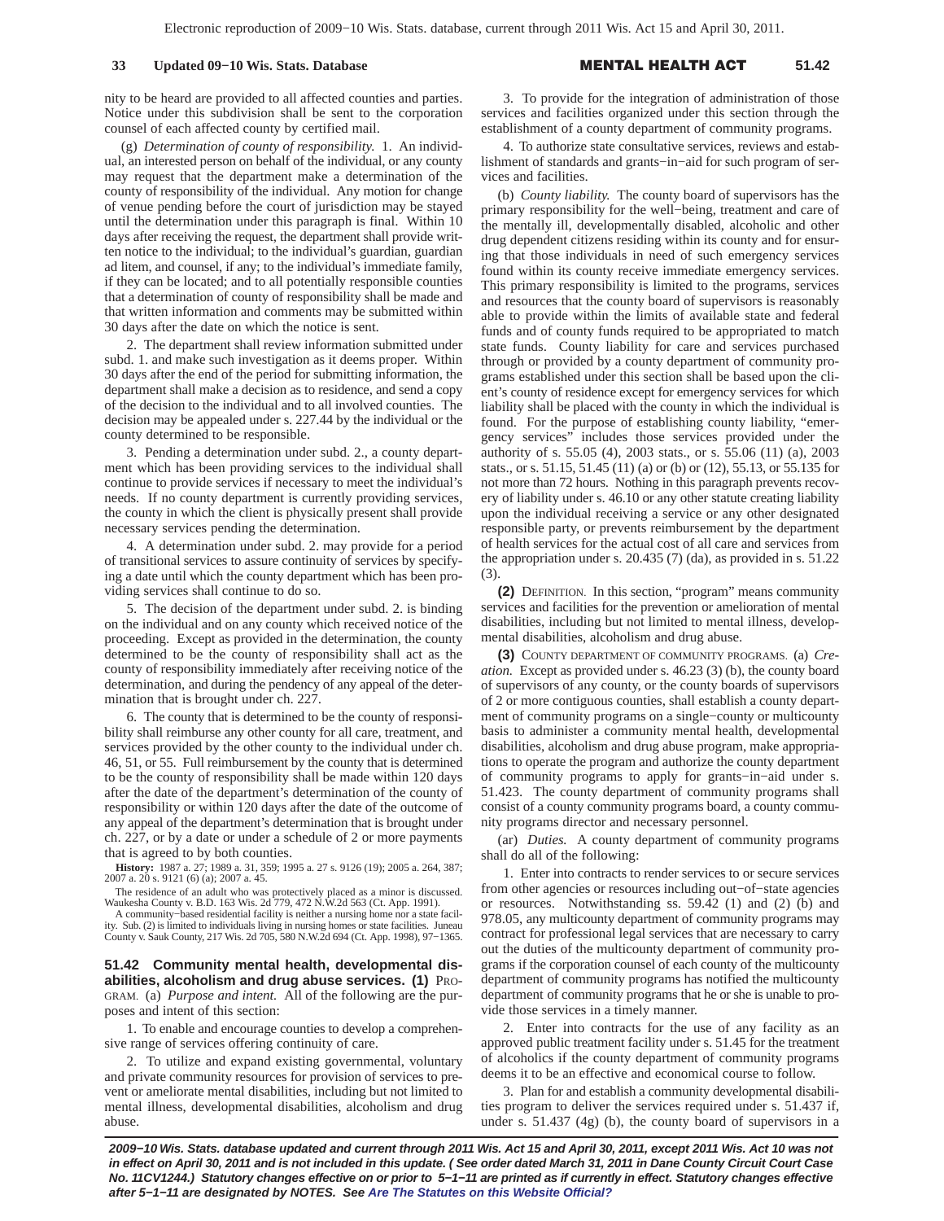## **33 Updated 09−10 Wis. Stats. Database**

#### L HEALTH A **51.42**

nity to be heard are provided to all affected counties and parties. Notice under this subdivision shall be sent to the corporation counsel of each affected county by certified mail.

(g) *Determination of county of responsibility.* 1. An individual, an interested person on behalf of the individual, or any county may request that the department make a determination of the county of responsibility of the individual. Any motion for change of venue pending before the court of jurisdiction may be stayed until the determination under this paragraph is final. Within 10 days after receiving the request, the department shall provide written notice to the individual; to the individual's guardian, guardian ad litem, and counsel, if any; to the individual's immediate family, if they can be located; and to all potentially responsible counties that a determination of county of responsibility shall be made and that written information and comments may be submitted within 30 days after the date on which the notice is sent.

2. The department shall review information submitted under subd. 1. and make such investigation as it deems proper. Within 30 days after the end of the period for submitting information, the department shall make a decision as to residence, and send a copy of the decision to the individual and to all involved counties. The decision may be appealed under s. 227.44 by the individual or the county determined to be responsible.

3. Pending a determination under subd. 2., a county department which has been providing services to the individual shall continue to provide services if necessary to meet the individual's needs. If no county department is currently providing services, the county in which the client is physically present shall provide necessary services pending the determination.

4. A determination under subd. 2. may provide for a period of transitional services to assure continuity of services by specifying a date until which the county department which has been providing services shall continue to do so.

5. The decision of the department under subd. 2. is binding on the individual and on any county which received notice of the proceeding. Except as provided in the determination, the county determined to be the county of responsibility shall act as the county of responsibility immediately after receiving notice of the determination, and during the pendency of any appeal of the determination that is brought under ch. 227.

6. The county that is determined to be the county of responsibility shall reimburse any other county for all care, treatment, and services provided by the other county to the individual under ch. 46, 51, or 55. Full reimbursement by the county that is determined to be the county of responsibility shall be made within 120 days after the date of the department's determination of the county of responsibility or within 120 days after the date of the outcome of any appeal of the department's determination that is brought under ch. 227, or by a date or under a schedule of 2 or more payments that is agreed to by both counties.

**History:** 1987 a. 27; 1989 a. 31, 359; 1995 a. 27 s. 9126 (19); 2005 a. 264, 387; 2007 a. 20 s. 9121 (6) (a); 2007 a. 45.

The residence of an adult who was protectively placed as a minor is discussed. Waukesha County v. B.D. 163 Wis. 2d 779, 472 N.W.2d 563 (Ct. App. 1991).

A community−based residential facility is neither a nursing home nor a state facility. Sub. (2) is limited to individuals living in nursing homes or state facilities. Juneau County v. Sauk County, 217 Wis. 2d 705, 580 N.W.2d 694 (Ct. App. 1998), 97−1365.

**51.42 Community mental health, developmental disabilities, alcoholism and drug abuse services. (1)** PRO-GRAM. (a) *Purpose and intent.* All of the following are the purposes and intent of this section:

1. To enable and encourage counties to develop a comprehensive range of services offering continuity of care.

2. To utilize and expand existing governmental, voluntary and private community resources for provision of services to prevent or ameliorate mental disabilities, including but not limited to mental illness, developmental disabilities, alcoholism and drug abuse.

3. To provide for the integration of administration of those services and facilities organized under this section through the establishment of a county department of community programs.

4. To authorize state consultative services, reviews and establishment of standards and grants−in−aid for such program of services and facilities.

(b) *County liability.* The county board of supervisors has the primary responsibility for the well−being, treatment and care of the mentally ill, developmentally disabled, alcoholic and other drug dependent citizens residing within its county and for ensuring that those individuals in need of such emergency services found within its county receive immediate emergency services. This primary responsibility is limited to the programs, services and resources that the county board of supervisors is reasonably able to provide within the limits of available state and federal funds and of county funds required to be appropriated to match state funds. County liability for care and services purchased through or provided by a county department of community programs established under this section shall be based upon the client's county of residence except for emergency services for which liability shall be placed with the county in which the individual is found. For the purpose of establishing county liability, "emergency services" includes those services provided under the authority of s. 55.05 (4), 2003 stats., or s. 55.06 (11) (a), 2003 stats., or s. 51.15, 51.45 (11) (a) or (b) or (12), 55.13, or 55.135 for not more than 72 hours. Nothing in this paragraph prevents recovery of liability under s. 46.10 or any other statute creating liability upon the individual receiving a service or any other designated responsible party, or prevents reimbursement by the department of health services for the actual cost of all care and services from the appropriation under s. 20.435 (7) (da), as provided in s. 51.22 (3).

**(2)** DEFINITION. In this section, "program" means community services and facilities for the prevention or amelioration of mental disabilities, including but not limited to mental illness, developmental disabilities, alcoholism and drug abuse.

**(3)** COUNTY DEPARTMENT OF COMMUNITY PROGRAMS. (a) *Creation.* Except as provided under s. 46.23 (3) (b), the county board of supervisors of any county, or the county boards of supervisors of 2 or more contiguous counties, shall establish a county department of community programs on a single−county or multicounty basis to administer a community mental health, developmental disabilities, alcoholism and drug abuse program, make appropriations to operate the program and authorize the county department of community programs to apply for grants−in−aid under s. 51.423. The county department of community programs shall consist of a county community programs board, a county community programs director and necessary personnel.

(ar) *Duties.* A county department of community programs shall do all of the following:

1. Enter into contracts to render services to or secure services from other agencies or resources including out−of−state agencies or resources. Notwithstanding ss. 59.42 (1) and (2) (b) and 978.05, any multicounty department of community programs may contract for professional legal services that are necessary to carry out the duties of the multicounty department of community programs if the corporation counsel of each county of the multicounty department of community programs has notified the multicounty department of community programs that he or she is unable to provide those services in a timely manner.

2. Enter into contracts for the use of any facility as an approved public treatment facility under s. 51.45 for the treatment of alcoholics if the county department of community programs deems it to be an effective and economical course to follow.

3. Plan for and establish a community developmental disabilities program to deliver the services required under s. 51.437 if, under s. 51.437 (4g) (b), the county board of supervisors in a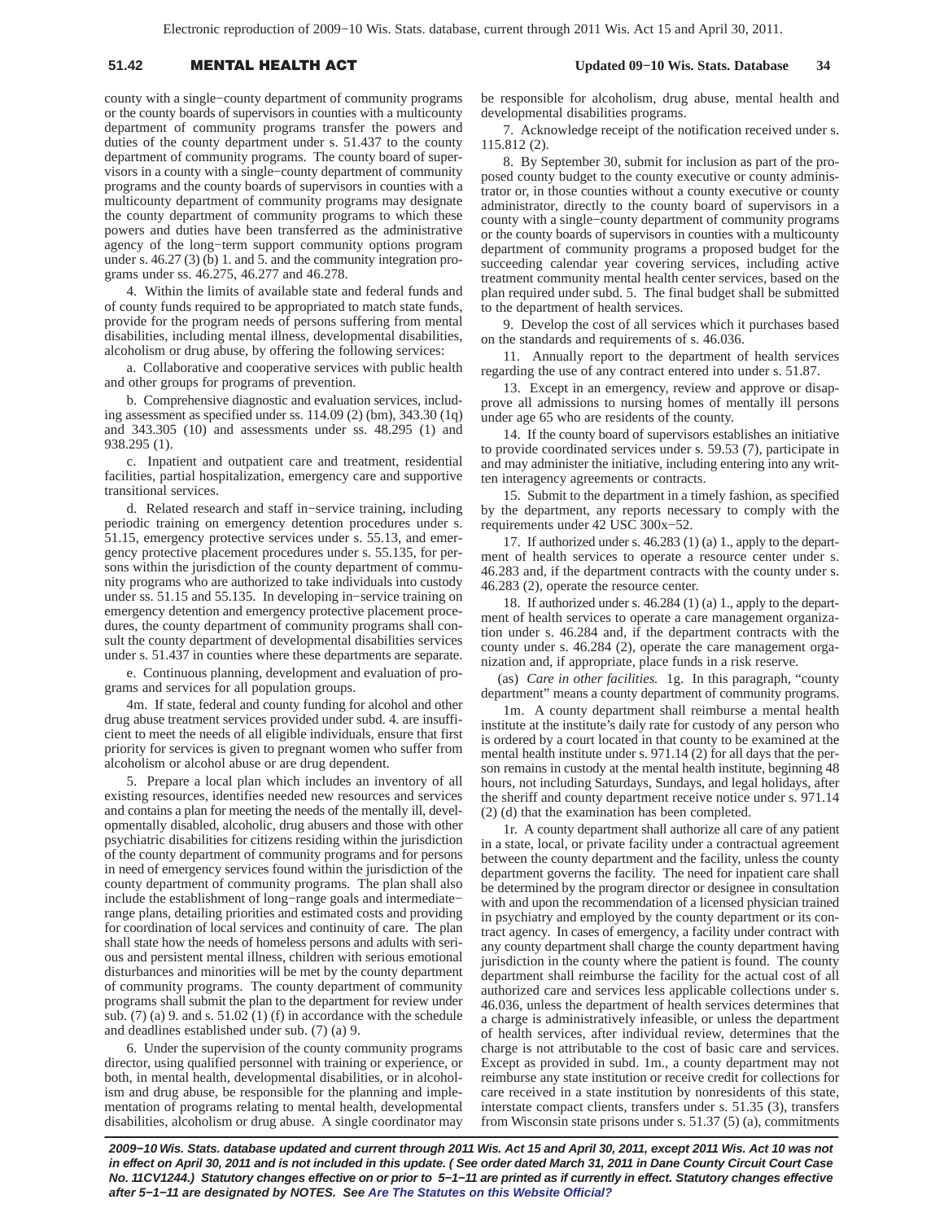# 51.42 **MENTAL HEALTH A**

county with a single−county department of community programs or the county boards of supervisors in counties with a multicounty department of community programs transfer the powers and duties of the county department under s. 51.437 to the county department of community programs. The county board of supervisors in a county with a single−county department of community programs and the county boards of supervisors in counties with a multicounty department of community programs may designate the county department of community programs to which these powers and duties have been transferred as the administrative agency of the long−term support community options program under s. 46.27 (3) (b) 1. and 5. and the community integration programs under ss. 46.275, 46.277 and 46.278.

4. Within the limits of available state and federal funds and of county funds required to be appropriated to match state funds, provide for the program needs of persons suffering from mental disabilities, including mental illness, developmental disabilities, alcoholism or drug abuse, by offering the following services:

a. Collaborative and cooperative services with public health and other groups for programs of prevention.

b. Comprehensive diagnostic and evaluation services, including assessment as specified under ss. 114.09 (2) (bm), 343.30 (1q) and 343.305 (10) and assessments under ss. 48.295 (1) and 938.295 (1).

c. Inpatient and outpatient care and treatment, residential facilities, partial hospitalization, emergency care and supportive transitional services.

d. Related research and staff in−service training, including periodic training on emergency detention procedures under s. 51.15, emergency protective services under s. 55.13, and emergency protective placement procedures under s. 55.135, for persons within the jurisdiction of the county department of community programs who are authorized to take individuals into custody under ss. 51.15 and 55.135. In developing in−service training on emergency detention and emergency protective placement procedures, the county department of community programs shall consult the county department of developmental disabilities services under s. 51.437 in counties where these departments are separate.

e. Continuous planning, development and evaluation of programs and services for all population groups.

4m. If state, federal and county funding for alcohol and other drug abuse treatment services provided under subd. 4. are insufficient to meet the needs of all eligible individuals, ensure that first priority for services is given to pregnant women who suffer from alcoholism or alcohol abuse or are drug dependent.

5. Prepare a local plan which includes an inventory of all existing resources, identifies needed new resources and services and contains a plan for meeting the needs of the mentally ill, developmentally disabled, alcoholic, drug abusers and those with other psychiatric disabilities for citizens residing within the jurisdiction of the county department of community programs and for persons in need of emergency services found within the jurisdiction of the county department of community programs. The plan shall also include the establishment of long−range goals and intermediate− range plans, detailing priorities and estimated costs and providing for coordination of local services and continuity of care. The plan shall state how the needs of homeless persons and adults with serious and persistent mental illness, children with serious emotional disturbances and minorities will be met by the county department of community programs. The county department of community programs shall submit the plan to the department for review under sub. (7) (a) 9. and s. 51.02 (1) (f) in accordance with the schedule and deadlines established under sub. (7) (a) 9.

6. Under the supervision of the county community programs director, using qualified personnel with training or experience, or both, in mental health, developmental disabilities, or in alcoholism and drug abuse, be responsible for the planning and implementation of programs relating to mental health, developmental disabilities, alcoholism or drug abuse. A single coordinator may

be responsible for alcoholism, drug abuse, mental health and developmental disabilities programs.

7. Acknowledge receipt of the notification received under s. 115.812 (2).

8. By September 30, submit for inclusion as part of the proposed county budget to the county executive or county administrator or, in those counties without a county executive or county administrator, directly to the county board of supervisors in a county with a single−county department of community programs or the county boards of supervisors in counties with a multicounty department of community programs a proposed budget for the succeeding calendar year covering services, including active treatment community mental health center services, based on the plan required under subd. 5. The final budget shall be submitted to the department of health services.

9. Develop the cost of all services which it purchases based on the standards and requirements of s. 46.036.

11. Annually report to the department of health services regarding the use of any contract entered into under s. 51.87.

13. Except in an emergency, review and approve or disapprove all admissions to nursing homes of mentally ill persons under age 65 who are residents of the county.

14. If the county board of supervisors establishes an initiative to provide coordinated services under s. 59.53 (7), participate in and may administer the initiative, including entering into any written interagency agreements or contracts.

15. Submit to the department in a timely fashion, as specified by the department, any reports necessary to comply with the requirements under 42 USC 300x−52.

17. If authorized under s. 46.283 (1) (a) 1., apply to the department of health services to operate a resource center under s. 46.283 and, if the department contracts with the county under s. 46.283 (2), operate the resource center.

18. If authorized under s. 46.284 (1) (a) 1., apply to the department of health services to operate a care management organization under s. 46.284 and, if the department contracts with the county under s. 46.284 (2), operate the care management organization and, if appropriate, place funds in a risk reserve.

(as) *Care in other facilities.* 1g. In this paragraph, "county department" means a county department of community programs.

1m. A county department shall reimburse a mental health institute at the institute's daily rate for custody of any person who is ordered by a court located in that county to be examined at the mental health institute under s. 971.14 (2) for all days that the person remains in custody at the mental health institute, beginning 48 hours, not including Saturdays, Sundays, and legal holidays, after the sheriff and county department receive notice under s. 971.14 (2) (d) that the examination has been completed.

1r. A county department shall authorize all care of any patient in a state, local, or private facility under a contractual agreement between the county department and the facility, unless the county department governs the facility. The need for inpatient care shall be determined by the program director or designee in consultation with and upon the recommendation of a licensed physician trained in psychiatry and employed by the county department or its contract agency. In cases of emergency, a facility under contract with any county department shall charge the county department having jurisdiction in the county where the patient is found. The county department shall reimburse the facility for the actual cost of all authorized care and services less applicable collections under s. 46.036, unless the department of health services determines that a charge is administratively infeasible, or unless the department of health services, after individual review, determines that the charge is not attributable to the cost of basic care and services. Except as provided in subd. 1m., a county department may not reimburse any state institution or receive credit for collections for care received in a state institution by nonresidents of this state, interstate compact clients, transfers under s. 51.35 (3), transfers from Wisconsin state prisons under s. 51.37 (5) (a), commitments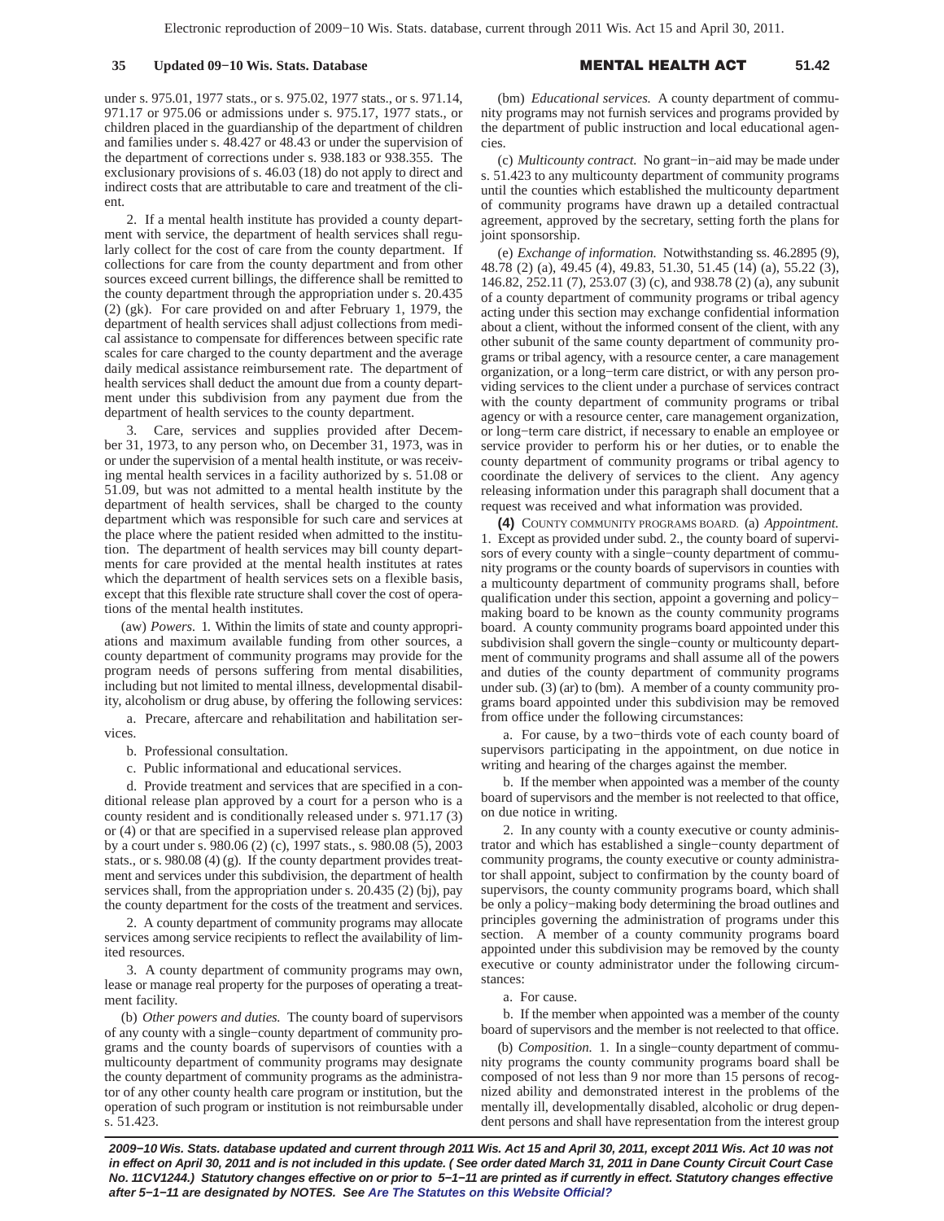under s. 975.01, 1977 stats., or s. 975.02, 1977 stats., or s. 971.14, 971.17 or 975.06 or admissions under s. 975.17, 1977 stats., or children placed in the guardianship of the department of children and families under s. 48.427 or 48.43 or under the supervision of the department of corrections under s. 938.183 or 938.355. The exclusionary provisions of s. 46.03 (18) do not apply to direct and indirect costs that are attributable to care and treatment of the client.

2. If a mental health institute has provided a county department with service, the department of health services shall regularly collect for the cost of care from the county department. If collections for care from the county department and from other sources exceed current billings, the difference shall be remitted to the county department through the appropriation under s. 20.435 (2) (gk). For care provided on and after February 1, 1979, the department of health services shall adjust collections from medical assistance to compensate for differences between specific rate scales for care charged to the county department and the average daily medical assistance reimbursement rate. The department of health services shall deduct the amount due from a county department under this subdivision from any payment due from the department of health services to the county department.

Care, services and supplies provided after December 31, 1973, to any person who, on December 31, 1973, was in or under the supervision of a mental health institute, or was receiving mental health services in a facility authorized by s. 51.08 or 51.09, but was not admitted to a mental health institute by the department of health services, shall be charged to the county department which was responsible for such care and services at the place where the patient resided when admitted to the institution. The department of health services may bill county departments for care provided at the mental health institutes at rates which the department of health services sets on a flexible basis, except that this flexible rate structure shall cover the cost of operations of the mental health institutes.

(aw) *Powers.* 1. Within the limits of state and county appropriations and maximum available funding from other sources, a county department of community programs may provide for the program needs of persons suffering from mental disabilities, including but not limited to mental illness, developmental disability, alcoholism or drug abuse, by offering the following services:

a. Precare, aftercare and rehabilitation and habilitation services.

b. Professional consultation.

c. Public informational and educational services.

d. Provide treatment and services that are specified in a conditional release plan approved by a court for a person who is a county resident and is conditionally released under s. 971.17 (3) or (4) or that are specified in a supervised release plan approved by a court under s. 980.06 (2) (c), 1997 stats., s. 980.08 (5), 2003 stats., or s. 980.08 (4) (g). If the county department provides treatment and services under this subdivision, the department of health services shall, from the appropriation under s. 20.435 (2) (bj), pay the county department for the costs of the treatment and services.

2. A county department of community programs may allocate services among service recipients to reflect the availability of limited resources.

3. A county department of community programs may own, lease or manage real property for the purposes of operating a treatment facility.

(b) *Other powers and duties.* The county board of supervisors of any county with a single−county department of community programs and the county boards of supervisors of counties with a multicounty department of community programs may designate the county department of community programs as the administrator of any other county health care program or institution, but the operation of such program or institution is not reimbursable under s. 51.423.

(bm) *Educational services.* A county department of community programs may not furnish services and programs provided by the department of public instruction and local educational agencies.

(c) *Multicounty contract.* No grant−in−aid may be made under s. 51.423 to any multicounty department of community programs until the counties which established the multicounty department of community programs have drawn up a detailed contractual agreement, approved by the secretary, setting forth the plans for joint sponsorship.

(e) *Exchange of information.* Notwithstanding ss. 46.2895 (9), 48.78 (2) (a), 49.45 (4), 49.83, 51.30, 51.45 (14) (a), 55.22 (3), 146.82, 252.11 (7), 253.07 (3) (c), and 938.78 (2) (a), any subunit of a county department of community programs or tribal agency acting under this section may exchange confidential information about a client, without the informed consent of the client, with any other subunit of the same county department of community programs or tribal agency, with a resource center, a care management organization, or a long−term care district, or with any person providing services to the client under a purchase of services contract with the county department of community programs or tribal agency or with a resource center, care management organization, or long−term care district, if necessary to enable an employee or service provider to perform his or her duties, or to enable the county department of community programs or tribal agency to coordinate the delivery of services to the client. Any agency releasing information under this paragraph shall document that a request was received and what information was provided.

**(4)** COUNTY COMMUNITY PROGRAMS BOARD. (a) *Appointment.* 1. Except as provided under subd. 2., the county board of supervisors of every county with a single−county department of community programs or the county boards of supervisors in counties with a multicounty department of community programs shall, before qualification under this section, appoint a governing and policy− making board to be known as the county community programs board. A county community programs board appointed under this subdivision shall govern the single−county or multicounty department of community programs and shall assume all of the powers and duties of the county department of community programs under sub. (3) (ar) to (bm). A member of a county community programs board appointed under this subdivision may be removed from office under the following circumstances:

a. For cause, by a two−thirds vote of each county board of supervisors participating in the appointment, on due notice in writing and hearing of the charges against the member.

b. If the member when appointed was a member of the county board of supervisors and the member is not reelected to that office, on due notice in writing.

2. In any county with a county executive or county administrator and which has established a single−county department of community programs, the county executive or county administrator shall appoint, subject to confirmation by the county board of supervisors, the county community programs board, which shall be only a policy−making body determining the broad outlines and principles governing the administration of programs under this section. A member of a county community programs board appointed under this subdivision may be removed by the county executive or county administrator under the following circumstances:

### a. For cause.

b. If the member when appointed was a member of the county board of supervisors and the member is not reelected to that office.

(b) *Composition.* 1. In a single−county department of community programs the county community programs board shall be composed of not less than 9 nor more than 15 persons of recognized ability and demonstrated interest in the problems of the mentally ill, developmentally disabled, alcoholic or drug dependent persons and shall have representation from the interest group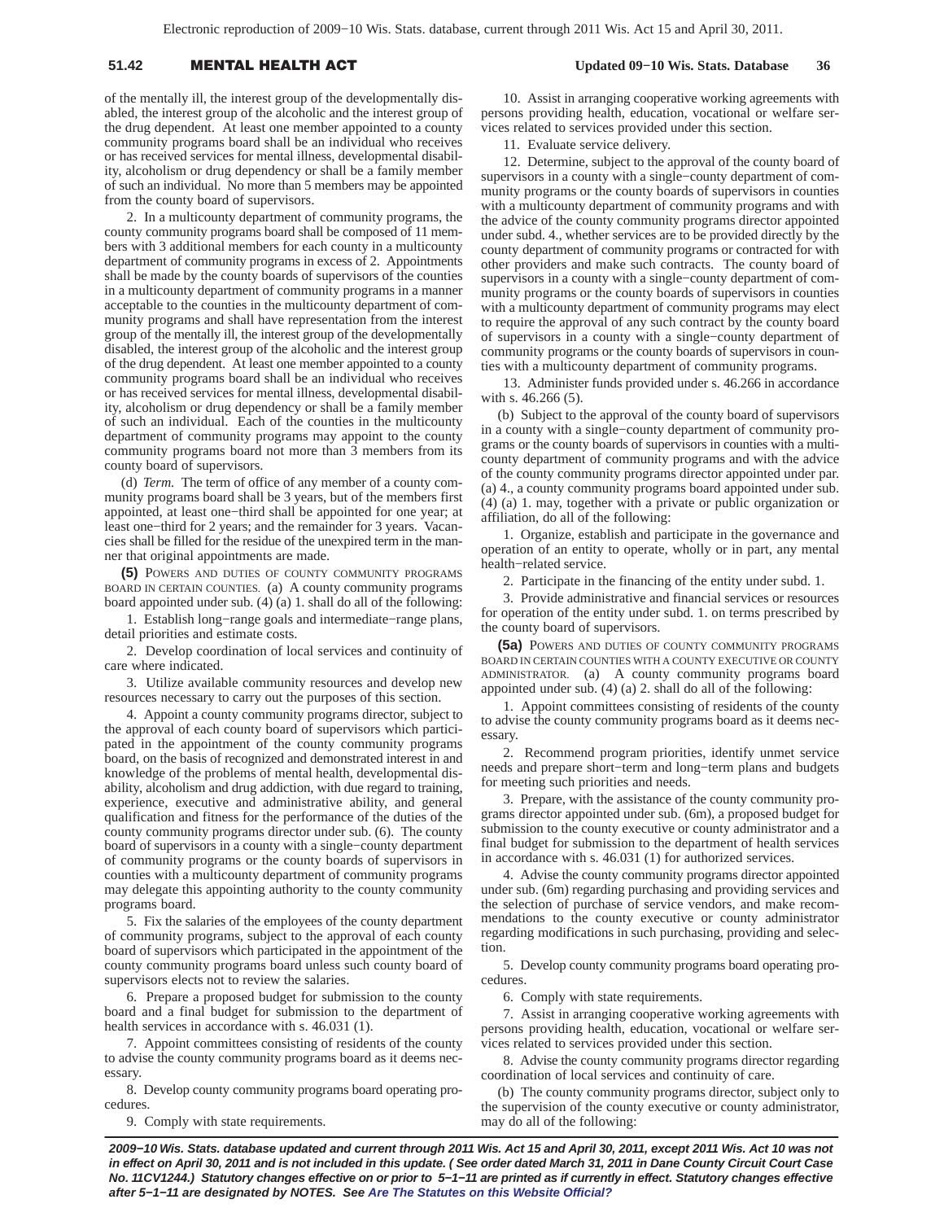# 51.42 **MENTAL HEALTH A**

### **Updated 09−10 Wis. Stats. Database 36**

of the mentally ill, the interest group of the developmentally disabled, the interest group of the alcoholic and the interest group of the drug dependent. At least one member appointed to a county community programs board shall be an individual who receives or has received services for mental illness, developmental disability, alcoholism or drug dependency or shall be a family member of such an individual. No more than 5 members may be appointed from the county board of supervisors.

2. In a multicounty department of community programs, the county community programs board shall be composed of 11 members with 3 additional members for each county in a multicounty department of community programs in excess of 2. Appointments shall be made by the county boards of supervisors of the counties in a multicounty department of community programs in a manner acceptable to the counties in the multicounty department of community programs and shall have representation from the interest group of the mentally ill, the interest group of the developmentally disabled, the interest group of the alcoholic and the interest group of the drug dependent. At least one member appointed to a county community programs board shall be an individual who receives or has received services for mental illness, developmental disability, alcoholism or drug dependency or shall be a family member of such an individual. Each of the counties in the multicounty department of community programs may appoint to the county community programs board not more than 3 members from its county board of supervisors.

(d) *Term.* The term of office of any member of a county community programs board shall be 3 years, but of the members first appointed, at least one−third shall be appointed for one year; at least one−third for 2 years; and the remainder for 3 years. Vacancies shall be filled for the residue of the unexpired term in the manner that original appointments are made.

**(5)** POWERS AND DUTIES OF COUNTY COMMUNITY PROGRAMS BOARD IN CERTAIN COUNTIES. (a) A county community programs board appointed under sub. (4) (a) 1. shall do all of the following:

1. Establish long−range goals and intermediate−range plans, detail priorities and estimate costs.

2. Develop coordination of local services and continuity of care where indicated.

3. Utilize available community resources and develop new resources necessary to carry out the purposes of this section.

4. Appoint a county community programs director, subject to the approval of each county board of supervisors which participated in the appointment of the county community programs board, on the basis of recognized and demonstrated interest in and knowledge of the problems of mental health, developmental disability, alcoholism and drug addiction, with due regard to training, experience, executive and administrative ability, and general qualification and fitness for the performance of the duties of the county community programs director under sub. (6). The county board of supervisors in a county with a single−county department of community programs or the county boards of supervisors in counties with a multicounty department of community programs may delegate this appointing authority to the county community programs board.

5. Fix the salaries of the employees of the county department of community programs, subject to the approval of each county board of supervisors which participated in the appointment of the county community programs board unless such county board of supervisors elects not to review the salaries.

6. Prepare a proposed budget for submission to the county board and a final budget for submission to the department of health services in accordance with s. 46.031 (1).

7. Appoint committees consisting of residents of the county to advise the county community programs board as it deems necessary.

8. Develop county community programs board operating procedures.

9. Comply with state requirements.

10. Assist in arranging cooperative working agreements with persons providing health, education, vocational or welfare services related to services provided under this section.

11. Evaluate service delivery.

12. Determine, subject to the approval of the county board of supervisors in a county with a single−county department of community programs or the county boards of supervisors in counties with a multicounty department of community programs and with the advice of the county community programs director appointed under subd. 4., whether services are to be provided directly by the county department of community programs or contracted for with other providers and make such contracts. The county board of supervisors in a county with a single−county department of community programs or the county boards of supervisors in counties with a multicounty department of community programs may elect to require the approval of any such contract by the county board of supervisors in a county with a single−county department of community programs or the county boards of supervisors in counties with a multicounty department of community programs.

13. Administer funds provided under s. 46.266 in accordance with s. 46.266 (5).

(b) Subject to the approval of the county board of supervisors in a county with a single−county department of community programs or the county boards of supervisors in counties with a multicounty department of community programs and with the advice of the county community programs director appointed under par. (a) 4., a county community programs board appointed under sub. (4) (a) 1. may, together with a private or public organization or affiliation, do all of the following:

1. Organize, establish and participate in the governance and operation of an entity to operate, wholly or in part, any mental health−related service.

2. Participate in the financing of the entity under subd. 1.

3. Provide administrative and financial services or resources for operation of the entity under subd. 1. on terms prescribed by the county board of supervisors.

**(5a)** POWERS AND DUTIES OF COUNTY COMMUNITY PROGRAMS BOARD IN CERTAIN COUNTIES WITH A COUNTY EXECUTIVE OR COUNTY ADMINISTRATOR. (a) A county community programs board appointed under sub. (4) (a) 2. shall do all of the following:

1. Appoint committees consisting of residents of the county to advise the county community programs board as it deems necessary.

2. Recommend program priorities, identify unmet service needs and prepare short−term and long−term plans and budgets for meeting such priorities and needs.

3. Prepare, with the assistance of the county community programs director appointed under sub. (6m), a proposed budget for submission to the county executive or county administrator and a final budget for submission to the department of health services in accordance with s. 46.031 (1) for authorized services.

4. Advise the county community programs director appointed under sub. (6m) regarding purchasing and providing services and the selection of purchase of service vendors, and make recommendations to the county executive or county administrator regarding modifications in such purchasing, providing and selection.

5. Develop county community programs board operating procedures.

6. Comply with state requirements.

7. Assist in arranging cooperative working agreements with persons providing health, education, vocational or welfare services related to services provided under this section.

8. Advise the county community programs director regarding coordination of local services and continuity of care.

(b) The county community programs director, subject only to the supervision of the county executive or county administrator, may do all of the following: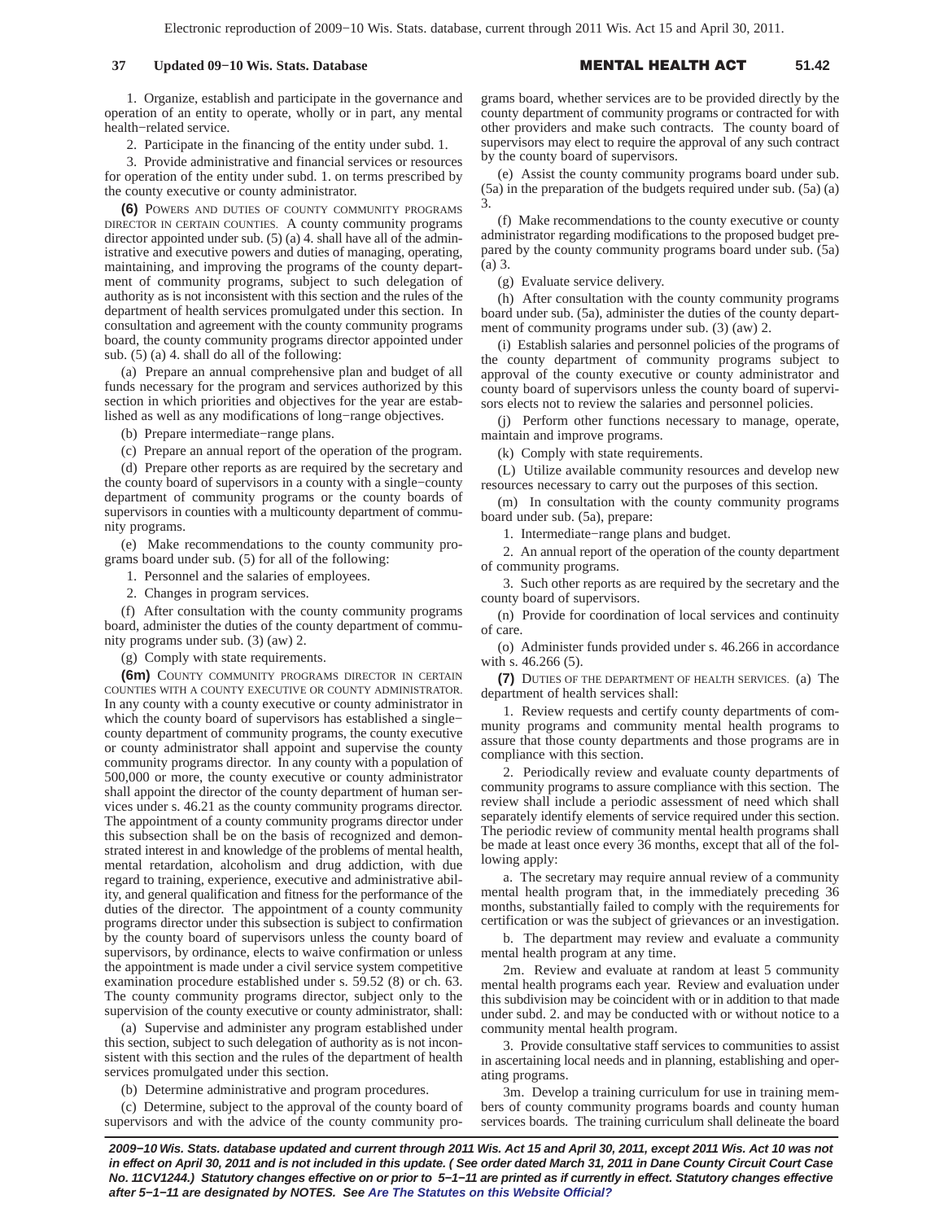## **37 Updated 09-10 Wis. Stats. Database**

#### L HEALTH A **51.42**

1. Organize, establish and participate in the governance and operation of an entity to operate, wholly or in part, any mental health−related service.

2. Participate in the financing of the entity under subd. 1.

3. Provide administrative and financial services or resources for operation of the entity under subd. 1. on terms prescribed by the county executive or county administrator.

**(6)** POWERS AND DUTIES OF COUNTY COMMUNITY PROGRAMS DIRECTOR IN CERTAIN COUNTIES. A county community programs director appointed under sub. (5) (a) 4. shall have all of the administrative and executive powers and duties of managing, operating, maintaining, and improving the programs of the county department of community programs, subject to such delegation of authority as is not inconsistent with this section and the rules of the department of health services promulgated under this section. In consultation and agreement with the county community programs board, the county community programs director appointed under sub. (5) (a) 4. shall do all of the following:

(a) Prepare an annual comprehensive plan and budget of all funds necessary for the program and services authorized by this section in which priorities and objectives for the year are established as well as any modifications of long−range objectives.

(b) Prepare intermediate−range plans.

(c) Prepare an annual report of the operation of the program.

(d) Prepare other reports as are required by the secretary and the county board of supervisors in a county with a single−county department of community programs or the county boards of supervisors in counties with a multicounty department of community programs.

(e) Make recommendations to the county community programs board under sub. (5) for all of the following:

1. Personnel and the salaries of employees.

2. Changes in program services.

(f) After consultation with the county community programs board, administer the duties of the county department of community programs under sub. (3) (aw) 2.

(g) Comply with state requirements.

**(6m)** COUNTY COMMUNITY PROGRAMS DIRECTOR IN CERTAIN COUNTIES WITH A COUNTY EXECUTIVE OR COUNTY ADMINISTRATOR. In any county with a county executive or county administrator in which the county board of supervisors has established a single− county department of community programs, the county executive or county administrator shall appoint and supervise the county community programs director. In any county with a population of 500,000 or more, the county executive or county administrator shall appoint the director of the county department of human services under s. 46.21 as the county community programs director. The appointment of a county community programs director under this subsection shall be on the basis of recognized and demonstrated interest in and knowledge of the problems of mental health, mental retardation, alcoholism and drug addiction, with due regard to training, experience, executive and administrative ability, and general qualification and fitness for the performance of the duties of the director. The appointment of a county community programs director under this subsection is subject to confirmation by the county board of supervisors unless the county board of supervisors, by ordinance, elects to waive confirmation or unless the appointment is made under a civil service system competitive examination procedure established under s. 59.52 (8) or ch. 63. The county community programs director, subject only to the supervision of the county executive or county administrator, shall:

(a) Supervise and administer any program established under this section, subject to such delegation of authority as is not inconsistent with this section and the rules of the department of health services promulgated under this section.

(b) Determine administrative and program procedures.

(c) Determine, subject to the approval of the county board of supervisors and with the advice of the county community pro-

grams board, whether services are to be provided directly by the county department of community programs or contracted for with other providers and make such contracts. The county board of supervisors may elect to require the approval of any such contract by the county board of supervisors.

(e) Assist the county community programs board under sub. (5a) in the preparation of the budgets required under sub. (5a) (a) 3.

(f) Make recommendations to the county executive or county administrator regarding modifications to the proposed budget prepared by the county community programs board under sub. (5a) (a) 3.

(g) Evaluate service delivery.

(h) After consultation with the county community programs board under sub. (5a), administer the duties of the county department of community programs under sub. (3) (aw) 2.

(i) Establish salaries and personnel policies of the programs of the county department of community programs subject to approval of the county executive or county administrator and county board of supervisors unless the county board of supervisors elects not to review the salaries and personnel policies.

(j) Perform other functions necessary to manage, operate, maintain and improve programs.

(k) Comply with state requirements.

(L) Utilize available community resources and develop new resources necessary to carry out the purposes of this section.

(m) In consultation with the county community programs board under sub. (5a), prepare:

1. Intermediate−range plans and budget.

2. An annual report of the operation of the county department of community programs.

3. Such other reports as are required by the secretary and the county board of supervisors.

(n) Provide for coordination of local services and continuity of care.

(o) Administer funds provided under s. 46.266 in accordance with s. 46.266 (5).

**(7)** DUTIES OF THE DEPARTMENT OF HEALTH SERVICES. (a) The department of health services shall:

1. Review requests and certify county departments of community programs and community mental health programs to assure that those county departments and those programs are in compliance with this section.

2. Periodically review and evaluate county departments of community programs to assure compliance with this section. The review shall include a periodic assessment of need which shall separately identify elements of service required under this section. The periodic review of community mental health programs shall be made at least once every 36 months, except that all of the following apply:

a. The secretary may require annual review of a community mental health program that, in the immediately preceding 36 months, substantially failed to comply with the requirements for certification or was the subject of grievances or an investigation.

b. The department may review and evaluate a community mental health program at any time.

2m. Review and evaluate at random at least 5 community mental health programs each year. Review and evaluation under this subdivision may be coincident with or in addition to that made under subd. 2. and may be conducted with or without notice to a community mental health program.

3. Provide consultative staff services to communities to assist in ascertaining local needs and in planning, establishing and operating programs.

3m. Develop a training curriculum for use in training members of county community programs boards and county human services boards. The training curriculum shall delineate the board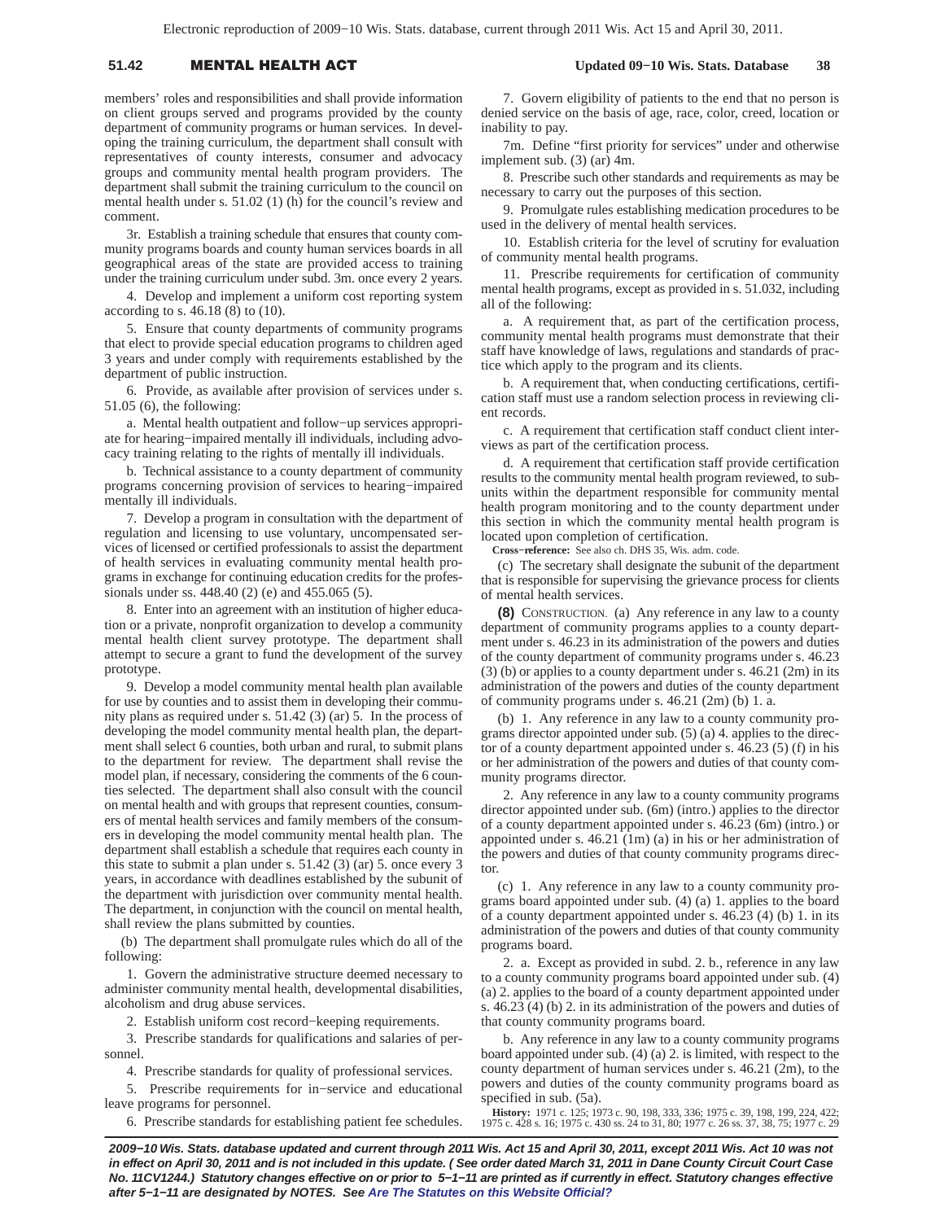# 51.42 **MENTAL HEALTH A**

members' roles and responsibilities and shall provide information on client groups served and programs provided by the county department of community programs or human services. In developing the training curriculum, the department shall consult with representatives of county interests, consumer and advocacy groups and community mental health program providers. The department shall submit the training curriculum to the council on mental health under s. 51.02 (1) (h) for the council's review and comment.

3r. Establish a training schedule that ensures that county community programs boards and county human services boards in all geographical areas of the state are provided access to training under the training curriculum under subd. 3m. once every 2 years.

4. Develop and implement a uniform cost reporting system according to s. 46.18 (8) to (10).

5. Ensure that county departments of community programs that elect to provide special education programs to children aged 3 years and under comply with requirements established by the department of public instruction.

6. Provide, as available after provision of services under s. 51.05 (6), the following:

a. Mental health outpatient and follow−up services appropriate for hearing−impaired mentally ill individuals, including advocacy training relating to the rights of mentally ill individuals.

b. Technical assistance to a county department of community programs concerning provision of services to hearing−impaired mentally ill individuals.

7. Develop a program in consultation with the department of regulation and licensing to use voluntary, uncompensated services of licensed or certified professionals to assist the department of health services in evaluating community mental health programs in exchange for continuing education credits for the professionals under ss. 448.40 (2) (e) and 455.065 (5).

8. Enter into an agreement with an institution of higher education or a private, nonprofit organization to develop a community mental health client survey prototype. The department shall attempt to secure a grant to fund the development of the survey prototype.

9. Develop a model community mental health plan available for use by counties and to assist them in developing their community plans as required under s. 51.42 (3) (ar) 5. In the process of developing the model community mental health plan, the department shall select 6 counties, both urban and rural, to submit plans to the department for review. The department shall revise the model plan, if necessary, considering the comments of the 6 counties selected. The department shall also consult with the council on mental health and with groups that represent counties, consumers of mental health services and family members of the consumers in developing the model community mental health plan. The department shall establish a schedule that requires each county in this state to submit a plan under s. 51.42 (3) (ar) 5. once every 3 years, in accordance with deadlines established by the subunit of the department with jurisdiction over community mental health. The department, in conjunction with the council on mental health, shall review the plans submitted by counties.

(b) The department shall promulgate rules which do all of the following:

1. Govern the administrative structure deemed necessary to administer community mental health, developmental disabilities, alcoholism and drug abuse services.

2. Establish uniform cost record−keeping requirements.

3. Prescribe standards for qualifications and salaries of personnel.

4. Prescribe standards for quality of professional services.

5. Prescribe requirements for in−service and educational leave programs for personnel.

6. Prescribe standards for establishing patient fee schedules.

7. Govern eligibility of patients to the end that no person is denied service on the basis of age, race, color, creed, location or

 **Updated 09−10 Wis. Stats. Database 38**

inability to pay. 7m. Define "first priority for services" under and otherwise

implement sub. (3) (ar) 4m. 8. Prescribe such other standards and requirements as may be necessary to carry out the purposes of this section.

9. Promulgate rules establishing medication procedures to be used in the delivery of mental health services.

10. Establish criteria for the level of scrutiny for evaluation of community mental health programs.

11. Prescribe requirements for certification of community mental health programs, except as provided in s. 51.032, including all of the following:

a. A requirement that, as part of the certification process, community mental health programs must demonstrate that their staff have knowledge of laws, regulations and standards of practice which apply to the program and its clients.

b. A requirement that, when conducting certifications, certification staff must use a random selection process in reviewing client records.

c. A requirement that certification staff conduct client interviews as part of the certification process.

d. A requirement that certification staff provide certification results to the community mental health program reviewed, to subunits within the department responsible for community mental health program monitoring and to the county department under this section in which the community mental health program is located upon completion of certification.

**Cross−reference:** See also ch. DHS 35, Wis. adm. code.

(c) The secretary shall designate the subunit of the department that is responsible for supervising the grievance process for clients of mental health services.

**(8)** CONSTRUCTION. (a) Any reference in any law to a county department of community programs applies to a county department under s. 46.23 in its administration of the powers and duties of the county department of community programs under s. 46.23 (3) (b) or applies to a county department under s. 46.21 (2m) in its administration of the powers and duties of the county department of community programs under s. 46.21 (2m) (b) 1. a.

(b) 1. Any reference in any law to a county community programs director appointed under sub. (5) (a) 4. applies to the director of a county department appointed under s. 46.23 (5) (f) in his or her administration of the powers and duties of that county community programs director.

2. Any reference in any law to a county community programs director appointed under sub. (6m) (intro.) applies to the director of a county department appointed under s. 46.23 (6m) (intro.) or appointed under s. 46.21 (1m) (a) in his or her administration of the powers and duties of that county community programs director.

(c) 1. Any reference in any law to a county community programs board appointed under sub. (4) (a) 1. applies to the board of a county department appointed under s. 46.23 (4) (b) 1. in its administration of the powers and duties of that county community programs board.

2. a. Except as provided in subd. 2. b., reference in any law to a county community programs board appointed under sub. (4) (a) 2. applies to the board of a county department appointed under s. 46.23 (4) (b) 2. in its administration of the powers and duties of that county community programs board.

b. Any reference in any law to a county community programs board appointed under sub. (4) (a) 2. is limited, with respect to the county department of human services under s. 46.21 (2m), to the powers and duties of the county community programs board as specified in sub. (5a).

**History:** 1971 c. 125; 1973 c. 90, 198, 333, 336; 1975 c. 39, 198, 199, 224, 422; 1975 c. 428 s. 16; 1975 c. 430 ss. 24 to 31, 80; 1977 c. 26 ss. 37, 38, 75; 1977 c. 29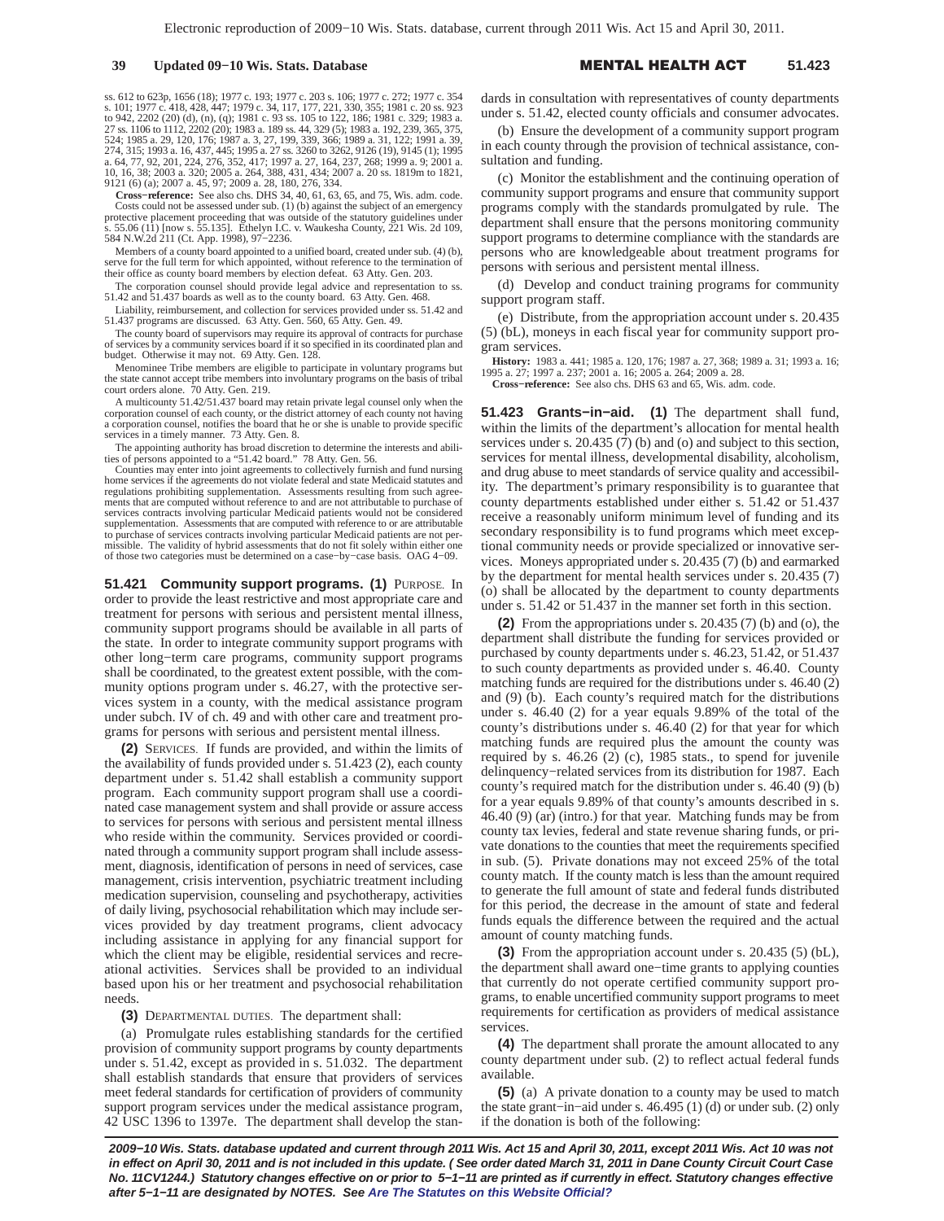ss. 612 to 623p, 1656 (18); 1977 c. 193; 1977 c. 203 s. 106; 1977 c. 272; 1977 c. 354<br>s. 101; 1977 c. 418, 428, 447; 1979 c. 34, 117, 177, 221, 330, 355; 1981 c. 20 ss. 923<br>to 942, 2202 (20) (d), (n), (q); 1981 c. 93 ss. 1

**Cross−reference:** See also chs. DHS 34, 40, 61, 63, 65, and 75, Wis. adm. code. Costs could not be assessed under sub. (1) (b) against the subject of an emergency protective placement proceeding that was outside of the statutory guidelines under s. 55.06 (11) [now s. 55.135]. Ethelyn I.C. v. Waukesha County, 221 Wis. 2d 109, 584 N.W.2d 211 (Ct. App. 1998), 97−2236.

Members of a county board appointed to a unified board, created under sub. (4) (b), serve for the full term for which appointed, without reference to the termination of their office as county board members by election defeat. 63 Atty. Gen. 203.

The corporation counsel should provide legal advice and representation to ss. 51.42 and 51.437 boards as well as to the county board. 63 Atty. Gen. 468.

Liability, reimbursement, and collection for services provided under ss. 51.42 and 51.437 programs are discussed. 63 Atty. Gen. 560, 65 Atty. Gen. 49.

The county board of supervisors may require its approval of contracts for purchase of services by a community services board if it so specified in its coordinated plan and budget. Otherwise it may not. 69 Atty. Gen. 128.

Menominee Tribe members are eligible to participate in voluntary programs but the state cannot accept tribe members into involuntary programs on the basis of tribal court orders alone. 70 Atty. Gen. 219.

A multicounty 51.42/51.437 board may retain private legal counsel only when the corporation counsel of each county, or the district attorney of each county not having a corporation counsel, notifies the board that he or she is unable to provide specific services in a timely manner. 73 Atty. Gen. 8.

The appointing authority has broad discretion to determine the interests and abilities of persons appointed to a "51.42 board." 78 Atty. Gen. 56.

Counties may enter into joint agreements to collectively furnish and fund nursing home services if the agreements do not violate federal and state Medicaid statutes and regulations prohibiting supplementation. Assessments resulting from such agree-ments that are computed without reference to and are not attributable to purchase of services contracts involving particular Medicaid patients would not be considered supplementation. Assessments that are computed with reference to or are attributable to purchase of services contracts involving particular Medicaid patients are not per-missible. The validity of hybrid assessments that do not fit solely within either one of those two categories must be determined on a case−by−case basis. OAG 4−09.

**51.421 Community support programs. (1)** PURPOSE. In order to provide the least restrictive and most appropriate care and treatment for persons with serious and persistent mental illness, community support programs should be available in all parts of the state. In order to integrate community support programs with other long−term care programs, community support programs shall be coordinated, to the greatest extent possible, with the community options program under s. 46.27, with the protective services system in a county, with the medical assistance program under subch. IV of ch. 49 and with other care and treatment programs for persons with serious and persistent mental illness.

**(2)** SERVICES. If funds are provided, and within the limits of the availability of funds provided under s. 51.423 (2), each county department under s. 51.42 shall establish a community support program. Each community support program shall use a coordinated case management system and shall provide or assure access to services for persons with serious and persistent mental illness who reside within the community. Services provided or coordinated through a community support program shall include assessment, diagnosis, identification of persons in need of services, case management, crisis intervention, psychiatric treatment including medication supervision, counseling and psychotherapy, activities of daily living, psychosocial rehabilitation which may include services provided by day treatment programs, client advocacy including assistance in applying for any financial support for which the client may be eligible, residential services and recreational activities. Services shall be provided to an individual based upon his or her treatment and psychosocial rehabilitation needs.

**(3)** DEPARTMENTAL DUTIES. The department shall:

(a) Promulgate rules establishing standards for the certified provision of community support programs by county departments under s. 51.42, except as provided in s. 51.032. The department shall establish standards that ensure that providers of services meet federal standards for certification of providers of community support program services under the medical assistance program, 42 USC 1396 to 1397e. The department shall develop the standards in consultation with representatives of county departments under s. 51.42, elected county officials and consumer advocates.

(b) Ensure the development of a community support program in each county through the provision of technical assistance, consultation and funding.

(c) Monitor the establishment and the continuing operation of community support programs and ensure that community support programs comply with the standards promulgated by rule. The department shall ensure that the persons monitoring community support programs to determine compliance with the standards are persons who are knowledgeable about treatment programs for persons with serious and persistent mental illness.

(d) Develop and conduct training programs for community support program staff.

(e) Distribute, from the appropriation account under s. 20.435 (5) (bL), moneys in each fiscal year for community support program services.

**History:** 1983 a. 441; 1985 a. 120, 176; 1987 a. 27, 368; 1989 a. 31; 1993 a. 16; 1995 a. 27; 1997 a. 237; 2001 a. 16; 2005 a. 264; 2009 a. 28.

**Cross−reference:** See also chs. DHS 63 and 65, Wis. adm. code.

**51.423 Grants−in−aid. (1)** The department shall fund, within the limits of the department's allocation for mental health services under s. 20.435 (7) (b) and (o) and subject to this section, services for mental illness, developmental disability, alcoholism, and drug abuse to meet standards of service quality and accessibility. The department's primary responsibility is to guarantee that county departments established under either s. 51.42 or 51.437 receive a reasonably uniform minimum level of funding and its secondary responsibility is to fund programs which meet exceptional community needs or provide specialized or innovative services. Moneys appropriated under s. 20.435 (7) (b) and earmarked by the department for mental health services under s. 20.435 (7) (o) shall be allocated by the department to county departments under s. 51.42 or 51.437 in the manner set forth in this section.

**(2)** From the appropriations under s. 20.435 (7) (b) and (o), the department shall distribute the funding for services provided or purchased by county departments under s. 46.23, 51.42, or 51.437 to such county departments as provided under s. 46.40. County matching funds are required for the distributions under s. 46.40 (2) and (9) (b). Each county's required match for the distributions under s. 46.40 (2) for a year equals 9.89% of the total of the county's distributions under s. 46.40 (2) for that year for which matching funds are required plus the amount the county was required by s. 46.26 (2) (c), 1985 stats., to spend for juvenile delinquency−related services from its distribution for 1987. Each county's required match for the distribution under s. 46.40 (9) (b) for a year equals 9.89% of that county's amounts described in s. 46.40 (9) (ar) (intro.) for that year. Matching funds may be from county tax levies, federal and state revenue sharing funds, or private donations to the counties that meet the requirements specified in sub. (5). Private donations may not exceed 25% of the total county match. If the county match is less than the amount required to generate the full amount of state and federal funds distributed for this period, the decrease in the amount of state and federal funds equals the difference between the required and the actual amount of county matching funds.

**(3)** From the appropriation account under s. 20.435 (5) (bL), the department shall award one−time grants to applying counties that currently do not operate certified community support programs, to enable uncertified community support programs to meet requirements for certification as providers of medical assistance services.

**(4)** The department shall prorate the amount allocated to any county department under sub. (2) to reflect actual federal funds available.

**(5)** (a) A private donation to a county may be used to match the state grant−in−aid under s. 46.495 (1) (d) or under sub. (2) only if the donation is both of the following: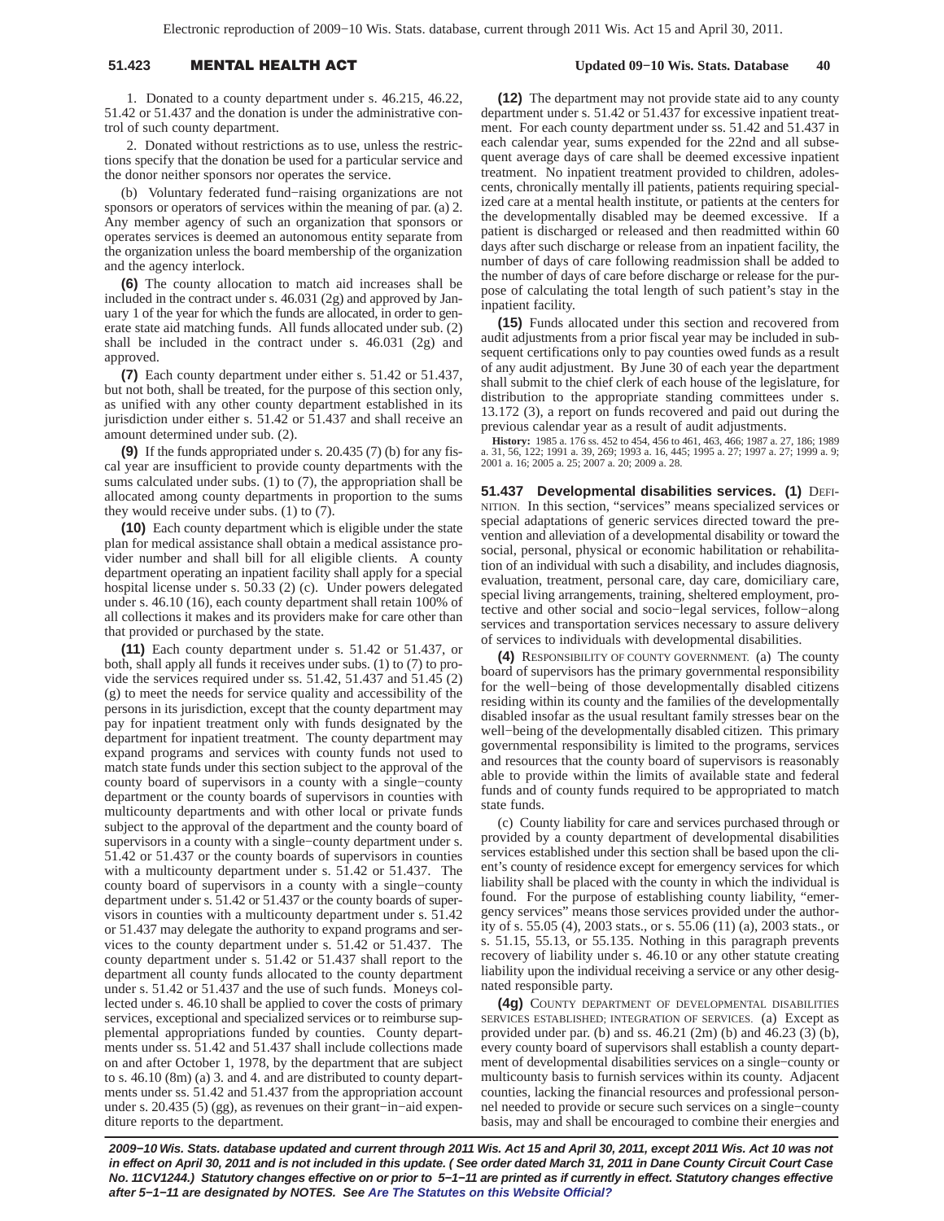# 51.423 **MENTAL HEALTH A**

1. Donated to a county department under s. 46.215, 46.22, 51.42 or 51.437 and the donation is under the administrative control of such county department.

2. Donated without restrictions as to use, unless the restrictions specify that the donation be used for a particular service and the donor neither sponsors nor operates the service.

(b) Voluntary federated fund−raising organizations are not sponsors or operators of services within the meaning of par. (a) 2. Any member agency of such an organization that sponsors or operates services is deemed an autonomous entity separate from the organization unless the board membership of the organization and the agency interlock.

**(6)** The county allocation to match aid increases shall be included in the contract under s. 46.031 (2g) and approved by January 1 of the year for which the funds are allocated, in order to generate state aid matching funds. All funds allocated under sub. (2) shall be included in the contract under s. 46.031 (2g) and approved.

**(7)** Each county department under either s. 51.42 or 51.437, but not both, shall be treated, for the purpose of this section only, as unified with any other county department established in its jurisdiction under either s. 51.42 or 51.437 and shall receive an amount determined under sub. (2).

**(9)** If the funds appropriated under s. 20.435 (7) (b) for any fiscal year are insufficient to provide county departments with the sums calculated under subs. (1) to (7), the appropriation shall be allocated among county departments in proportion to the sums they would receive under subs. (1) to (7).

**(10)** Each county department which is eligible under the state plan for medical assistance shall obtain a medical assistance provider number and shall bill for all eligible clients. A county department operating an inpatient facility shall apply for a special hospital license under s. 50.33 (2) (c). Under powers delegated under s. 46.10 (16), each county department shall retain 100% of all collections it makes and its providers make for care other than that provided or purchased by the state.

**(11)** Each county department under s. 51.42 or 51.437, or both, shall apply all funds it receives under subs. (1) to (7) to provide the services required under ss.  $51.42$ ,  $51.437$  and  $51.45$  (2) (g) to meet the needs for service quality and accessibility of the persons in its jurisdiction, except that the county department may pay for inpatient treatment only with funds designated by the department for inpatient treatment. The county department may expand programs and services with county funds not used to match state funds under this section subject to the approval of the county board of supervisors in a county with a single−county department or the county boards of supervisors in counties with multicounty departments and with other local or private funds subject to the approval of the department and the county board of supervisors in a county with a single−county department under s. 51.42 or 51.437 or the county boards of supervisors in counties with a multicounty department under s. 51.42 or 51.437. The county board of supervisors in a county with a single−county department under s. 51.42 or 51.437 or the county boards of supervisors in counties with a multicounty department under s. 51.42 or 51.437 may delegate the authority to expand programs and services to the county department under s. 51.42 or 51.437. The county department under s. 51.42 or 51.437 shall report to the department all county funds allocated to the county department under s. 51.42 or 51.437 and the use of such funds. Moneys collected under s. 46.10 shall be applied to cover the costs of primary services, exceptional and specialized services or to reimburse supplemental appropriations funded by counties. County departments under ss. 51.42 and 51.437 shall include collections made on and after October 1, 1978, by the department that are subject to s. 46.10 (8m) (a) 3. and 4. and are distributed to county departments under ss. 51.42 and 51.437 from the appropriation account under s. 20.435 (5) (gg), as revenues on their grant−in−aid expenditure reports to the department.

**(12)** The department may not provide state aid to any county department under s. 51.42 or 51.437 for excessive inpatient treatment. For each county department under ss. 51.42 and 51.437 in each calendar year, sums expended for the 22nd and all subsequent average days of care shall be deemed excessive inpatient treatment. No inpatient treatment provided to children, adolescents, chronically mentally ill patients, patients requiring specialized care at a mental health institute, or patients at the centers for the developmentally disabled may be deemed excessive. If a patient is discharged or released and then readmitted within 60 days after such discharge or release from an inpatient facility, the number of days of care following readmission shall be added to the number of days of care before discharge or release for the purpose of calculating the total length of such patient's stay in the inpatient facility.

**(15)** Funds allocated under this section and recovered from audit adjustments from a prior fiscal year may be included in subsequent certifications only to pay counties owed funds as a result of any audit adjustment. By June 30 of each year the department shall submit to the chief clerk of each house of the legislature, for distribution to the appropriate standing committees under s. 13.172 (3), a report on funds recovered and paid out during the previous calendar year as a result of audit adjustments.

**History:** 1985 a. 176 ss. 452 to 454, 456 to 461, 463, 466; 1987 a. 27, 186; 1989 a. 31, 56, 122; 1991 a. 39, 269; 1993 a. 16, 445; 1995 a. 27; 1997 a. 27; 1999 a. 9; 2001 a. 16; 2005 a. 25; 2007 a. 20; 2009 a. 28.

**51.437 Developmental disabilities services. (1)** DEFI-NITION. In this section, "services" means specialized services or special adaptations of generic services directed toward the prevention and alleviation of a developmental disability or toward the social, personal, physical or economic habilitation or rehabilitation of an individual with such a disability, and includes diagnosis, evaluation, treatment, personal care, day care, domiciliary care, special living arrangements, training, sheltered employment, protective and other social and socio−legal services, follow−along services and transportation services necessary to assure delivery of services to individuals with developmental disabilities.

**(4)** RESPONSIBILITY OF COUNTY GOVERNMENT. (a) The county board of supervisors has the primary governmental responsibility for the well−being of those developmentally disabled citizens residing within its county and the families of the developmentally disabled insofar as the usual resultant family stresses bear on the well−being of the developmentally disabled citizen. This primary governmental responsibility is limited to the programs, services and resources that the county board of supervisors is reasonably able to provide within the limits of available state and federal funds and of county funds required to be appropriated to match state funds.

(c) County liability for care and services purchased through or provided by a county department of developmental disabilities services established under this section shall be based upon the client's county of residence except for emergency services for which liability shall be placed with the county in which the individual is found. For the purpose of establishing county liability, "emergency services" means those services provided under the authority of s. 55.05 (4), 2003 stats., or s. 55.06 (11) (a), 2003 stats., or s. 51.15, 55.13, or 55.135. Nothing in this paragraph prevents recovery of liability under s. 46.10 or any other statute creating liability upon the individual receiving a service or any other designated responsible party.

**(4g)** COUNTY DEPARTMENT OF DEVELOPMENTAL DISABILITIES SERVICES ESTABLISHED; INTEGRATION OF SERVICES. (a) Except as provided under par. (b) and ss.  $46.21$  (2m) (b) and  $46.23$  (3) (b), every county board of supervisors shall establish a county department of developmental disabilities services on a single−county or multicounty basis to furnish services within its county. Adjacent counties, lacking the financial resources and professional personnel needed to provide or secure such services on a single−county basis, may and shall be encouraged to combine their energies and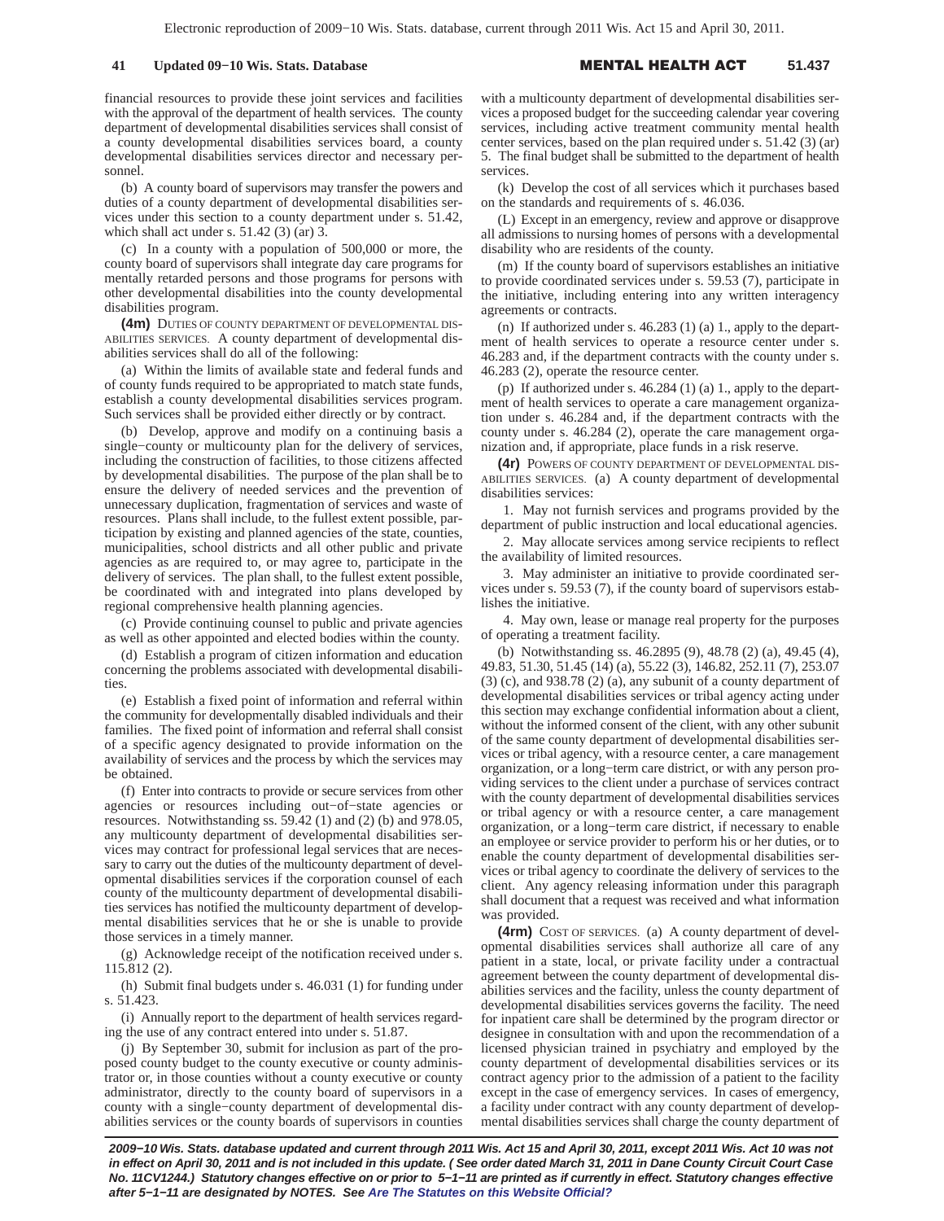financial resources to provide these joint services and facilities with the approval of the department of health services. The county department of developmental disabilities services shall consist of a county developmental disabilities services board, a county developmental disabilities services director and necessary personnel.

(b) A county board of supervisors may transfer the powers and duties of a county department of developmental disabilities services under this section to a county department under s. 51.42, which shall act under s. 51.42 (3) (ar) 3.

(c) In a county with a population of 500,000 or more, the county board of supervisors shall integrate day care programs for mentally retarded persons and those programs for persons with other developmental disabilities into the county developmental disabilities program.

**(4m)** DUTIES OF COUNTY DEPARTMENT OF DEVELOPMENTAL DIS-ABILITIES SERVICES. A county department of developmental disabilities services shall do all of the following:

(a) Within the limits of available state and federal funds and of county funds required to be appropriated to match state funds, establish a county developmental disabilities services program. Such services shall be provided either directly or by contract.

(b) Develop, approve and modify on a continuing basis a single−county or multicounty plan for the delivery of services, including the construction of facilities, to those citizens affected by developmental disabilities. The purpose of the plan shall be to ensure the delivery of needed services and the prevention of unnecessary duplication, fragmentation of services and waste of resources. Plans shall include, to the fullest extent possible, participation by existing and planned agencies of the state, counties, municipalities, school districts and all other public and private agencies as are required to, or may agree to, participate in the delivery of services. The plan shall, to the fullest extent possible, be coordinated with and integrated into plans developed by regional comprehensive health planning agencies.

(c) Provide continuing counsel to public and private agencies as well as other appointed and elected bodies within the county.

(d) Establish a program of citizen information and education concerning the problems associated with developmental disabilities.

(e) Establish a fixed point of information and referral within the community for developmentally disabled individuals and their families. The fixed point of information and referral shall consist of a specific agency designated to provide information on the availability of services and the process by which the services may be obtained.

(f) Enter into contracts to provide or secure services from other agencies or resources including out−of−state agencies or resources. Notwithstanding ss. 59.42 (1) and (2) (b) and 978.05, any multicounty department of developmental disabilities services may contract for professional legal services that are necessary to carry out the duties of the multicounty department of developmental disabilities services if the corporation counsel of each county of the multicounty department of developmental disabilities services has notified the multicounty department of developmental disabilities services that he or she is unable to provide those services in a timely manner.

(g) Acknowledge receipt of the notification received under s. 115.812 (2).

(h) Submit final budgets under s. 46.031 (1) for funding under s. 51.423.

(i) Annually report to the department of health services regarding the use of any contract entered into under s. 51.87.

(j) By September 30, submit for inclusion as part of the proposed county budget to the county executive or county administrator or, in those counties without a county executive or county administrator, directly to the county board of supervisors in a county with a single−county department of developmental disabilities services or the county boards of supervisors in counties

with a multicounty department of developmental disabilities services a proposed budget for the succeeding calendar year covering services, including active treatment community mental health center services, based on the plan required under s. 51.42 (3) (ar) 5. The final budget shall be submitted to the department of health services.

(k) Develop the cost of all services which it purchases based on the standards and requirements of s. 46.036.

(L) Except in an emergency, review and approve or disapprove all admissions to nursing homes of persons with a developmental disability who are residents of the county.

(m) If the county board of supervisors establishes an initiative to provide coordinated services under s. 59.53 (7), participate in the initiative, including entering into any written interagency agreements or contracts.

(n) If authorized under s. 46.283 (1) (a) 1., apply to the department of health services to operate a resource center under s. 46.283 and, if the department contracts with the county under s. 46.283 (2), operate the resource center.

(p) If authorized under s. 46.284 (1) (a) 1., apply to the department of health services to operate a care management organization under s. 46.284 and, if the department contracts with the county under s. 46.284 (2), operate the care management organization and, if appropriate, place funds in a risk reserve.

**(4r)** POWERS OF COUNTY DEPARTMENT OF DEVELOPMENTAL DIS-ABILITIES SERVICES. (a) A county department of developmental disabilities services:

1. May not furnish services and programs provided by the department of public instruction and local educational agencies.

2. May allocate services among service recipients to reflect the availability of limited resources.

3. May administer an initiative to provide coordinated services under s. 59.53 (7), if the county board of supervisors establishes the initiative.

4. May own, lease or manage real property for the purposes of operating a treatment facility.

(b) Notwithstanding ss. 46.2895 (9), 48.78 (2) (a), 49.45 (4), 49.83, 51.30, 51.45 (14) (a), 55.22 (3), 146.82, 252.11 (7), 253.07  $(3)$  (c), and 938.78  $(2)$  (a), any subunit of a county department of developmental disabilities services or tribal agency acting under this section may exchange confidential information about a client, without the informed consent of the client, with any other subunit of the same county department of developmental disabilities services or tribal agency, with a resource center, a care management organization, or a long−term care district, or with any person providing services to the client under a purchase of services contract with the county department of developmental disabilities services or tribal agency or with a resource center, a care management organization, or a long−term care district, if necessary to enable an employee or service provider to perform his or her duties, or to enable the county department of developmental disabilities services or tribal agency to coordinate the delivery of services to the client. Any agency releasing information under this paragraph shall document that a request was received and what information was provided.

**(4rm)** COST OF SERVICES. (a) A county department of developmental disabilities services shall authorize all care of any patient in a state, local, or private facility under a contractual agreement between the county department of developmental disabilities services and the facility, unless the county department of developmental disabilities services governs the facility. The need for inpatient care shall be determined by the program director or designee in consultation with and upon the recommendation of a licensed physician trained in psychiatry and employed by the county department of developmental disabilities services or its contract agency prior to the admission of a patient to the facility except in the case of emergency services. In cases of emergency, a facility under contract with any county department of developmental disabilities services shall charge the county department of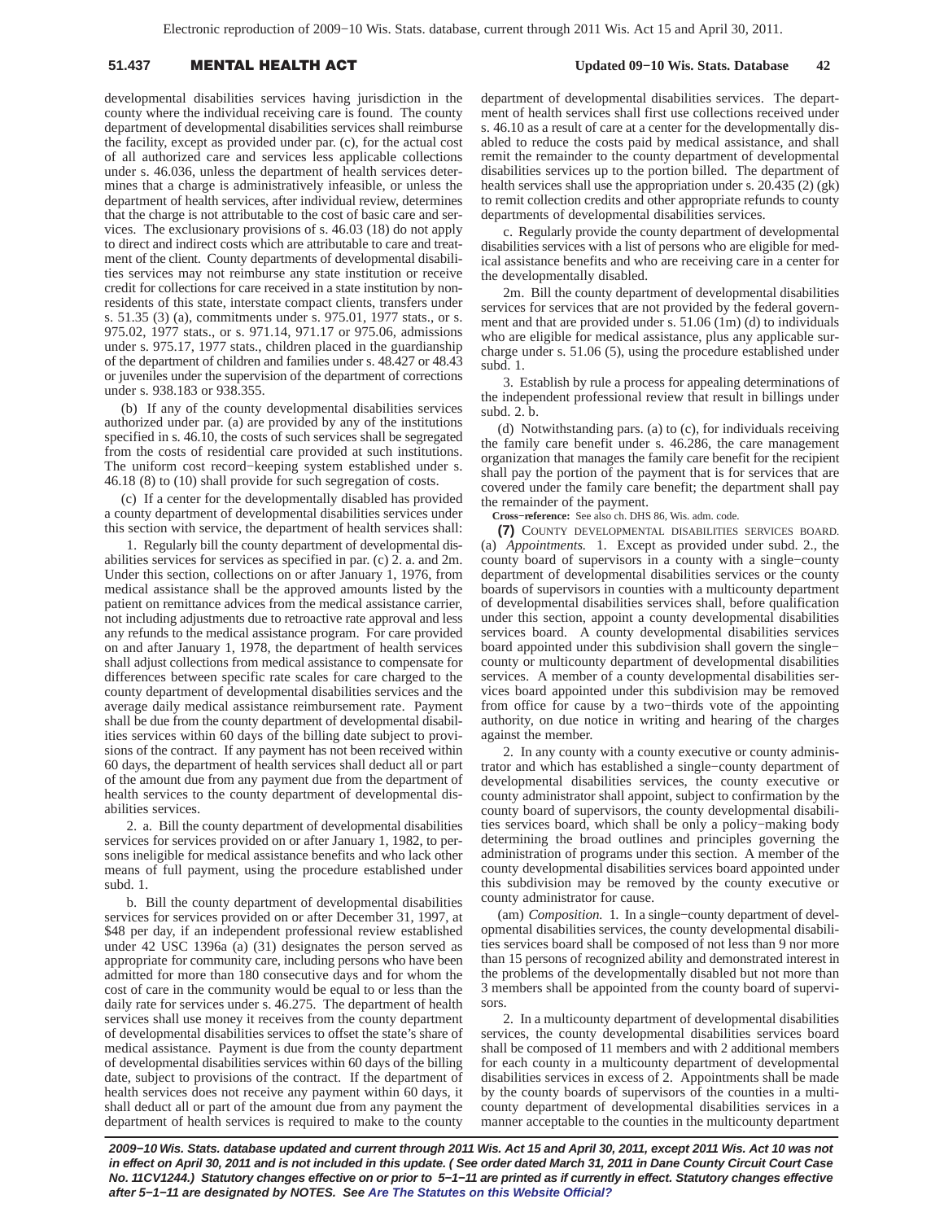# **51.437 MENTAL HEALTH A**

 **Updated 09−10 Wis. Stats. Database 42**

developmental disabilities services having jurisdiction in the county where the individual receiving care is found. The county department of developmental disabilities services shall reimburse the facility, except as provided under par. (c), for the actual cost of all authorized care and services less applicable collections under s. 46.036, unless the department of health services determines that a charge is administratively infeasible, or unless the department of health services, after individual review, determines that the charge is not attributable to the cost of basic care and services. The exclusionary provisions of s. 46.03 (18) do not apply to direct and indirect costs which are attributable to care and treatment of the client. County departments of developmental disabilities services may not reimburse any state institution or receive credit for collections for care received in a state institution by nonresidents of this state, interstate compact clients, transfers under s. 51.35 (3) (a), commitments under s. 975.01, 1977 stats., or s. 975.02, 1977 stats., or s. 971.14, 971.17 or 975.06, admissions under s. 975.17, 1977 stats., children placed in the guardianship of the department of children and families under s. 48.427 or 48.43 or juveniles under the supervision of the department of corrections under s. 938.183 or 938.355.

(b) If any of the county developmental disabilities services authorized under par. (a) are provided by any of the institutions specified in s. 46.10, the costs of such services shall be segregated from the costs of residential care provided at such institutions. The uniform cost record−keeping system established under s. 46.18 (8) to (10) shall provide for such segregation of costs.

(c) If a center for the developmentally disabled has provided a county department of developmental disabilities services under this section with service, the department of health services shall:

1. Regularly bill the county department of developmental disabilities services for services as specified in par. (c) 2. a. and 2m. Under this section, collections on or after January 1, 1976, from medical assistance shall be the approved amounts listed by the patient on remittance advices from the medical assistance carrier, not including adjustments due to retroactive rate approval and less any refunds to the medical assistance program. For care provided on and after January 1, 1978, the department of health services shall adjust collections from medical assistance to compensate for differences between specific rate scales for care charged to the county department of developmental disabilities services and the average daily medical assistance reimbursement rate. Payment shall be due from the county department of developmental disabilities services within 60 days of the billing date subject to provisions of the contract. If any payment has not been received within 60 days, the department of health services shall deduct all or part of the amount due from any payment due from the department of health services to the county department of developmental disabilities services.

2. a. Bill the county department of developmental disabilities services for services provided on or after January 1, 1982, to persons ineligible for medical assistance benefits and who lack other means of full payment, using the procedure established under subd. 1.

b. Bill the county department of developmental disabilities services for services provided on or after December 31, 1997, at \$48 per day, if an independent professional review established under 42 USC 1396a (a) (31) designates the person served as appropriate for community care, including persons who have been admitted for more than 180 consecutive days and for whom the cost of care in the community would be equal to or less than the daily rate for services under s. 46.275. The department of health services shall use money it receives from the county department of developmental disabilities services to offset the state's share of medical assistance. Payment is due from the county department of developmental disabilities services within 60 days of the billing date, subject to provisions of the contract. If the department of health services does not receive any payment within 60 days, it shall deduct all or part of the amount due from any payment the department of health services is required to make to the county

department of developmental disabilities services. The department of health services shall first use collections received under s. 46.10 as a result of care at a center for the developmentally disabled to reduce the costs paid by medical assistance, and shall remit the remainder to the county department of developmental disabilities services up to the portion billed. The department of health services shall use the appropriation under s. 20.435 (2) (gk) to remit collection credits and other appropriate refunds to county departments of developmental disabilities services.

c. Regularly provide the county department of developmental disabilities services with a list of persons who are eligible for medical assistance benefits and who are receiving care in a center for the developmentally disabled.

2m. Bill the county department of developmental disabilities services for services that are not provided by the federal government and that are provided under s. 51.06 (1m) (d) to individuals who are eligible for medical assistance, plus any applicable surcharge under s. 51.06 (5), using the procedure established under subd. 1.

3. Establish by rule a process for appealing determinations of the independent professional review that result in billings under subd. 2. b.

(d) Notwithstanding pars. (a) to (c), for individuals receiving the family care benefit under s. 46.286, the care management organization that manages the family care benefit for the recipient shall pay the portion of the payment that is for services that are covered under the family care benefit; the department shall pay the remainder of the payment.

**Cross−reference:** See also ch. DHS 86, Wis. adm. code.

**(7)** COUNTY DEVELOPMENTAL DISABILITIES SERVICES BOARD. (a) *Appointments.* 1. Except as provided under subd. 2., the county board of supervisors in a county with a single−county department of developmental disabilities services or the county boards of supervisors in counties with a multicounty department of developmental disabilities services shall, before qualification under this section, appoint a county developmental disabilities services board. A county developmental disabilities services board appointed under this subdivision shall govern the single− county or multicounty department of developmental disabilities services. A member of a county developmental disabilities services board appointed under this subdivision may be removed from office for cause by a two−thirds vote of the appointing authority, on due notice in writing and hearing of the charges against the member.

2. In any county with a county executive or county administrator and which has established a single−county department of developmental disabilities services, the county executive or county administrator shall appoint, subject to confirmation by the county board of supervisors, the county developmental disabilities services board, which shall be only a policy−making body determining the broad outlines and principles governing the administration of programs under this section. A member of the county developmental disabilities services board appointed under this subdivision may be removed by the county executive or county administrator for cause.

(am) *Composition.* 1. In a single−county department of developmental disabilities services, the county developmental disabilities services board shall be composed of not less than 9 nor more than 15 persons of recognized ability and demonstrated interest in the problems of the developmentally disabled but not more than 3 members shall be appointed from the county board of supervisors.

2. In a multicounty department of developmental disabilities services, the county developmental disabilities services board shall be composed of 11 members and with 2 additional members for each county in a multicounty department of developmental disabilities services in excess of 2. Appointments shall be made by the county boards of supervisors of the counties in a multicounty department of developmental disabilities services in a manner acceptable to the counties in the multicounty department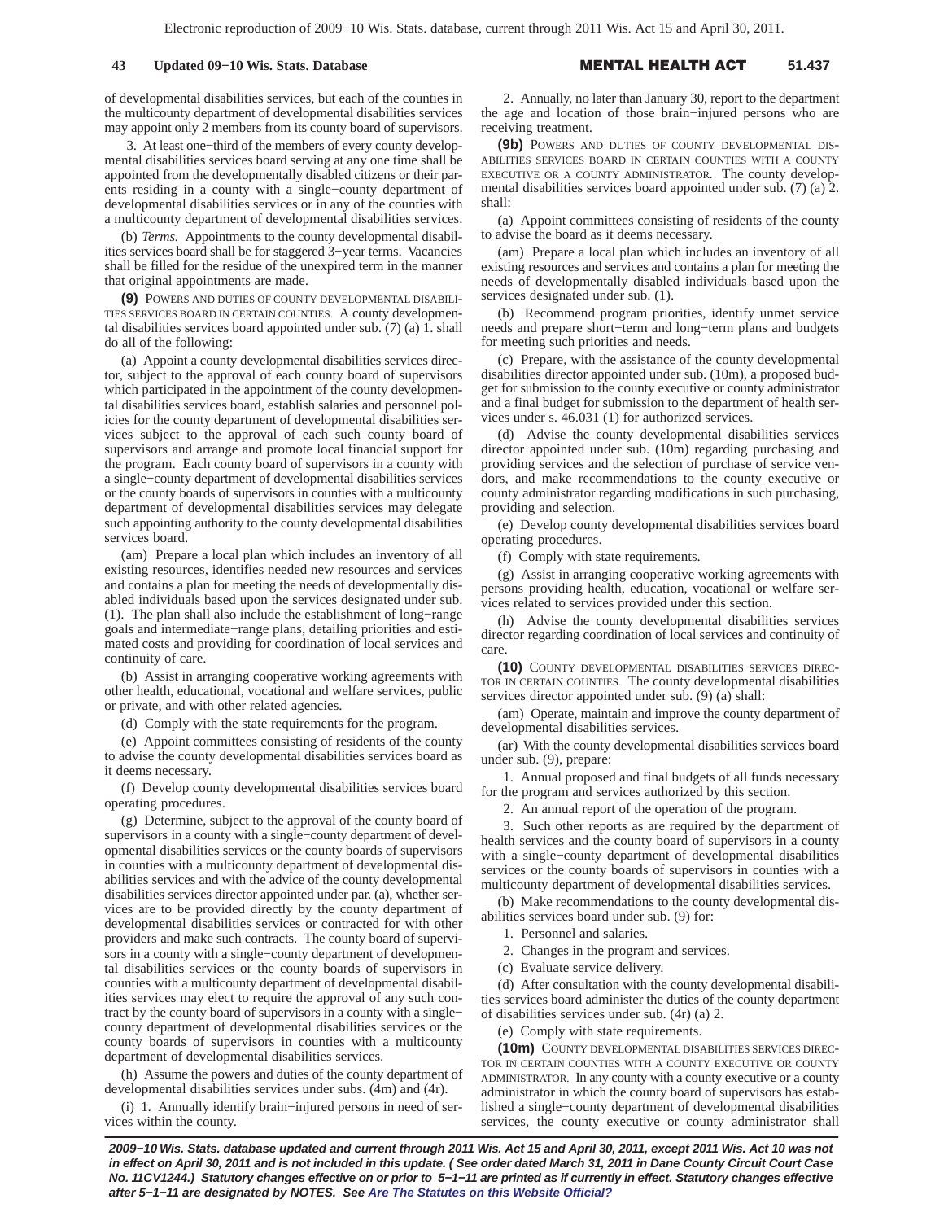## **43 Updated 09-10 Wis. Stats. Database**

#### L HEALTH A **51.437**

of developmental disabilities services, but each of the counties in the multicounty department of developmental disabilities services may appoint only 2 members from its county board of supervisors.

3. At least one−third of the members of every county developmental disabilities services board serving at any one time shall be appointed from the developmentally disabled citizens or their parents residing in a county with a single−county department of developmental disabilities services or in any of the counties with a multicounty department of developmental disabilities services.

(b) *Terms.* Appointments to the county developmental disabilities services board shall be for staggered 3−year terms. Vacancies shall be filled for the residue of the unexpired term in the manner that original appointments are made.

**(9)** POWERS AND DUTIES OF COUNTY DEVELOPMENTAL DISABILI-TIES SERVICES BOARD IN CERTAIN COUNTIES. A county developmental disabilities services board appointed under sub. (7) (a) 1. shall do all of the following:

(a) Appoint a county developmental disabilities services director, subject to the approval of each county board of supervisors which participated in the appointment of the county developmental disabilities services board, establish salaries and personnel policies for the county department of developmental disabilities services subject to the approval of each such county board of supervisors and arrange and promote local financial support for the program. Each county board of supervisors in a county with a single−county department of developmental disabilities services or the county boards of supervisors in counties with a multicounty department of developmental disabilities services may delegate such appointing authority to the county developmental disabilities services board.

(am) Prepare a local plan which includes an inventory of all existing resources, identifies needed new resources and services and contains a plan for meeting the needs of developmentally disabled individuals based upon the services designated under sub. (1). The plan shall also include the establishment of long−range goals and intermediate−range plans, detailing priorities and estimated costs and providing for coordination of local services and continuity of care.

(b) Assist in arranging cooperative working agreements with other health, educational, vocational and welfare services, public or private, and with other related agencies.

(d) Comply with the state requirements for the program.

(e) Appoint committees consisting of residents of the county to advise the county developmental disabilities services board as it deems necessary.

(f) Develop county developmental disabilities services board operating procedures.

(g) Determine, subject to the approval of the county board of supervisors in a county with a single−county department of developmental disabilities services or the county boards of supervisors in counties with a multicounty department of developmental disabilities services and with the advice of the county developmental disabilities services director appointed under par. (a), whether services are to be provided directly by the county department of developmental disabilities services or contracted for with other providers and make such contracts. The county board of supervisors in a county with a single−county department of developmental disabilities services or the county boards of supervisors in counties with a multicounty department of developmental disabilities services may elect to require the approval of any such contract by the county board of supervisors in a county with a single− county department of developmental disabilities services or the county boards of supervisors in counties with a multicounty department of developmental disabilities services.

(h) Assume the powers and duties of the county department of developmental disabilities services under subs. (4m) and (4r).

(i) 1. Annually identify brain−injured persons in need of services within the county.

2. Annually, no later than January 30, report to the department the age and location of those brain−injured persons who are receiving treatment.

**(9b)** POWERS AND DUTIES OF COUNTY DEVELOPMENTAL DIS-ABILITIES SERVICES BOARD IN CERTAIN COUNTIES WITH A COUNTY EXECUTIVE OR A COUNTY ADMINISTRATOR. The county developmental disabilities services board appointed under sub. (7) (a) 2. shall:

(a) Appoint committees consisting of residents of the county to advise the board as it deems necessary.

(am) Prepare a local plan which includes an inventory of all existing resources and services and contains a plan for meeting the needs of developmentally disabled individuals based upon the services designated under sub. (1).

(b) Recommend program priorities, identify unmet service needs and prepare short−term and long−term plans and budgets for meeting such priorities and needs.

(c) Prepare, with the assistance of the county developmental disabilities director appointed under sub. (10m), a proposed budget for submission to the county executive or county administrator and a final budget for submission to the department of health services under s. 46.031 (1) for authorized services.

(d) Advise the county developmental disabilities services director appointed under sub. (10m) regarding purchasing and providing services and the selection of purchase of service vendors, and make recommendations to the county executive or county administrator regarding modifications in such purchasing, providing and selection.

(e) Develop county developmental disabilities services board operating procedures.

(f) Comply with state requirements.

(g) Assist in arranging cooperative working agreements with persons providing health, education, vocational or welfare services related to services provided under this section.

(h) Advise the county developmental disabilities services director regarding coordination of local services and continuity of care.

**(10)** COUNTY DEVELOPMENTAL DISABILITIES SERVICES DIREC-TOR IN CERTAIN COUNTIES. The county developmental disabilities services director appointed under sub. (9) (a) shall:

(am) Operate, maintain and improve the county department of developmental disabilities services.

(ar) With the county developmental disabilities services board under sub. (9), prepare:

1. Annual proposed and final budgets of all funds necessary for the program and services authorized by this section.

2. An annual report of the operation of the program.

3. Such other reports as are required by the department of health services and the county board of supervisors in a county with a single−county department of developmental disabilities services or the county boards of supervisors in counties with a multicounty department of developmental disabilities services.

(b) Make recommendations to the county developmental disabilities services board under sub. (9) for:

- 1. Personnel and salaries.
- 2. Changes in the program and services.
- (c) Evaluate service delivery.

(d) After consultation with the county developmental disabilities services board administer the duties of the county department of disabilities services under sub. (4r) (a) 2.

(e) Comply with state requirements.

**(10m)** COUNTY DEVELOPMENTAL DISABILITIES SERVICES DIREC-TOR IN CERTAIN COUNTIES WITH A COUNTY EXECUTIVE OR COUNTY ADMINISTRATOR. In any county with a county executive or a county administrator in which the county board of supervisors has established a single−county department of developmental disabilities services, the county executive or county administrator shall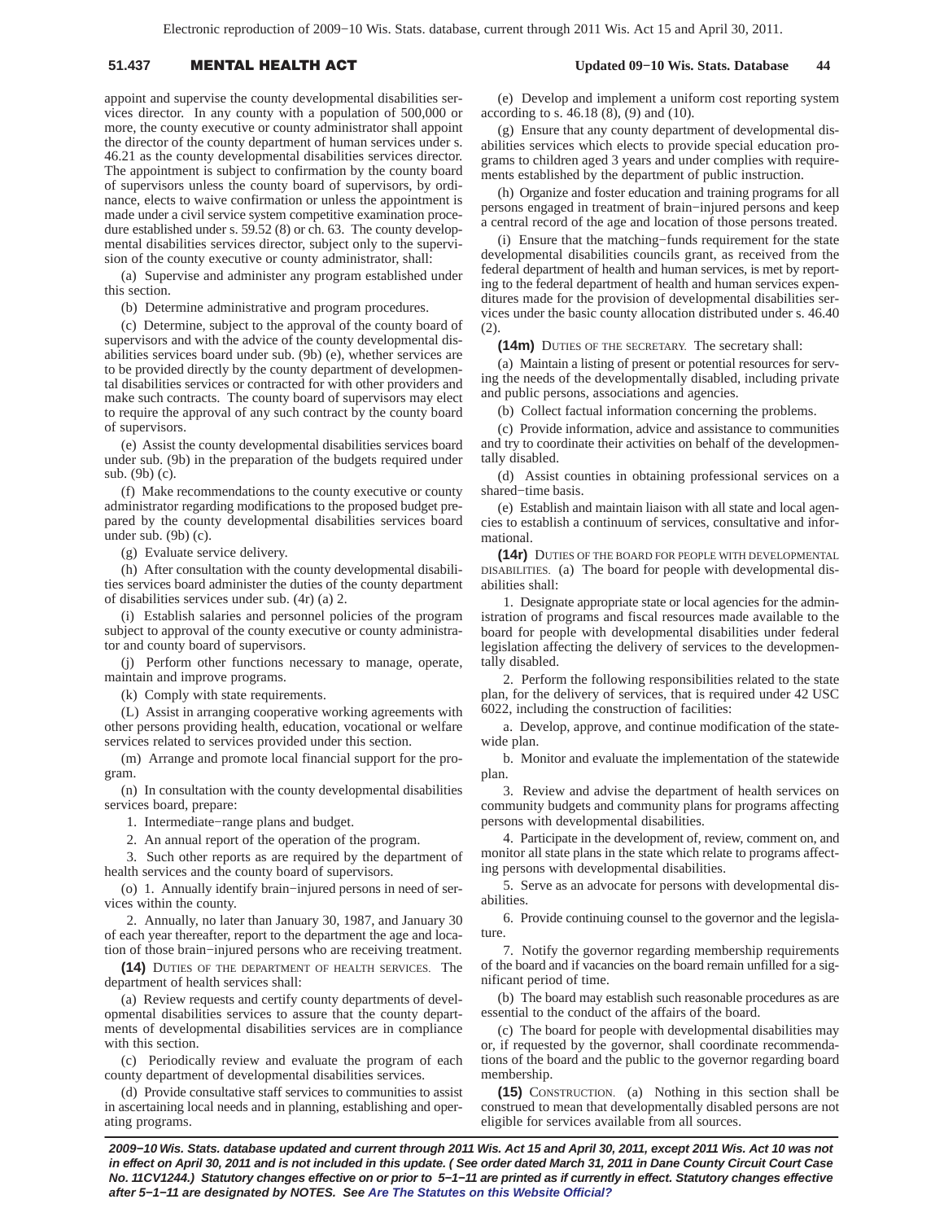# **51.437 MENTAL HEALTH A**

 **Updated 09−10 Wis. Stats. Database 44**

appoint and supervise the county developmental disabilities services director. In any county with a population of 500,000 or more, the county executive or county administrator shall appoint the director of the county department of human services under s. 46.21 as the county developmental disabilities services director. The appointment is subject to confirmation by the county board of supervisors unless the county board of supervisors, by ordinance, elects to waive confirmation or unless the appointment is made under a civil service system competitive examination procedure established under s. 59.52 (8) or ch. 63. The county developmental disabilities services director, subject only to the supervision of the county executive or county administrator, shall:

(a) Supervise and administer any program established under this section.

(b) Determine administrative and program procedures.

(c) Determine, subject to the approval of the county board of supervisors and with the advice of the county developmental disabilities services board under sub. (9b) (e), whether services are to be provided directly by the county department of developmental disabilities services or contracted for with other providers and make such contracts. The county board of supervisors may elect to require the approval of any such contract by the county board of supervisors.

(e) Assist the county developmental disabilities services board under sub. (9b) in the preparation of the budgets required under sub. (9b) (c).

(f) Make recommendations to the county executive or county administrator regarding modifications to the proposed budget prepared by the county developmental disabilities services board under sub.  $(9b)$  (c).

(g) Evaluate service delivery.

(h) After consultation with the county developmental disabilities services board administer the duties of the county department of disabilities services under sub. (4r) (a) 2.

(i) Establish salaries and personnel policies of the program subject to approval of the county executive or county administrator and county board of supervisors.

(j) Perform other functions necessary to manage, operate, maintain and improve programs.

(k) Comply with state requirements.

(L) Assist in arranging cooperative working agreements with other persons providing health, education, vocational or welfare services related to services provided under this section.

(m) Arrange and promote local financial support for the program.

(n) In consultation with the county developmental disabilities services board, prepare:

1. Intermediate−range plans and budget.

2. An annual report of the operation of the program.

3. Such other reports as are required by the department of health services and the county board of supervisors.

(o) 1. Annually identify brain−injured persons in need of services within the county.

2. Annually, no later than January 30, 1987, and January 30 of each year thereafter, report to the department the age and location of those brain−injured persons who are receiving treatment.

**(14)** DUTIES OF THE DEPARTMENT OF HEALTH SERVICES. The department of health services shall:

(a) Review requests and certify county departments of developmental disabilities services to assure that the county departments of developmental disabilities services are in compliance with this section.

(c) Periodically review and evaluate the program of each county department of developmental disabilities services.

(d) Provide consultative staff services to communities to assist in ascertaining local needs and in planning, establishing and operating programs.

(e) Develop and implement a uniform cost reporting system according to s. 46.18 (8), (9) and (10).

(g) Ensure that any county department of developmental disabilities services which elects to provide special education programs to children aged 3 years and under complies with requirements established by the department of public instruction.

(h) Organize and foster education and training programs for all persons engaged in treatment of brain−injured persons and keep a central record of the age and location of those persons treated.

(i) Ensure that the matching−funds requirement for the state developmental disabilities councils grant, as received from the federal department of health and human services, is met by reporting to the federal department of health and human services expenditures made for the provision of developmental disabilities services under the basic county allocation distributed under s. 46.40  $(2)$ 

**(14m)** DUTIES OF THE SECRETARY. The secretary shall:

(a) Maintain a listing of present or potential resources for serving the needs of the developmentally disabled, including private and public persons, associations and agencies.

(b) Collect factual information concerning the problems.

(c) Provide information, advice and assistance to communities and try to coordinate their activities on behalf of the developmentally disabled.

(d) Assist counties in obtaining professional services on a shared−time basis.

(e) Establish and maintain liaison with all state and local agencies to establish a continuum of services, consultative and informational.

**(14r)** DUTIES OF THE BOARD FOR PEOPLE WITH DEVELOPMENTAL DISABILITIES. (a) The board for people with developmental disabilities shall:

1. Designate appropriate state or local agencies for the administration of programs and fiscal resources made available to the board for people with developmental disabilities under federal legislation affecting the delivery of services to the developmentally disabled.

2. Perform the following responsibilities related to the state plan, for the delivery of services, that is required under 42 USC 6022, including the construction of facilities:

a. Develop, approve, and continue modification of the statewide plan.

b. Monitor and evaluate the implementation of the statewide plan.

3. Review and advise the department of health services on community budgets and community plans for programs affecting persons with developmental disabilities.

4. Participate in the development of, review, comment on, and monitor all state plans in the state which relate to programs affecting persons with developmental disabilities.

5. Serve as an advocate for persons with developmental disabilities.

6. Provide continuing counsel to the governor and the legislature.

7. Notify the governor regarding membership requirements of the board and if vacancies on the board remain unfilled for a significant period of time.

(b) The board may establish such reasonable procedures as are essential to the conduct of the affairs of the board.

(c) The board for people with developmental disabilities may or, if requested by the governor, shall coordinate recommendations of the board and the public to the governor regarding board membership.

**(15)** CONSTRUCTION. (a) Nothing in this section shall be construed to mean that developmentally disabled persons are not eligible for services available from all sources.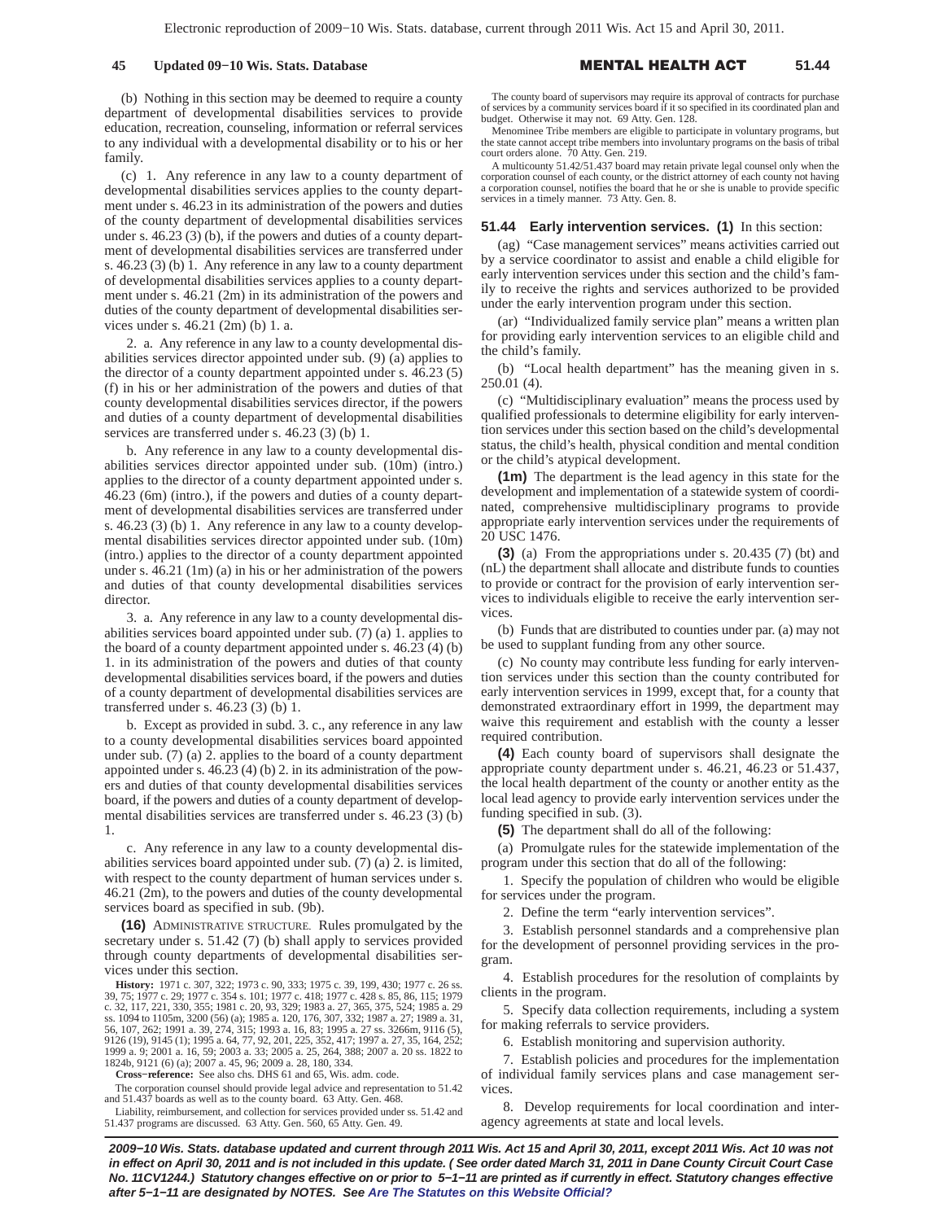## **45 Updated 09−10 Wis. Stats. Database** -

L HEALTH A **51.44**

(b) Nothing in this section may be deemed to require a county department of developmental disabilities services to provide education, recreation, counseling, information or referral services to any individual with a developmental disability or to his or her family.

(c) 1. Any reference in any law to a county department of developmental disabilities services applies to the county department under s. 46.23 in its administration of the powers and duties of the county department of developmental disabilities services under s. 46.23 (3) (b), if the powers and duties of a county department of developmental disabilities services are transferred under s. 46.23 (3) (b) 1. Any reference in any law to a county department of developmental disabilities services applies to a county department under s. 46.21 (2m) in its administration of the powers and duties of the county department of developmental disabilities services under s. 46.21 (2m) (b) 1. a.

2. a. Any reference in any law to a county developmental disabilities services director appointed under sub. (9) (a) applies to the director of a county department appointed under s. 46.23 (5) (f) in his or her administration of the powers and duties of that county developmental disabilities services director, if the powers and duties of a county department of developmental disabilities services are transferred under s. 46.23 (3) (b) 1.

b. Any reference in any law to a county developmental disabilities services director appointed under sub. (10m) (intro.) applies to the director of a county department appointed under s. 46.23 (6m) (intro.), if the powers and duties of a county department of developmental disabilities services are transferred under s. 46.23 (3) (b) 1. Any reference in any law to a county developmental disabilities services director appointed under sub. (10m) (intro.) applies to the director of a county department appointed under s. 46.21 (1m) (a) in his or her administration of the powers and duties of that county developmental disabilities services director.

3. a. Any reference in any law to a county developmental disabilities services board appointed under sub. (7) (a) 1. applies to the board of a county department appointed under s. 46.23 (4) (b) 1. in its administration of the powers and duties of that county developmental disabilities services board, if the powers and duties of a county department of developmental disabilities services are transferred under s. 46.23 (3) (b) 1.

b. Except as provided in subd. 3. c., any reference in any law to a county developmental disabilities services board appointed under sub. (7) (a) 2. applies to the board of a county department appointed under s. 46.23 (4) (b) 2. in its administration of the powers and duties of that county developmental disabilities services board, if the powers and duties of a county department of developmental disabilities services are transferred under s. 46.23 (3) (b) 1.

c. Any reference in any law to a county developmental disabilities services board appointed under sub. (7) (a) 2. is limited, with respect to the county department of human services under s. 46.21 (2m), to the powers and duties of the county developmental services board as specified in sub. (9b).

**(16)** ADMINISTRATIVE STRUCTURE. Rules promulgated by the secretary under s. 51.42 (7) (b) shall apply to services provided through county departments of developmental disabilities services under this section.

**History:** 1971 c. 307, 322; 1973 c. 90, 333; 1975 c. 39, 199, 430; 1977 c. 26 ss. 39, 75; 1977 c. 29; 1977 c. 354 s. 101; 1977 c. 418; 1977 c. 428 s. 85, 86, 115; 1979<br>c. 32, 117, 221, 330, 355; 1981 c. 20, 93, 329; 1983 a. 27, 365, 375, 524; 1985 a. 29<br>ss. 1094 to 1105m, 3200 (56) (a); 1985 a. 120, 176 9126 (19), 9145 (1); 1995 a. 64, 77, 92, 201, 225, 352, 417; 1997 a. 27, 35, 164, 252; 1999 a. 9; 2001 a. 16, 59; 2003 a. 33; 2005 a. 25, 264, 388; 2007 a. 20 ss. 1822 to 1824b, 9121 (6) (a); 2007 a. 45, 96; 2009 a. 28, 180, 334.

**Cross−reference:** See also chs. DHS 61 and 65, Wis. adm. code.

The corporation counsel should provide legal advice and representation to 51.42 and 51.437 boards as well as to the county board. 63 Atty. Gen. 468.

Liability, reimbursement, and collection for services provided under ss. 51.42 and 51.437 programs are discussed. 63 Atty. Gen. 560, 65 Atty. Gen. 49.

The county board of supervisors may require its approval of contracts for purchase of services by a community services board if it so specified in its coordinated plan and budget. Otherwise it may not. 69 Atty. Gen. 128.

Menominee Tribe members are eligible to participate in voluntary programs, but the state cannot accept tribe members into involuntary programs on the basis of tribal court orders alone. 70 Atty. Gen. 219.

A multicounty 51.42/51.437 board may retain private legal counsel only when the corporation counsel of each county, or the district attorney of each county not having a corporation counsel, notifies the board that he or she is unable to provide specific services in a timely manner. 73 Atty. Gen. 8.

## **51.44 Early intervention services. (1)** In this section:

(ag) "Case management services" means activities carried out by a service coordinator to assist and enable a child eligible for early intervention services under this section and the child's family to receive the rights and services authorized to be provided under the early intervention program under this section.

(ar) "Individualized family service plan" means a written plan for providing early intervention services to an eligible child and the child's family.

(b) "Local health department" has the meaning given in s. 250.01 (4).

(c) "Multidisciplinary evaluation" means the process used by qualified professionals to determine eligibility for early intervention services under this section based on the child's developmental status, the child's health, physical condition and mental condition or the child's atypical development.

**(1m)** The department is the lead agency in this state for the development and implementation of a statewide system of coordinated, comprehensive multidisciplinary programs to provide appropriate early intervention services under the requirements of 20 USC 1476.

**(3)** (a) From the appropriations under s. 20.435 (7) (bt) and (nL) the department shall allocate and distribute funds to counties to provide or contract for the provision of early intervention services to individuals eligible to receive the early intervention services.

(b) Funds that are distributed to counties under par. (a) may not be used to supplant funding from any other source.

(c) No county may contribute less funding for early intervention services under this section than the county contributed for early intervention services in 1999, except that, for a county that demonstrated extraordinary effort in 1999, the department may waive this requirement and establish with the county a lesser required contribution.

**(4)** Each county board of supervisors shall designate the appropriate county department under s. 46.21, 46.23 or 51.437, the local health department of the county or another entity as the local lead agency to provide early intervention services under the funding specified in sub. (3).

**(5)** The department shall do all of the following:

(a) Promulgate rules for the statewide implementation of the program under this section that do all of the following:

1. Specify the population of children who would be eligible for services under the program.

2. Define the term "early intervention services".

3. Establish personnel standards and a comprehensive plan for the development of personnel providing services in the program.

4. Establish procedures for the resolution of complaints by clients in the program.

5. Specify data collection requirements, including a system for making referrals to service providers.

6. Establish monitoring and supervision authority.

7. Establish policies and procedures for the implementation of individual family services plans and case management services.

8. Develop requirements for local coordination and interagency agreements at state and local levels.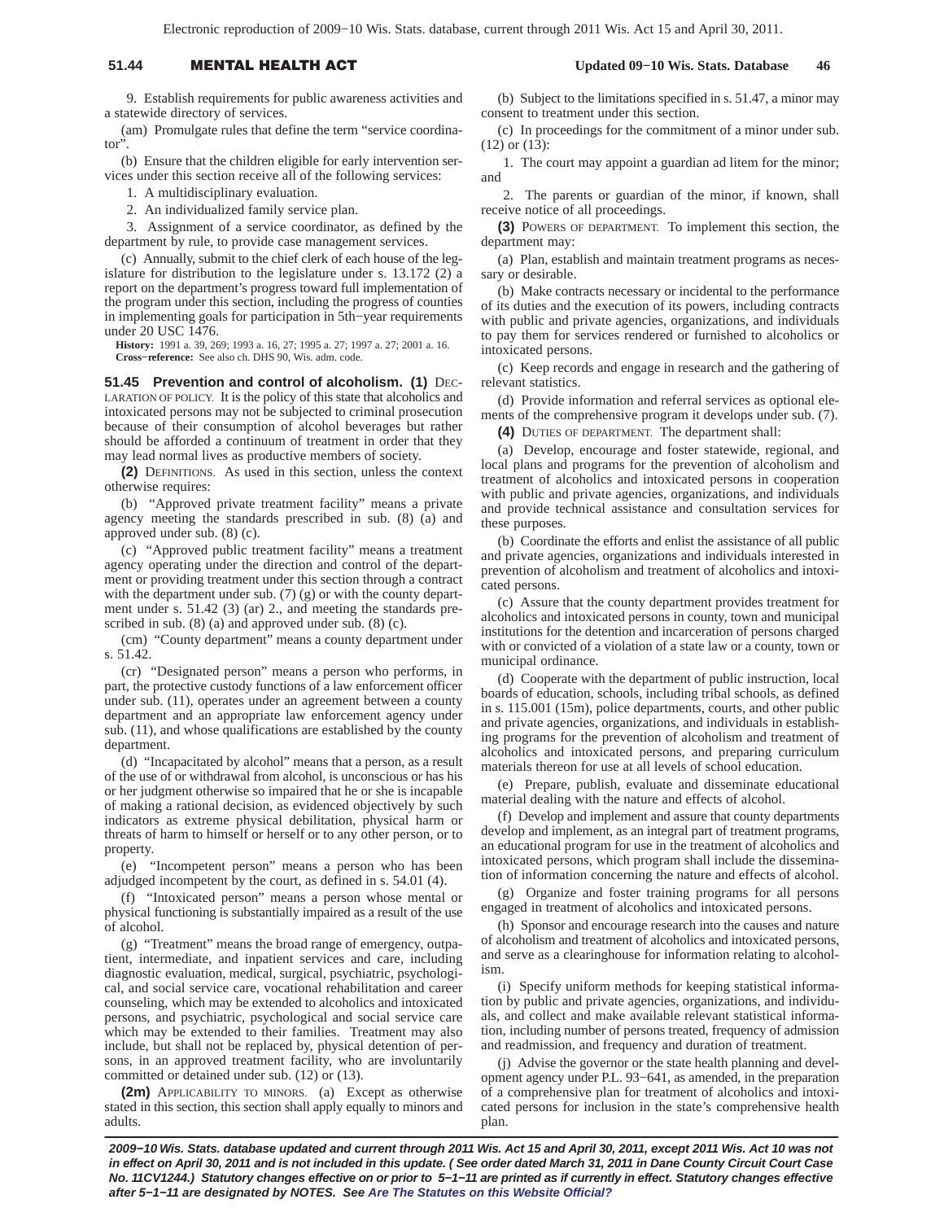# 51.44 **MENTAL HEALTH A**

9. Establish requirements for public awareness activities and a statewide directory of services.

(am) Promulgate rules that define the term "service coordinator".

(b) Ensure that the children eligible for early intervention services under this section receive all of the following services:

1. A multidisciplinary evaluation.

2. An individualized family service plan.

3. Assignment of a service coordinator, as defined by the department by rule, to provide case management services.

(c) Annually, submit to the chief clerk of each house of the legislature for distribution to the legislature under s. 13.172 (2) a report on the department's progress toward full implementation of the program under this section, including the progress of counties in implementing goals for participation in 5th−year requirements under 20 USC 1476.

**History:** 1991 a. 39, 269; 1993 a. 16, 27; 1995 a. 27; 1997 a. 27; 2001 a. 16. **Cross−reference:** See also ch. DHS 90, Wis. adm. code.

**51.45 Prevention and control of alcoholism. (1) DEC-**LARATION OF POLICY. It is the policy of this state that alcoholics and intoxicated persons may not be subjected to criminal prosecution because of their consumption of alcohol beverages but rather should be afforded a continuum of treatment in order that they may lead normal lives as productive members of society.

**(2)** DEFINITIONS. As used in this section, unless the context otherwise requires:

(b) "Approved private treatment facility" means a private agency meeting the standards prescribed in sub. (8) (a) and approved under sub. (8) (c).

(c) "Approved public treatment facility" means a treatment agency operating under the direction and control of the department or providing treatment under this section through a contract with the department under sub. (7) (g) or with the county department under s. 51.42 (3) (ar) 2., and meeting the standards prescribed in sub. (8) (a) and approved under sub. (8) (c).

(cm) "County department" means a county department under s. 51.42.

(cr) "Designated person" means a person who performs, in part, the protective custody functions of a law enforcement officer under sub. (11), operates under an agreement between a county department and an appropriate law enforcement agency under sub. (11), and whose qualifications are established by the county department.

(d) "Incapacitated by alcohol" means that a person, as a result of the use of or withdrawal from alcohol, is unconscious or has his or her judgment otherwise so impaired that he or she is incapable of making a rational decision, as evidenced objectively by such indicators as extreme physical debilitation, physical harm or threats of harm to himself or herself or to any other person, or to property.

(e) "Incompetent person" means a person who has been adjudged incompetent by the court, as defined in s. 54.01 (4).

(f) "Intoxicated person" means a person whose mental or physical functioning is substantially impaired as a result of the use of alcohol.

(g) "Treatment" means the broad range of emergency, outpatient, intermediate, and inpatient services and care, including diagnostic evaluation, medical, surgical, psychiatric, psychological, and social service care, vocational rehabilitation and career counseling, which may be extended to alcoholics and intoxicated persons, and psychiatric, psychological and social service care which may be extended to their families. Treatment may also include, but shall not be replaced by, physical detention of persons, in an approved treatment facility, who are involuntarily committed or detained under sub. (12) or (13).

**(2m)** APPLICABILITY TO MINORS. (a) Except as otherwise stated in this section, this section shall apply equally to minors and adults.

 **Updated 09−10 Wis. Stats. Database 46**

(b) Subject to the limitations specified in s. 51.47, a minor may consent to treatment under this section.

(c) In proceedings for the commitment of a minor under sub. (12) or (13):

1. The court may appoint a guardian ad litem for the minor; and

2. The parents or guardian of the minor, if known, shall receive notice of all proceedings.

**(3)** POWERS OF DEPARTMENT. To implement this section, the department may:

(a) Plan, establish and maintain treatment programs as necessary or desirable.

(b) Make contracts necessary or incidental to the performance of its duties and the execution of its powers, including contracts with public and private agencies, organizations, and individuals to pay them for services rendered or furnished to alcoholics or intoxicated persons.

(c) Keep records and engage in research and the gathering of relevant statistics.

(d) Provide information and referral services as optional elements of the comprehensive program it develops under sub. (7).

**(4)** DUTIES OF DEPARTMENT. The department shall:

(a) Develop, encourage and foster statewide, regional, and local plans and programs for the prevention of alcoholism and treatment of alcoholics and intoxicated persons in cooperation with public and private agencies, organizations, and individuals and provide technical assistance and consultation services for these purposes.

(b) Coordinate the efforts and enlist the assistance of all public and private agencies, organizations and individuals interested in prevention of alcoholism and treatment of alcoholics and intoxicated persons.

(c) Assure that the county department provides treatment for alcoholics and intoxicated persons in county, town and municipal institutions for the detention and incarceration of persons charged with or convicted of a violation of a state law or a county, town or municipal ordinance.

(d) Cooperate with the department of public instruction, local boards of education, schools, including tribal schools, as defined in s. 115.001 (15m), police departments, courts, and other public and private agencies, organizations, and individuals in establishing programs for the prevention of alcoholism and treatment of alcoholics and intoxicated persons, and preparing curriculum materials thereon for use at all levels of school education.

(e) Prepare, publish, evaluate and disseminate educational material dealing with the nature and effects of alcohol.

(f) Develop and implement and assure that county departments develop and implement, as an integral part of treatment programs, an educational program for use in the treatment of alcoholics and intoxicated persons, which program shall include the dissemination of information concerning the nature and effects of alcohol.

(g) Organize and foster training programs for all persons engaged in treatment of alcoholics and intoxicated persons.

(h) Sponsor and encourage research into the causes and nature of alcoholism and treatment of alcoholics and intoxicated persons, and serve as a clearinghouse for information relating to alcoholism.

(i) Specify uniform methods for keeping statistical information by public and private agencies, organizations, and individuals, and collect and make available relevant statistical information, including number of persons treated, frequency of admission and readmission, and frequency and duration of treatment.

(j) Advise the governor or the state health planning and development agency under P.L. 93−641, as amended, in the preparation of a comprehensive plan for treatment of alcoholics and intoxicated persons for inclusion in the state's comprehensive health plan.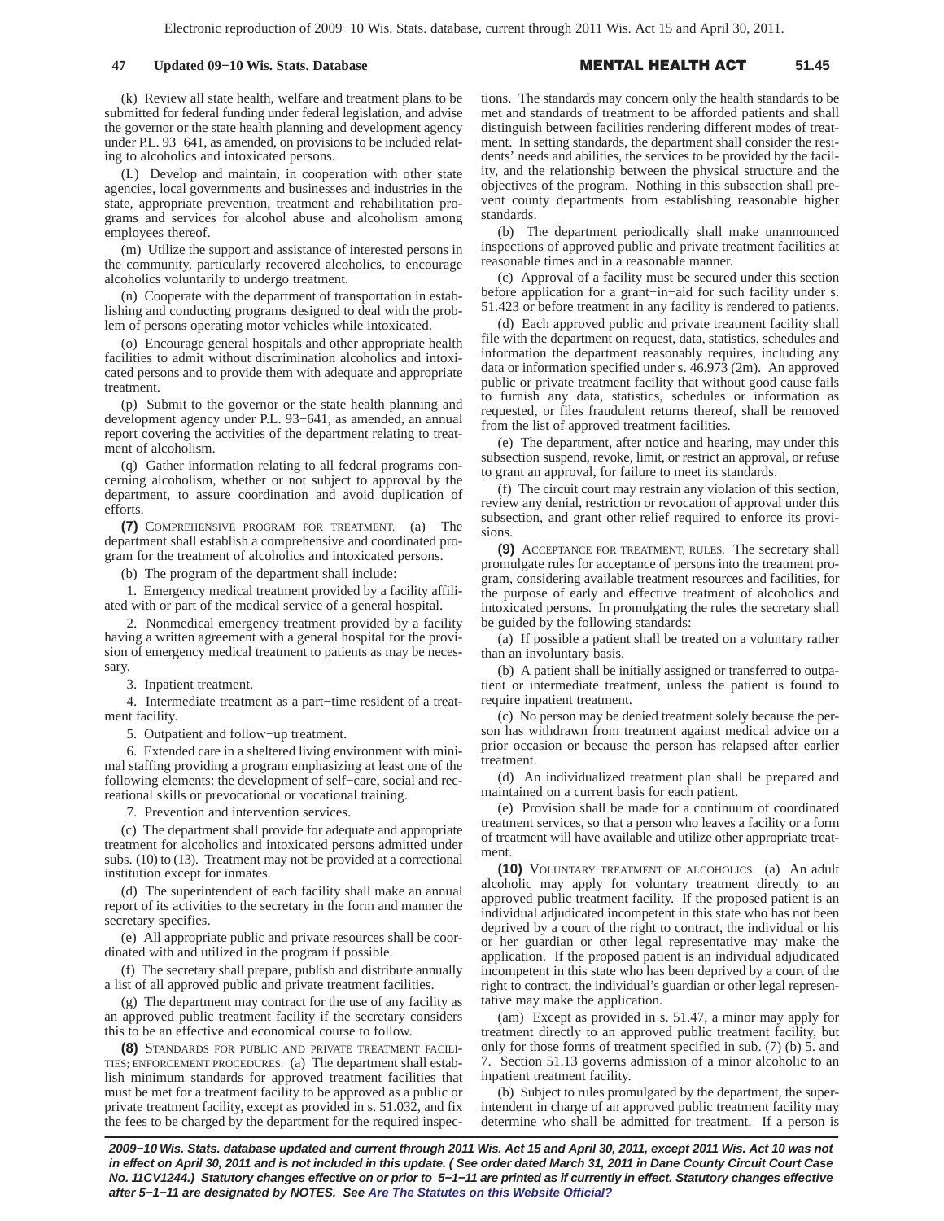## **47 Updated 09−10 Wis. Stats. Database** -

#### L HEALTH A **51.45**

(k) Review all state health, welfare and treatment plans to be submitted for federal funding under federal legislation, and advise the governor or the state health planning and development agency under P.L. 93−641, as amended, on provisions to be included relating to alcoholics and intoxicated persons.

(L) Develop and maintain, in cooperation with other state agencies, local governments and businesses and industries in the state, appropriate prevention, treatment and rehabilitation programs and services for alcohol abuse and alcoholism among employees thereof.

(m) Utilize the support and assistance of interested persons in the community, particularly recovered alcoholics, to encourage alcoholics voluntarily to undergo treatment.

(n) Cooperate with the department of transportation in establishing and conducting programs designed to deal with the problem of persons operating motor vehicles while intoxicated.

(o) Encourage general hospitals and other appropriate health facilities to admit without discrimination alcoholics and intoxicated persons and to provide them with adequate and appropriate treatment.

(p) Submit to the governor or the state health planning and development agency under P.L. 93−641, as amended, an annual report covering the activities of the department relating to treatment of alcoholism.

(q) Gather information relating to all federal programs concerning alcoholism, whether or not subject to approval by the department, to assure coordination and avoid duplication of efforts.

**(7)** COMPREHENSIVE PROGRAM FOR TREATMENT. (a) The department shall establish a comprehensive and coordinated program for the treatment of alcoholics and intoxicated persons.

(b) The program of the department shall include:

1. Emergency medical treatment provided by a facility affiliated with or part of the medical service of a general hospital.

2. Nonmedical emergency treatment provided by a facility having a written agreement with a general hospital for the provision of emergency medical treatment to patients as may be necessary.

3. Inpatient treatment.

4. Intermediate treatment as a part−time resident of a treatment facility.

5. Outpatient and follow−up treatment.

6. Extended care in a sheltered living environment with minimal staffing providing a program emphasizing at least one of the following elements: the development of self−care, social and recreational skills or prevocational or vocational training.

7. Prevention and intervention services.

(c) The department shall provide for adequate and appropriate treatment for alcoholics and intoxicated persons admitted under subs. (10) to (13). Treatment may not be provided at a correctional institution except for inmates.

(d) The superintendent of each facility shall make an annual report of its activities to the secretary in the form and manner the secretary specifies.

(e) All appropriate public and private resources shall be coordinated with and utilized in the program if possible.

(f) The secretary shall prepare, publish and distribute annually a list of all approved public and private treatment facilities.

(g) The department may contract for the use of any facility as an approved public treatment facility if the secretary considers this to be an effective and economical course to follow.

**(8)** STANDARDS FOR PUBLIC AND PRIVATE TREATMENT FACILI-TIES; ENFORCEMENT PROCEDURES. (a) The department shall establish minimum standards for approved treatment facilities that must be met for a treatment facility to be approved as a public or private treatment facility, except as provided in s. 51.032, and fix the fees to be charged by the department for the required inspections. The standards may concern only the health standards to be met and standards of treatment to be afforded patients and shall distinguish between facilities rendering different modes of treatment. In setting standards, the department shall consider the residents' needs and abilities, the services to be provided by the facility, and the relationship between the physical structure and the objectives of the program. Nothing in this subsection shall prevent county departments from establishing reasonable higher standards.

(b) The department periodically shall make unannounced inspections of approved public and private treatment facilities at reasonable times and in a reasonable manner.

(c) Approval of a facility must be secured under this section before application for a grant−in−aid for such facility under s. 51.423 or before treatment in any facility is rendered to patients.

(d) Each approved public and private treatment facility shall file with the department on request, data, statistics, schedules and information the department reasonably requires, including any data or information specified under s. 46.973 (2m). An approved public or private treatment facility that without good cause fails to furnish any data, statistics, schedules or information as requested, or files fraudulent returns thereof, shall be removed from the list of approved treatment facilities.

(e) The department, after notice and hearing, may under this subsection suspend, revoke, limit, or restrict an approval, or refuse to grant an approval, for failure to meet its standards.

(f) The circuit court may restrain any violation of this section, review any denial, restriction or revocation of approval under this subsection, and grant other relief required to enforce its provisions.

**(9)** ACCEPTANCE FOR TREATMENT; RULES. The secretary shall promulgate rules for acceptance of persons into the treatment program, considering available treatment resources and facilities, for the purpose of early and effective treatment of alcoholics and intoxicated persons. In promulgating the rules the secretary shall be guided by the following standards:

(a) If possible a patient shall be treated on a voluntary rather than an involuntary basis.

(b) A patient shall be initially assigned or transferred to outpatient or intermediate treatment, unless the patient is found to require inpatient treatment.

(c) No person may be denied treatment solely because the person has withdrawn from treatment against medical advice on a prior occasion or because the person has relapsed after earlier treatment.

(d) An individualized treatment plan shall be prepared and maintained on a current basis for each patient.

(e) Provision shall be made for a continuum of coordinated treatment services, so that a person who leaves a facility or a form of treatment will have available and utilize other appropriate treatment.

**(10)** VOLUNTARY TREATMENT OF ALCOHOLICS. (a) An adult alcoholic may apply for voluntary treatment directly to an approved public treatment facility. If the proposed patient is an individual adjudicated incompetent in this state who has not been deprived by a court of the right to contract, the individual or his or her guardian or other legal representative may make the application. If the proposed patient is an individual adjudicated incompetent in this state who has been deprived by a court of the right to contract, the individual's guardian or other legal representative may make the application.

(am) Except as provided in s. 51.47, a minor may apply for treatment directly to an approved public treatment facility, but only for those forms of treatment specified in sub. (7) (b) 5. and 7. Section 51.13 governs admission of a minor alcoholic to an inpatient treatment facility.

(b) Subject to rules promulgated by the department, the superintendent in charge of an approved public treatment facility may determine who shall be admitted for treatment. If a person is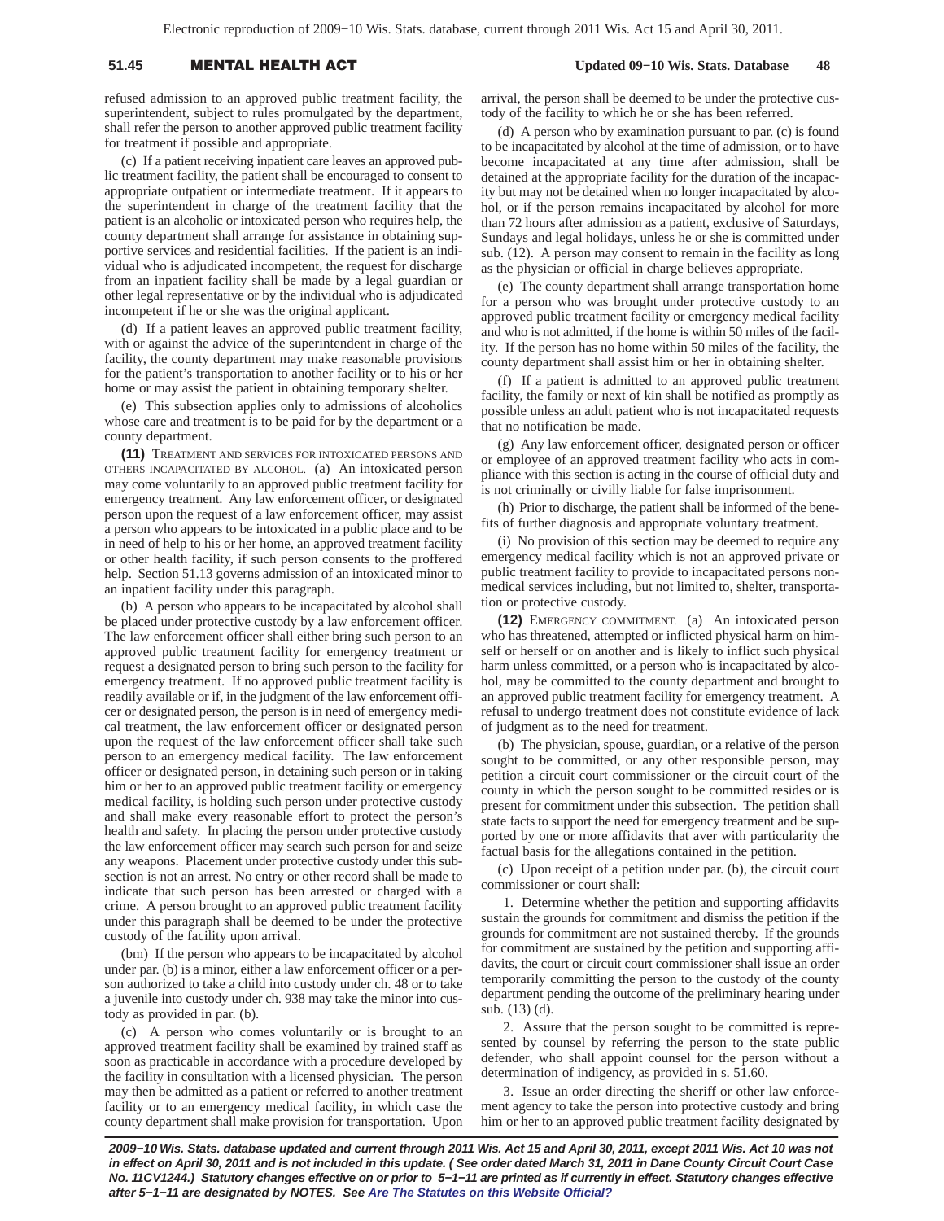# 51.45 **MENTAL HEALTH A**

refused admission to an approved public treatment facility, the superintendent, subject to rules promulgated by the department, shall refer the person to another approved public treatment facility for treatment if possible and appropriate.

(c) If a patient receiving inpatient care leaves an approved public treatment facility, the patient shall be encouraged to consent to appropriate outpatient or intermediate treatment. If it appears to the superintendent in charge of the treatment facility that the patient is an alcoholic or intoxicated person who requires help, the county department shall arrange for assistance in obtaining supportive services and residential facilities. If the patient is an individual who is adjudicated incompetent, the request for discharge from an inpatient facility shall be made by a legal guardian or other legal representative or by the individual who is adjudicated incompetent if he or she was the original applicant.

(d) If a patient leaves an approved public treatment facility, with or against the advice of the superintendent in charge of the facility, the county department may make reasonable provisions for the patient's transportation to another facility or to his or her home or may assist the patient in obtaining temporary shelter.

(e) This subsection applies only to admissions of alcoholics whose care and treatment is to be paid for by the department or a county department.

**(11)** TREATMENT AND SERVICES FOR INTOXICATED PERSONS AND OTHERS INCAPACITATED BY ALCOHOL. (a) An intoxicated person may come voluntarily to an approved public treatment facility for emergency treatment. Any law enforcement officer, or designated person upon the request of a law enforcement officer, may assist a person who appears to be intoxicated in a public place and to be in need of help to his or her home, an approved treatment facility or other health facility, if such person consents to the proffered help. Section 51.13 governs admission of an intoxicated minor to an inpatient facility under this paragraph.

(b) A person who appears to be incapacitated by alcohol shall be placed under protective custody by a law enforcement officer. The law enforcement officer shall either bring such person to an approved public treatment facility for emergency treatment or request a designated person to bring such person to the facility for emergency treatment. If no approved public treatment facility is readily available or if, in the judgment of the law enforcement officer or designated person, the person is in need of emergency medical treatment, the law enforcement officer or designated person upon the request of the law enforcement officer shall take such person to an emergency medical facility. The law enforcement officer or designated person, in detaining such person or in taking him or her to an approved public treatment facility or emergency medical facility, is holding such person under protective custody and shall make every reasonable effort to protect the person's health and safety. In placing the person under protective custody the law enforcement officer may search such person for and seize any weapons. Placement under protective custody under this subsection is not an arrest. No entry or other record shall be made to indicate that such person has been arrested or charged with a crime. A person brought to an approved public treatment facility under this paragraph shall be deemed to be under the protective custody of the facility upon arrival.

(bm) If the person who appears to be incapacitated by alcohol under par. (b) is a minor, either a law enforcement officer or a person authorized to take a child into custody under ch. 48 or to take a juvenile into custody under ch. 938 may take the minor into custody as provided in par. (b).

(c) A person who comes voluntarily or is brought to an approved treatment facility shall be examined by trained staff as soon as practicable in accordance with a procedure developed by the facility in consultation with a licensed physician. The person may then be admitted as a patient or referred to another treatment facility or to an emergency medical facility, in which case the county department shall make provision for transportation. Upon arrival, the person shall be deemed to be under the protective custody of the facility to which he or she has been referred.

 **Updated 09−10 Wis. Stats. Database 48**

(d) A person who by examination pursuant to par. (c) is found to be incapacitated by alcohol at the time of admission, or to have become incapacitated at any time after admission, shall be detained at the appropriate facility for the duration of the incapacity but may not be detained when no longer incapacitated by alcohol, or if the person remains incapacitated by alcohol for more than 72 hours after admission as a patient, exclusive of Saturdays, Sundays and legal holidays, unless he or she is committed under sub. (12). A person may consent to remain in the facility as long as the physician or official in charge believes appropriate.

(e) The county department shall arrange transportation home for a person who was brought under protective custody to an approved public treatment facility or emergency medical facility and who is not admitted, if the home is within 50 miles of the facility. If the person has no home within 50 miles of the facility, the county department shall assist him or her in obtaining shelter.

(f) If a patient is admitted to an approved public treatment facility, the family or next of kin shall be notified as promptly as possible unless an adult patient who is not incapacitated requests that no notification be made.

(g) Any law enforcement officer, designated person or officer or employee of an approved treatment facility who acts in compliance with this section is acting in the course of official duty and is not criminally or civilly liable for false imprisonment.

(h) Prior to discharge, the patient shall be informed of the benefits of further diagnosis and appropriate voluntary treatment.

(i) No provision of this section may be deemed to require any emergency medical facility which is not an approved private or public treatment facility to provide to incapacitated persons nonmedical services including, but not limited to, shelter, transportation or protective custody.

**(12)** EMERGENCY COMMITMENT. (a) An intoxicated person who has threatened, attempted or inflicted physical harm on himself or herself or on another and is likely to inflict such physical harm unless committed, or a person who is incapacitated by alcohol, may be committed to the county department and brought to an approved public treatment facility for emergency treatment. A refusal to undergo treatment does not constitute evidence of lack of judgment as to the need for treatment.

(b) The physician, spouse, guardian, or a relative of the person sought to be committed, or any other responsible person, may petition a circuit court commissioner or the circuit court of the county in which the person sought to be committed resides or is present for commitment under this subsection. The petition shall state facts to support the need for emergency treatment and be supported by one or more affidavits that aver with particularity the factual basis for the allegations contained in the petition.

(c) Upon receipt of a petition under par. (b), the circuit court commissioner or court shall:

1. Determine whether the petition and supporting affidavits sustain the grounds for commitment and dismiss the petition if the grounds for commitment are not sustained thereby. If the grounds for commitment are sustained by the petition and supporting affidavits, the court or circuit court commissioner shall issue an order temporarily committing the person to the custody of the county department pending the outcome of the preliminary hearing under sub. (13) (d).

2. Assure that the person sought to be committed is represented by counsel by referring the person to the state public defender, who shall appoint counsel for the person without a determination of indigency, as provided in s. 51.60.

3. Issue an order directing the sheriff or other law enforcement agency to take the person into protective custody and bring him or her to an approved public treatment facility designated by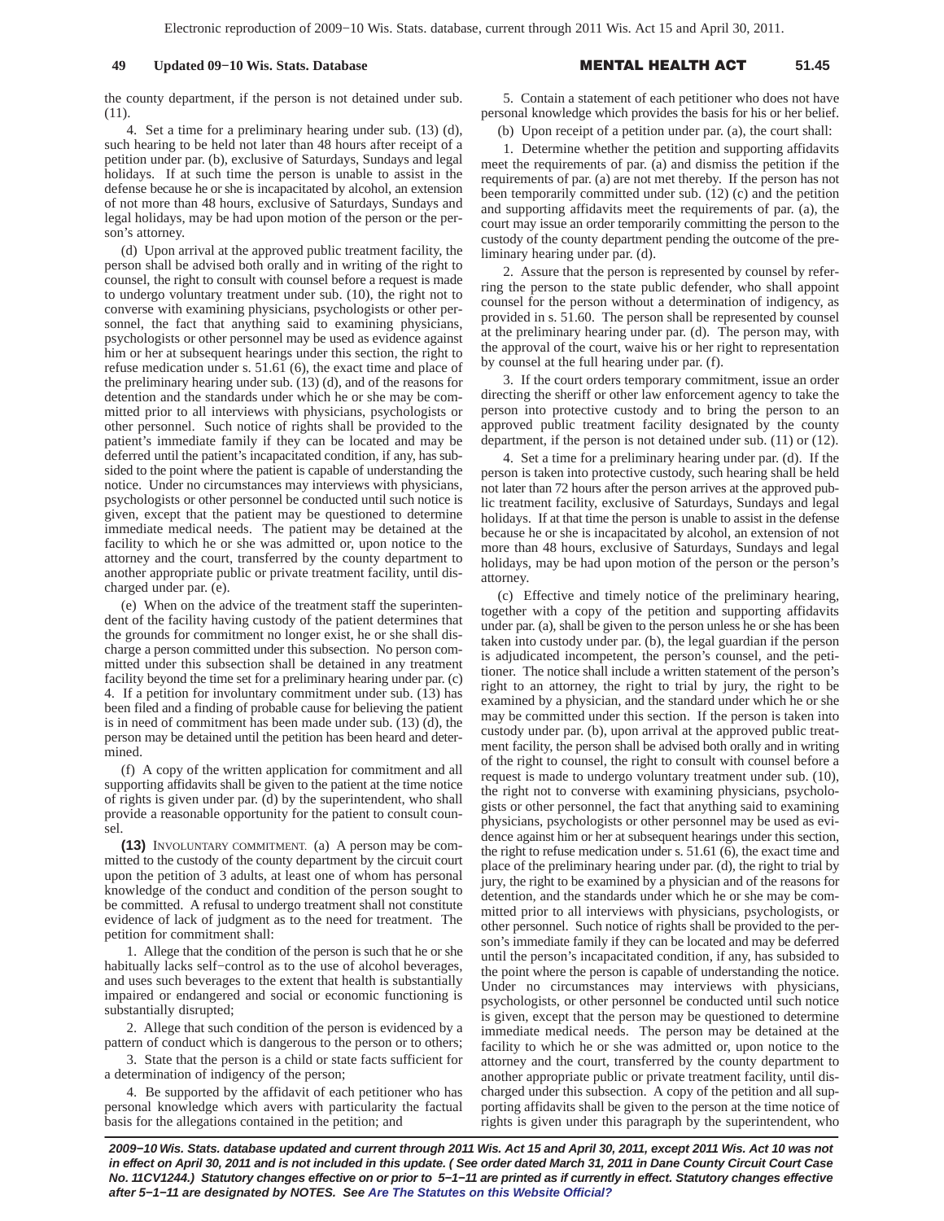the county department, if the person is not detained under sub. (11).

4. Set a time for a preliminary hearing under sub. (13) (d), such hearing to be held not later than 48 hours after receipt of a petition under par. (b), exclusive of Saturdays, Sundays and legal holidays. If at such time the person is unable to assist in the defense because he or she is incapacitated by alcohol, an extension of not more than 48 hours, exclusive of Saturdays, Sundays and legal holidays, may be had upon motion of the person or the person's attorney.

(d) Upon arrival at the approved public treatment facility, the person shall be advised both orally and in writing of the right to counsel, the right to consult with counsel before a request is made to undergo voluntary treatment under sub. (10), the right not to converse with examining physicians, psychologists or other personnel, the fact that anything said to examining physicians, psychologists or other personnel may be used as evidence against him or her at subsequent hearings under this section, the right to refuse medication under s. 51.61 (6), the exact time and place of the preliminary hearing under sub. (13) (d), and of the reasons for detention and the standards under which he or she may be committed prior to all interviews with physicians, psychologists or other personnel. Such notice of rights shall be provided to the patient's immediate family if they can be located and may be deferred until the patient's incapacitated condition, if any, has subsided to the point where the patient is capable of understanding the notice. Under no circumstances may interviews with physicians, psychologists or other personnel be conducted until such notice is given, except that the patient may be questioned to determine immediate medical needs. The patient may be detained at the facility to which he or she was admitted or, upon notice to the attorney and the court, transferred by the county department to another appropriate public or private treatment facility, until discharged under par. (e).

(e) When on the advice of the treatment staff the superintendent of the facility having custody of the patient determines that the grounds for commitment no longer exist, he or she shall discharge a person committed under this subsection. No person committed under this subsection shall be detained in any treatment facility beyond the time set for a preliminary hearing under par. (c) 4. If a petition for involuntary commitment under sub. (13) has been filed and a finding of probable cause for believing the patient is in need of commitment has been made under sub. (13) (d), the person may be detained until the petition has been heard and determined.

(f) A copy of the written application for commitment and all supporting affidavits shall be given to the patient at the time notice of rights is given under par. (d) by the superintendent, who shall provide a reasonable opportunity for the patient to consult counsel.

**(13)** INVOLUNTARY COMMITMENT. (a) A person may be committed to the custody of the county department by the circuit court upon the petition of 3 adults, at least one of whom has personal knowledge of the conduct and condition of the person sought to be committed. A refusal to undergo treatment shall not constitute evidence of lack of judgment as to the need for treatment. The petition for commitment shall:

1. Allege that the condition of the person is such that he or she habitually lacks self−control as to the use of alcohol beverages, and uses such beverages to the extent that health is substantially impaired or endangered and social or economic functioning is substantially disrupted;

2. Allege that such condition of the person is evidenced by a pattern of conduct which is dangerous to the person or to others;

3. State that the person is a child or state facts sufficient for a determination of indigency of the person;

4. Be supported by the affidavit of each petitioner who has personal knowledge which avers with particularity the factual basis for the allegations contained in the petition; and

5. Contain a statement of each petitioner who does not have personal knowledge which provides the basis for his or her belief.

(b) Upon receipt of a petition under par. (a), the court shall:

1. Determine whether the petition and supporting affidavits meet the requirements of par. (a) and dismiss the petition if the requirements of par. (a) are not met thereby. If the person has not been temporarily committed under sub. (12) (c) and the petition and supporting affidavits meet the requirements of par. (a), the court may issue an order temporarily committing the person to the custody of the county department pending the outcome of the preliminary hearing under par. (d).

2. Assure that the person is represented by counsel by referring the person to the state public defender, who shall appoint counsel for the person without a determination of indigency, as provided in s. 51.60. The person shall be represented by counsel at the preliminary hearing under par. (d). The person may, with the approval of the court, waive his or her right to representation by counsel at the full hearing under par. (f).

3. If the court orders temporary commitment, issue an order directing the sheriff or other law enforcement agency to take the person into protective custody and to bring the person to an approved public treatment facility designated by the county department, if the person is not detained under sub. (11) or (12).

4. Set a time for a preliminary hearing under par. (d). If the person is taken into protective custody, such hearing shall be held not later than 72 hours after the person arrives at the approved public treatment facility, exclusive of Saturdays, Sundays and legal holidays. If at that time the person is unable to assist in the defense because he or she is incapacitated by alcohol, an extension of not more than 48 hours, exclusive of Saturdays, Sundays and legal holidays, may be had upon motion of the person or the person's attorney.

(c) Effective and timely notice of the preliminary hearing, together with a copy of the petition and supporting affidavits under par. (a), shall be given to the person unless he or she has been taken into custody under par. (b), the legal guardian if the person is adjudicated incompetent, the person's counsel, and the petitioner. The notice shall include a written statement of the person's right to an attorney, the right to trial by jury, the right to be examined by a physician, and the standard under which he or she may be committed under this section. If the person is taken into custody under par. (b), upon arrival at the approved public treatment facility, the person shall be advised both orally and in writing of the right to counsel, the right to consult with counsel before a request is made to undergo voluntary treatment under sub. (10), the right not to converse with examining physicians, psychologists or other personnel, the fact that anything said to examining physicians, psychologists or other personnel may be used as evidence against him or her at subsequent hearings under this section, the right to refuse medication under s. 51.61 (6), the exact time and place of the preliminary hearing under par. (d), the right to trial by jury, the right to be examined by a physician and of the reasons for detention, and the standards under which he or she may be committed prior to all interviews with physicians, psychologists, or other personnel. Such notice of rights shall be provided to the person's immediate family if they can be located and may be deferred until the person's incapacitated condition, if any, has subsided to the point where the person is capable of understanding the notice. Under no circumstances may interviews with physicians, psychologists, or other personnel be conducted until such notice is given, except that the person may be questioned to determine immediate medical needs. The person may be detained at the facility to which he or she was admitted or, upon notice to the attorney and the court, transferred by the county department to another appropriate public or private treatment facility, until discharged under this subsection. A copy of the petition and all supporting affidavits shall be given to the person at the time notice of rights is given under this paragraph by the superintendent, who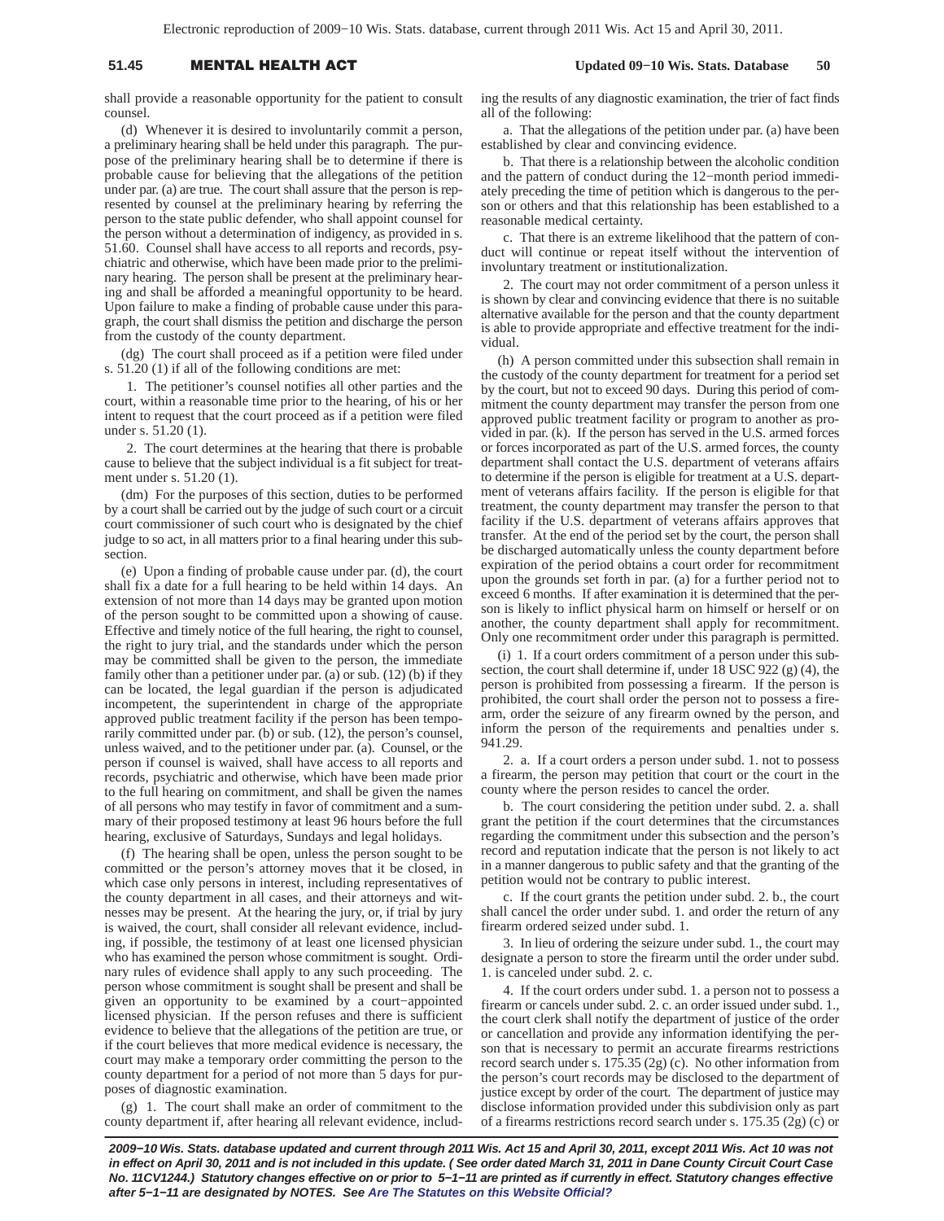## 51.45 **MENTAL HEALTH A**

 **Updated 09−10 Wis. Stats. Database 50**

shall provide a reasonable opportunity for the patient to consult counsel.

(d) Whenever it is desired to involuntarily commit a person, a preliminary hearing shall be held under this paragraph. The purpose of the preliminary hearing shall be to determine if there is probable cause for believing that the allegations of the petition under par. (a) are true. The court shall assure that the person is represented by counsel at the preliminary hearing by referring the person to the state public defender, who shall appoint counsel for the person without a determination of indigency, as provided in s. 51.60. Counsel shall have access to all reports and records, psychiatric and otherwise, which have been made prior to the preliminary hearing. The person shall be present at the preliminary hearing and shall be afforded a meaningful opportunity to be heard. Upon failure to make a finding of probable cause under this paragraph, the court shall dismiss the petition and discharge the person from the custody of the county department.

(dg) The court shall proceed as if a petition were filed under s. 51.20 (1) if all of the following conditions are met:

1. The petitioner's counsel notifies all other parties and the court, within a reasonable time prior to the hearing, of his or her intent to request that the court proceed as if a petition were filed under s. 51.20 (1).

2. The court determines at the hearing that there is probable cause to believe that the subject individual is a fit subject for treatment under s. 51.20 (1).

(dm) For the purposes of this section, duties to be performed by a court shall be carried out by the judge of such court or a circuit court commissioner of such court who is designated by the chief judge to so act, in all matters prior to a final hearing under this subsection.

(e) Upon a finding of probable cause under par. (d), the court shall fix a date for a full hearing to be held within 14 days. An extension of not more than 14 days may be granted upon motion of the person sought to be committed upon a showing of cause. Effective and timely notice of the full hearing, the right to counsel, the right to jury trial, and the standards under which the person may be committed shall be given to the person, the immediate family other than a petitioner under par. (a) or sub. (12) (b) if they can be located, the legal guardian if the person is adjudicated incompetent, the superintendent in charge of the appropriate approved public treatment facility if the person has been temporarily committed under par. (b) or sub. (12), the person's counsel, unless waived, and to the petitioner under par. (a). Counsel, or the person if counsel is waived, shall have access to all reports and records, psychiatric and otherwise, which have been made prior to the full hearing on commitment, and shall be given the names of all persons who may testify in favor of commitment and a summary of their proposed testimony at least 96 hours before the full hearing, exclusive of Saturdays, Sundays and legal holidays.

(f) The hearing shall be open, unless the person sought to be committed or the person's attorney moves that it be closed, in which case only persons in interest, including representatives of the county department in all cases, and their attorneys and witnesses may be present. At the hearing the jury, or, if trial by jury is waived, the court, shall consider all relevant evidence, including, if possible, the testimony of at least one licensed physician who has examined the person whose commitment is sought. Ordinary rules of evidence shall apply to any such proceeding. The person whose commitment is sought shall be present and shall be given an opportunity to be examined by a court−appointed licensed physician. If the person refuses and there is sufficient evidence to believe that the allegations of the petition are true, or if the court believes that more medical evidence is necessary, the court may make a temporary order committing the person to the county department for a period of not more than 5 days for purposes of diagnostic examination.

(g) 1. The court shall make an order of commitment to the county department if, after hearing all relevant evidence, including the results of any diagnostic examination, the trier of fact finds all of the following:

a. That the allegations of the petition under par. (a) have been established by clear and convincing evidence.

b. That there is a relationship between the alcoholic condition and the pattern of conduct during the 12−month period immediately preceding the time of petition which is dangerous to the person or others and that this relationship has been established to a reasonable medical certainty.

c. That there is an extreme likelihood that the pattern of conduct will continue or repeat itself without the intervention of involuntary treatment or institutionalization.

2. The court may not order commitment of a person unless it is shown by clear and convincing evidence that there is no suitable alternative available for the person and that the county department is able to provide appropriate and effective treatment for the individual.

(h) A person committed under this subsection shall remain in the custody of the county department for treatment for a period set by the court, but not to exceed 90 days. During this period of commitment the county department may transfer the person from one approved public treatment facility or program to another as provided in par. (k). If the person has served in the U.S. armed forces or forces incorporated as part of the U.S. armed forces, the county department shall contact the U.S. department of veterans affairs to determine if the person is eligible for treatment at a U.S. department of veterans affairs facility. If the person is eligible for that treatment, the county department may transfer the person to that facility if the U.S. department of veterans affairs approves that transfer. At the end of the period set by the court, the person shall be discharged automatically unless the county department before expiration of the period obtains a court order for recommitment upon the grounds set forth in par. (a) for a further period not to exceed 6 months. If after examination it is determined that the person is likely to inflict physical harm on himself or herself or on another, the county department shall apply for recommitment. Only one recommitment order under this paragraph is permitted.

(i) 1. If a court orders commitment of a person under this subsection, the court shall determine if, under 18 USC 922 (g) (4), the person is prohibited from possessing a firearm. If the person is prohibited, the court shall order the person not to possess a firearm, order the seizure of any firearm owned by the person, and inform the person of the requirements and penalties under s. 941.29.

2. a. If a court orders a person under subd. 1. not to possess a firearm, the person may petition that court or the court in the county where the person resides to cancel the order.

b. The court considering the petition under subd. 2. a. shall grant the petition if the court determines that the circumstances regarding the commitment under this subsection and the person's record and reputation indicate that the person is not likely to act in a manner dangerous to public safety and that the granting of the petition would not be contrary to public interest.

c. If the court grants the petition under subd. 2. b., the court shall cancel the order under subd. 1. and order the return of any firearm ordered seized under subd. 1.

3. In lieu of ordering the seizure under subd. 1., the court may designate a person to store the firearm until the order under subd. 1. is canceled under subd. 2. c.

4. If the court orders under subd. 1. a person not to possess a firearm or cancels under subd. 2. c. an order issued under subd. 1., the court clerk shall notify the department of justice of the order or cancellation and provide any information identifying the person that is necessary to permit an accurate firearms restrictions record search under s. 175.35 (2g) (c). No other information from the person's court records may be disclosed to the department of justice except by order of the court. The department of justice may disclose information provided under this subdivision only as part of a firearms restrictions record search under s. 175.35 (2g) (c) or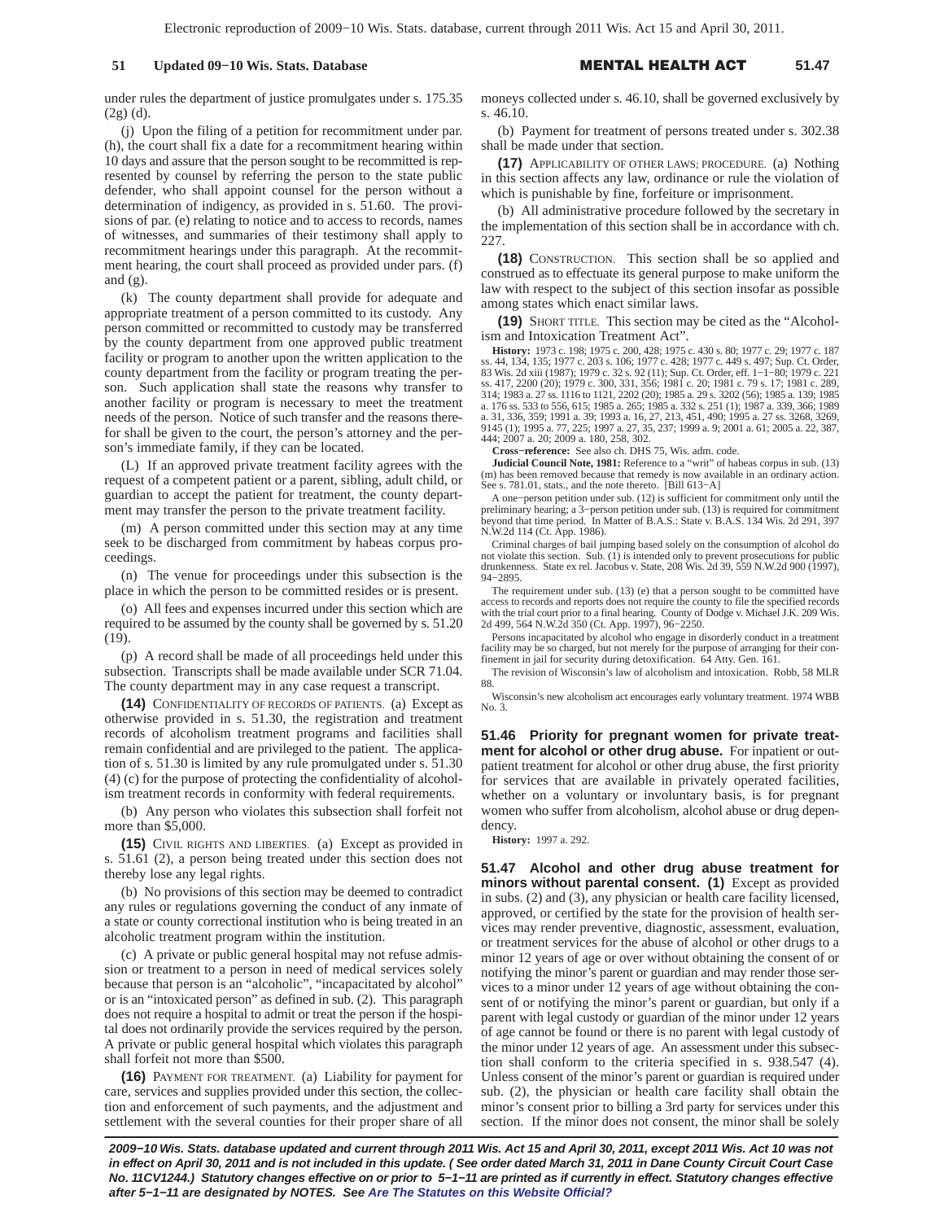under rules the department of justice promulgates under s. 175.35 (2g) (d).

(j) Upon the filing of a petition for recommitment under par. (h), the court shall fix a date for a recommitment hearing within 10 days and assure that the person sought to be recommitted is represented by counsel by referring the person to the state public defender, who shall appoint counsel for the person without a determination of indigency, as provided in s. 51.60. The provisions of par. (e) relating to notice and to access to records, names of witnesses, and summaries of their testimony shall apply to recommitment hearings under this paragraph. At the recommitment hearing, the court shall proceed as provided under pars. (f) and (g).

(k) The county department shall provide for adequate and appropriate treatment of a person committed to its custody. Any person committed or recommitted to custody may be transferred by the county department from one approved public treatment facility or program to another upon the written application to the county department from the facility or program treating the person. Such application shall state the reasons why transfer to another facility or program is necessary to meet the treatment needs of the person. Notice of such transfer and the reasons therefor shall be given to the court, the person's attorney and the person's immediate family, if they can be located.

(L) If an approved private treatment facility agrees with the request of a competent patient or a parent, sibling, adult child, or guardian to accept the patient for treatment, the county department may transfer the person to the private treatment facility.

(m) A person committed under this section may at any time seek to be discharged from commitment by habeas corpus proceedings.

(n) The venue for proceedings under this subsection is the place in which the person to be committed resides or is present.

(o) All fees and expenses incurred under this section which are required to be assumed by the county shall be governed by s. 51.20 (19).

(p) A record shall be made of all proceedings held under this subsection. Transcripts shall be made available under SCR 71.04. The county department may in any case request a transcript.

**(14)** CONFIDENTIALITY OF RECORDS OF PATIENTS. (a) Except as otherwise provided in s. 51.30, the registration and treatment records of alcoholism treatment programs and facilities shall remain confidential and are privileged to the patient. The application of s. 51.30 is limited by any rule promulgated under s. 51.30 (4) (c) for the purpose of protecting the confidentiality of alcoholism treatment records in conformity with federal requirements.

(b) Any person who violates this subsection shall forfeit not more than \$5,000.

**(15)** CIVIL RIGHTS AND LIBERTIES. (a) Except as provided in s. 51.61 (2), a person being treated under this section does not thereby lose any legal rights.

(b) No provisions of this section may be deemed to contradict any rules or regulations governing the conduct of any inmate of a state or county correctional institution who is being treated in an alcoholic treatment program within the institution.

(c) A private or public general hospital may not refuse admission or treatment to a person in need of medical services solely because that person is an "alcoholic", "incapacitated by alcohol" or is an "intoxicated person" as defined in sub. (2). This paragraph does not require a hospital to admit or treat the person if the hospital does not ordinarily provide the services required by the person. A private or public general hospital which violates this paragraph shall forfeit not more than \$500.

**(16)** PAYMENT FOR TREATMENT. (a) Liability for payment for care, services and supplies provided under this section, the collection and enforcement of such payments, and the adjustment and settlement with the several counties for their proper share of all moneys collected under s. 46.10, shall be governed exclusively by s. 46.10.

(b) Payment for treatment of persons treated under s. 302.38 shall be made under that section.

**(17)** APPLICABILITY OF OTHER LAWS; PROCEDURE. (a) Nothing in this section affects any law, ordinance or rule the violation of which is punishable by fine, forfeiture or imprisonment.

(b) All administrative procedure followed by the secretary in the implementation of this section shall be in accordance with ch. 227.

**(18)** CONSTRUCTION. This section shall be so applied and construed as to effectuate its general purpose to make uniform the law with respect to the subject of this section insofar as possible among states which enact similar laws.

**(19)** SHORT TITLE. This section may be cited as the "Alcoholism and Intoxication Treatment Act".

**History:** 1973 c. 198; 1975 c. 200, 428; 1975 c. 430 s. 80; 1977 c. 29; 1977 c. 187 ss. 44, 134, 135; 1977 c. 203 s. 106; 1977 c. 428; 1977 c. 449 s. 497; Sup. Ct. Order, 83 Wis. 2d xiii (1987); 1979 c. 32 s. 92 (11); Sup. Ct. Order, eff. 1–1–80; 1979 c. 221<br>ss. 417, 2200 (20); 1979 c. 300, 331, 356; 1981 c. 20; 1981 c. 79 s. 17; 1981 c. 289,<br>314; 1983 a. 27 ss. 1116 to 1121, 2202 (20); 198 a. 31, 336, 359; 1991 a. 39; 1993 a. 16, 27, 213, 451, 490; 1995 a. 27 ss. 3268, 3269, 9145 (1); 1995 a. 77, 225; 1997 a. 27, 35, 237; 1999 a. 9; 2001 a. 61; 2005 a. 22, 387, 444; 2007 a. 20; 2009 a. 180, 258, 302.

**Cross−reference:** See also ch. DHS 75, Wis. adm. code.

**Judicial Council Note, 1981:** Reference to a "writ" of habeas corpus in sub. (13) (m) has been removed because that remedy is now available in an ordinary action. See s. 781.01, stats., and the note thereto. [Bill 613−A]

A one–person petition under sub. (12) is sufficient for commitment only until the preliminary hearing; a 3–person petition under sub. (13) is required for commitment beyond that time period. In Matter of B.A.S.: State v. B N.W.2d 114 (Ct. App. 1986).

Criminal charges of bail jumping based solely on the consumption of alcohol do not violate this section. Sub. (1) is intended only to prevent prosecutions for public drunkenness. State ex rel. Jacobus v. State, 208 Wis. 2d 39, 559 N.W.2d 900 (1997), 94−2895.

The requirement under sub. (13) (e) that a person sought to be committed have access to records and reports does not require the county to file the specified records with the trial court prior to a final hearing. County of Dodge v. Michael J.K. 209 Wis. 2d 499, 564 N.W.2d 350 (Ct. App. 1997), 96−2250.

Persons incapacitated by alcohol who engage in disorderly conduct in a treatment facility may be so charged, but not merely for the purpose of arranging for their con-finement in jail for security during detoxification. 64 Atty. Gen. 161.

The revision of Wisconsin's law of alcoholism and intoxication. Robb, 58 MLR 88.

Wisconsin's new alcoholism act encourages early voluntary treatment. 1974 WBB No. 3.

**51.46 Priority for pregnant women for private treatment for alcohol or other drug abuse.** For inpatient or outpatient treatment for alcohol or other drug abuse, the first priority for services that are available in privately operated facilities, whether on a voluntary or involuntary basis, is for pregnant women who suffer from alcoholism, alcohol abuse or drug dependency.

**History:** 1997 a. 292.

**51.47 Alcohol and other drug abuse treatment for minors without parental consent. (1)** Except as provided in subs. (2) and (3), any physician or health care facility licensed, approved, or certified by the state for the provision of health services may render preventive, diagnostic, assessment, evaluation, or treatment services for the abuse of alcohol or other drugs to a minor 12 years of age or over without obtaining the consent of or notifying the minor's parent or guardian and may render those services to a minor under 12 years of age without obtaining the consent of or notifying the minor's parent or guardian, but only if a parent with legal custody or guardian of the minor under 12 years of age cannot be found or there is no parent with legal custody of the minor under 12 years of age. An assessment under this subsection shall conform to the criteria specified in s. 938.547 (4). Unless consent of the minor's parent or guardian is required under sub. (2), the physician or health care facility shall obtain the minor's consent prior to billing a 3rd party for services under this section. If the minor does not consent, the minor shall be solely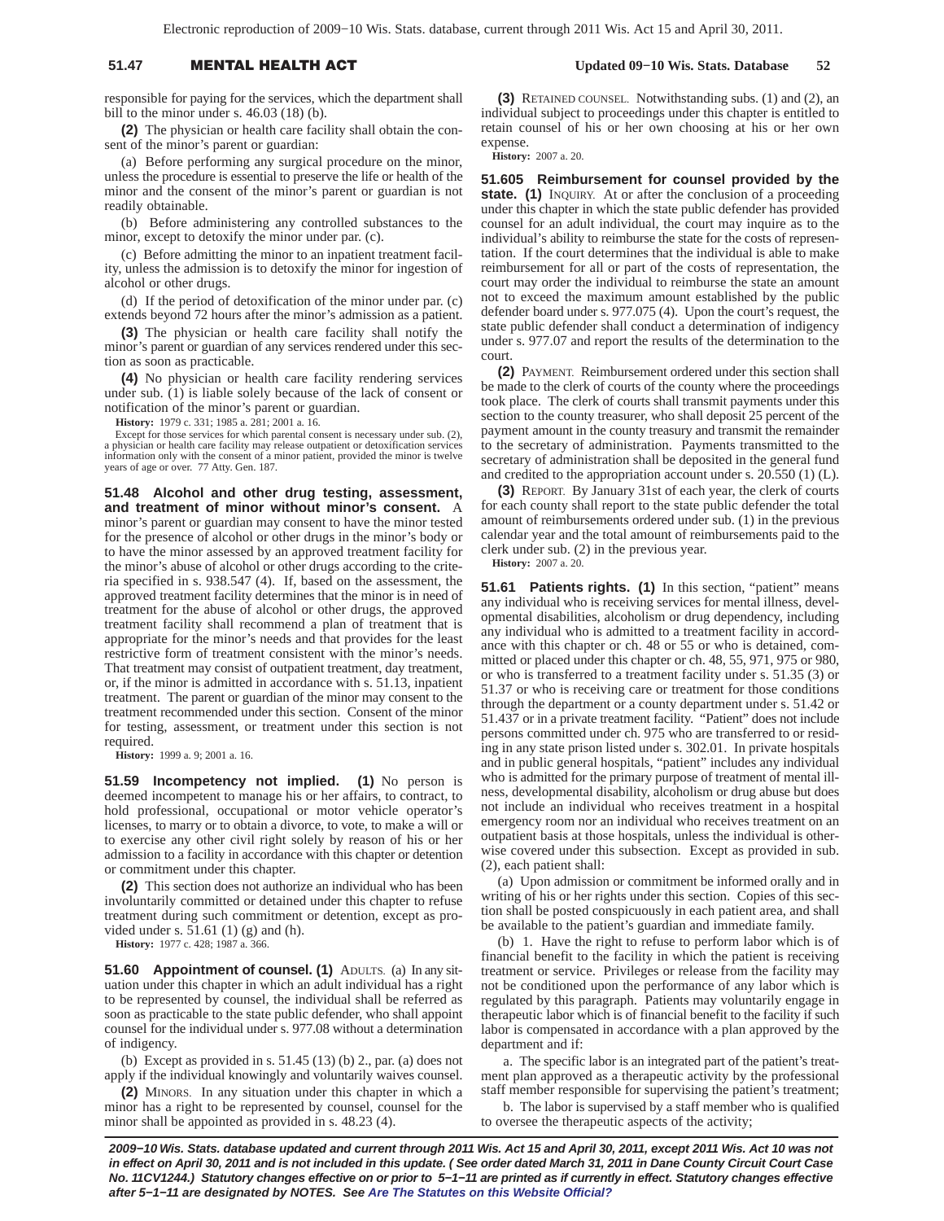## 51.47 **MENTAL HEALTH A**

responsible for paying for the services, which the department shall bill to the minor under s. 46.03 (18) (b).

**(2)** The physician or health care facility shall obtain the consent of the minor's parent or guardian:

(a) Before performing any surgical procedure on the minor, unless the procedure is essential to preserve the life or health of the minor and the consent of the minor's parent or guardian is not readily obtainable.

(b) Before administering any controlled substances to the minor, except to detoxify the minor under par. (c).

(c) Before admitting the minor to an inpatient treatment facility, unless the admission is to detoxify the minor for ingestion of alcohol or other drugs.

(d) If the period of detoxification of the minor under par. (c) extends beyond 72 hours after the minor's admission as a patient.

**(3)** The physician or health care facility shall notify the minor's parent or guardian of any services rendered under this section as soon as practicable.

**(4)** No physician or health care facility rendering services under sub. (1) is liable solely because of the lack of consent or notification of the minor's parent or guardian.

**History:** 1979 c. 331; 1985 a. 281; 2001 a. 16.

Except for those services for which parental consent is necessary under sub. (2), a physician or health care facility may release outpatient or detoxification services information only with the consent of a minor patient, provided the minor is twelve years of age or over. 77 Atty. Gen. 187.

**51.48 Alcohol and other drug testing, assessment, and treatment of minor without minor's consent.** A minor's parent or guardian may consent to have the minor tested for the presence of alcohol or other drugs in the minor's body or to have the minor assessed by an approved treatment facility for the minor's abuse of alcohol or other drugs according to the criteria specified in s. 938.547 (4). If, based on the assessment, the approved treatment facility determines that the minor is in need of treatment for the abuse of alcohol or other drugs, the approved treatment facility shall recommend a plan of treatment that is appropriate for the minor's needs and that provides for the least restrictive form of treatment consistent with the minor's needs. That treatment may consist of outpatient treatment, day treatment, or, if the minor is admitted in accordance with s. 51.13, inpatient treatment. The parent or guardian of the minor may consent to the treatment recommended under this section. Consent of the minor for testing, assessment, or treatment under this section is not required.

**History:** 1999 a. 9; 2001 a. 16.

**51.59 Incompetency not implied. (1)** No person is deemed incompetent to manage his or her affairs, to contract, to hold professional, occupational or motor vehicle operator's licenses, to marry or to obtain a divorce, to vote, to make a will or to exercise any other civil right solely by reason of his or her admission to a facility in accordance with this chapter or detention or commitment under this chapter.

**(2)** This section does not authorize an individual who has been involuntarily committed or detained under this chapter to refuse treatment during such commitment or detention, except as provided under s. 51.61 (1) (g) and (h).

**History:** 1977 c. 428; 1987 a. 366.

**51.60 Appointment of counsel. (1)** ADULTS. (a) In any situation under this chapter in which an adult individual has a right to be represented by counsel, the individual shall be referred as soon as practicable to the state public defender, who shall appoint counsel for the individual under s. 977.08 without a determination of indigency.

(b) Except as provided in s. 51.45 (13) (b) 2., par. (a) does not apply if the individual knowingly and voluntarily waives counsel.

**(2)** MINORS. In any situation under this chapter in which a minor has a right to be represented by counsel, counsel for the minor shall be appointed as provided in s. 48.23 (4).

 **Updated 09−10 Wis. Stats. Database 52**

**(3)** RETAINED COUNSEL. Notwithstanding subs. (1) and (2), an individual subject to proceedings under this chapter is entitled to retain counsel of his or her own choosing at his or her own expense.

**History:** 2007 a. 20.

**51.605 Reimbursement for counsel provided by the state.** (1) INQUIRY. At or after the conclusion of a proceeding under this chapter in which the state public defender has provided counsel for an adult individual, the court may inquire as to the individual's ability to reimburse the state for the costs of representation. If the court determines that the individual is able to make reimbursement for all or part of the costs of representation, the court may order the individual to reimburse the state an amount not to exceed the maximum amount established by the public defender board under s. 977.075 (4). Upon the court's request, the state public defender shall conduct a determination of indigency under s. 977.07 and report the results of the determination to the court.

**(2)** PAYMENT. Reimbursement ordered under this section shall be made to the clerk of courts of the county where the proceedings took place. The clerk of courts shall transmit payments under this section to the county treasurer, who shall deposit 25 percent of the payment amount in the county treasury and transmit the remainder to the secretary of administration. Payments transmitted to the secretary of administration shall be deposited in the general fund and credited to the appropriation account under s. 20.550 (1) (L).

**(3)** REPORT. By January 31st of each year, the clerk of courts for each county shall report to the state public defender the total amount of reimbursements ordered under sub. (1) in the previous calendar year and the total amount of reimbursements paid to the clerk under sub. (2) in the previous year.

**History:** 2007 a. 20.

**51.61 Patients rights. (1)** In this section, "patient" means any individual who is receiving services for mental illness, developmental disabilities, alcoholism or drug dependency, including any individual who is admitted to a treatment facility in accordance with this chapter or ch. 48 or 55 or who is detained, committed or placed under this chapter or ch. 48, 55, 971, 975 or 980, or who is transferred to a treatment facility under s. 51.35 (3) or 51.37 or who is receiving care or treatment for those conditions through the department or a county department under s. 51.42 or 51.437 or in a private treatment facility. "Patient" does not include persons committed under ch. 975 who are transferred to or residing in any state prison listed under s. 302.01. In private hospitals and in public general hospitals, "patient" includes any individual who is admitted for the primary purpose of treatment of mental illness, developmental disability, alcoholism or drug abuse but does not include an individual who receives treatment in a hospital emergency room nor an individual who receives treatment on an outpatient basis at those hospitals, unless the individual is otherwise covered under this subsection. Except as provided in sub. (2), each patient shall:

(a) Upon admission or commitment be informed orally and in writing of his or her rights under this section. Copies of this section shall be posted conspicuously in each patient area, and shall be available to the patient's guardian and immediate family.

(b) 1. Have the right to refuse to perform labor which is of financial benefit to the facility in which the patient is receiving treatment or service. Privileges or release from the facility may not be conditioned upon the performance of any labor which is regulated by this paragraph. Patients may voluntarily engage in therapeutic labor which is of financial benefit to the facility if such labor is compensated in accordance with a plan approved by the department and if:

a. The specific labor is an integrated part of the patient's treatment plan approved as a therapeutic activity by the professional staff member responsible for supervising the patient's treatment;

b. The labor is supervised by a staff member who is qualified to oversee the therapeutic aspects of the activity;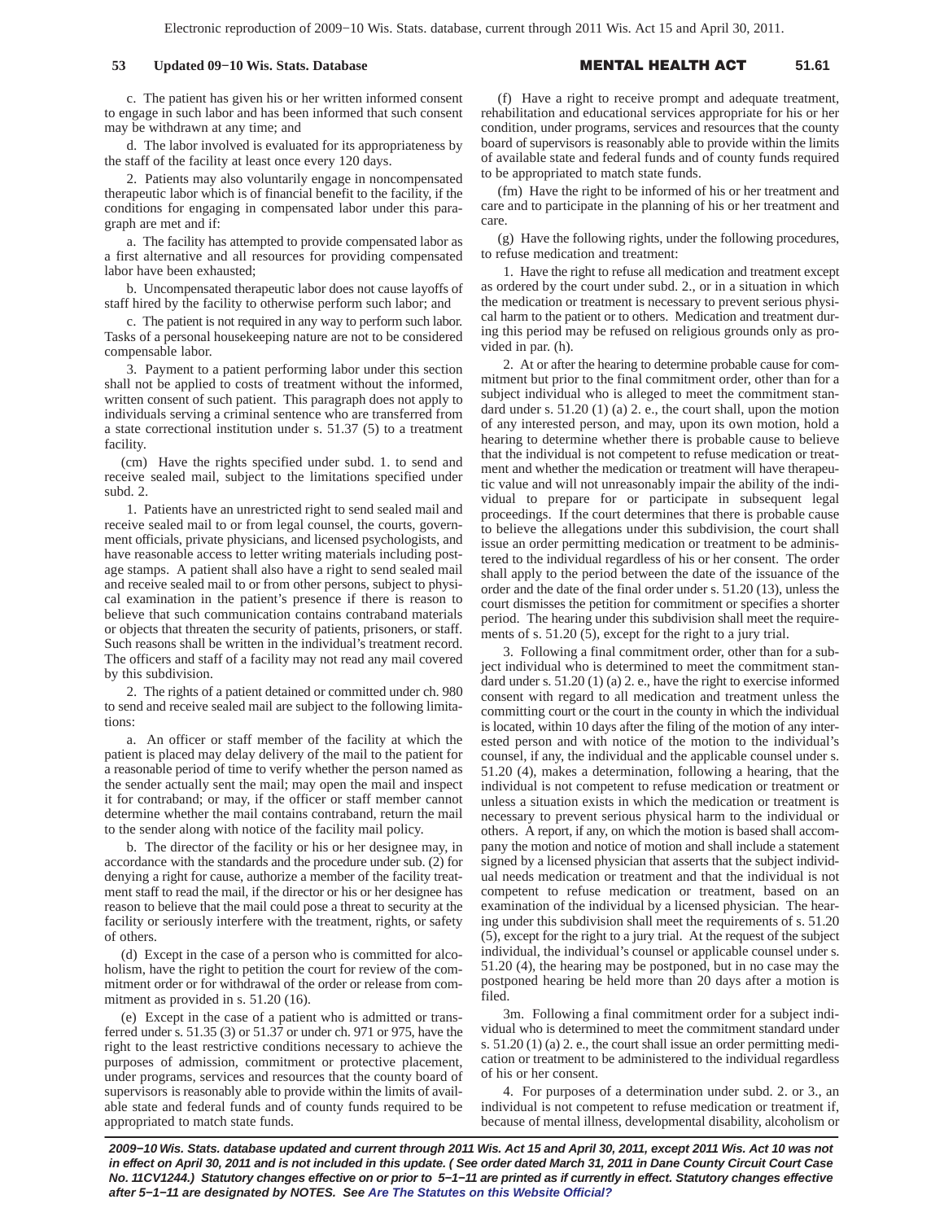## **53 Updated 09−10 Wis. Stats. Database** -

#### L HEALTH A **51.61**

c. The patient has given his or her written informed consent to engage in such labor and has been informed that such consent may be withdrawn at any time; and

d. The labor involved is evaluated for its appropriateness by the staff of the facility at least once every 120 days.

2. Patients may also voluntarily engage in noncompensated therapeutic labor which is of financial benefit to the facility, if the conditions for engaging in compensated labor under this paragraph are met and if:

a. The facility has attempted to provide compensated labor as a first alternative and all resources for providing compensated labor have been exhausted;

b. Uncompensated therapeutic labor does not cause layoffs of staff hired by the facility to otherwise perform such labor; and

c. The patient is not required in any way to perform such labor. Tasks of a personal housekeeping nature are not to be considered compensable labor.

3. Payment to a patient performing labor under this section shall not be applied to costs of treatment without the informed, written consent of such patient. This paragraph does not apply to individuals serving a criminal sentence who are transferred from a state correctional institution under s. 51.37 (5) to a treatment facility.

(cm) Have the rights specified under subd. 1. to send and receive sealed mail, subject to the limitations specified under subd. 2.

1. Patients have an unrestricted right to send sealed mail and receive sealed mail to or from legal counsel, the courts, government officials, private physicians, and licensed psychologists, and have reasonable access to letter writing materials including postage stamps. A patient shall also have a right to send sealed mail and receive sealed mail to or from other persons, subject to physical examination in the patient's presence if there is reason to believe that such communication contains contraband materials or objects that threaten the security of patients, prisoners, or staff. Such reasons shall be written in the individual's treatment record. The officers and staff of a facility may not read any mail covered by this subdivision.

2. The rights of a patient detained or committed under ch. 980 to send and receive sealed mail are subject to the following limitations:

a. An officer or staff member of the facility at which the patient is placed may delay delivery of the mail to the patient for a reasonable period of time to verify whether the person named as the sender actually sent the mail; may open the mail and inspect it for contraband; or may, if the officer or staff member cannot determine whether the mail contains contraband, return the mail to the sender along with notice of the facility mail policy.

b. The director of the facility or his or her designee may, in accordance with the standards and the procedure under sub. (2) for denying a right for cause, authorize a member of the facility treatment staff to read the mail, if the director or his or her designee has reason to believe that the mail could pose a threat to security at the facility or seriously interfere with the treatment, rights, or safety of others.

(d) Except in the case of a person who is committed for alcoholism, have the right to petition the court for review of the commitment order or for withdrawal of the order or release from commitment as provided in s. 51.20 (16).

(e) Except in the case of a patient who is admitted or transferred under s. 51.35 (3) or 51.37 or under ch. 971 or 975, have the right to the least restrictive conditions necessary to achieve the purposes of admission, commitment or protective placement, under programs, services and resources that the county board of supervisors is reasonably able to provide within the limits of available state and federal funds and of county funds required to be appropriated to match state funds.

(f) Have a right to receive prompt and adequate treatment, rehabilitation and educational services appropriate for his or her condition, under programs, services and resources that the county board of supervisors is reasonably able to provide within the limits of available state and federal funds and of county funds required to be appropriated to match state funds.

(fm) Have the right to be informed of his or her treatment and care and to participate in the planning of his or her treatment and care.

(g) Have the following rights, under the following procedures, to refuse medication and treatment:

1. Have the right to refuse all medication and treatment except as ordered by the court under subd. 2., or in a situation in which the medication or treatment is necessary to prevent serious physical harm to the patient or to others. Medication and treatment during this period may be refused on religious grounds only as provided in par. (h).

2. At or after the hearing to determine probable cause for commitment but prior to the final commitment order, other than for a subject individual who is alleged to meet the commitment standard under s. 51.20 (1) (a) 2. e., the court shall, upon the motion of any interested person, and may, upon its own motion, hold a hearing to determine whether there is probable cause to believe that the individual is not competent to refuse medication or treatment and whether the medication or treatment will have therapeutic value and will not unreasonably impair the ability of the individual to prepare for or participate in subsequent legal proceedings. If the court determines that there is probable cause to believe the allegations under this subdivision, the court shall issue an order permitting medication or treatment to be administered to the individual regardless of his or her consent. The order shall apply to the period between the date of the issuance of the order and the date of the final order under s. 51.20 (13), unless the court dismisses the petition for commitment or specifies a shorter period. The hearing under this subdivision shall meet the requirements of s. 51.20 (5), except for the right to a jury trial.

3. Following a final commitment order, other than for a subject individual who is determined to meet the commitment standard under s. 51.20 (1) (a) 2. e., have the right to exercise informed consent with regard to all medication and treatment unless the committing court or the court in the county in which the individual is located, within 10 days after the filing of the motion of any interested person and with notice of the motion to the individual's counsel, if any, the individual and the applicable counsel under s. 51.20 (4), makes a determination, following a hearing, that the individual is not competent to refuse medication or treatment or unless a situation exists in which the medication or treatment is necessary to prevent serious physical harm to the individual or others. A report, if any, on which the motion is based shall accompany the motion and notice of motion and shall include a statement signed by a licensed physician that asserts that the subject individual needs medication or treatment and that the individual is not competent to refuse medication or treatment, based on an examination of the individual by a licensed physician. The hearing under this subdivision shall meet the requirements of s. 51.20 (5), except for the right to a jury trial. At the request of the subject individual, the individual's counsel or applicable counsel under s. 51.20 (4), the hearing may be postponed, but in no case may the postponed hearing be held more than 20 days after a motion is filed.

3m. Following a final commitment order for a subject individual who is determined to meet the commitment standard under s. 51.20 (1) (a) 2. e., the court shall issue an order permitting medication or treatment to be administered to the individual regardless of his or her consent.

4. For purposes of a determination under subd. 2. or 3., an individual is not competent to refuse medication or treatment if, because of mental illness, developmental disability, alcoholism or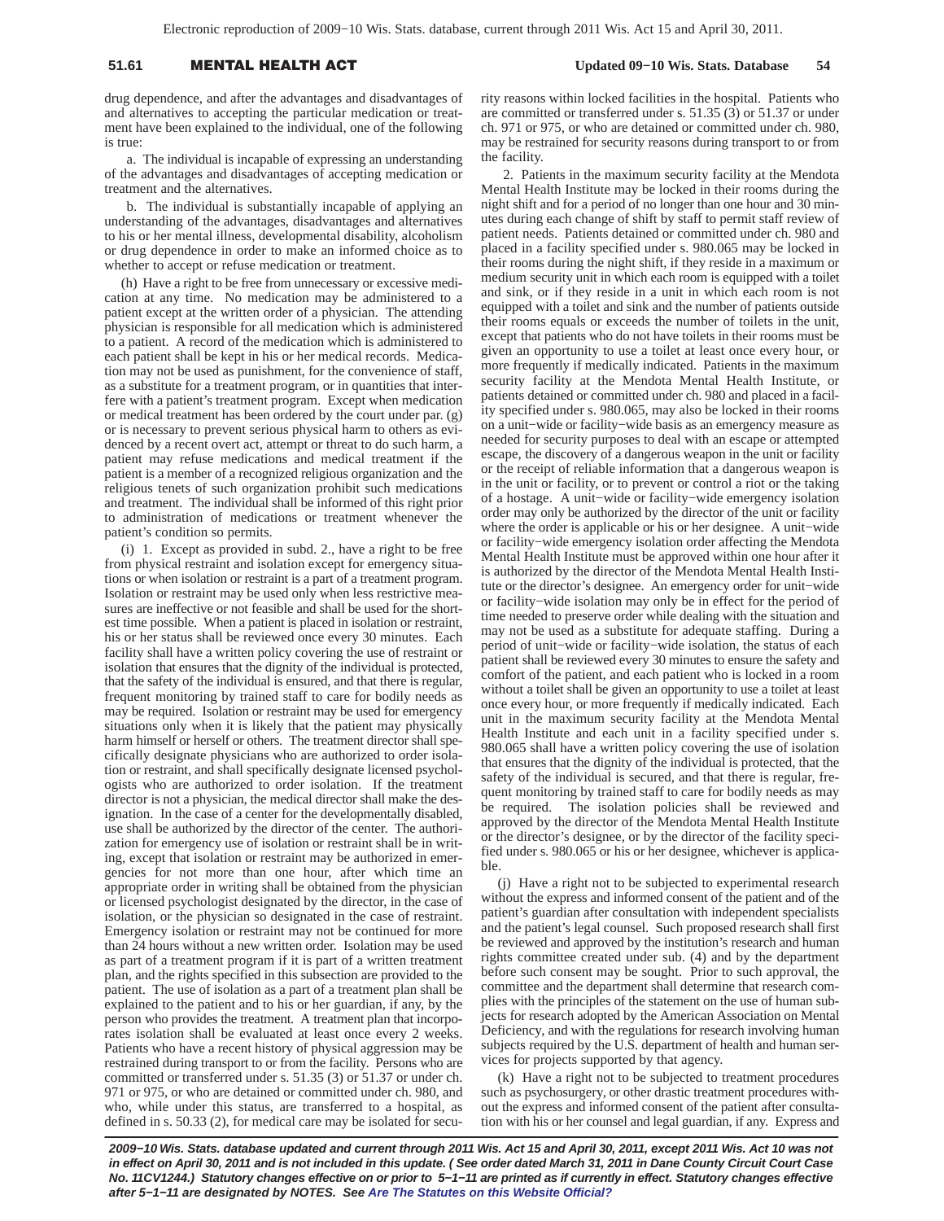# 51.61 **MENTAL HEALTH A**

drug dependence, and after the advantages and disadvantages of and alternatives to accepting the particular medication or treatment have been explained to the individual, one of the following is true:

a. The individual is incapable of expressing an understanding of the advantages and disadvantages of accepting medication or treatment and the alternatives.

b. The individual is substantially incapable of applying an understanding of the advantages, disadvantages and alternatives to his or her mental illness, developmental disability, alcoholism or drug dependence in order to make an informed choice as to whether to accept or refuse medication or treatment.

(h) Have a right to be free from unnecessary or excessive medication at any time. No medication may be administered to a patient except at the written order of a physician. The attending physician is responsible for all medication which is administered to a patient. A record of the medication which is administered to each patient shall be kept in his or her medical records. Medication may not be used as punishment, for the convenience of staff, as a substitute for a treatment program, or in quantities that interfere with a patient's treatment program. Except when medication or medical treatment has been ordered by the court under par. (g) or is necessary to prevent serious physical harm to others as evidenced by a recent overt act, attempt or threat to do such harm, a patient may refuse medications and medical treatment if the patient is a member of a recognized religious organization and the religious tenets of such organization prohibit such medications and treatment. The individual shall be informed of this right prior to administration of medications or treatment whenever the patient's condition so permits.

(i) 1. Except as provided in subd. 2., have a right to be free from physical restraint and isolation except for emergency situations or when isolation or restraint is a part of a treatment program. Isolation or restraint may be used only when less restrictive measures are ineffective or not feasible and shall be used for the shortest time possible. When a patient is placed in isolation or restraint, his or her status shall be reviewed once every 30 minutes. Each facility shall have a written policy covering the use of restraint or isolation that ensures that the dignity of the individual is protected, that the safety of the individual is ensured, and that there is regular, frequent monitoring by trained staff to care for bodily needs as may be required. Isolation or restraint may be used for emergency situations only when it is likely that the patient may physically harm himself or herself or others. The treatment director shall specifically designate physicians who are authorized to order isolation or restraint, and shall specifically designate licensed psychologists who are authorized to order isolation. If the treatment director is not a physician, the medical director shall make the designation. In the case of a center for the developmentally disabled, use shall be authorized by the director of the center. The authorization for emergency use of isolation or restraint shall be in writing, except that isolation or restraint may be authorized in emergencies for not more than one hour, after which time an appropriate order in writing shall be obtained from the physician or licensed psychologist designated by the director, in the case of isolation, or the physician so designated in the case of restraint. Emergency isolation or restraint may not be continued for more than 24 hours without a new written order. Isolation may be used as part of a treatment program if it is part of a written treatment plan, and the rights specified in this subsection are provided to the patient. The use of isolation as a part of a treatment plan shall be explained to the patient and to his or her guardian, if any, by the person who provides the treatment. A treatment plan that incorporates isolation shall be evaluated at least once every 2 weeks. Patients who have a recent history of physical aggression may be restrained during transport to or from the facility. Persons who are committed or transferred under s. 51.35 (3) or 51.37 or under ch. 971 or 975, or who are detained or committed under ch. 980, and who, while under this status, are transferred to a hospital, as defined in s. 50.33 (2), for medical care may be isolated for security reasons within locked facilities in the hospital. Patients who are committed or transferred under s. 51.35 (3) or 51.37 or under ch. 971 or 975, or who are detained or committed under ch. 980, may be restrained for security reasons during transport to or from the facility.

2. Patients in the maximum security facility at the Mendota Mental Health Institute may be locked in their rooms during the night shift and for a period of no longer than one hour and 30 minutes during each change of shift by staff to permit staff review of patient needs. Patients detained or committed under ch. 980 and placed in a facility specified under s. 980.065 may be locked in their rooms during the night shift, if they reside in a maximum or medium security unit in which each room is equipped with a toilet and sink, or if they reside in a unit in which each room is not equipped with a toilet and sink and the number of patients outside their rooms equals or exceeds the number of toilets in the unit, except that patients who do not have toilets in their rooms must be given an opportunity to use a toilet at least once every hour, or more frequently if medically indicated. Patients in the maximum security facility at the Mendota Mental Health Institute, or patients detained or committed under ch. 980 and placed in a facility specified under s. 980.065, may also be locked in their rooms on a unit−wide or facility−wide basis as an emergency measure as needed for security purposes to deal with an escape or attempted escape, the discovery of a dangerous weapon in the unit or facility or the receipt of reliable information that a dangerous weapon is in the unit or facility, or to prevent or control a riot or the taking of a hostage. A unit−wide or facility−wide emergency isolation order may only be authorized by the director of the unit or facility where the order is applicable or his or her designee. A unit−wide or facility−wide emergency isolation order affecting the Mendota Mental Health Institute must be approved within one hour after it is authorized by the director of the Mendota Mental Health Institute or the director's designee. An emergency order for unit−wide or facility−wide isolation may only be in effect for the period of time needed to preserve order while dealing with the situation and may not be used as a substitute for adequate staffing. During a period of unit−wide or facility−wide isolation, the status of each patient shall be reviewed every 30 minutes to ensure the safety and comfort of the patient, and each patient who is locked in a room without a toilet shall be given an opportunity to use a toilet at least once every hour, or more frequently if medically indicated. Each unit in the maximum security facility at the Mendota Mental Health Institute and each unit in a facility specified under s. 980.065 shall have a written policy covering the use of isolation that ensures that the dignity of the individual is protected, that the safety of the individual is secured, and that there is regular, frequent monitoring by trained staff to care for bodily needs as may be required. The isolation policies shall be reviewed and approved by the director of the Mendota Mental Health Institute or the director's designee, or by the director of the facility specified under s. 980.065 or his or her designee, whichever is applicable.

(j) Have a right not to be subjected to experimental research without the express and informed consent of the patient and of the patient's guardian after consultation with independent specialists and the patient's legal counsel. Such proposed research shall first be reviewed and approved by the institution's research and human rights committee created under sub. (4) and by the department before such consent may be sought. Prior to such approval, the committee and the department shall determine that research complies with the principles of the statement on the use of human subjects for research adopted by the American Association on Mental Deficiency, and with the regulations for research involving human subjects required by the U.S. department of health and human services for projects supported by that agency.

(k) Have a right not to be subjected to treatment procedures such as psychosurgery, or other drastic treatment procedures without the express and informed consent of the patient after consultation with his or her counsel and legal guardian, if any. Express and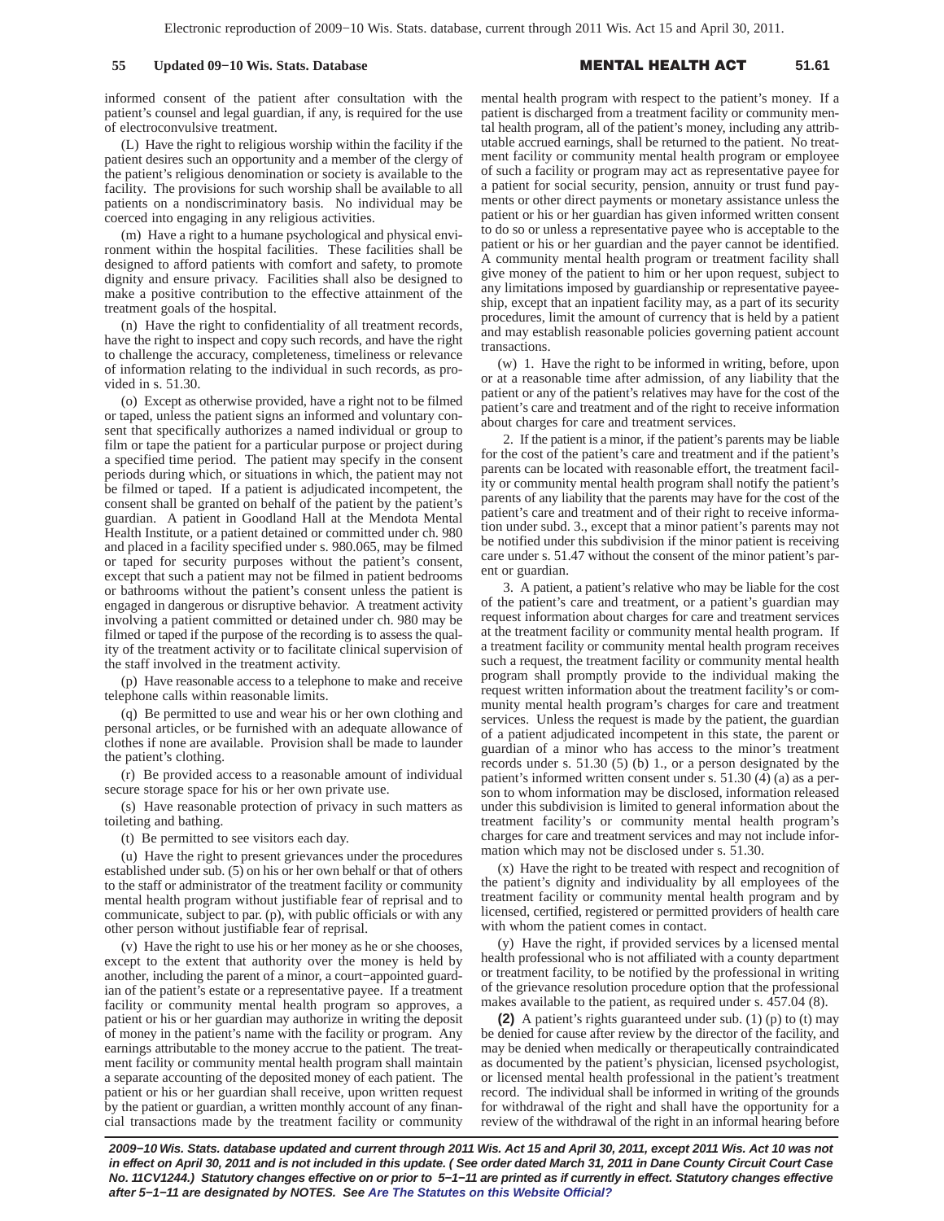informed consent of the patient after consultation with the patient's counsel and legal guardian, if any, is required for the use of electroconvulsive treatment.

(L) Have the right to religious worship within the facility if the patient desires such an opportunity and a member of the clergy of the patient's religious denomination or society is available to the facility. The provisions for such worship shall be available to all patients on a nondiscriminatory basis. No individual may be coerced into engaging in any religious activities.

(m) Have a right to a humane psychological and physical environment within the hospital facilities. These facilities shall be designed to afford patients with comfort and safety, to promote dignity and ensure privacy. Facilities shall also be designed to make a positive contribution to the effective attainment of the treatment goals of the hospital.

(n) Have the right to confidentiality of all treatment records, have the right to inspect and copy such records, and have the right to challenge the accuracy, completeness, timeliness or relevance of information relating to the individual in such records, as provided in s. 51.30.

(o) Except as otherwise provided, have a right not to be filmed or taped, unless the patient signs an informed and voluntary consent that specifically authorizes a named individual or group to film or tape the patient for a particular purpose or project during a specified time period. The patient may specify in the consent periods during which, or situations in which, the patient may not be filmed or taped. If a patient is adjudicated incompetent, the consent shall be granted on behalf of the patient by the patient's guardian. A patient in Goodland Hall at the Mendota Mental Health Institute, or a patient detained or committed under ch. 980 and placed in a facility specified under s. 980.065, may be filmed or taped for security purposes without the patient's consent, except that such a patient may not be filmed in patient bedrooms or bathrooms without the patient's consent unless the patient is engaged in dangerous or disruptive behavior. A treatment activity involving a patient committed or detained under ch. 980 may be filmed or taped if the purpose of the recording is to assess the quality of the treatment activity or to facilitate clinical supervision of the staff involved in the treatment activity.

(p) Have reasonable access to a telephone to make and receive telephone calls within reasonable limits.

(q) Be permitted to use and wear his or her own clothing and personal articles, or be furnished with an adequate allowance of clothes if none are available. Provision shall be made to launder the patient's clothing.

(r) Be provided access to a reasonable amount of individual secure storage space for his or her own private use.

(s) Have reasonable protection of privacy in such matters as toileting and bathing.

(t) Be permitted to see visitors each day.

(u) Have the right to present grievances under the procedures established under sub. (5) on his or her own behalf or that of others to the staff or administrator of the treatment facility or community mental health program without justifiable fear of reprisal and to communicate, subject to par. (p), with public officials or with any other person without justifiable fear of reprisal.

(v) Have the right to use his or her money as he or she chooses, except to the extent that authority over the money is held by another, including the parent of a minor, a court−appointed guardian of the patient's estate or a representative payee. If a treatment facility or community mental health program so approves, a patient or his or her guardian may authorize in writing the deposit of money in the patient's name with the facility or program. Any earnings attributable to the money accrue to the patient. The treatment facility or community mental health program shall maintain a separate accounting of the deposited money of each patient. The patient or his or her guardian shall receive, upon written request by the patient or guardian, a written monthly account of any financial transactions made by the treatment facility or community

mental health program with respect to the patient's money. If a patient is discharged from a treatment facility or community mental health program, all of the patient's money, including any attributable accrued earnings, shall be returned to the patient. No treatment facility or community mental health program or employee of such a facility or program may act as representative payee for a patient for social security, pension, annuity or trust fund payments or other direct payments or monetary assistance unless the patient or his or her guardian has given informed written consent to do so or unless a representative payee who is acceptable to the patient or his or her guardian and the payer cannot be identified. A community mental health program or treatment facility shall give money of the patient to him or her upon request, subject to any limitations imposed by guardianship or representative payeeship, except that an inpatient facility may, as a part of its security procedures, limit the amount of currency that is held by a patient and may establish reasonable policies governing patient account transactions.

(w) 1. Have the right to be informed in writing, before, upon or at a reasonable time after admission, of any liability that the patient or any of the patient's relatives may have for the cost of the patient's care and treatment and of the right to receive information about charges for care and treatment services.

2. If the patient is a minor, if the patient's parents may be liable for the cost of the patient's care and treatment and if the patient's parents can be located with reasonable effort, the treatment facility or community mental health program shall notify the patient's parents of any liability that the parents may have for the cost of the patient's care and treatment and of their right to receive information under subd. 3., except that a minor patient's parents may not be notified under this subdivision if the minor patient is receiving care under s. 51.47 without the consent of the minor patient's parent or guardian.

3. A patient, a patient's relative who may be liable for the cost of the patient's care and treatment, or a patient's guardian may request information about charges for care and treatment services at the treatment facility or community mental health program. If a treatment facility or community mental health program receives such a request, the treatment facility or community mental health program shall promptly provide to the individual making the request written information about the treatment facility's or community mental health program's charges for care and treatment services. Unless the request is made by the patient, the guardian of a patient adjudicated incompetent in this state, the parent or guardian of a minor who has access to the minor's treatment records under s. 51.30 (5) (b) 1., or a person designated by the patient's informed written consent under s. 51.30 (4) (a) as a person to whom information may be disclosed, information released under this subdivision is limited to general information about the treatment facility's or community mental health program's charges for care and treatment services and may not include information which may not be disclosed under s. 51.30.

(x) Have the right to be treated with respect and recognition of the patient's dignity and individuality by all employees of the treatment facility or community mental health program and by licensed, certified, registered or permitted providers of health care with whom the patient comes in contact.

(y) Have the right, if provided services by a licensed mental health professional who is not affiliated with a county department or treatment facility, to be notified by the professional in writing of the grievance resolution procedure option that the professional makes available to the patient, as required under s. 457.04 (8).

**(2)** A patient's rights guaranteed under sub. (1) (p) to (t) may be denied for cause after review by the director of the facility, and may be denied when medically or therapeutically contraindicated as documented by the patient's physician, licensed psychologist, or licensed mental health professional in the patient's treatment record. The individual shall be informed in writing of the grounds for withdrawal of the right and shall have the opportunity for a review of the withdrawal of the right in an informal hearing before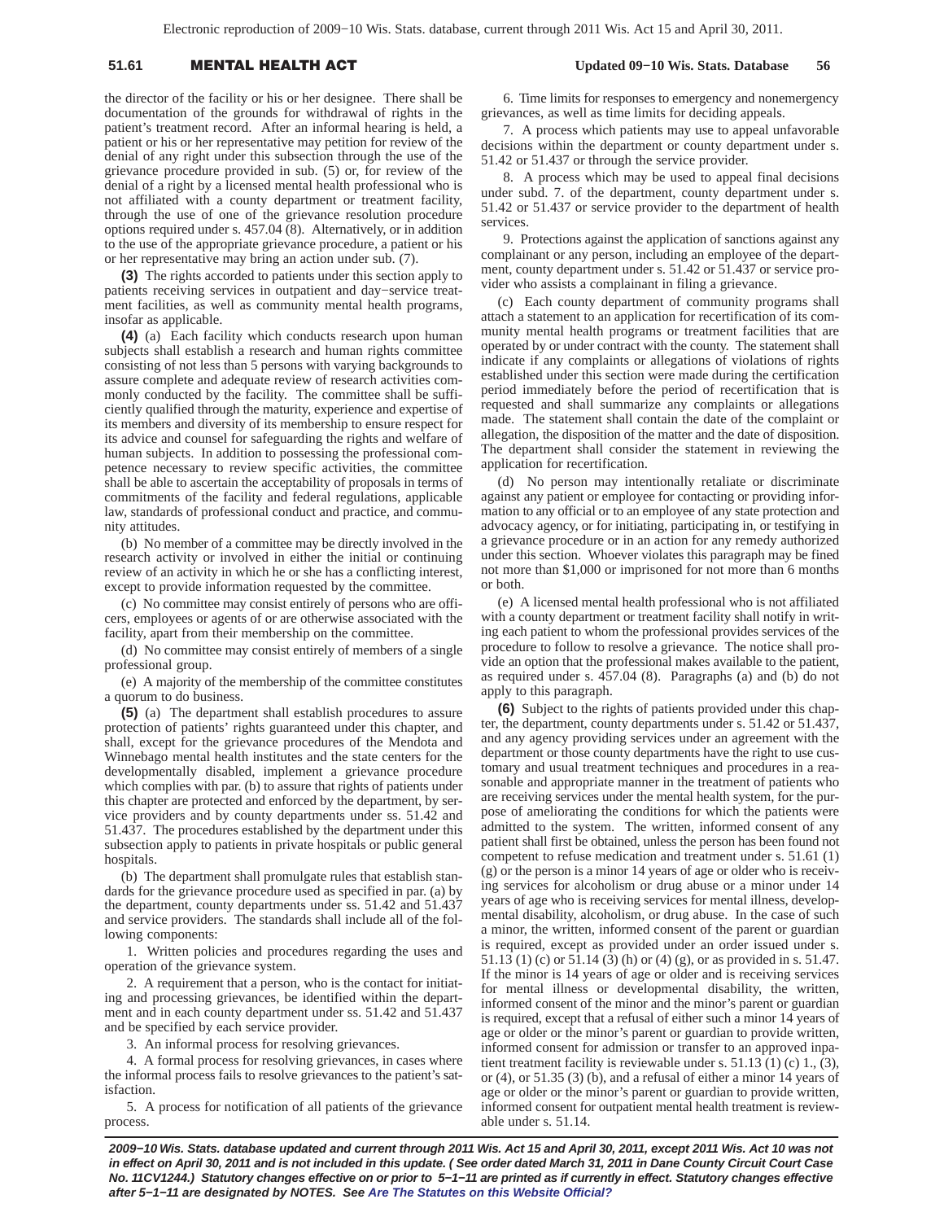# 51.61 **MENTAL HEALTH A**

the director of the facility or his or her designee. There shall be documentation of the grounds for withdrawal of rights in the patient's treatment record. After an informal hearing is held, a patient or his or her representative may petition for review of the denial of any right under this subsection through the use of the grievance procedure provided in sub. (5) or, for review of the denial of a right by a licensed mental health professional who is not affiliated with a county department or treatment facility, through the use of one of the grievance resolution procedure options required under s. 457.04 (8). Alternatively, or in addition to the use of the appropriate grievance procedure, a patient or his or her representative may bring an action under sub. (7).

**(3)** The rights accorded to patients under this section apply to patients receiving services in outpatient and day−service treatment facilities, as well as community mental health programs, insofar as applicable.

**(4)** (a) Each facility which conducts research upon human subjects shall establish a research and human rights committee consisting of not less than 5 persons with varying backgrounds to assure complete and adequate review of research activities commonly conducted by the facility. The committee shall be sufficiently qualified through the maturity, experience and expertise of its members and diversity of its membership to ensure respect for its advice and counsel for safeguarding the rights and welfare of human subjects. In addition to possessing the professional competence necessary to review specific activities, the committee shall be able to ascertain the acceptability of proposals in terms of commitments of the facility and federal regulations, applicable law, standards of professional conduct and practice, and community attitudes.

(b) No member of a committee may be directly involved in the research activity or involved in either the initial or continuing review of an activity in which he or she has a conflicting interest, except to provide information requested by the committee.

(c) No committee may consist entirely of persons who are officers, employees or agents of or are otherwise associated with the facility, apart from their membership on the committee.

(d) No committee may consist entirely of members of a single professional group.

(e) A majority of the membership of the committee constitutes a quorum to do business.

**(5)** (a) The department shall establish procedures to assure protection of patients' rights guaranteed under this chapter, and shall, except for the grievance procedures of the Mendota and Winnebago mental health institutes and the state centers for the developmentally disabled, implement a grievance procedure which complies with par. (b) to assure that rights of patients under this chapter are protected and enforced by the department, by service providers and by county departments under ss. 51.42 and 51.437. The procedures established by the department under this subsection apply to patients in private hospitals or public general hospitals.

(b) The department shall promulgate rules that establish standards for the grievance procedure used as specified in par. (a) by the department, county departments under ss. 51.42 and 51.437 and service providers. The standards shall include all of the following components:

1. Written policies and procedures regarding the uses and operation of the grievance system.

2. A requirement that a person, who is the contact for initiating and processing grievances, be identified within the department and in each county department under ss. 51.42 and 51.437 and be specified by each service provider.

3. An informal process for resolving grievances.

4. A formal process for resolving grievances, in cases where the informal process fails to resolve grievances to the patient's satisfaction.

5. A process for notification of all patients of the grievance process.

6. Time limits for responses to emergency and nonemergency grievances, as well as time limits for deciding appeals.

7. A process which patients may use to appeal unfavorable decisions within the department or county department under s. 51.42 or 51.437 or through the service provider.

8. A process which may be used to appeal final decisions under subd. 7. of the department, county department under s. 51.42 or 51.437 or service provider to the department of health services.

9. Protections against the application of sanctions against any complainant or any person, including an employee of the department, county department under s. 51.42 or 51.437 or service provider who assists a complainant in filing a grievance.

(c) Each county department of community programs shall attach a statement to an application for recertification of its community mental health programs or treatment facilities that are operated by or under contract with the county. The statement shall indicate if any complaints or allegations of violations of rights established under this section were made during the certification period immediately before the period of recertification that is requested and shall summarize any complaints or allegations made. The statement shall contain the date of the complaint or allegation, the disposition of the matter and the date of disposition. The department shall consider the statement in reviewing the application for recertification.

(d) No person may intentionally retaliate or discriminate against any patient or employee for contacting or providing information to any official or to an employee of any state protection and advocacy agency, or for initiating, participating in, or testifying in a grievance procedure or in an action for any remedy authorized under this section. Whoever violates this paragraph may be fined not more than \$1,000 or imprisoned for not more than 6 months or both.

(e) A licensed mental health professional who is not affiliated with a county department or treatment facility shall notify in writing each patient to whom the professional provides services of the procedure to follow to resolve a grievance. The notice shall provide an option that the professional makes available to the patient, as required under s. 457.04 (8). Paragraphs (a) and (b) do not apply to this paragraph.

**(6)** Subject to the rights of patients provided under this chapter, the department, county departments under s. 51.42 or 51.437, and any agency providing services under an agreement with the department or those county departments have the right to use customary and usual treatment techniques and procedures in a reasonable and appropriate manner in the treatment of patients who are receiving services under the mental health system, for the purpose of ameliorating the conditions for which the patients were admitted to the system. The written, informed consent of any patient shall first be obtained, unless the person has been found not competent to refuse medication and treatment under s. 51.61 (1) (g) or the person is a minor 14 years of age or older who is receiving services for alcoholism or drug abuse or a minor under 14 years of age who is receiving services for mental illness, developmental disability, alcoholism, or drug abuse. In the case of such a minor, the written, informed consent of the parent or guardian is required, except as provided under an order issued under s. 51.13 (1) (c) or 51.14 (3) (h) or (4) (g), or as provided in s. 51.47. If the minor is 14 years of age or older and is receiving services for mental illness or developmental disability, the written, informed consent of the minor and the minor's parent or guardian is required, except that a refusal of either such a minor 14 years of age or older or the minor's parent or guardian to provide written, informed consent for admission or transfer to an approved inpatient treatment facility is reviewable under s. 51.13 (1) (c) 1., (3), or (4), or 51.35 (3) (b), and a refusal of either a minor 14 years of age or older or the minor's parent or guardian to provide written, informed consent for outpatient mental health treatment is reviewable under s. 51.14.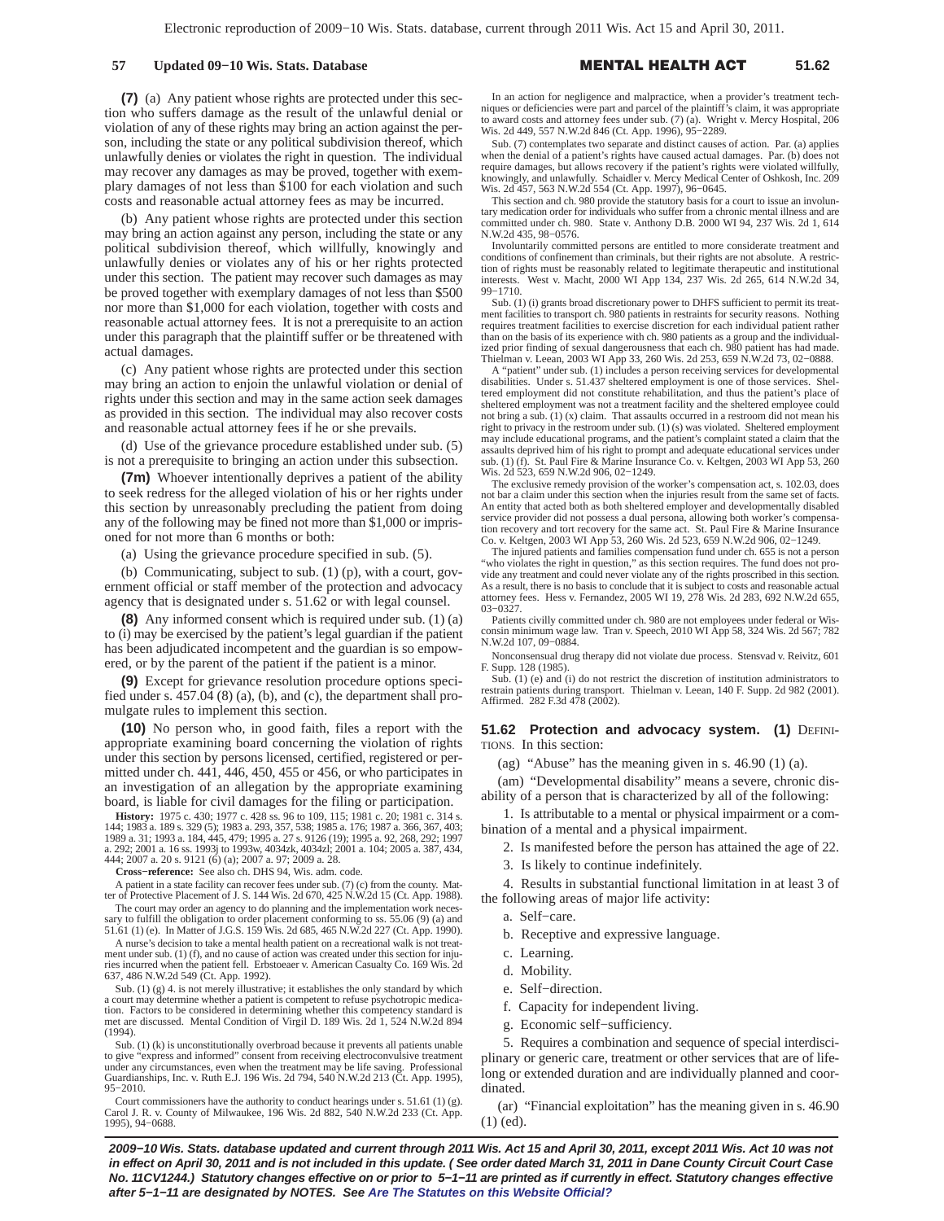## **57 Updated 09−10 Wis. Stats. Database** -

L HEALTH A **51.62**

**(7)** (a) Any patient whose rights are protected under this section who suffers damage as the result of the unlawful denial or violation of any of these rights may bring an action against the person, including the state or any political subdivision thereof, which unlawfully denies or violates the right in question. The individual may recover any damages as may be proved, together with exemplary damages of not less than \$100 for each violation and such costs and reasonable actual attorney fees as may be incurred.

(b) Any patient whose rights are protected under this section may bring an action against any person, including the state or any political subdivision thereof, which willfully, knowingly and unlawfully denies or violates any of his or her rights protected under this section. The patient may recover such damages as may be proved together with exemplary damages of not less than \$500 nor more than \$1,000 for each violation, together with costs and reasonable actual attorney fees. It is not a prerequisite to an action under this paragraph that the plaintiff suffer or be threatened with actual damages.

(c) Any patient whose rights are protected under this section may bring an action to enjoin the unlawful violation or denial of rights under this section and may in the same action seek damages as provided in this section. The individual may also recover costs and reasonable actual attorney fees if he or she prevails.

(d) Use of the grievance procedure established under sub. (5) is not a prerequisite to bringing an action under this subsection.

**(7m)** Whoever intentionally deprives a patient of the ability to seek redress for the alleged violation of his or her rights under this section by unreasonably precluding the patient from doing any of the following may be fined not more than \$1,000 or imprisoned for not more than 6 months or both:

(a) Using the grievance procedure specified in sub. (5).

(b) Communicating, subject to sub. (1) (p), with a court, government official or staff member of the protection and advocacy agency that is designated under s. 51.62 or with legal counsel.

**(8)** Any informed consent which is required under sub. (1) (a) to (i) may be exercised by the patient's legal guardian if the patient has been adjudicated incompetent and the guardian is so empowered, or by the parent of the patient if the patient is a minor.

**(9)** Except for grievance resolution procedure options specified under s. 457.04 (8) (a), (b), and (c), the department shall promulgate rules to implement this section.

**(10)** No person who, in good faith, files a report with the appropriate examining board concerning the violation of rights under this section by persons licensed, certified, registered or permitted under ch. 441, 446, 450, 455 or 456, or who participates in an investigation of an allegation by the appropriate examining board, is liable for civil damages for the filing or participation.

**History:** 1975 c. 430; 1977 c. 428 ss. 96 to 109, 115; 1981 c. 20; 1981 c. 314 s. 144; 1983 a. 189 s. 329 (5); 1983 a. 293, 357, 538; 1985 a. 176; 1987 a. 366, 367, 403; 1989 a. 31; 1993 a. 184, 445, 479; 1995 a. 27 s. 9126 (19); 1995 a. 92, 268, 292; 1997 a. 292; 2001 a. 16 ss. 1993j to 1993w, 4034zk, 4034zl; 2001 a. 104; 2005 a. 387, 434, 444; 2007 a. 20 s. 9121 (6) (a); 2007 a. 97; 2009 a. 28.

**Cross−reference:** See also ch. DHS 94, Wis. adm. code.

A patient in a state facility can recover fees under sub. (7) (c) from the county. Matter of Protective Placement of J. S. 144 Wis. 2d 670, 425 N.W.2d 15 (Ct. App. 1988).

The court may order an agency to do planning and the implementation work neces-sary to fulfill the obligation to order placement conforming to ss. 55.06 (9) (a) and 51.61 (1) (e). In Matter of J.G.S. 159 Wis. 2d 685, 465 N.W.2d 227 (Ct. App. 1990).

A nurse's decision to take a mental health patient on a recreational walk is not treatment under sub. (1) (f), and no cause of action was created under this section for injuries incurred when the patient fell. Erbstoeaer v. American Casualty Co. 169 Wis. 2d 637, 486 N.W.2d 549 (Ct. App. 1992).

Sub. (1) (g) 4. is not merely illustrative; it establishes the only standard by which a court may determine whether a patient is competent to refuse psychotropic medication. Factors to be considered in determining whether this competency standard is met are discussed. Mental Condition of Virgil D. 189 Wis. 2d 1, 524 N.W.2d 894 (1994).

Sub. (1) (k) is unconstitutionally overbroad because it prevents all patients unable to give "express and informed" consent from receiving electroconvulsive treatment under any circumstances, even when the treatment may be life saving. Professional Guardianships, Inc. v. Ruth E.J. 196 Wis. 2d 794, 540 N.W.2d 213 (Ct. App. 1995), 95−2010.

Court commissioners have the authority to conduct hearings under s. 51.61 (1) (g). Carol J. R. v. County of Milwaukee, 196 Wis. 2d 882, 540 N.W.2d 233 (Ct. App. 1995), 94−0688.

In an action for negligence and malpractice, when a provider's treatment techniques or deficiencies were part and parcel of the plaintiff's claim, it was appropriate to award costs and attorney fees under sub. (7) (a). Wright v. Mercy Hospital, 206 Wis. 2d 449, 557 N.W.2d 846 (Ct. App. 1996), 95-2289.

Sub. (7) contemplates two separate and distinct causes of action. Par. (a) applies when the denial of a patient's rights have caused actual damages. Par. (b) does not require damages, but allows recovery if the patient's rights were violated willfully, knowingly, and unlawfully. Schaidler v. Mercy Medical Center of Oshkosh, Inc. 209 Wis. 2d 457, 563 N.W.2d 554 (Ct. App. 1997), 96−0645.

This section and ch. 980 provide the statutory basis for a court to issue an involuntary medication order for individuals who suffer from a chronic mental illness and are committed under ch. 980. State v. Anthony D.B. 2000 WI 94, 237 Wis. 2d 1, 614 N.W.2d 435, 98−0576.

Involuntarily committed persons are entitled to more considerate treatment and conditions of confinement than criminals, but their rights are not absolute. A restriction of rights must be reasonably related to legitimate therapeutic and institutional interests. West v. Macht, 2000 WI App 134, 237 Wis. 2d 265, 614 N.W.2d 34, West v. Macht, 2000 WI App 134, 237 Wis. 2d 265, 614 N.W.2d 34, 99−1710.

Sub. (1) (i) grants broad discretionary power to DHFS sufficient to permit its treatment facilities to transport ch. 980 patients in restraints for security reasons. Nothing requires treatment facilities to exercise discretion for each individual patient rather than on the basis of its experience with ch. 980 patients as a group and the individualized prior finding of sexual dangerousness that each ch. 980 patient has had made. Thielman v. Leean, 2003 WI App 33, 260 Wis. 2d 253, 659 N.W.2d 73, 02−0888.

A "patient" under sub. (1) includes a person receiving services for developmental disabilities. Under s. 51.437 sheltered employment is one of those services. Sheltered employment did not constitute rehabilitation, and thus the patient's place of sheltered employment was not a treatment facility and the sheltered employee could not bring a sub.  $(1)$  (x) claim. That assaults occurred in a restroom did not mean his right to privacy in the restroom under sub. (1) (s) was violated. Sheltered employment may include educational programs, and the patient's complaint stated a claim that the assaults deprived him of his right to prompt and adequate educational services under sub. (1) (f). St. Paul Fire & Marine Insurance Co. v. Keltgen, 2003 WI App 53, 260 Wis. 2d 523, 659 N.W.2d 906, 02−1249.

The exclusive remedy provision of the worker's compensation act, s. 102.03, does not bar a claim under this section when the injuries result from the same set of facts. An entity that acted both as both sheltered employer and developmentally disabled service provider did not possess a dual persona, allowing both worker's compensation recovery and tort recovery for the same act. St. Paul Fire & Marine Insurance Co. v. Keltgen, 2003 WI App 53, 260 Wis. 2d 523, 659 N.W.2d 906, 02−1249.

The injured patients and families compensation fund under ch. 655 is not a person "who violates the right in question," as this section requires. The fund does not pro-vide any treatment and could never violate any of the rights proscribed in this section. As a result, there is no basis to conclude that it is subject to costs and reasonable actual attorney fees. Hess v. Fernandez, 2005 WI 19, 278 Wis. 2d 283, 692 N.W.2d 655, 03−0327.

Patients civilly committed under ch. 980 are not employees under federal or Wisconsin minimum wage law. Tran v. Speech, 2010 WI App 58, 324 Wis. 2d 567; 782 N.W.2d 107, 09−0884.

Nonconsensual drug therapy did not violate due process. Stensvad v. Reivitz, 601 F. Supp. 128 (1985).

Sub. (1) (e) and (i) do not restrict the discretion of institution administrators to restrain patients during transport. Thielman v. Leean, 140 F. Supp. 2d 982 (2001). Affirmed. 282 F.3d 478 (2002).

**51.62 Protection and advocacy system. (1)** DEFINI-TIONS. In this section:

(ag) "Abuse" has the meaning given in s.  $46.90$  (1) (a).

(am) "Developmental disability" means a severe, chronic disability of a person that is characterized by all of the following:

1. Is attributable to a mental or physical impairment or a combination of a mental and a physical impairment.

- 2. Is manifested before the person has attained the age of 22.
- 3. Is likely to continue indefinitely.

4. Results in substantial functional limitation in at least 3 of the following areas of major life activity:

- a. Self−care.
- b. Receptive and expressive language.
- c. Learning.
- d. Mobility.
- e. Self−direction.
- f. Capacity for independent living.
- g. Economic self−sufficiency.

5. Requires a combination and sequence of special interdisciplinary or generic care, treatment or other services that are of lifelong or extended duration and are individually planned and coordinated.

(ar) "Financial exploitation" has the meaning given in s. 46.90 (1) (ed).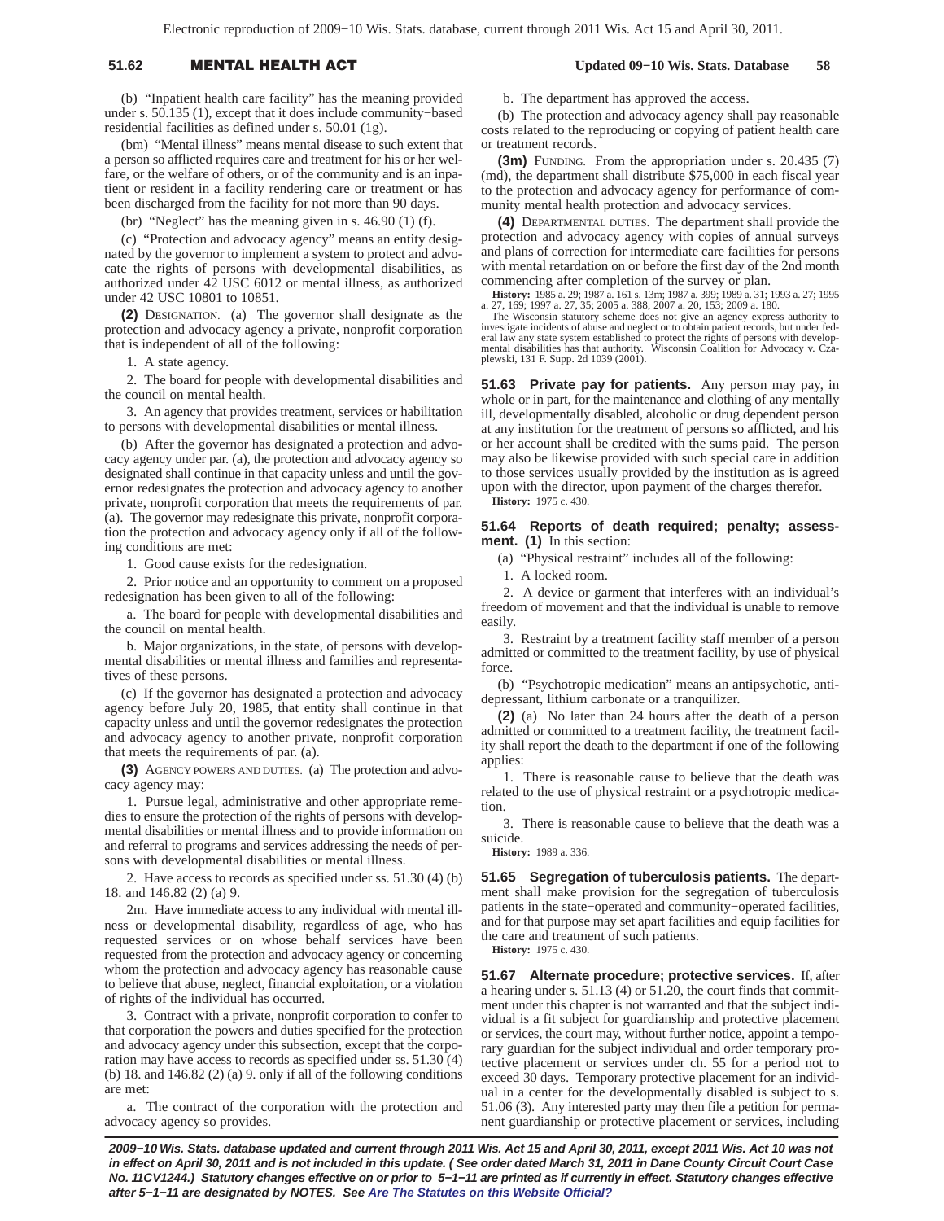## 51.62 **MENTAL HEALTH A**

(b) "Inpatient health care facility" has the meaning provided under s. 50.135 (1), except that it does include community−based residential facilities as defined under s. 50.01 (1g).

(bm) "Mental illness" means mental disease to such extent that a person so afflicted requires care and treatment for his or her welfare, or the welfare of others, or of the community and is an inpatient or resident in a facility rendering care or treatment or has been discharged from the facility for not more than 90 days.

(br) "Neglect" has the meaning given in s. 46.90 (1) (f).

(c) "Protection and advocacy agency" means an entity designated by the governor to implement a system to protect and advocate the rights of persons with developmental disabilities, as authorized under 42 USC 6012 or mental illness, as authorized under 42 USC 10801 to 10851.

**(2)** DESIGNATION. (a) The governor shall designate as the protection and advocacy agency a private, nonprofit corporation that is independent of all of the following:

1. A state agency.

2. The board for people with developmental disabilities and the council on mental health.

3. An agency that provides treatment, services or habilitation to persons with developmental disabilities or mental illness.

(b) After the governor has designated a protection and advocacy agency under par. (a), the protection and advocacy agency so designated shall continue in that capacity unless and until the governor redesignates the protection and advocacy agency to another private, nonprofit corporation that meets the requirements of par. (a). The governor may redesignate this private, nonprofit corporation the protection and advocacy agency only if all of the following conditions are met:

1. Good cause exists for the redesignation.

2. Prior notice and an opportunity to comment on a proposed redesignation has been given to all of the following:

a. The board for people with developmental disabilities and the council on mental health.

b. Major organizations, in the state, of persons with developmental disabilities or mental illness and families and representatives of these persons.

(c) If the governor has designated a protection and advocacy agency before July 20, 1985, that entity shall continue in that capacity unless and until the governor redesignates the protection and advocacy agency to another private, nonprofit corporation that meets the requirements of par. (a).

**(3)** AGENCY POWERS AND DUTIES. (a) The protection and advocacy agency may:

1. Pursue legal, administrative and other appropriate remedies to ensure the protection of the rights of persons with developmental disabilities or mental illness and to provide information on and referral to programs and services addressing the needs of persons with developmental disabilities or mental illness.

2. Have access to records as specified under ss. 51.30 (4) (b) 18. and 146.82 (2) (a) 9.

2m. Have immediate access to any individual with mental illness or developmental disability, regardless of age, who has requested services or on whose behalf services have been requested from the protection and advocacy agency or concerning whom the protection and advocacy agency has reasonable cause to believe that abuse, neglect, financial exploitation, or a violation of rights of the individual has occurred.

3. Contract with a private, nonprofit corporation to confer to that corporation the powers and duties specified for the protection and advocacy agency under this subsection, except that the corporation may have access to records as specified under ss. 51.30 (4) (b) 18. and 146.82 (2) (a) 9. only if all of the following conditions are met:

a. The contract of the corporation with the protection and advocacy agency so provides.

b. The department has approved the access.

(b) The protection and advocacy agency shall pay reasonable costs related to the reproducing or copying of patient health care or treatment records.

 **Updated 09−10 Wis. Stats. Database 58**

**(3m)** FUNDING. From the appropriation under s. 20.435 (7) (md), the department shall distribute \$75,000 in each fiscal year to the protection and advocacy agency for performance of community mental health protection and advocacy services.

**(4)** DEPARTMENTAL DUTIES. The department shall provide the protection and advocacy agency with copies of annual surveys and plans of correction for intermediate care facilities for persons with mental retardation on or before the first day of the 2nd month commencing after completion of the survey or plan.

**History:** 1985 a. 29; 1987 a. 161 s. 13m; 1987 a. 399; 1989 a. 31; 1993 a. 27; 1995 a. 27, 169; 1997 a. 27, 35; 2005 a. 388; 2007 a. 20, 153; 2009 a. 180.

The Wisconsin statutory scheme does not give an agency express authority to investigate incidents of abuse and neglect or to obtain patient records, but under fed-eral law any state system established to protect the rights of persons with developmental disabilities has that authority. Wisconsin Coalition for Advocacy v. Cza-plewski, 131 F. Supp. 2d 1039 (2001).

**51.63 Private pay for patients.** Any person may pay, in whole or in part, for the maintenance and clothing of any mentally ill, developmentally disabled, alcoholic or drug dependent person at any institution for the treatment of persons so afflicted, and his or her account shall be credited with the sums paid. The person may also be likewise provided with such special care in addition to those services usually provided by the institution as is agreed upon with the director, upon payment of the charges therefor.

**History:** 1975 c. 430.

**51.64 Reports of death required; penalty; assessment. (1)** In this section:

(a) "Physical restraint" includes all of the following:

1. A locked room.

2. A device or garment that interferes with an individual's freedom of movement and that the individual is unable to remove easily.

3. Restraint by a treatment facility staff member of a person admitted or committed to the treatment facility, by use of physical force.

(b) "Psychotropic medication" means an antipsychotic, antidepressant, lithium carbonate or a tranquilizer.

**(2)** (a) No later than 24 hours after the death of a person admitted or committed to a treatment facility, the treatment facility shall report the death to the department if one of the following applies:

1. There is reasonable cause to believe that the death was related to the use of physical restraint or a psychotropic medication.

3. There is reasonable cause to believe that the death was a suicide.

**History:** 1989 a. 336.

**51.65 Segregation of tuberculosis patients.** The department shall make provision for the segregation of tuberculosis patients in the state−operated and community−operated facilities, and for that purpose may set apart facilities and equip facilities for the care and treatment of such patients.

**History:** 1975 c. 430.

**51.67 Alternate procedure; protective services.** If, after a hearing under s. 51.13 (4) or 51.20, the court finds that commitment under this chapter is not warranted and that the subject individual is a fit subject for guardianship and protective placement or services, the court may, without further notice, appoint a temporary guardian for the subject individual and order temporary protective placement or services under ch. 55 for a period not to exceed 30 days. Temporary protective placement for an individual in a center for the developmentally disabled is subject to s. 51.06 (3). Any interested party may then file a petition for permanent guardianship or protective placement or services, including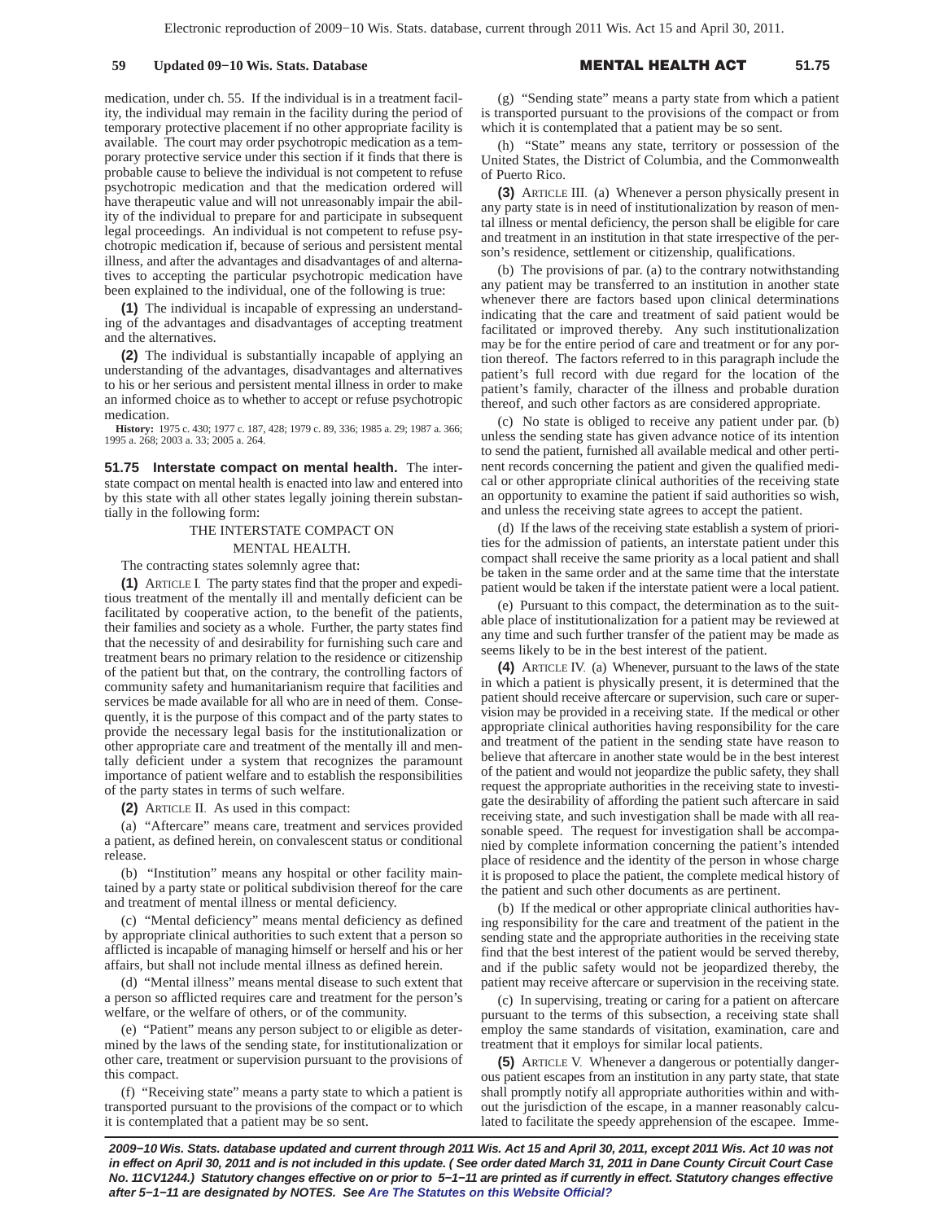medication, under ch. 55. If the individual is in a treatment facility, the individual may remain in the facility during the period of temporary protective placement if no other appropriate facility is available. The court may order psychotropic medication as a temporary protective service under this section if it finds that there is probable cause to believe the individual is not competent to refuse psychotropic medication and that the medication ordered will have therapeutic value and will not unreasonably impair the ability of the individual to prepare for and participate in subsequent legal proceedings. An individual is not competent to refuse psychotropic medication if, because of serious and persistent mental illness, and after the advantages and disadvantages of and alternatives to accepting the particular psychotropic medication have been explained to the individual, one of the following is true:

**(1)** The individual is incapable of expressing an understanding of the advantages and disadvantages of accepting treatment and the alternatives.

**(2)** The individual is substantially incapable of applying an understanding of the advantages, disadvantages and alternatives to his or her serious and persistent mental illness in order to make an informed choice as to whether to accept or refuse psychotropic medication.

**History:** 1975 c. 430; 1977 c. 187, 428; 1979 c. 89, 336; 1985 a. 29; 1987 a. 366; 1995 a. 268; 2003 a. 33; 2005 a. 264.

**51.75 Interstate compact on mental health.** The interstate compact on mental health is enacted into law and entered into by this state with all other states legally joining therein substantially in the following form:

## THE INTERSTATE COMPACT ON MENTAL HEALTH.

The contracting states solemnly agree that:

**(1)** ARTICLE I. The party states find that the proper and expeditious treatment of the mentally ill and mentally deficient can be facilitated by cooperative action, to the benefit of the patients, their families and society as a whole. Further, the party states find that the necessity of and desirability for furnishing such care and treatment bears no primary relation to the residence or citizenship of the patient but that, on the contrary, the controlling factors of community safety and humanitarianism require that facilities and services be made available for all who are in need of them. Consequently, it is the purpose of this compact and of the party states to provide the necessary legal basis for the institutionalization or other appropriate care and treatment of the mentally ill and mentally deficient under a system that recognizes the paramount importance of patient welfare and to establish the responsibilities of the party states in terms of such welfare.

**(2)** ARTICLE II. As used in this compact:

(a) "Aftercare" means care, treatment and services provided a patient, as defined herein, on convalescent status or conditional release.

(b) "Institution" means any hospital or other facility maintained by a party state or political subdivision thereof for the care and treatment of mental illness or mental deficiency.

(c) "Mental deficiency" means mental deficiency as defined by appropriate clinical authorities to such extent that a person so afflicted is incapable of managing himself or herself and his or her affairs, but shall not include mental illness as defined herein.

(d) "Mental illness" means mental disease to such extent that a person so afflicted requires care and treatment for the person's welfare, or the welfare of others, or of the community.

(e) "Patient" means any person subject to or eligible as determined by the laws of the sending state, for institutionalization or other care, treatment or supervision pursuant to the provisions of this compact.

(f) "Receiving state" means a party state to which a patient is transported pursuant to the provisions of the compact or to which it is contemplated that a patient may be so sent.

(g) "Sending state" means a party state from which a patient is transported pursuant to the provisions of the compact or from which it is contemplated that a patient may be so sent.

(h) "State" means any state, territory or possession of the United States, the District of Columbia, and the Commonwealth of Puerto Rico.

**(3)** ARTICLE III. (a) Whenever a person physically present in any party state is in need of institutionalization by reason of mental illness or mental deficiency, the person shall be eligible for care and treatment in an institution in that state irrespective of the person's residence, settlement or citizenship, qualifications.

(b) The provisions of par. (a) to the contrary notwithstanding any patient may be transferred to an institution in another state whenever there are factors based upon clinical determinations indicating that the care and treatment of said patient would be facilitated or improved thereby. Any such institutionalization may be for the entire period of care and treatment or for any portion thereof. The factors referred to in this paragraph include the patient's full record with due regard for the location of the patient's family, character of the illness and probable duration thereof, and such other factors as are considered appropriate.

(c) No state is obliged to receive any patient under par. (b) unless the sending state has given advance notice of its intention to send the patient, furnished all available medical and other pertinent records concerning the patient and given the qualified medical or other appropriate clinical authorities of the receiving state an opportunity to examine the patient if said authorities so wish, and unless the receiving state agrees to accept the patient.

(d) If the laws of the receiving state establish a system of priorities for the admission of patients, an interstate patient under this compact shall receive the same priority as a local patient and shall be taken in the same order and at the same time that the interstate patient would be taken if the interstate patient were a local patient.

(e) Pursuant to this compact, the determination as to the suitable place of institutionalization for a patient may be reviewed at any time and such further transfer of the patient may be made as seems likely to be in the best interest of the patient.

**(4)** ARTICLE IV. (a) Whenever, pursuant to the laws of the state in which a patient is physically present, it is determined that the patient should receive aftercare or supervision, such care or supervision may be provided in a receiving state. If the medical or other appropriate clinical authorities having responsibility for the care and treatment of the patient in the sending state have reason to believe that aftercare in another state would be in the best interest of the patient and would not jeopardize the public safety, they shall request the appropriate authorities in the receiving state to investigate the desirability of affording the patient such aftercare in said receiving state, and such investigation shall be made with all reasonable speed. The request for investigation shall be accompanied by complete information concerning the patient's intended place of residence and the identity of the person in whose charge it is proposed to place the patient, the complete medical history of the patient and such other documents as are pertinent.

(b) If the medical or other appropriate clinical authorities having responsibility for the care and treatment of the patient in the sending state and the appropriate authorities in the receiving state find that the best interest of the patient would be served thereby, and if the public safety would not be jeopardized thereby, the patient may receive aftercare or supervision in the receiving state.

(c) In supervising, treating or caring for a patient on aftercare pursuant to the terms of this subsection, a receiving state shall employ the same standards of visitation, examination, care and treatment that it employs for similar local patients.

**(5)** ARTICLE V. Whenever a dangerous or potentially dangerous patient escapes from an institution in any party state, that state shall promptly notify all appropriate authorities within and without the jurisdiction of the escape, in a manner reasonably calculated to facilitate the speedy apprehension of the escapee. Imme-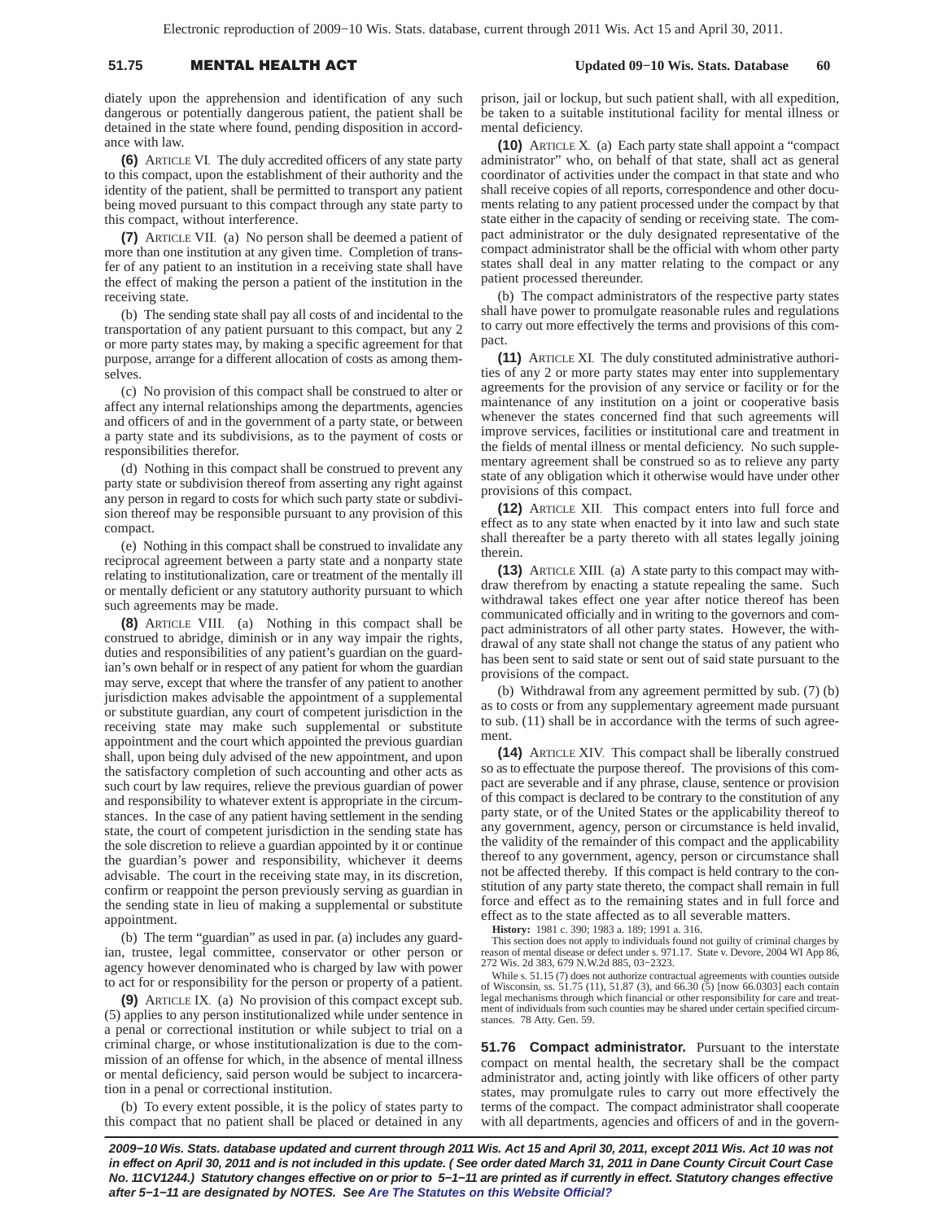# 51.75 **MENTAL HEALTH A**

 **Updated 09−10 Wis. Stats. Database 60**

diately upon the apprehension and identification of any such dangerous or potentially dangerous patient, the patient shall be detained in the state where found, pending disposition in accordance with law.

**(6)** ARTICLE VI. The duly accredited officers of any state party to this compact, upon the establishment of their authority and the identity of the patient, shall be permitted to transport any patient being moved pursuant to this compact through any state party to this compact, without interference.

**(7)** ARTICLE VII. (a) No person shall be deemed a patient of more than one institution at any given time. Completion of transfer of any patient to an institution in a receiving state shall have the effect of making the person a patient of the institution in the receiving state.

(b) The sending state shall pay all costs of and incidental to the transportation of any patient pursuant to this compact, but any 2 or more party states may, by making a specific agreement for that purpose, arrange for a different allocation of costs as among themselves.

(c) No provision of this compact shall be construed to alter or affect any internal relationships among the departments, agencies and officers of and in the government of a party state, or between a party state and its subdivisions, as to the payment of costs or responsibilities therefor.

(d) Nothing in this compact shall be construed to prevent any party state or subdivision thereof from asserting any right against any person in regard to costs for which such party state or subdivision thereof may be responsible pursuant to any provision of this compact.

(e) Nothing in this compact shall be construed to invalidate any reciprocal agreement between a party state and a nonparty state relating to institutionalization, care or treatment of the mentally ill or mentally deficient or any statutory authority pursuant to which such agreements may be made.

**(8)** ARTICLE VIII. (a) Nothing in this compact shall be construed to abridge, diminish or in any way impair the rights, duties and responsibilities of any patient's guardian on the guardian's own behalf or in respect of any patient for whom the guardian may serve, except that where the transfer of any patient to another jurisdiction makes advisable the appointment of a supplemental or substitute guardian, any court of competent jurisdiction in the receiving state may make such supplemental or substitute appointment and the court which appointed the previous guardian shall, upon being duly advised of the new appointment, and upon the satisfactory completion of such accounting and other acts as such court by law requires, relieve the previous guardian of power and responsibility to whatever extent is appropriate in the circumstances. In the case of any patient having settlement in the sending state, the court of competent jurisdiction in the sending state has the sole discretion to relieve a guardian appointed by it or continue the guardian's power and responsibility, whichever it deems advisable. The court in the receiving state may, in its discretion, confirm or reappoint the person previously serving as guardian in the sending state in lieu of making a supplemental or substitute appointment.

(b) The term "guardian" as used in par. (a) includes any guardian, trustee, legal committee, conservator or other person or agency however denominated who is charged by law with power to act for or responsibility for the person or property of a patient.

**(9)** ARTICLE IX. (a) No provision of this compact except sub. (5) applies to any person institutionalized while under sentence in a penal or correctional institution or while subject to trial on a criminal charge, or whose institutionalization is due to the commission of an offense for which, in the absence of mental illness or mental deficiency, said person would be subject to incarceration in a penal or correctional institution.

(b) To every extent possible, it is the policy of states party to this compact that no patient shall be placed or detained in any

prison, jail or lockup, but such patient shall, with all expedition, be taken to a suitable institutional facility for mental illness or mental deficiency.

**(10)** ARTICLE X. (a) Each party state shall appoint a "compact administrator" who, on behalf of that state, shall act as general coordinator of activities under the compact in that state and who shall receive copies of all reports, correspondence and other documents relating to any patient processed under the compact by that state either in the capacity of sending or receiving state. The compact administrator or the duly designated representative of the compact administrator shall be the official with whom other party states shall deal in any matter relating to the compact or any patient processed thereunder.

(b) The compact administrators of the respective party states shall have power to promulgate reasonable rules and regulations to carry out more effectively the terms and provisions of this compact.

**(11)** ARTICLE XI. The duly constituted administrative authorities of any 2 or more party states may enter into supplementary agreements for the provision of any service or facility or for the maintenance of any institution on a joint or cooperative basis whenever the states concerned find that such agreements will improve services, facilities or institutional care and treatment in the fields of mental illness or mental deficiency. No such supplementary agreement shall be construed so as to relieve any party state of any obligation which it otherwise would have under other provisions of this compact.

**(12)** ARTICLE XII. This compact enters into full force and effect as to any state when enacted by it into law and such state shall thereafter be a party thereto with all states legally joining therein.

**(13)** ARTICLE XIII. (a) A state party to this compact may withdraw therefrom by enacting a statute repealing the same. Such withdrawal takes effect one year after notice thereof has been communicated officially and in writing to the governors and compact administrators of all other party states. However, the withdrawal of any state shall not change the status of any patient who has been sent to said state or sent out of said state pursuant to the provisions of the compact.

(b) Withdrawal from any agreement permitted by sub. (7) (b) as to costs or from any supplementary agreement made pursuant to sub. (11) shall be in accordance with the terms of such agreement

**(14)** ARTICLE XIV. This compact shall be liberally construed so as to effectuate the purpose thereof. The provisions of this compact are severable and if any phrase, clause, sentence or provision of this compact is declared to be contrary to the constitution of any party state, or of the United States or the applicability thereof to any government, agency, person or circumstance is held invalid, the validity of the remainder of this compact and the applicability thereof to any government, agency, person or circumstance shall not be affected thereby. If this compact is held contrary to the constitution of any party state thereto, the compact shall remain in full force and effect as to the remaining states and in full force and effect as to the state affected as to all severable matters.

**History:** 1981 c. 390; 1983 a. 189; 1991 a. 316.

This section does not apply to individuals found not guilty of criminal charges by reason of mental disease or defect under s. 971.17. State v. Devore, 2004 WI App 86, 272 Wis. 2d 383, 679 N.W.2d 885, 03−2323.

While s. 51.15 (7) does not authorize contractual agreements with counties outside of Wisconsin, ss. 51.75 (11), 51.87 (3), and 66.30 (5) [now 66.0303] each contain legal mechanisms through which financial or other responsibility for care and treatment of individuals from such counties may be shared under certain specified circumstances. 78 Atty. Gen. 59.

**51.76 Compact administrator.** Pursuant to the interstate compact on mental health, the secretary shall be the compact administrator and, acting jointly with like officers of other party states, may promulgate rules to carry out more effectively the terms of the compact. The compact administrator shall cooperate with all departments, agencies and officers of and in the govern-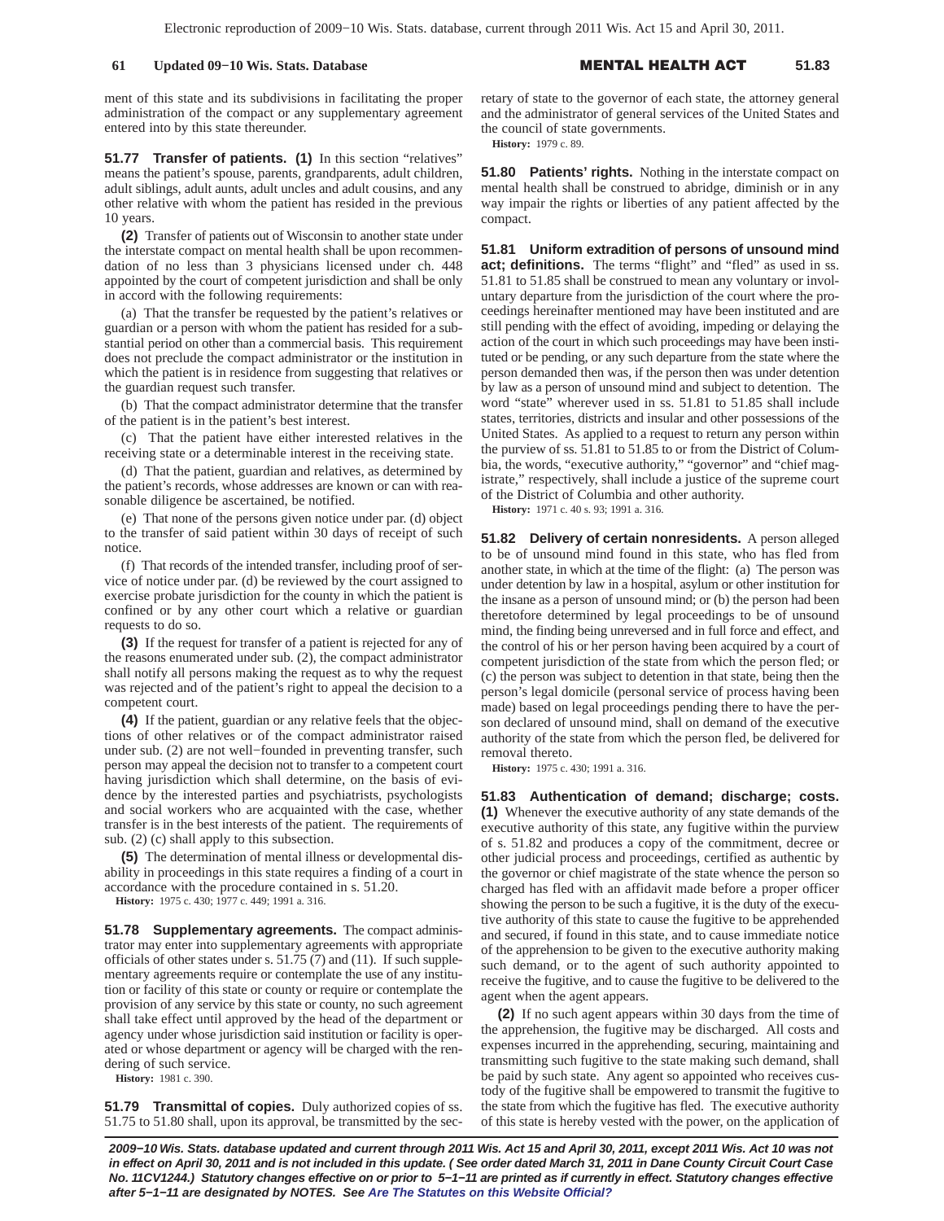ment of this state and its subdivisions in facilitating the proper administration of the compact or any supplementary agreement entered into by this state thereunder.

**51.77 Transfer of patients. (1)** In this section "relatives" means the patient's spouse, parents, grandparents, adult children, adult siblings, adult aunts, adult uncles and adult cousins, and any other relative with whom the patient has resided in the previous 10 years.

**(2)** Transfer of patients out of Wisconsin to another state under the interstate compact on mental health shall be upon recommendation of no less than 3 physicians licensed under ch. 448 appointed by the court of competent jurisdiction and shall be only in accord with the following requirements:

(a) That the transfer be requested by the patient's relatives or guardian or a person with whom the patient has resided for a substantial period on other than a commercial basis. This requirement does not preclude the compact administrator or the institution in which the patient is in residence from suggesting that relatives or the guardian request such transfer.

(b) That the compact administrator determine that the transfer of the patient is in the patient's best interest.

(c) That the patient have either interested relatives in the receiving state or a determinable interest in the receiving state.

(d) That the patient, guardian and relatives, as determined by the patient's records, whose addresses are known or can with reasonable diligence be ascertained, be notified.

(e) That none of the persons given notice under par. (d) object to the transfer of said patient within 30 days of receipt of such notice.

(f) That records of the intended transfer, including proof of service of notice under par. (d) be reviewed by the court assigned to exercise probate jurisdiction for the county in which the patient is confined or by any other court which a relative or guardian requests to do so.

**(3)** If the request for transfer of a patient is rejected for any of the reasons enumerated under sub. (2), the compact administrator shall notify all persons making the request as to why the request was rejected and of the patient's right to appeal the decision to a competent court.

**(4)** If the patient, guardian or any relative feels that the objections of other relatives or of the compact administrator raised under sub. (2) are not well−founded in preventing transfer, such person may appeal the decision not to transfer to a competent court having jurisdiction which shall determine, on the basis of evidence by the interested parties and psychiatrists, psychologists and social workers who are acquainted with the case, whether transfer is in the best interests of the patient. The requirements of sub. (2) (c) shall apply to this subsection.

**(5)** The determination of mental illness or developmental disability in proceedings in this state requires a finding of a court in accordance with the procedure contained in s. 51.20.

**History:** 1975 c. 430; 1977 c. 449; 1991 a. 316.

**51.78 Supplementary agreements.** The compact administrator may enter into supplementary agreements with appropriate officials of other states under s. 51.75 (7) and (11). If such supplementary agreements require or contemplate the use of any institution or facility of this state or county or require or contemplate the provision of any service by this state or county, no such agreement shall take effect until approved by the head of the department or agency under whose jurisdiction said institution or facility is operated or whose department or agency will be charged with the rendering of such service.

**History:** 1981 c. 390.

**51.79 Transmittal of copies.** Duly authorized copies of ss. 51.75 to 51.80 shall, upon its approval, be transmitted by the secretary of state to the governor of each state, the attorney general and the administrator of general services of the United States and the council of state governments. **History:** 1979 c. 89.

**51.80 Patients' rights.** Nothing in the interstate compact on mental health shall be construed to abridge, diminish or in any way impair the rights or liberties of any patient affected by the compact.

**51.81 Uniform extradition of persons of unsound mind act; definitions.** The terms "flight" and "fled" as used in ss. 51.81 to 51.85 shall be construed to mean any voluntary or involuntary departure from the jurisdiction of the court where the proceedings hereinafter mentioned may have been instituted and are still pending with the effect of avoiding, impeding or delaying the action of the court in which such proceedings may have been instituted or be pending, or any such departure from the state where the person demanded then was, if the person then was under detention by law as a person of unsound mind and subject to detention. The word "state" wherever used in ss. 51.81 to 51.85 shall include states, territories, districts and insular and other possessions of the United States. As applied to a request to return any person within the purview of ss. 51.81 to 51.85 to or from the District of Columbia, the words, "executive authority," "governor" and "chief magistrate," respectively, shall include a justice of the supreme court of the District of Columbia and other authority.

**History:** 1971 c. 40 s. 93; 1991 a. 316.

**51.82 Delivery of certain nonresidents.** A person alleged to be of unsound mind found in this state, who has fled from another state, in which at the time of the flight: (a) The person was under detention by law in a hospital, asylum or other institution for the insane as a person of unsound mind; or (b) the person had been theretofore determined by legal proceedings to be of unsound mind, the finding being unreversed and in full force and effect, and the control of his or her person having been acquired by a court of competent jurisdiction of the state from which the person fled; or (c) the person was subject to detention in that state, being then the person's legal domicile (personal service of process having been made) based on legal proceedings pending there to have the person declared of unsound mind, shall on demand of the executive authority of the state from which the person fled, be delivered for removal thereto.

**History:** 1975 c. 430; 1991 a. 316.

**51.83 Authentication of demand; discharge; costs. (1)** Whenever the executive authority of any state demands of the executive authority of this state, any fugitive within the purview of s. 51.82 and produces a copy of the commitment, decree or other judicial process and proceedings, certified as authentic by the governor or chief magistrate of the state whence the person so charged has fled with an affidavit made before a proper officer showing the person to be such a fugitive, it is the duty of the executive authority of this state to cause the fugitive to be apprehended and secured, if found in this state, and to cause immediate notice of the apprehension to be given to the executive authority making such demand, or to the agent of such authority appointed to receive the fugitive, and to cause the fugitive to be delivered to the agent when the agent appears.

**(2)** If no such agent appears within 30 days from the time of the apprehension, the fugitive may be discharged. All costs and expenses incurred in the apprehending, securing, maintaining and transmitting such fugitive to the state making such demand, shall be paid by such state. Any agent so appointed who receives custody of the fugitive shall be empowered to transmit the fugitive to the state from which the fugitive has fled. The executive authority of this state is hereby vested with the power, on the application of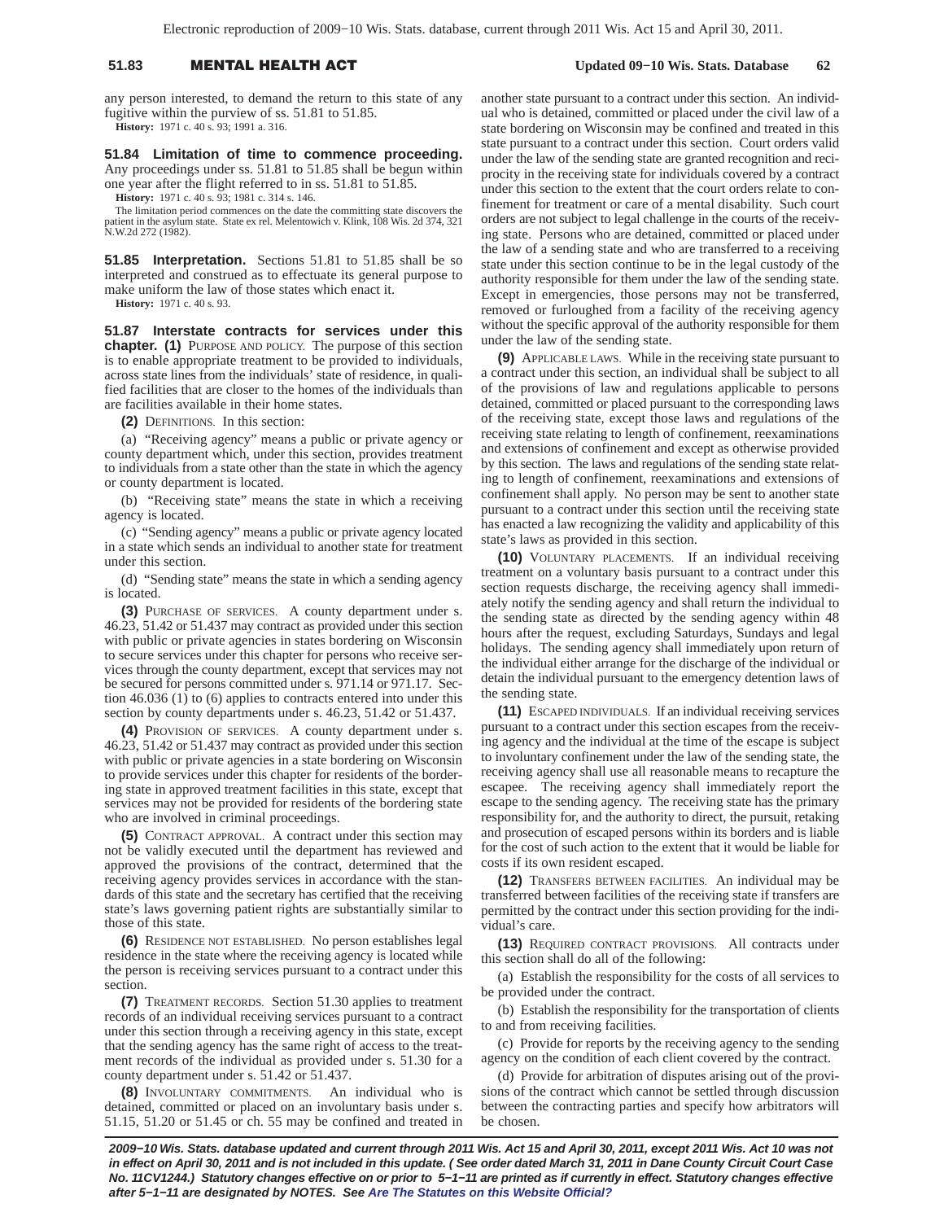# 51.83 **MENTAL HEALTH A**

any person interested, to demand the return to this state of any fugitive within the purview of ss. 51.81 to 51.85.

**History:** 1971 c. 40 s. 93; 1991 a. 316.

**51.84 Limitation of time to commence proceeding.** Any proceedings under ss. 51.81 to 51.85 shall be begun within one year after the flight referred to in ss. 51.81 to 51.85.

**History:** 1971 c. 40 s. 93; 1981 c. 314 s. 146.

The limitation period commences on the date the committing state discovers the patient in the asylum state. State ex rel. Melentowich v. Klink, 108 Wis. 2d 374, 321 N.W.2d 272 (1982).

**51.85 Interpretation.** Sections 51.81 to 51.85 shall be so interpreted and construed as to effectuate its general purpose to make uniform the law of those states which enact it.

**History:** 1971 c. 40 s. 93.

**51.87 Interstate contracts for services under this chapter. (1)** PURPOSE AND POLICY. The purpose of this section is to enable appropriate treatment to be provided to individuals, across state lines from the individuals' state of residence, in qualified facilities that are closer to the homes of the individuals than are facilities available in their home states.

**(2)** DEFINITIONS. In this section:

(a) "Receiving agency" means a public or private agency or county department which, under this section, provides treatment to individuals from a state other than the state in which the agency or county department is located.

(b) "Receiving state" means the state in which a receiving agency is located.

(c) "Sending agency" means a public or private agency located in a state which sends an individual to another state for treatment under this section.

(d) "Sending state" means the state in which a sending agency is located.

**(3)** PURCHASE OF SERVICES. A county department under s. 46.23, 51.42 or 51.437 may contract as provided under this section with public or private agencies in states bordering on Wisconsin to secure services under this chapter for persons who receive services through the county department, except that services may not be secured for persons committed under s. 971.14 or 971.17. Section 46.036 (1) to (6) applies to contracts entered into under this section by county departments under s. 46.23, 51.42 or 51.437.

**(4)** PROVISION OF SERVICES. A county department under s. 46.23, 51.42 or 51.437 may contract as provided under this section with public or private agencies in a state bordering on Wisconsin to provide services under this chapter for residents of the bordering state in approved treatment facilities in this state, except that services may not be provided for residents of the bordering state who are involved in criminal proceedings.

**(5)** CONTRACT APPROVAL. A contract under this section may not be validly executed until the department has reviewed and approved the provisions of the contract, determined that the receiving agency provides services in accordance with the standards of this state and the secretary has certified that the receiving state's laws governing patient rights are substantially similar to those of this state.

**(6)** RESIDENCE NOT ESTABLISHED. No person establishes legal residence in the state where the receiving agency is located while the person is receiving services pursuant to a contract under this section.

**(7)** TREATMENT RECORDS. Section 51.30 applies to treatment records of an individual receiving services pursuant to a contract under this section through a receiving agency in this state, except that the sending agency has the same right of access to the treatment records of the individual as provided under s. 51.30 for a county department under s. 51.42 or 51.437.

**(8)** INVOLUNTARY COMMITMENTS. An individual who is detained, committed or placed on an involuntary basis under s. 51.15, 51.20 or 51.45 or ch. 55 may be confined and treated in another state pursuant to a contract under this section. An individual who is detained, committed or placed under the civil law of a state bordering on Wisconsin may be confined and treated in this state pursuant to a contract under this section. Court orders valid under the law of the sending state are granted recognition and reciprocity in the receiving state for individuals covered by a contract under this section to the extent that the court orders relate to confinement for treatment or care of a mental disability. Such court orders are not subject to legal challenge in the courts of the receiving state. Persons who are detained, committed or placed under the law of a sending state and who are transferred to a receiving state under this section continue to be in the legal custody of the authority responsible for them under the law of the sending state. Except in emergencies, those persons may not be transferred, removed or furloughed from a facility of the receiving agency without the specific approval of the authority responsible for them under the law of the sending state.

**(9)** APPLICABLE LAWS. While in the receiving state pursuant to a contract under this section, an individual shall be subject to all of the provisions of law and regulations applicable to persons detained, committed or placed pursuant to the corresponding laws of the receiving state, except those laws and regulations of the receiving state relating to length of confinement, reexaminations and extensions of confinement and except as otherwise provided by this section. The laws and regulations of the sending state relating to length of confinement, reexaminations and extensions of confinement shall apply. No person may be sent to another state pursuant to a contract under this section until the receiving state has enacted a law recognizing the validity and applicability of this state's laws as provided in this section.

**(10)** VOLUNTARY PLACEMENTS. If an individual receiving treatment on a voluntary basis pursuant to a contract under this section requests discharge, the receiving agency shall immediately notify the sending agency and shall return the individual to the sending state as directed by the sending agency within 48 hours after the request, excluding Saturdays, Sundays and legal holidays. The sending agency shall immediately upon return of the individual either arrange for the discharge of the individual or detain the individual pursuant to the emergency detention laws of the sending state.

**(11)** ESCAPED INDIVIDUALS. If an individual receiving services pursuant to a contract under this section escapes from the receiving agency and the individual at the time of the escape is subject to involuntary confinement under the law of the sending state, the receiving agency shall use all reasonable means to recapture the escapee. The receiving agency shall immediately report the escape to the sending agency. The receiving state has the primary responsibility for, and the authority to direct, the pursuit, retaking and prosecution of escaped persons within its borders and is liable for the cost of such action to the extent that it would be liable for costs if its own resident escaped.

**(12)** TRANSFERS BETWEEN FACILITIES. An individual may be transferred between facilities of the receiving state if transfers are permitted by the contract under this section providing for the individual's care.

**(13)** REQUIRED CONTRACT PROVISIONS. All contracts under this section shall do all of the following:

(a) Establish the responsibility for the costs of all services to be provided under the contract.

(b) Establish the responsibility for the transportation of clients to and from receiving facilities.

(c) Provide for reports by the receiving agency to the sending agency on the condition of each client covered by the contract.

(d) Provide for arbitration of disputes arising out of the provisions of the contract which cannot be settled through discussion between the contracting parties and specify how arbitrators will be chosen.